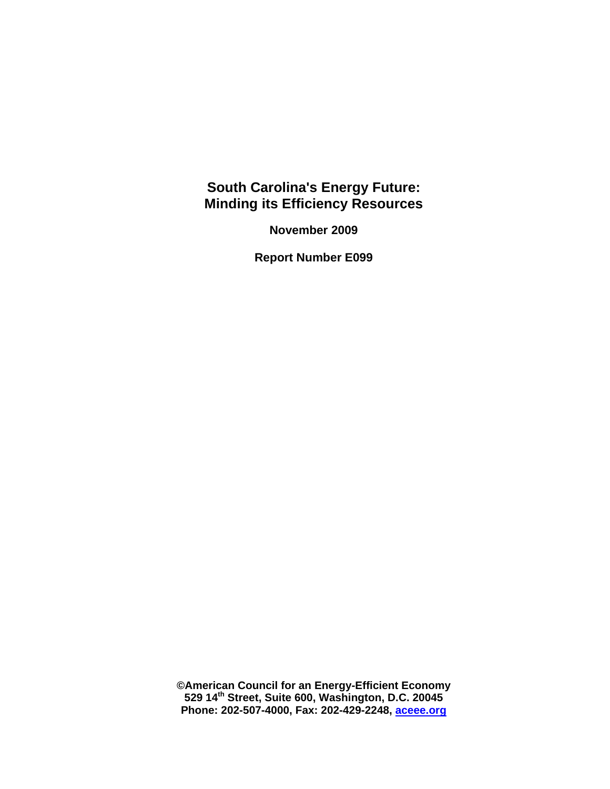## **South Carolina's Energy Future: Minding its Efficiency Resources**

**November 2009** 

**Report Number E099** 

**©American Council for an Energy-Efficient Economy 529 14th Street, Suite 600, Washington, D.C. 20045 Phone: 202-507-4000, Fax: 202-429-2248, [aceee.org](http://aceee.org/)**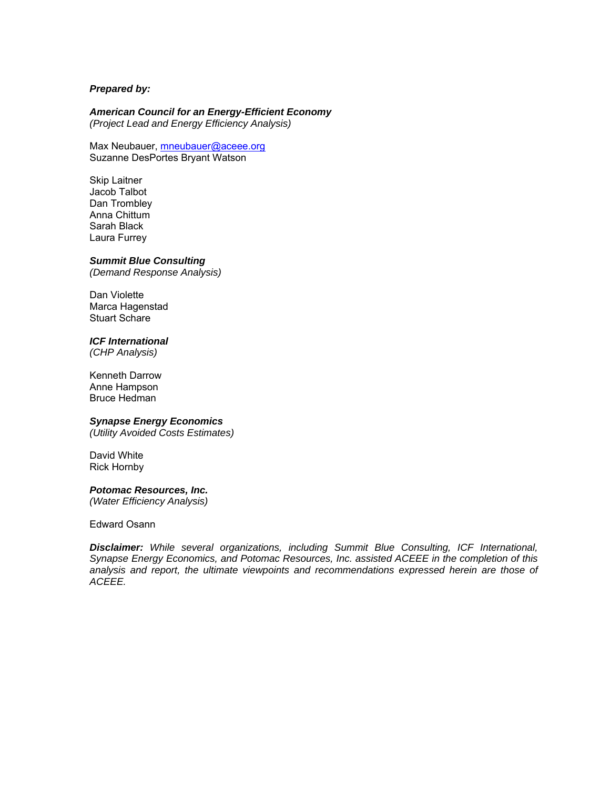#### *Prepared by:*

#### *American Council for an Energy-Efficient Economy*

*(Project Lead and Energy Efficiency Analysis)* 

Max Neubauer, **mneubauer@aceee.org** Suzanne DesPortes Bryant Watson

Skip Laitner Jacob Talbot Dan Trombley Anna Chittum Sarah Black Laura Furrey

#### *Summit Blue Consulting*

*(Demand Response Analysis)* 

Dan Violette Marca Hagenstad Stuart Schare

#### *ICF International*

*(CHP Analysis)* 

Kenneth Darrow Anne Hampson Bruce Hedman

#### *Synapse Energy Economics*

*(Utility Avoided Costs Estimates)* 

David White Rick Hornby

#### *Potomac Resources, Inc.*

*(Water Efficiency Analysis)* 

Edward Osann

*Disclaimer: While several organizations, including Summit Blue Consulting, ICF International, Synapse Energy Economics, and Potomac Resources, Inc. assisted ACEEE in the completion of this analysis and report, the ultimate viewpoints and recommendations expressed herein are those of ACEEE.*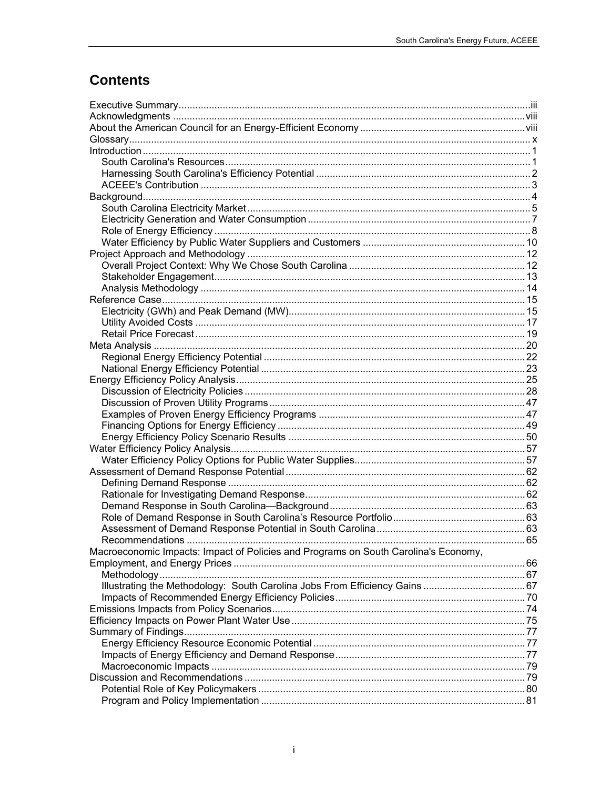# **Contents**

| Macroeconomic Impacts: Impact of Policies and Programs on South Carolina's Economy, |  |
|-------------------------------------------------------------------------------------|--|
|                                                                                     |  |
|                                                                                     |  |
|                                                                                     |  |
|                                                                                     |  |
|                                                                                     |  |
|                                                                                     |  |
|                                                                                     |  |
|                                                                                     |  |
|                                                                                     |  |
|                                                                                     |  |
|                                                                                     |  |
|                                                                                     |  |
|                                                                                     |  |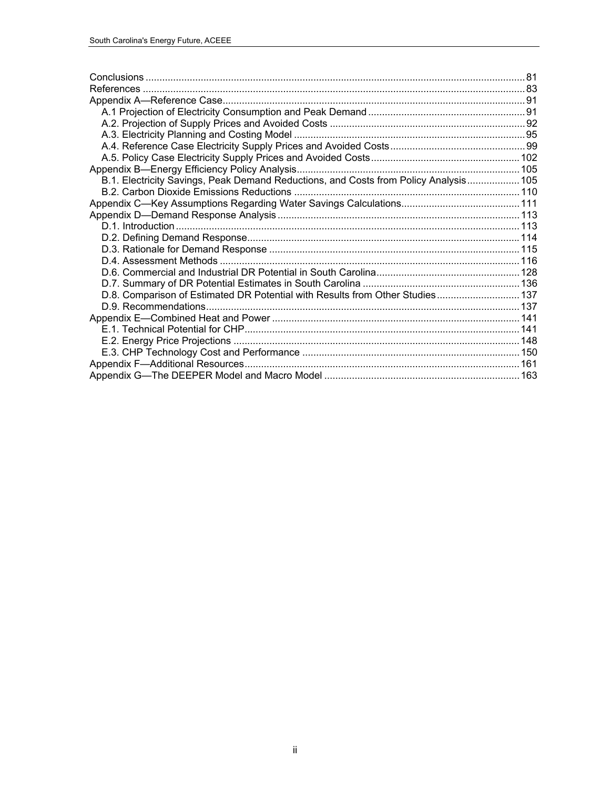| B.1. Electricity Savings, Peak Demand Reductions, and Costs from Policy Analysis 105 |  |
|--------------------------------------------------------------------------------------|--|
|                                                                                      |  |
|                                                                                      |  |
|                                                                                      |  |
|                                                                                      |  |
|                                                                                      |  |
|                                                                                      |  |
|                                                                                      |  |
|                                                                                      |  |
|                                                                                      |  |
| D.8. Comparison of Estimated DR Potential with Results from Other Studies 137        |  |
|                                                                                      |  |
|                                                                                      |  |
|                                                                                      |  |
|                                                                                      |  |
|                                                                                      |  |
|                                                                                      |  |
|                                                                                      |  |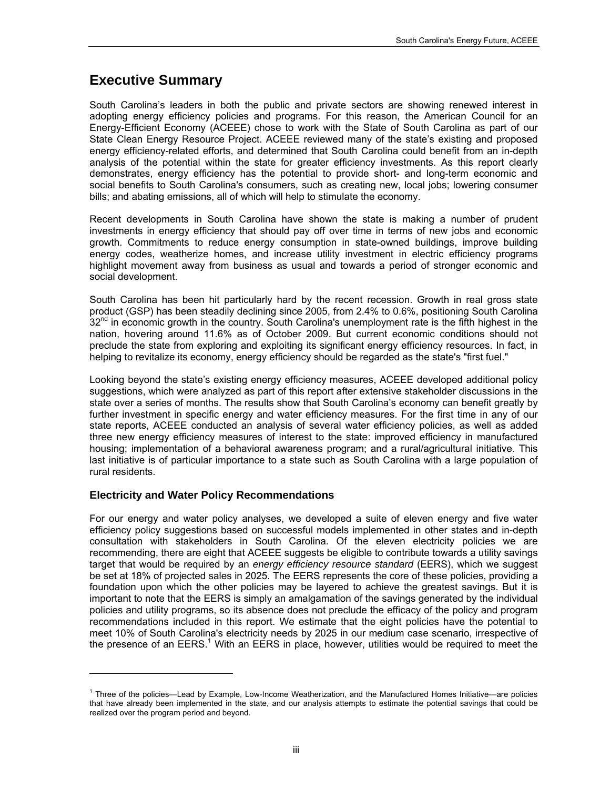## <span id="page-4-0"></span>**Executive Summary**

South Carolina's leaders in both the public and private sectors are showing renewed interest in adopting energy efficiency policies and programs. For this reason, the American Council for an Energy-Efficient Economy (ACEEE) chose to work with the State of South Carolina as part of our State Clean Energy Resource Project. ACEEE reviewed many of the state's existing and proposed energy efficiency-related efforts, and determined that South Carolina could benefit from an in-depth analysis of the potential within the state for greater efficiency investments. As this report clearly demonstrates, energy efficiency has the potential to provide short- and long-term economic and social benefits to South Carolina's consumers, such as creating new, local jobs; lowering consumer bills; and abating emissions, all of which will help to stimulate the economy.

Recent developments in South Carolina have shown the state is making a number of prudent investments in energy efficiency that should pay off over time in terms of new jobs and economic growth. Commitments to reduce energy consumption in state-owned buildings, improve building energy codes, weatherize homes, and increase utility investment in electric efficiency programs highlight movement away from business as usual and towards a period of stronger economic and social development.

South Carolina has been hit particularly hard by the recent recession. Growth in real gross state product (GSP) has been steadily declining since 2005, from 2.4% to 0.6%, positioning South Carolina  $32<sup>nd</sup>$  in economic growth in the country. South Carolina's unemployment rate is the fifth highest in the nation, hovering around 11.6% as of October 2009. But current economic conditions should not preclude the state from exploring and exploiting its significant energy efficiency resources. In fact, in helping to revitalize its economy, energy efficiency should be regarded as the state's "first fuel."

Looking beyond the state's existing energy efficiency measures, ACEEE developed additional policy suggestions, which were analyzed as part of this report after extensive stakeholder discussions in the state over a series of months. The results show that South Carolina's economy can benefit greatly by further investment in specific energy and water efficiency measures. For the first time in any of our state reports, ACEEE conducted an analysis of several water efficiency policies, as well as added three new energy efficiency measures of interest to the state: improved efficiency in manufactured housing; implementation of a behavioral awareness program; and a rural/agricultural initiative. This last initiative is of particular importance to a state such as South Carolina with a large population of rural residents.

### **Electricity and Water Policy Recommendations**

-

For our energy and water policy analyses, we developed a suite of eleven energy and five water efficiency policy suggestions based on successful models implemented in other states and in-depth consultation with stakeholders in South Carolina. Of the eleven electricity policies we are recommending, there are eight that ACEEE suggests be eligible to contribute towards a utility savings target that would be required by an *energy efficiency resource standard* (EERS), which we suggest be set at 18% of projected sales in 2025. The EERS represents the core of these policies, providing a foundation upon which the other policies may be layered to achieve the greatest savings. But it is important to note that the EERS is simply an amalgamation of the savings generated by the individual policies and utility programs, so its absence does not preclude the efficacy of the policy and program recommendations included in this report. We estimate that the eight policies have the potential to meet 10% of South Carolina's electricity needs by 2025 in our medium case scenario, irrespective of the presence of an  $EERS$ .<sup>[1](#page-4-1)</sup> With an  $EERS$  in place, however, utilities would be required to meet the

<span id="page-4-1"></span><sup>1</sup> Three of the policies—Lead by Example, Low-Income Weatherization, and the Manufactured Homes Initiative—are policies that have already been implemented in the state, and our analysis attempts to estimate the potential savings that could be realized over the program period and beyond.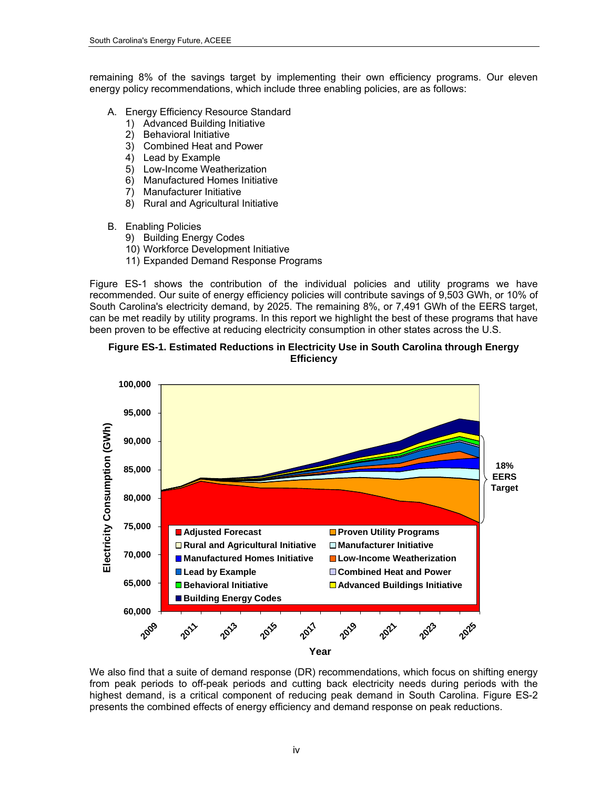remaining 8% of the savings target by implementing their own efficiency programs. Our eleven energy policy recommendations, which include three enabling policies, are as follows:

- A. Energy Efficiency Resource Standard
	- 1) Advanced Building Initiative
	- 2) Behavioral Initiative
	- 3) Combined Heat and Power
	- 4) Lead by Example
	- 5) Low-Income Weatherization
	- 6) Manufactured Homes Initiative
	- 7) Manufacturer Initiative
	- 8) Rural and Agricultural Initiative
- B. Enabling Policies
	- 9) Building Energy Codes
	- 10) Workforce Development Initiative
	- 11) Expanded Demand Response Programs

Figure ES-1 shows the contribution of the individual policies and utility programs we have recommended. Our suite of energy efficiency policies will contribute savings of 9,503 GWh, or 10% of South Carolina's electricity demand, by 2025. The remaining 8%, or 7,491 GWh of the EERS target, can be met readily by utility programs. In this report we highlight the best of these programs that have been proven to be effective at reducing electricity consumption in other states across the U.S.

#### **Figure ES-1. Estimated Reductions in Electricity Use in South Carolina through Energy Efficiency**



We also find that a suite of demand response (DR) recommendations, which focus on shifting energy from peak periods to off-peak periods and cutting back electricity needs during periods with the highest demand, is a critical component of reducing peak demand in South Carolina. Figure ES-2 presents the combined effects of energy efficiency and demand response on peak reductions.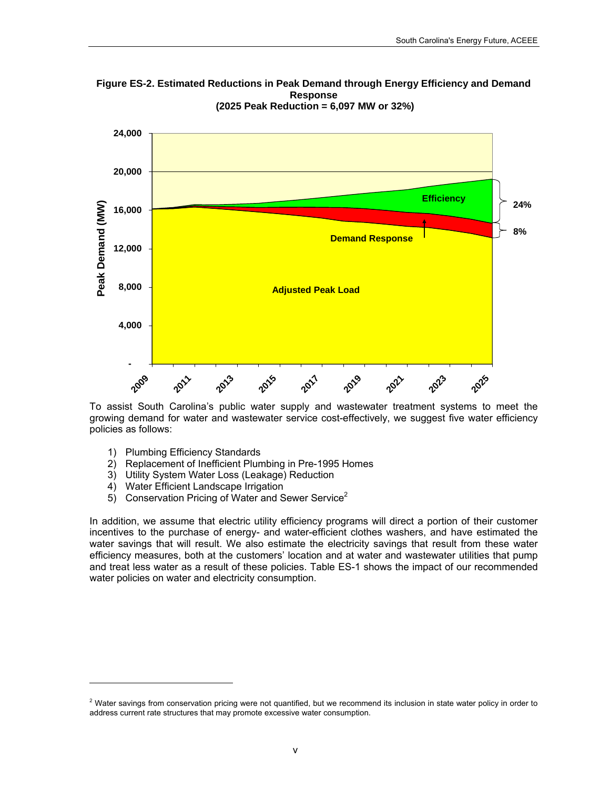

**Figure ES-2. Estimated Reductions in Peak Demand through Energy Efficiency and Demand Response (2025 Peak Reduction = 6,097 MW or 32%)** 

To assist South Carolina's public water supply and wastewater treatment systems to meet the growing demand for water and wastewater service cost-effectively, we suggest five water efficiency policies as follows:

1) Plumbing Efficiency Standards

l

- 2) Replacement of Inefficient Plumbing in Pre-1995 Homes
- 3) Utility System Water Loss (Leakage) Reduction
- 4) Water Efficient Landscape Irrigation
- 5) Conservation Pricing of Water and Sewer Service<sup>[2](#page-6-0)</sup>

In addition, we assume that electric utility efficiency programs will direct a portion of their customer incentives to the purchase of energy- and water-efficient clothes washers, and have estimated the water savings that will result. We also estimate the electricity savings that result from these water efficiency measures, both at the customers' location and at water and wastewater utilities that pump and treat less water as a result of these policies. Table ES-1 shows the impact of our recommended water policies on water and electricity consumption.

<span id="page-6-0"></span> $2$  Water savings from conservation pricing were not quantified, but we recommend its inclusion in state water policy in order to address current rate structures that may promote excessive water consumption.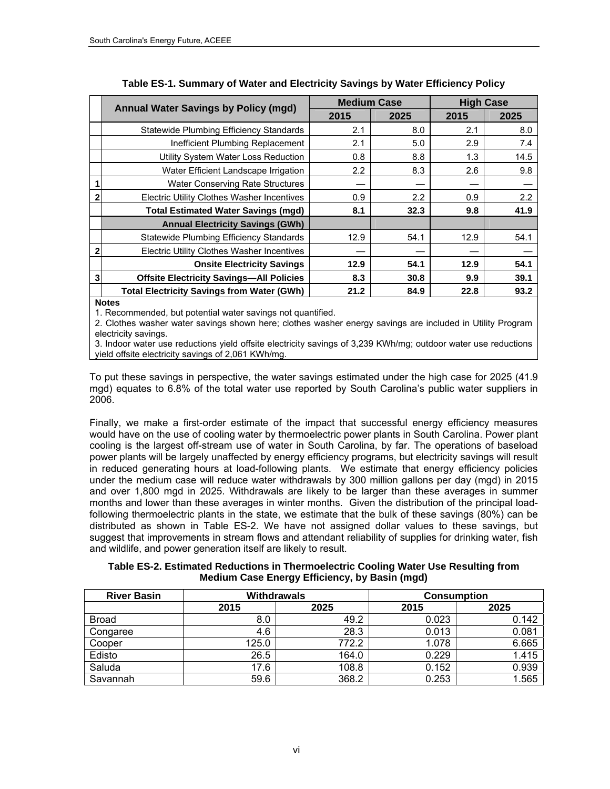|              | <b>Annual Water Savings by Policy (mgd)</b>       | <b>Medium Case</b> |      | <b>High Case</b> |      |
|--------------|---------------------------------------------------|--------------------|------|------------------|------|
|              |                                                   | 2015               | 2025 | 2015             | 2025 |
|              | Statewide Plumbing Efficiency Standards           | 2.1                | 8.0  | 2.1              | 8.0  |
|              | Inefficient Plumbing Replacement                  | 2.1                | 5.0  | 2.9              | 7.4  |
|              | Utility System Water Loss Reduction               | 0.8                | 8.8  | 1.3              | 14.5 |
|              | Water Efficient Landscape Irrigation              | 2.2                | 8.3  | 2.6              | 9.8  |
|              | <b>Water Conserving Rate Structures</b>           |                    |      |                  |      |
| $\mathbf{2}$ | Electric Utility Clothes Washer Incentives        | 0.9                | 2.2  | 0.9              | 2.2  |
|              | <b>Total Estimated Water Savings (mgd)</b>        | 8.1                | 32.3 | 9.8              | 41.9 |
|              | <b>Annual Electricity Savings (GWh)</b>           |                    |      |                  |      |
|              | Statewide Plumbing Efficiency Standards           | 12.9               | 54.1 | 12.9             | 54.1 |
| 2            | <b>Electric Utility Clothes Washer Incentives</b> |                    |      |                  |      |
|              | <b>Onsite Electricity Savings</b>                 | 12.9               | 54.1 | 12.9             | 54.1 |
| 3            | <b>Offsite Electricity Savings-All Policies</b>   | 8.3                | 30.8 | 9.9              | 39.1 |
|              | <b>Total Electricity Savings from Water (GWh)</b> | 21.2               | 84.9 | 22.8             | 93.2 |

**Notes**

1. Recommended, but potential water savings not quantified.

2. Clothes washer water savings shown here; clothes washer energy savings are included in Utility Program electricity savings.

3. Indoor water use reductions yield offsite electricity savings of 3,239 KWh/mg; outdoor water use reductions yield offsite electricity savings of 2,061 KWh/mg.

To put these savings in perspective, the water savings estimated under the high case for 2025 (41.9 mgd) equates to 6.8% of the total water use reported by South Carolina's public water suppliers in 2006.

Finally, we make a first-order estimate of the impact that successful energy efficiency measures would have on the use of cooling water by thermoelectric power plants in South Carolina. Power plant cooling is the largest off-stream use of water in South Carolina, by far. The operations of baseload power plants will be largely unaffected by energy efficiency programs, but electricity savings will result in reduced generating hours at load-following plants. We estimate that energy efficiency policies under the medium case will reduce water withdrawals by 300 million gallons per day (mgd) in 2015 and over 1,800 mgd in 2025. Withdrawals are likely to be larger than these averages in summer months and lower than these averages in winter months. Given the distribution of the principal loadfollowing thermoelectric plants in the state, we estimate that the bulk of these savings (80%) can be distributed as shown in Table ES-2. We have not assigned dollar values to these savings, but suggest that improvements in stream flows and attendant reliability of supplies for drinking water, fish and wildlife, and power generation itself are likely to result.

**Table ES-2. Estimated Reductions in Thermoelectric Cooling Water Use Resulting from Medium Case Energy Efficiency, by Basin (mgd)** 

| <b>River Basin</b> |       | <b>Withdrawals</b> |       | <b>Consumption</b> |
|--------------------|-------|--------------------|-------|--------------------|
|                    | 2015  | 2025               | 2015  | 2025               |
| <b>Broad</b>       | 8.0   | 49.2               | 0.023 | 0.142              |
| Congaree           | 4.6   | 28.3               | 0.013 | 0.081              |
| Cooper             | 125.0 | 772.2              | 1.078 | 6.665              |
| Edisto             | 26.5  | 164.0              | 0.229 | 1.415              |
| Saluda             | 17.6  | 108.8              | 0.152 | 0.939              |
| Savannah           | 59.6  | 368.2              | 0.253 | 1.565              |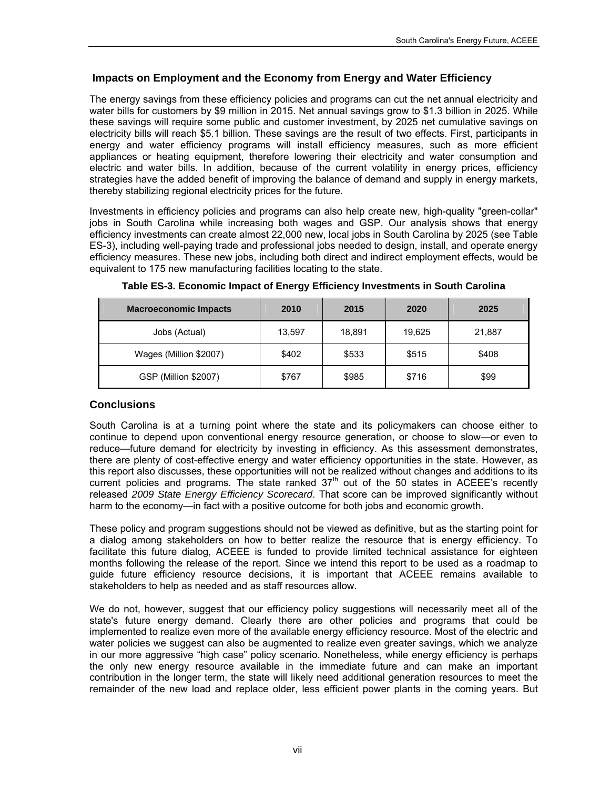## **Impacts on Employment and the Economy from Energy and Water Efficiency**

The energy savings from these efficiency policies and programs can cut the net annual electricity and water bills for customers by \$9 million in 2015. Net annual savings grow to \$1.3 billion in 2025. While these savings will require some public and customer investment, by 2025 net cumulative savings on electricity bills will reach \$5.1 billion. These savings are the result of two effects. First, participants in energy and water efficiency programs will install efficiency measures, such as more efficient appliances or heating equipment, therefore lowering their electricity and water consumption and electric and water bills. In addition, because of the current volatility in energy prices, efficiency strategies have the added benefit of improving the balance of demand and supply in energy markets, thereby stabilizing regional electricity prices for the future.

Investments in efficiency policies and programs can also help create new, high-quality "green-collar" jobs in South Carolina while increasing both wages and GSP. Our analysis shows that energy efficiency investments can create almost 22,000 new, local jobs in South Carolina by 2025 (see Table ES-3), including well-paying trade and professional jobs needed to design, install, and operate energy efficiency measures. These new jobs, including both direct and indirect employment effects, would be equivalent to 175 new manufacturing facilities locating to the state.

| <b>Macroeconomic Impacts</b> | 2010   | 2015   | 2020   | 2025   |
|------------------------------|--------|--------|--------|--------|
| Jobs (Actual)                | 13,597 | 18,891 | 19,625 | 21,887 |
| Wages (Million \$2007)       | \$402  | \$533  | \$515  | \$408  |
| GSP (Million \$2007)         | \$767  | \$985  | \$716  | \$99   |

**Table ES-3. Economic Impact of Energy Efficiency Investments in South Carolina** 

## **Conclusions**

South Carolina is at a turning point where the state and its policymakers can choose either to continue to depend upon conventional energy resource generation, or choose to slow—or even to reduce—future demand for electricity by investing in efficiency. As this assessment demonstrates, there are plenty of cost-effective energy and water efficiency opportunities in the state. However, as this report also discusses, these opportunities will not be realized without changes and additions to its current policies and programs. The state ranked  $37<sup>th</sup>$  out of the 50 states in ACEEE's recently released *2009 State Energy Efficiency Scorecard*. That score can be improved significantly without harm to the economy—in fact with a positive outcome for both jobs and economic growth.

These policy and program suggestions should not be viewed as definitive, but as the starting point for a dialog among stakeholders on how to better realize the resource that is energy efficiency. To facilitate this future dialog, ACEEE is funded to provide limited technical assistance for eighteen months following the release of the report. Since we intend this report to be used as a roadmap to guide future efficiency resource decisions, it is important that ACEEE remains available to stakeholders to help as needed and as staff resources allow.

We do not, however, suggest that our efficiency policy suggestions will necessarily meet all of the state's future energy demand. Clearly there are other policies and programs that could be implemented to realize even more of the available energy efficiency resource. Most of the electric and water policies we suggest can also be augmented to realize even greater savings, which we analyze in our more aggressive "high case" policy scenario. Nonetheless, while energy efficiency is perhaps the only new energy resource available in the immediate future and can make an important contribution in the longer term, the state will likely need additional generation resources to meet the remainder of the new load and replace older, less efficient power plants in the coming years. But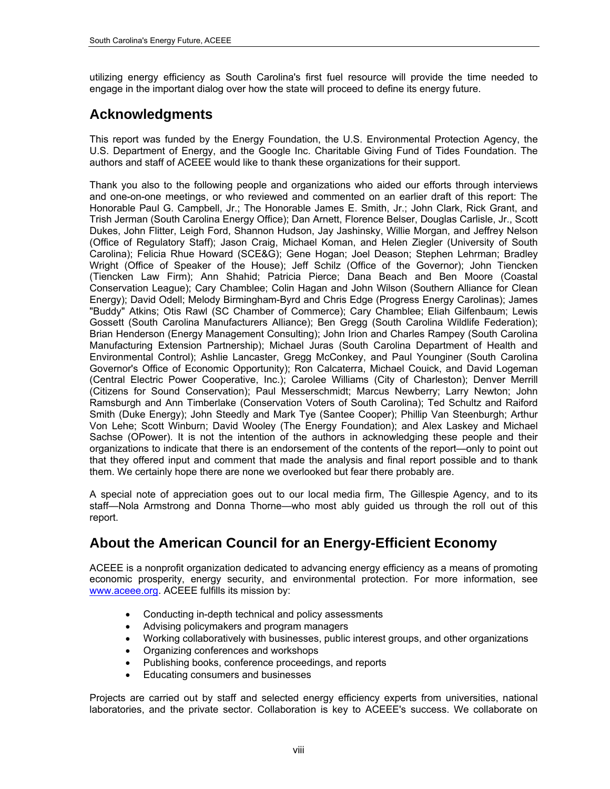utilizing energy efficiency as South Carolina's first fuel resource will provide the time needed to engage in the important dialog over how the state will proceed to define its energy future.

## <span id="page-9-0"></span>**Acknowledgments**

This report was funded by the Energy Foundation, the U.S. Environmental Protection Agency, the U.S. Department of Energy, and the Google Inc. Charitable Giving Fund of Tides Foundation. The authors and staff of ACEEE would like to thank these organizations for their support.

Thank you also to the following people and organizations who aided our efforts through interviews and one-on-one meetings, or who reviewed and commented on an earlier draft of this report: The Honorable Paul G. Campbell, Jr.; The Honorable James E. Smith, Jr.; John Clark, Rick Grant, and Trish Jerman (South Carolina Energy Office); Dan Arnett, Florence Belser, Douglas Carlisle, Jr., Scott Dukes, John Flitter, Leigh Ford, Shannon Hudson, Jay Jashinsky, Willie Morgan, and Jeffrey Nelson (Office of Regulatory Staff); Jason Craig, Michael Koman, and Helen Ziegler (University of South Carolina); Felicia Rhue Howard (SCE&G); Gene Hogan; Joel Deason; Stephen Lehrman; Bradley Wright (Office of Speaker of the House); Jeff Schilz (Office of the Governor); John Tiencken (Tiencken Law Firm); Ann Shahid; Patricia Pierce; Dana Beach and Ben Moore (Coastal Conservation League); Cary Chamblee; Colin Hagan and John Wilson (Southern Alliance for Clean Energy); David Odell; Melody Birmingham-Byrd and Chris Edge (Progress Energy Carolinas); James "Buddy" Atkins; Otis Rawl (SC Chamber of Commerce); Cary Chamblee; Eliah Gilfenbaum; Lewis Gossett (South Carolina Manufacturers Alliance); Ben Gregg (South Carolina Wildlife Federation); Brian Henderson (Energy Management Consulting); John Irion and Charles Rampey (South Carolina Manufacturing Extension Partnership); Michael Juras (South Carolina Department of Health and Environmental Control); Ashlie Lancaster, Gregg McConkey, and Paul Younginer (South Carolina Governor's Office of Economic Opportunity); Ron Calcaterra, Michael Couick, and David Logeman (Central Electric Power Cooperative, Inc.); Carolee Williams (City of Charleston); Denver Merrill (Citizens for Sound Conservation); Paul Messerschmidt; Marcus Newberry; Larry Newton; John Ramsburgh and Ann Timberlake (Conservation Voters of South Carolina); Ted Schultz and Raiford Smith (Duke Energy); John Steedly and Mark Tye (Santee Cooper); Phillip Van Steenburgh; Arthur Von Lehe; Scott Winburn; David Wooley (The Energy Foundation); and Alex Laskey and Michael Sachse (OPower). It is not the intention of the authors in acknowledging these people and their organizations to indicate that there is an endorsement of the contents of the report—only to point out that they offered input and comment that made the analysis and final report possible and to thank them. We certainly hope there are none we overlooked but fear there probably are.

A special note of appreciation goes out to our local media firm, The Gillespie Agency, and to its staff—Nola Armstrong and Donna Thorne—who most ably guided us through the roll out of this report.

## <span id="page-9-1"></span>**About the American Council for an Energy-Efficient Economy**

ACEEE is a nonprofit organization dedicated to advancing energy efficiency as a means of promoting economic prosperity, energy security, and environmental protection. For more information, see [www.aceee.org.](http://aceee.org/) ACEEE fulfills its mission by:

- Conducting in-depth technical and policy assessments
- Advising policymakers and program managers
- Working collaboratively with businesses, public interest groups, and other organizations
- Organizing conferences and workshops
- Publishing books, conference proceedings, and reports
- Educating consumers and businesses

Projects are carried out by staff and selected energy efficiency experts from universities, national laboratories, and the private sector. Collaboration is key to ACEEE's success. We collaborate on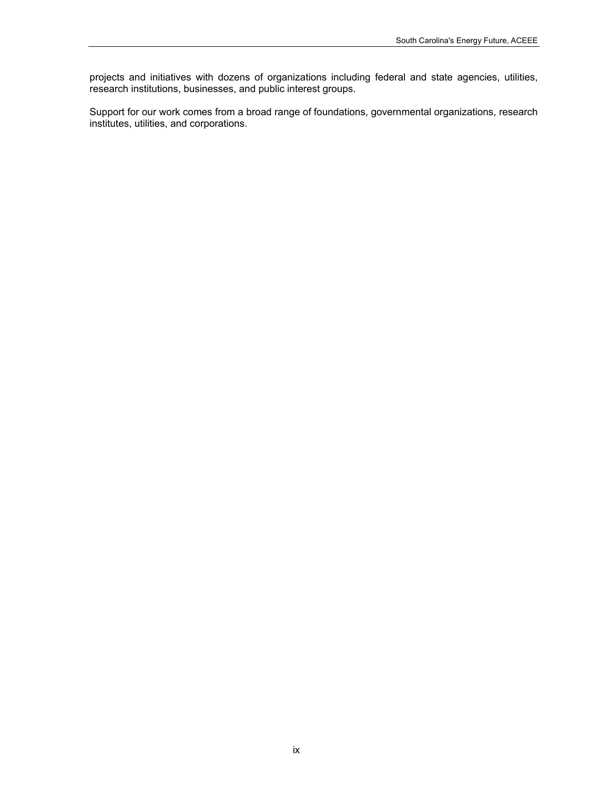projects and initiatives with dozens of organizations including federal and state agencies, utilities, research institutions, businesses, and public interest groups.

Support for our work comes from a broad range of foundations, governmental organizations, research institutes, utilities, and corporations.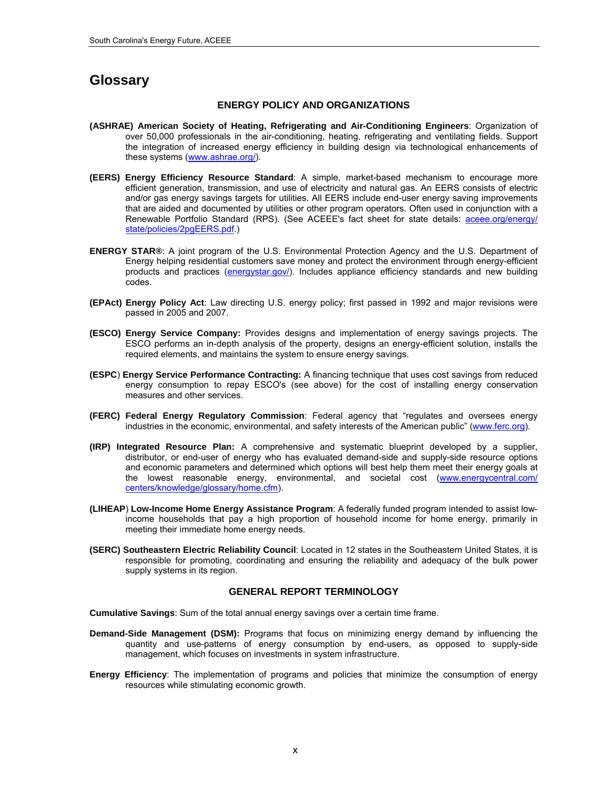## <span id="page-11-0"></span>**Glossary**

#### **ENERGY POLICY AND ORGANIZATIONS**

- **(ASHRAE) American Society of Heating, Refrigerating and Air-Conditioning Engineers**: Organization of over 50,000 professionals in the air-conditioning, heating, refrigerating and ventilating fields. Support the integration of increased energy efficiency in building design via technological enhancements of these systems ([www.ashrae.org/](http://www.ashrae.org/)).
- **(EERS) Energy Efficiency Resource Standard**: A simple, market-based mechanism to encourage more efficient generation, transmission, and use of electricity and natural gas. An EERS consists of electric and/or gas energy savings targets for utilities. All EERS include end-user energy saving improvements that are aided and documented by utilities or other program operators. Often used in conjunction with a Renewable Portfolio Standard (RPS). (See ACEEE's fact sheet for state details: aceee.org/energy/ [state/policies/2pgEERS.pdf](http://aceee.org/energy/state/policies/2pgEERS.pdf).)
- **ENERGY STAR®**: A joint program of the U.S. Environmental Protection Agency and the U.S. Department of Energy helping residential customers save money and protect the environment through energy-efficient products and practices [\(energystar.gov/](http://www.energystar.gov/)). Includes appliance efficiency standards and new building codes.
- **(EPAct) Energy Policy Act**: Law directing U.S. energy policy; first passed in 1992 and major revisions were passed in 2005 and 2007.
- **(ESCO) Energy Service Company:** Provides designs and implementation of energy savings projects. The ESCO performs an in-depth analysis of the property, designs an energy-efficient solution, installs the required elements, and maintains the system to ensure energy savings.
- **(ESPC**) **Energy Service Performance Contracting:** A financing technique that uses cost savings from reduced energy consumption to repay ESCO's (see above) for the cost of installing energy conservation measures and other services.
- **(FERC) Federal Energy Regulatory Commission**: Federal agency that "regulates and oversees energy industries in the economic, environmental, and safety interests of the American public" (www.ferc.org).
- **(IRP) Integrated Resource Plan:** A comprehensive and systematic blueprint developed by a supplier, distributor, or end-user of energy who has evaluated demand-side and supply-side resource options and economic parameters and determined which options will best help them meet their energy goals at the lowest reasonable energy, environmental, and societal cost [\(www.energycentral.com/](http://www.energycentral.com/centers/knowledge/glossary/home.cfm)  [centers/knowledge/glossary/home.cfm](http://www.energycentral.com/centers/knowledge/glossary/home.cfm)).
- **(LIHEAP**) **Low-Income Home Energy Assistance Program**: A federally funded program intended to assist lowincome households that pay a high proportion of household income for home energy, primarily in meeting their immediate home energy needs.
- **(SERC) Southeastern Electric Reliability Council**: Located in 12 states in the Southeastern United States, it is responsible for promoting, coordinating and ensuring the reliability and adequacy of the bulk power supply systems in its region.

#### **GENERAL REPORT TERMINOLOGY**

**Cumulative Savings**: Sum of the total annual energy savings over a certain time frame.

- **Demand-Side Management (DSM):** Programs that focus on minimizing energy demand by influencing the quantity and use-patterns of energy consumption by end-users, as opposed to supply-side management, which focuses on investments in system infrastructure.
- **Energy Efficiency**: The implementation of programs and policies that minimize the consumption of energy resources while stimulating economic growth.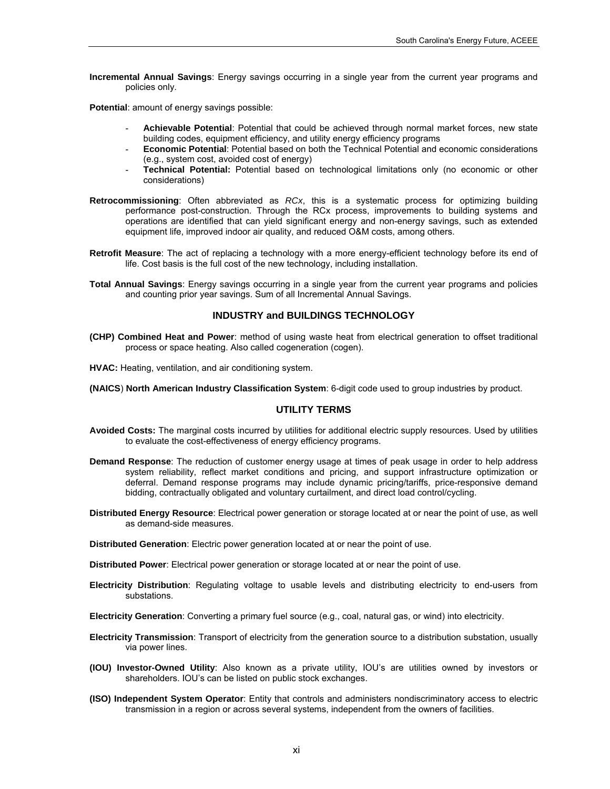**Incremental Annual Savings**: Energy savings occurring in a single year from the current year programs and policies only.

**Potential**: amount of energy savings possible:

- **- Achievable Potential**: Potential that could be achieved through normal market forces, new state building codes, equipment efficiency, and utility energy efficiency programs
- **- Economic Potential**: Potential based on both the Technical Potential and economic considerations (e.g., system cost, avoided cost of energy)
- **- Technical Potential:** Potential based on technological limitations only (no economic or other considerations)
- **Retrocommissioning**: Often abbreviated as *RCx*, this is a systematic process for optimizing building performance post-construction. Through the RCx process, improvements to building systems and operations are identified that can yield significant energy and non-energy savings, such as extended equipment life, improved indoor air quality, and reduced O&M costs, among others.
- **Retrofit Measure**: The act of replacing a technology with a more energy-efficient technology before its end of life. Cost basis is the full cost of the new technology, including installation.
- **Total Annual Savings**: Energy savings occurring in a single year from the current year programs and policies and counting prior year savings. Sum of all Incremental Annual Savings.

#### **INDUSTRY and BUILDINGS TECHNOLOGY**

- **(CHP) Combined Heat and Power**: method of using waste heat from electrical generation to offset traditional process or space heating. Also called cogeneration (cogen).
- **HVAC:** Heating, ventilation, and air conditioning system.

**(NAICS**) **North American Industry Classification System**: 6-digit code used to group industries by product.

#### **UTILITY TERMS**

- **Avoided Costs:** The marginal costs incurred by utilities for additional electric supply resources. Used by utilities to evaluate the cost-effectiveness of energy efficiency programs.
- **Demand Response**: The reduction of customer energy usage at times of peak usage in order to help address system reliability, reflect market conditions and pricing, and support infrastructure optimization or deferral. Demand response programs may include dynamic pricing/tariffs, price-responsive demand bidding, contractually obligated and voluntary curtailment, and direct load control/cycling.
- **Distributed Energy Resource**: Electrical power generation or storage located at or near the point of use, as well as demand-side measures.

**Distributed Generation**: Electric power generation located at or near the point of use.

**Distributed Power**: Electrical power generation or storage located at or near the point of use.

**Electricity Distribution**: Regulating voltage to usable levels and distributing electricity to end-users from substations.

**Electricity Generation**: Converting a primary fuel source (e.g., coal, natural gas, or wind) into electricity.

- **Electricity Transmission**: Transport of electricity from the generation source to a distribution substation, usually via power lines.
- **(IOU) Investor-Owned Utility**: Also known as a private utility, IOU's are utilities owned by investors or shareholders. IOU's can be listed on public stock exchanges.
- **(ISO) Independent System Operator**: Entity that controls and administers nondiscriminatory access to electric transmission in a region or across several systems, independent from the owners of facilities.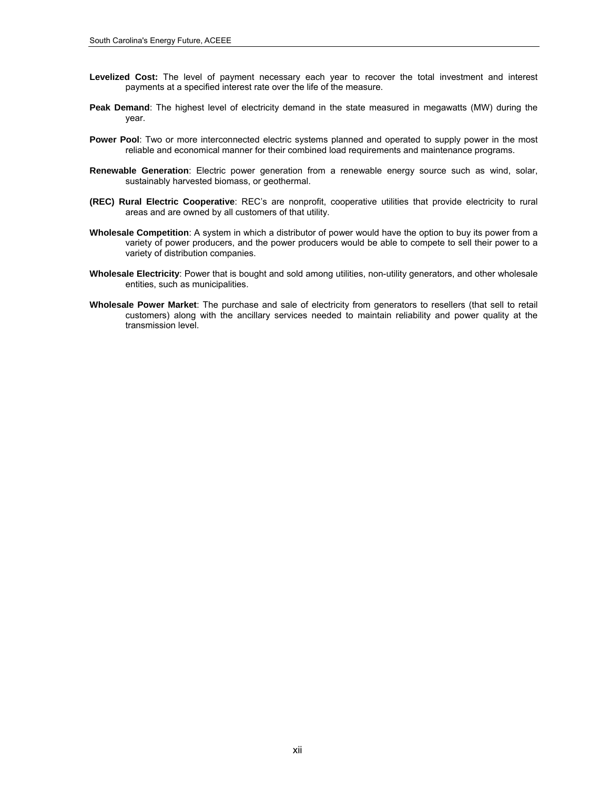- **Levelized Cost:** The level of payment necessary each year to recover the total investment and interest payments at a specified interest rate over the life of the measure.
- **Peak Demand**: The highest level of electricity demand in the state measured in megawatts (MW) during the year.
- **Power Pool**: Two or more interconnected electric systems planned and operated to supply power in the most reliable and economical manner for their combined load requirements and maintenance programs.
- **Renewable Generation**: Electric power generation from a renewable energy source such as wind, solar, sustainably harvested biomass, or geothermal.
- **(REC) Rural Electric Cooperative**: REC's are nonprofit, cooperative utilities that provide electricity to rural areas and are owned by all customers of that utility.
- **Wholesale Competition**: A system in which a distributor of power would have the option to buy its power from a variety of power producers, and the power producers would be able to compete to sell their power to a variety of distribution companies.
- **Wholesale Electricity**: Power that is bought and sold among utilities, non-utility generators, and other wholesale entities, such as municipalities.
- **Wholesale Power Market**: The purchase and sale of electricity from generators to resellers (that sell to retail customers) along with the ancillary services needed to maintain reliability and power quality at the transmission level.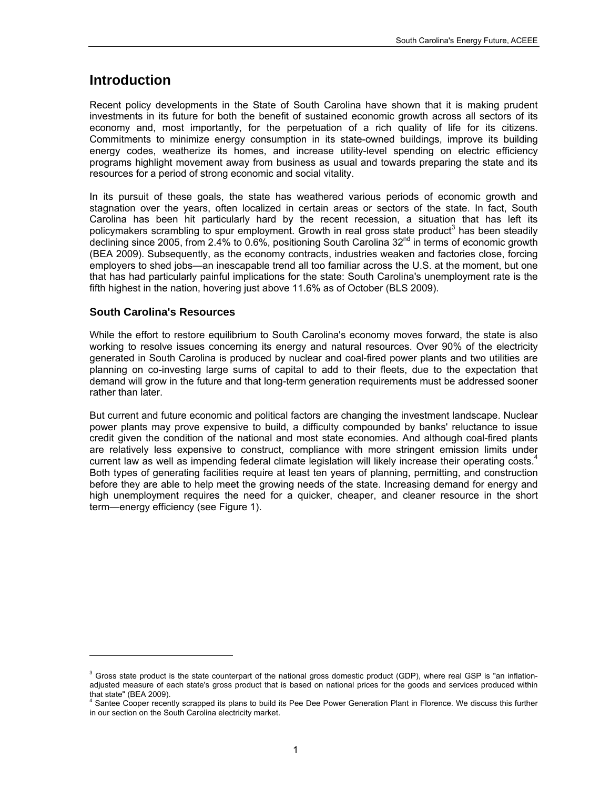## <span id="page-14-0"></span>**Introduction**

Recent policy developments in the State of South Carolina have shown that it is making prudent investments in its future for both the benefit of sustained economic growth across all sectors of its economy and, most importantly, for the perpetuation of a rich quality of life for its citizens. Commitments to minimize energy consumption in its state-owned buildings, improve its building energy codes, weatherize its homes, and increase utility-level spending on electric efficiency programs highlight movement away from business as usual and towards preparing the state and its resources for a period of strong economic and social vitality.

In its pursuit of these goals, the state has weathered various periods of economic growth and stagnation over the years, often localized in certain areas or sectors of the state. In fact, South Carolina has been hit particularly hard by the recent recession, a situation that has left its policymakers scrambling to spur employment. Growth in real gross state product<sup>[3](#page-14-2)</sup> has been steadily declining since 2005, from 2.4% to 0.6%, positioning South Carolina 32<sup>nd</sup> in terms of economic growth (BEA 2009). Subsequently, as the economy contracts, industries weaken and factories close, forcing employers to shed jobs—an inescapable trend all too familiar across the U.S. at the moment, but one that has had particularly painful implications for the state: South Carolina's unemployment rate is the fifth highest in the nation, hovering just above 11.6% as of October (BLS 2009).

## <span id="page-14-1"></span>**South Carolina's Resources**

l

While the effort to restore equilibrium to South Carolina's economy moves forward, the state is also working to resolve issues concerning its energy and natural resources. Over 90% of the electricity generated in South Carolina is produced by nuclear and coal-fired power plants and two utilities are planning on co-investing large sums of capital to add to their fleets, due to the expectation that demand will grow in the future and that long-term generation requirements must be addressed sooner rather than later.

But current and future economic and political factors are changing the investment landscape. Nuclear power plants may prove expensive to build, a difficulty compounded by banks' reluctance to issue credit given the condition of the national and most state economies. And although coal-fired plants are relatively less expensive to construct, compliance with more stringent emission limits under current law as well as impending federal climate legislation will likely increase their operating costs.<sup>[4](#page-14-3)</sup> Both types of generating facilities require at least ten years of planning, permitting, and construction before they are able to help meet the growing needs of the state. Increasing demand for energy and high unemployment requires the need for a quicker, cheaper, and cleaner resource in the short term—energy efficiency (see Figure 1).

<span id="page-14-2"></span> $3$  Gross state product is the state counterpart of the national gross domestic product (GDP), where real GSP is "an inflationadjusted measure of each state's gross product that is based on national prices for the goods and services produced within that state" (BEA 2009).

<span id="page-14-3"></span><sup>&</sup>lt;sup>4</sup> Santee Cooper recently scrapped its plans to build its Pee Dee Power Generation Plant in Florence. We discuss this further in our section on the South Carolina electricity market.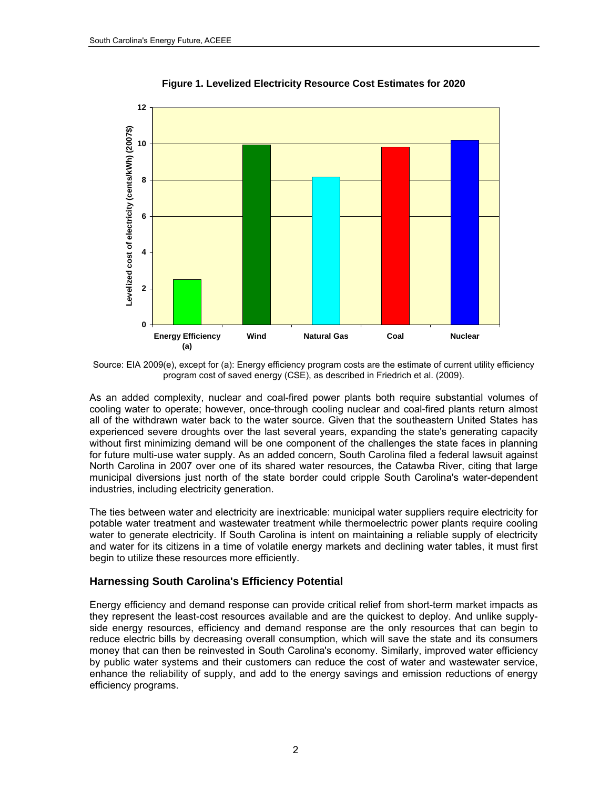

**Figure 1. Levelized Electricity Resource Cost Estimates for 2020** 

Source: EIA 2009(e), except for (a): Energy efficiency program costs are the estimate of current utility efficiency program cost of saved energy (CSE), as described in Friedrich et al. (2009).

As an added complexity, nuclear and coal-fired power plants both require substantial volumes of cooling water to operate; however, once-through cooling nuclear and coal-fired plants return almost all of the withdrawn water back to the water source. Given that the southeastern United States has experienced severe droughts over the last several years, expanding the state's generating capacity without first minimizing demand will be one component of the challenges the state faces in planning for future multi-use water supply. As an added concern, South Carolina filed a federal lawsuit against North Carolina in 2007 over one of its shared water resources, the Catawba River, citing that large municipal diversions just north of the state border could cripple South Carolina's water-dependent industries, including electricity generation.

The ties between water and electricity are inextricable: municipal water suppliers require electricity for potable water treatment and wastewater treatment while thermoelectric power plants require cooling water to generate electricity. If South Carolina is intent on maintaining a reliable supply of electricity and water for its citizens in a time of volatile energy markets and declining water tables, it must first begin to utilize these resources more efficiently.

### <span id="page-15-0"></span>**Harnessing South Carolina's Efficiency Potential**

Energy efficiency and demand response can provide critical relief from short-term market impacts as they represent the least-cost resources available and are the quickest to deploy. And unlike supplyside energy resources, efficiency and demand response are the only resources that can begin to reduce electric bills by decreasing overall consumption, which will save the state and its consumers money that can then be reinvested in South Carolina's economy. Similarly, improved water efficiency by public water systems and their customers can reduce the cost of water and wastewater service, enhance the reliability of supply, and add to the energy savings and emission reductions of energy efficiency programs.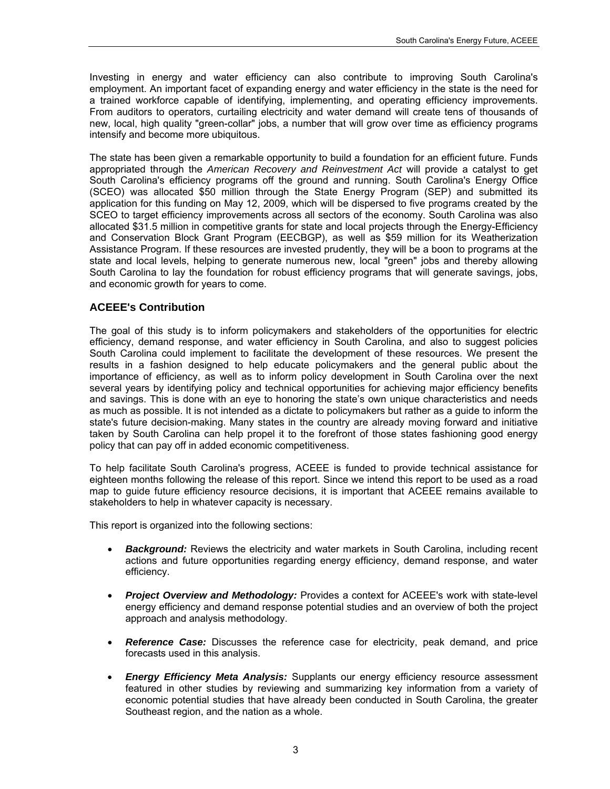Investing in energy and water efficiency can also contribute to improving South Carolina's employment. An important facet of expanding energy and water efficiency in the state is the need for a trained workforce capable of identifying, implementing, and operating efficiency improvements. From auditors to operators, curtailing electricity and water demand will create tens of thousands of new, local, high quality "green-collar" jobs, a number that will grow over time as efficiency programs intensify and become more ubiquitous.

The state has been given a remarkable opportunity to build a foundation for an efficient future. Funds appropriated through the *American Recovery and Reinvestment Act* will provide a catalyst to get South Carolina's efficiency programs off the ground and running. South Carolina's Energy Office (SCEO) was allocated \$50 million through the State Energy Program (SEP) and submitted its application for this funding on May 12, 2009, which will be dispersed to five programs created by the SCEO to target efficiency improvements across all sectors of the economy. South Carolina was also allocated \$31.5 million in competitive grants for state and local projects through the Energy-Efficiency and Conservation Block Grant Program (EECBGP), as well as \$59 million for its Weatherization Assistance Program. If these resources are invested prudently, they will be a boon to programs at the state and local levels, helping to generate numerous new, local "green" jobs and thereby allowing South Carolina to lay the foundation for robust efficiency programs that will generate savings, jobs, and economic growth for years to come.

## <span id="page-16-0"></span>**ACEEE's Contribution**

The goal of this study is to inform policymakers and stakeholders of the opportunities for electric efficiency, demand response, and water efficiency in South Carolina, and also to suggest policies South Carolina could implement to facilitate the development of these resources. We present the results in a fashion designed to help educate policymakers and the general public about the importance of efficiency, as well as to inform policy development in South Carolina over the next several years by identifying policy and technical opportunities for achieving major efficiency benefits and savings. This is done with an eye to honoring the state's own unique characteristics and needs as much as possible. It is not intended as a dictate to policymakers but rather as a guide to inform the state's future decision-making. Many states in the country are already moving forward and initiative taken by South Carolina can help propel it to the forefront of those states fashioning good energy policy that can pay off in added economic competitiveness.

To help facilitate South Carolina's progress, ACEEE is funded to provide technical assistance for eighteen months following the release of this report. Since we intend this report to be used as a road map to guide future efficiency resource decisions, it is important that ACEEE remains available to stakeholders to help in whatever capacity is necessary.

This report is organized into the following sections:

- *Background:* Reviews the electricity and water markets in South Carolina, including recent actions and future opportunities regarding energy efficiency, demand response, and water efficiency.
- *Project Overview and Methodology:* Provides a context for ACEEE's work with state-level energy efficiency and demand response potential studies and an overview of both the project approach and analysis methodology.
- *Reference Case:* Discusses the reference case for electricity, peak demand, and price forecasts used in this analysis.
- *Energy Efficiency Meta Analysis:* Supplants our energy efficiency resource assessment featured in other studies by reviewing and summarizing key information from a variety of economic potential studies that have already been conducted in South Carolina, the greater Southeast region, and the nation as a whole.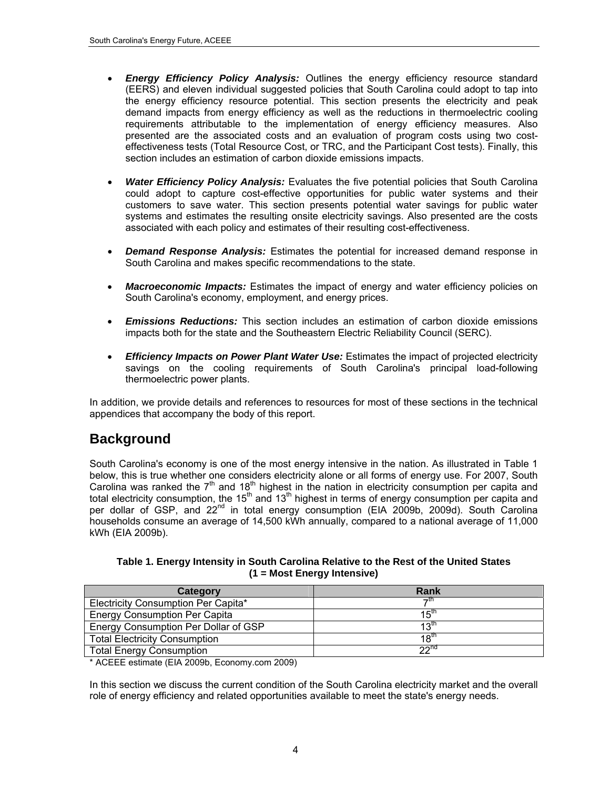- *Energy Efficiency Policy Analysis:* Outlines the energy efficiency resource standard (EERS) and eleven individual suggested policies that South Carolina could adopt to tap into the energy efficiency resource potential. This section presents the electricity and peak demand impacts from energy efficiency as well as the reductions in thermoelectric cooling requirements attributable to the implementation of energy efficiency measures. Also presented are the associated costs and an evaluation of program costs using two costeffectiveness tests (Total Resource Cost, or TRC, and the Participant Cost tests). Finally, this section includes an estimation of carbon dioxide emissions impacts.
- *Water Efficiency Policy Analysis:* Evaluates the five potential policies that South Carolina could adopt to capture cost-effective opportunities for public water systems and their customers to save water. This section presents potential water savings for public water systems and estimates the resulting onsite electricity savings. Also presented are the costs associated with each policy and estimates of their resulting cost-effectiveness.
- *Demand Response Analysis:* Estimates the potential for increased demand response in South Carolina and makes specific recommendations to the state.
- *Macroeconomic Impacts:* Estimates the impact of energy and water efficiency policies on South Carolina's economy, employment, and energy prices.
- *Emissions Reductions:* This section includes an estimation of carbon dioxide emissions impacts both for the state and the Southeastern Electric Reliability Council (SERC).
- *Efficiency Impacts on Power Plant Water Use:* Estimates the impact of projected electricity savings on the cooling requirements of South Carolina's principal load-following thermoelectric power plants.

In addition, we provide details and references to resources for most of these sections in the technical appendices that accompany the body of this report.

## <span id="page-17-0"></span>**Background**

South Carolina's economy is one of the most energy intensive in the nation. As illustrated in [Table](#page-17-1) 1 below, this is true whether one considers electricity alone or all forms of energy use. For 2007, South Carolina was ranked the  $7<sup>th</sup>$  and 18<sup>th</sup> highest in the nation in electricity consumption per capita and total electricity consumption, the 15<sup>th</sup> and 13<sup>th</sup> highest in terms of energy consumption per capita and total electricity consumption, the 15<sup>th</sup> and 13<sup>th</sup> highest in terms of energy consumption per capita and per dollar of GSP, and 22<sup>nd</sup> in total energy consumption (EIA 2009b, 2009d). South Carolina households consume an average of 14,500 kWh annually, compared to a national average of 11,000 kWh (EIA 2009b).

**Table 1. Energy Intensity in South Carolina Relative to the Rest of the United States (1 = Most Energy Intensive)** 

<span id="page-17-1"></span>

| Category                             | Rank             |
|--------------------------------------|------------------|
| Electricity Consumption Per Capita*  | →th              |
| Energy Consumption Per Capita        | 15 <sup>th</sup> |
| Energy Consumption Per Dollar of GSP | 13th             |
| <b>Total Electricity Consumption</b> | $18^{th}$        |
| <b>Total Energy Consumption</b>      | 22 <sup>nd</sup> |

\* ACEEE estimate (EIA 2009b, Economy.com 2009)

In this section we discuss the current condition of the South Carolina electricity market and the overall role of energy efficiency and related opportunities available to meet the state's energy needs.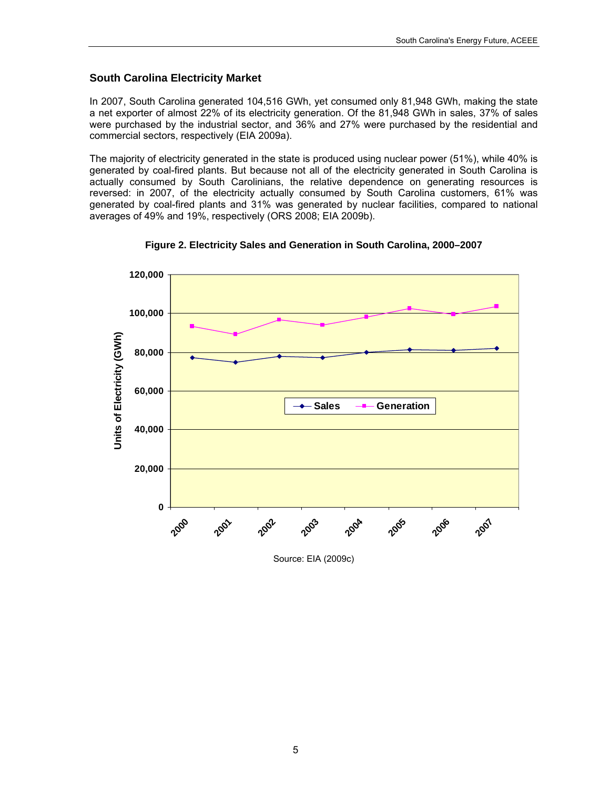### <span id="page-18-0"></span>**South Carolina Electricity Market**

In 2007, South Carolina generated 104,516 GWh, yet consumed only 81,948 GWh, making the state a net exporter of almost 22% of its electricity generation. Of the 81,948 GWh in sales, 37% of sales were purchased by the industrial sector, and 36% and 27% were purchased by the residential and commercial sectors, respectively (EIA 2009a).

The majority of electricity generated in the state is produced using nuclear power (51%), while 40% is generated by coal-fired plants. But because not all of the electricity generated in South Carolina is actually consumed by South Carolinians, the relative dependence on generating resources is reversed: in 2007, of the electricity actually consumed by South Carolina customers, 61% was generated by coal-fired plants and 31% was generated by nuclear facilities, compared to national averages of 49% and 19%, respectively (ORS 2008; EIA 2009b).



**Figure 2. Electricity Sales and Generation in South Carolina, 2000–2007** 

Source: EIA (2009c)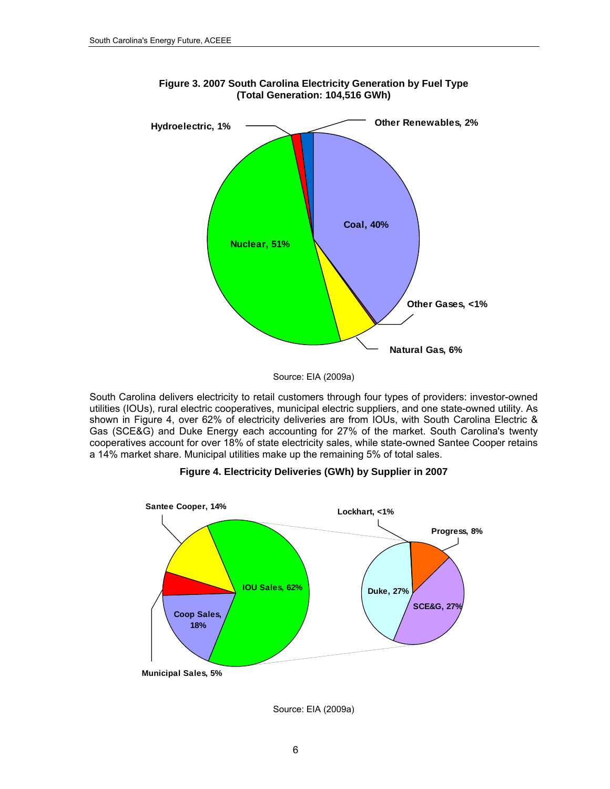

**Figure 3. 2007 South Carolina Electricity Generation by Fuel Type (Total Generation: 104,516 GWh)**

<span id="page-19-0"></span>South Carolina delivers electricity to retail customers through four types of providers: investor-owned utilities (IOUs), rural electric cooperatives, municipal electric suppliers, and one state-owned utility. As shown in [Figure](#page-19-0) 4, over 62% of electricity deliveries are from IOUs, with South Carolina Electric & Gas (SCE&G) and Duke Energy each accounting for 27% of the market. South Carolina's twenty cooperatives account for over 18% of state electricity sales, while state-owned Santee Cooper retains a 14% market share. Municipal utilities make up the remaining 5% of total sales.



**Figure 4. Electricity Deliveries (GWh) by Supplier in 2007** 

Source: EIA (2009a)

Source: EIA (2009a)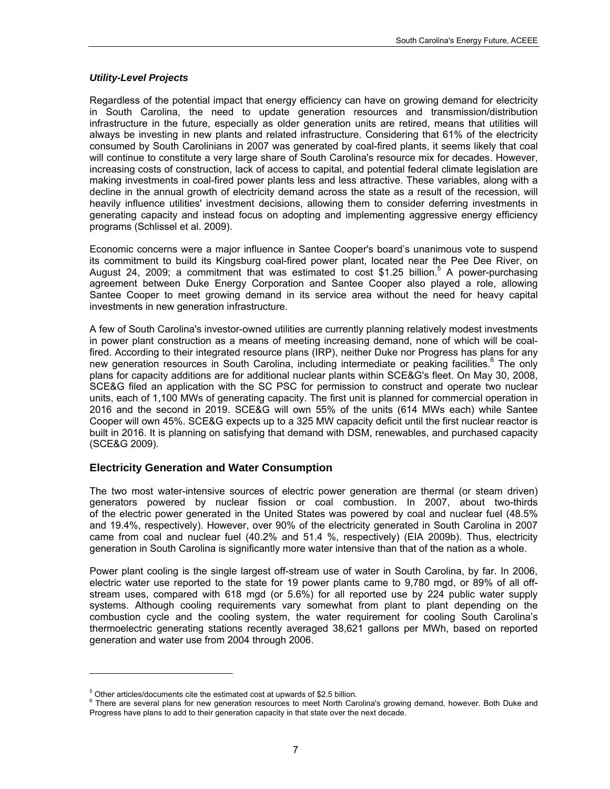### *Utility-Level Projects*

Regardless of the potential impact that energy efficiency can have on growing demand for electricity in South Carolina, the need to update generation resources and transmission/distribution infrastructure in the future, especially as older generation units are retired, means that utilities will always be investing in new plants and related infrastructure. Considering that 61% of the electricity consumed by South Carolinians in 2007 was generated by coal-fired plants, it seems likely that coal will continue to constitute a very large share of South Carolina's resource mix for decades. However, increasing costs of construction, lack of access to capital, and potential federal climate legislation are making investments in coal-fired power plants less and less attractive. These variables, along with a decline in the annual growth of electricity demand across the state as a result of the recession, will heavily influence utilities' investment decisions, allowing them to consider deferring investments in generating capacity and instead focus on adopting and implementing aggressive energy efficiency programs (Schlissel et al. 2009).

Economic concerns were a major influence in Santee Cooper's board's unanimous vote to suspend its commitment to build its Kingsburg coal-fired power plant, located near the Pee Dee River, on August 24, 2009; a commitment that was estimated to cost \$1.25 billion.<sup>5</sup> A power-purchasing agreement between Duke Energy Corporation and Santee Cooper also played a role, allowing Santee Cooper to meet growing demand in its service area without the need for heavy capital investments in new generation infrastructure.

A few of South Carolina's investor-owned utilities are currently planning relatively modest investments in power plant construction as a means of meeting increasing demand, none of which will be coalfired. According to their integrated resource plans (IRP), neither Duke nor Progress has plans for any new generation resources in South Carolina, including intermediate or peaking facilities.<sup>6</sup> The only plans for capacity additions are for additional nuclear plants within SCE&G's fleet. On May 30, 2008, SCE&G filed an application with the SC PSC for permission to construct and operate two nuclear units, each of 1,100 MWs of generating capacity. The first unit is planned for commercial operation in 2016 and the second in 2019. SCE&G will own 55% of the units (614 MWs each) while Santee Cooper will own 45%. SCE&G expects up to a 325 MW capacity deficit until the first nuclear reactor is built in 2016. It is planning on satisfying that demand with DSM, renewables, and purchased capacity (SCE&G 2009).

### <span id="page-20-0"></span>**Electricity Generation and Water Consumption**

The two most water-intensive sources of electric power generation are thermal (or steam driven) generators powered by nuclear fission or coal combustion. In 2007, about two-thirds of the electric power generated in the United States was powered by coal and nuclear fuel (48.5% and 19.4%, respectively). However, over 90% of the electricity generated in South Carolina in 2007 came from coal and nuclear fuel (40.2% and 51.4 %, respectively) (EIA 2009b). Thus, electricity generation in South Carolina is significantly more water intensive than that of the nation as a whole.

Power plant cooling is the single largest off-stream use of water in South Carolina, by far. In 2006, electric water use reported to the state for 19 power plants came to 9,780 mgd, or 89% of all offstream uses, compared with 618 mgd (or 5.6%) for all reported use by 224 public water supply systems. Although cooling requirements vary somewhat from plant to plant depending on the combustion cycle and the cooling system, the water requirement for cooling South Carolina's thermoelectric generating stations recently averaged 38,621 gallons per MWh, based on reported generation and water use from 2004 through 2006.

l

 $^5$  Other articles/documents cite the estimated cost at upwards of \$2.5 billion.<br> $^6$  There are soughed plans for now generation resources to meet North Corr

<span id="page-20-2"></span><span id="page-20-1"></span><sup>&</sup>lt;sup>6</sup> There are several plans for new generation resources to meet North Carolina's growing demand, however. Both Duke and Progress have plans to add to their generation capacity in that state over the next decade.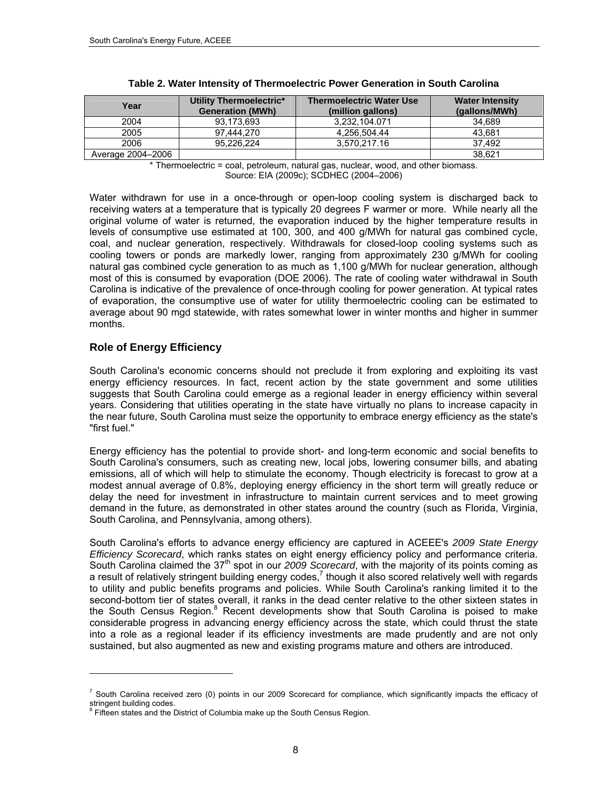| Year              | Utility Thermoelectric*<br><b>Generation (MWh)</b> | <b>Thermoelectric Water Use</b><br>(million gallons) | <b>Water Intensity</b><br>(gallons/MWh) |
|-------------------|----------------------------------------------------|------------------------------------------------------|-----------------------------------------|
| 2004              | 93.173.693                                         | 3.232.104.071                                        | 34.689                                  |
| 2005              | 97.444.270                                         | 4.256.504.44                                         | 43.681                                  |
| 2006              | 95.226.224                                         | 3.570.217.16                                         | 37.492                                  |
| Average 2004-2006 |                                                    |                                                      | 38.621                                  |

|  |  | Table 2. Water Intensity of Thermoelectric Power Generation in South Carolina |
|--|--|-------------------------------------------------------------------------------|
|--|--|-------------------------------------------------------------------------------|

\* Thermoelectric = coal, petroleum, natural gas, nuclear, wood, and other biomass. Source: EIA (2009c); SCDHEC (2004–2006)

Water withdrawn for use in a once-through or open-loop cooling system is discharged back to receiving waters at a temperature that is typically 20 degrees F warmer or more. While nearly all the original volume of water is returned, the evaporation induced by the higher temperature results in levels of consumptive use estimated at 100, 300, and 400 g/MWh for natural gas combined cycle, coal, and nuclear generation, respectively. Withdrawals for closed-loop cooling systems such as cooling towers or ponds are markedly lower, ranging from approximately 230 g/MWh for cooling natural gas combined cycle generation to as much as 1,100 g/MWh for nuclear generation, although most of this is consumed by evaporation (DOE 2006). The rate of cooling water withdrawal in South Carolina is indicative of the prevalence of once-through cooling for power generation. At typical rates of evaporation, the consumptive use of water for utility thermoelectric cooling can be estimated to average about 90 mgd statewide, with rates somewhat lower in winter months and higher in summer months.

## <span id="page-21-0"></span>**Role of Energy Efficiency**

l

South Carolina's economic concerns should not preclude it from exploring and exploiting its vast energy efficiency resources. In fact, recent action by the state government and some utilities suggests that South Carolina could emerge as a regional leader in energy efficiency within several years. Considering that utilities operating in the state have virtually no plans to increase capacity in the near future, South Carolina must seize the opportunity to embrace energy efficiency as the state's "first fuel."

Energy efficiency has the potential to provide short- and long-term economic and social benefits to South Carolina's consumers, such as creating new, local jobs, lowering consumer bills, and abating emissions, all of which will help to stimulate the economy. Though electricity is forecast to grow at a modest annual average of 0.8%, deploying energy efficiency in the short term will greatly reduce or delay the need for investment in infrastructure to maintain current services and to meet growing demand in the future, as demonstrated in other states around the country (such as Florida, Virginia, South Carolina, and Pennsylvania, among others).

South Carolina's efforts to advance energy efficiency are captured in ACEEE's *2009 State Energy Efficiency Scorecard*, which ranks states on eight energy efficiency policy and performance criteria. South Carolina claimed the 37<sup>th</sup> spot in our 2009 Scorecard, with the majority of its points coming as a result of relatively stringent building energy codes,<sup>[7](#page-21-1)</sup> though it also scored relatively well with regards to utility and public benefits programs and policies. While South Carolina's ranking limited it to the second-bottom tier of states overall, it ranks in the dead center relative to the other sixteen states in the South Census Region.<sup>[8](#page-21-2)</sup> Recent developments show that South Carolina is poised to make considerable progress in advancing energy efficiency across the state, which could thrust the state into a role as a regional leader if its efficiency investments are made prudently and are not only sustained, but also augmented as new and existing programs mature and others are introduced.

<span id="page-21-1"></span> $^7$  South Carolina received zero (0) points in our 2009 Scorecard for compliance, which significantly impacts the efficacy of stringent building codes.

<span id="page-21-2"></span><sup>&</sup>lt;sup>8</sup> Fifteen states and the District of Columbia make up the South Census Region.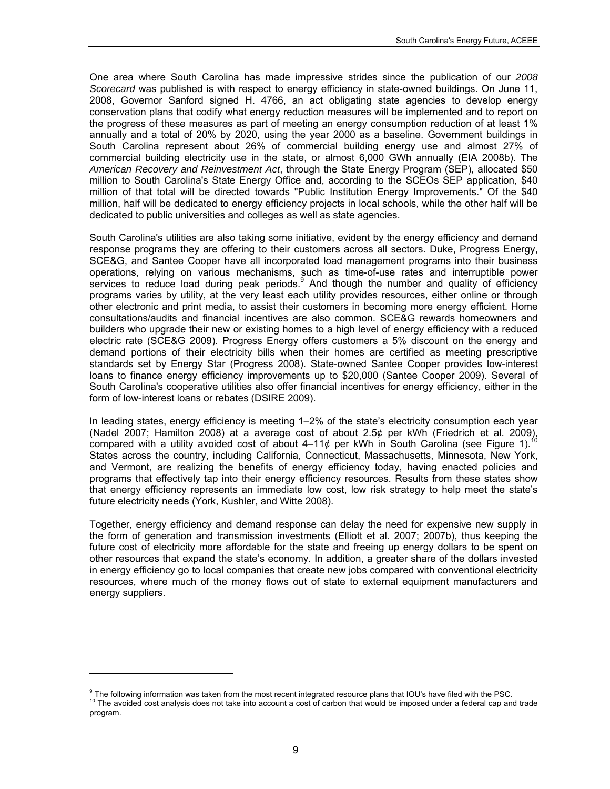One area where South Carolina has made impressive strides since the publication of our *2008 Scorecard* was published is with respect to energy efficiency in state-owned buildings. On June 11, 2008, Governor Sanford signed H. 4766, an act obligating state agencies to develop energy conservation plans that codify what energy reduction measures will be implemented and to report on the progress of these measures as part of meeting an energy consumption reduction of at least 1% annually and a total of 20% by 2020, using the year 2000 as a baseline. Government buildings in South Carolina represent about 26% of commercial building energy use and almost 27% of commercial building electricity use in the state, or almost 6,000 GWh annually (EIA 2008b). The *American Recovery and Reinvestment Act*, through the State Energy Program (SEP), allocated \$50 million to South Carolina's State Energy Office and, according to the SCEOs SEP application, \$40 million of that total will be directed towards "Public Institution Energy Improvements." Of the \$40 million, half will be dedicated to energy efficiency projects in local schools, while the other half will be dedicated to public universities and colleges as well as state agencies.

South Carolina's utilities are also taking some initiative, evident by the energy efficiency and demand response programs they are offering to their customers across all sectors. Duke, Progress Energy, SCE&G, and Santee Cooper have all incorporated load management programs into their business operations, relying on various mechanisms, such as time-of-use rates and interruptible power services to reduce load during peak periods.<sup>[9](#page-22-0)</sup> And though the number and quality of efficiency programs varies by utility, at the very least each utility provides resources, either online or through other electronic and print media, to assist their customers in becoming more energy efficient. Home consultations/audits and financial incentives are also common. SCE&G rewards homeowners and builders who upgrade their new or existing homes to a high level of energy efficiency with a reduced electric rate (SCE&G 2009). Progress Energy offers customers a 5% discount on the energy and demand portions of their electricity bills when their homes are certified as meeting prescriptive standards set by Energy Star (Progress 2008). State-owned Santee Cooper provides low-interest loans to finance energy efficiency improvements up to \$20,000 (Santee Cooper 2009). Several of South Carolina's cooperative utilities also offer financial incentives for energy efficiency, either in the form of low-interest loans or rebates (DSIRE 2009).

In leading states, energy efficiency is meeting 1–2% of the state's electricity consumption each year (Nadel 2007; Hamilton 2008) at a average cost of about 2.5¢ per kWh (Friedrich et al. 2009), compared with a utility avoided cost of about 4–11¢ per kWh in South Carolina (see Figure 1).<sup>1</sup> States across the country, including California, Connecticut, Massachusetts, Minnesota, New York, and Vermont, are realizing the benefits of energy efficiency today, having enacted policies and programs that effectively tap into their energy efficiency resources. Results from these states show that energy efficiency represents an immediate low cost, low risk strategy to help meet the state's future electricity needs (York, Kushler, and Witte 2008).

Together, energy efficiency and demand response can delay the need for expensive new supply in the form of generation and transmission investments (Elliott et al. 2007; 2007b), thus keeping the future cost of electricity more affordable for the state and freeing up energy dollars to be spent on other resources that expand the state's economy. In addition, a greater share of the dollars invested in energy efficiency go to local companies that create new jobs compared with conventional electricity resources, where much of the money flows out of state to external equipment manufacturers and energy suppliers.

l

<span id="page-22-1"></span><span id="page-22-0"></span><sup>&</sup>lt;sup>9</sup> The following information was taken from the most recent integrated resource plans that IOU's have filed with the PSC. <sup>10</sup> The avoided cost analysis does not take into account a cost of carbon that would be imposed under a federal cap and trade program.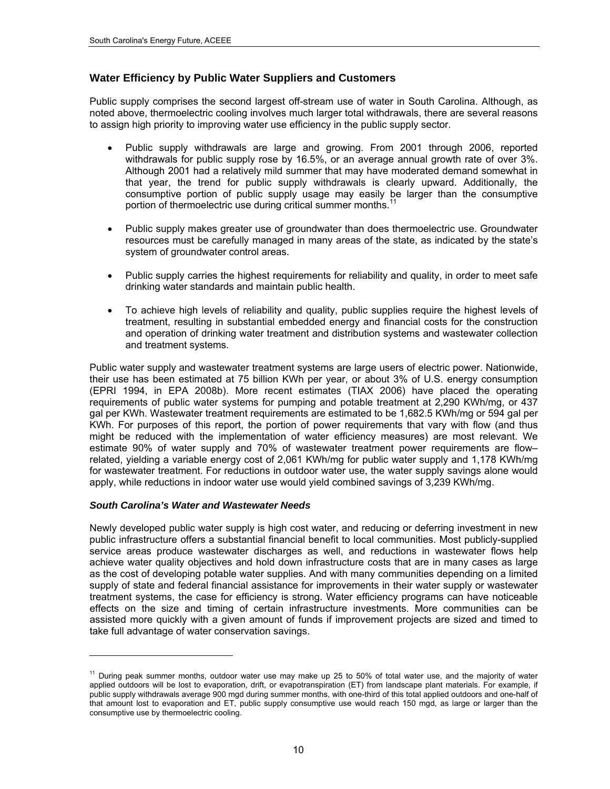## <span id="page-23-0"></span>**Water Efficiency by Public Water Suppliers and Customers**

Public supply comprises the second largest off-stream use of water in South Carolina. Although, as noted above, thermoelectric cooling involves much larger total withdrawals, there are several reasons to assign high priority to improving water use efficiency in the public supply sector.

- Public supply withdrawals are large and growing. From 2001 through 2006, reported withdrawals for public supply rose by 16.5%, or an average annual growth rate of over 3%. Although 2001 had a relatively mild summer that may have moderated demand somewhat in that year, the trend for public supply withdrawals is clearly upward. Additionally, the consumptive portion of public supply usage may easily be larger than the consumptive portion of thermoelectric use during critical summer months.<sup>11</sup>
- Public supply makes greater use of groundwater than does thermoelectric use. Groundwater resources must be carefully managed in many areas of the state, as indicated by the state's system of groundwater control areas.
- Public supply carries the highest requirements for reliability and quality, in order to meet safe drinking water standards and maintain public health.
- To achieve high levels of reliability and quality, public supplies require the highest levels of treatment, resulting in substantial embedded energy and financial costs for the construction and operation of drinking water treatment and distribution systems and wastewater collection and treatment systems.

Public water supply and wastewater treatment systems are large users of electric power. Nationwide, their use has been estimated at 75 billion KWh per year, or about 3% of U.S. energy consumption (EPRI 1994, in EPA 2008b). More recent estimates (TIAX 2006) have placed the operating requirements of public water systems for pumping and potable treatment at 2,290 KWh/mg, or 437 gal per KWh. Wastewater treatment requirements are estimated to be 1,682.5 KWh/mg or 594 gal per KWh. For purposes of this report, the portion of power requirements that vary with flow (and thus might be reduced with the implementation of water efficiency measures) are most relevant. We estimate 90% of water supply and 70% of wastewater treatment power requirements are flow– related, yielding a variable energy cost of 2,061 KWh/mg for public water supply and 1,178 KWh/mg for wastewater treatment. For reductions in outdoor water use, the water supply savings alone would apply, while reductions in indoor water use would yield combined savings of 3,239 KWh/mg.

#### *South Carolina's Water and Wastewater Needs*

-

Newly developed public water supply is high cost water, and reducing or deferring investment in new public infrastructure offers a substantial financial benefit to local communities. Most publicly-supplied service areas produce wastewater discharges as well, and reductions in wastewater flows help achieve water quality objectives and hold down infrastructure costs that are in many cases as large as the cost of developing potable water supplies. And with many communities depending on a limited supply of state and federal financial assistance for improvements in their water supply or wastewater treatment systems, the case for efficiency is strong. Water efficiency programs can have noticeable effects on the size and timing of certain infrastructure investments. More communities can be assisted more quickly with a given amount of funds if improvement projects are sized and timed to take full advantage of water conservation savings.

<span id="page-23-1"></span><sup>&</sup>lt;sup>11</sup> During peak summer months, outdoor water use may make up 25 to 50% of total water use, and the majority of water applied outdoors will be lost to evaporation, drift, or evapotranspiration (ET) from landscape plant materials. For example, if public supply withdrawals average 900 mgd during summer months, with one-third of this total applied outdoors and one-half of that amount lost to evaporation and ET, public supply consumptive use would reach 150 mgd, as large or larger than the consumptive use by thermoelectric cooling.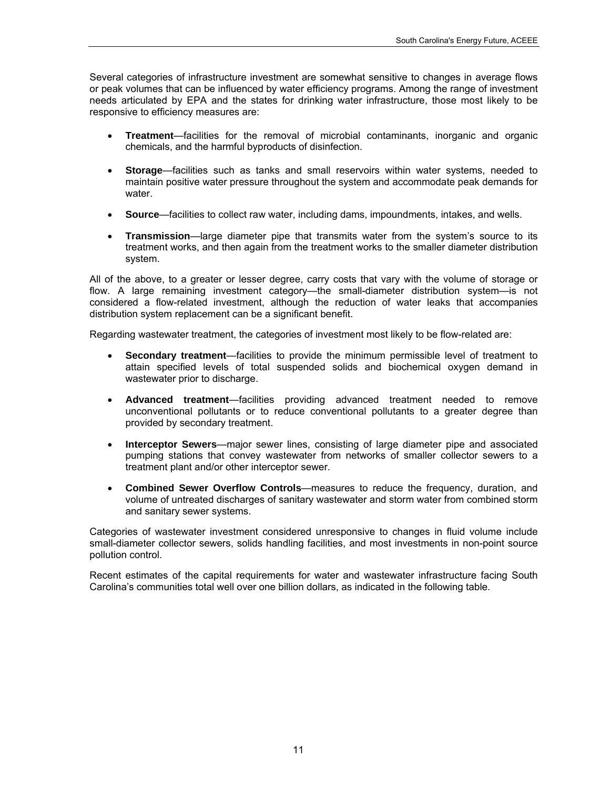Several categories of infrastructure investment are somewhat sensitive to changes in average flows or peak volumes that can be influenced by water efficiency programs. Among the range of investment needs articulated by EPA and the states for drinking water infrastructure, those most likely to be responsive to efficiency measures are:

- **Treatment**—facilities for the removal of microbial contaminants, inorganic and organic chemicals, and the harmful byproducts of disinfection.
- **Storage**—facilities such as tanks and small reservoirs within water systems, needed to maintain positive water pressure throughout the system and accommodate peak demands for water.
- **Source**—facilities to collect raw water, including dams, impoundments, intakes, and wells.
- **Transmission**—large diameter pipe that transmits water from the system's source to its treatment works, and then again from the treatment works to the smaller diameter distribution system.

All of the above, to a greater or lesser degree, carry costs that vary with the volume of storage or flow. A large remaining investment category—the small-diameter distribution system—is not considered a flow-related investment, although the reduction of water leaks that accompanies distribution system replacement can be a significant benefit.

Regarding wastewater treatment, the categories of investment most likely to be flow-related are:

- **Secondary treatment**—facilities to provide the minimum permissible level of treatment to attain specified levels of total suspended solids and biochemical oxygen demand in wastewater prior to discharge.
- **Advanced treatment**—facilities providing advanced treatment needed to remove unconventional pollutants or to reduce conventional pollutants to a greater degree than provided by secondary treatment.
- **Interceptor Sewers**—major sewer lines, consisting of large diameter pipe and associated pumping stations that convey wastewater from networks of smaller collector sewers to a treatment plant and/or other interceptor sewer.
- **Combined Sewer Overflow Controls**—measures to reduce the frequency, duration, and volume of untreated discharges of sanitary wastewater and storm water from combined storm and sanitary sewer systems.

Categories of wastewater investment considered unresponsive to changes in fluid volume include small-diameter collector sewers, solids handling facilities, and most investments in non-point source pollution control.

Recent estimates of the capital requirements for water and wastewater infrastructure facing South Carolina's communities total well over one billion dollars, as indicated in the following table.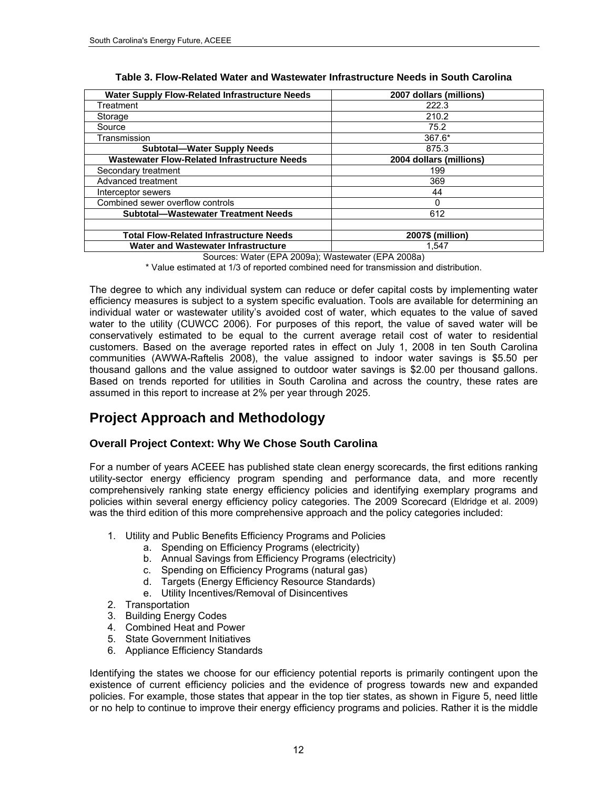| <b>Water Supply Flow-Related Infrastructure Needs</b> | 2007 dollars (millions) |
|-------------------------------------------------------|-------------------------|
| Treatment                                             | 222.3                   |
| Storage                                               | 210.2                   |
| Source                                                | 75.2                    |
| Transmission                                          | $367.6*$                |
| <b>Subtotal-Water Supply Needs</b>                    | 875.3                   |
| <b>Wastewater Flow-Related Infrastructure Needs</b>   | 2004 dollars (millions) |
| Secondary treatment                                   | 199                     |
| Advanced treatment                                    | 369                     |
| Interceptor sewers                                    | 44                      |
| Combined sewer overflow controls                      | ŋ                       |
| <b>Subtotal-Wastewater Treatment Needs</b>            | 612                     |
|                                                       |                         |
| <b>Total Flow-Related Infrastructure Needs</b>        | 2007\$ (million)        |
| Water and Wastewater Infrastructure                   | 1.547                   |

**Table 3. Flow-Related Water and Wastewater Infrastructure Needs in South Carolina** 

Sources: Water (EPA 2009a); Wastewater (EPA 2008a)

\* Value estimated at 1/3 of reported combined need for transmission and distribution.

The degree to which any individual system can reduce or defer capital costs by implementing water efficiency measures is subject to a system specific evaluation. Tools are available for determining an individual water or wastewater utility's avoided cost of water, which equates to the value of saved water to the utility (CUWCC 2006). For purposes of this report, the value of saved water will be conservatively estimated to be equal to the current average retail cost of water to residential customers. Based on the average reported rates in effect on July 1, 2008 in ten South Carolina communities (AWWA-Raftelis 2008), the value assigned to indoor water savings is \$5.50 per thousand gallons and the value assigned to outdoor water savings is \$2.00 per thousand gallons. Based on trends reported for utilities in South Carolina and across the country, these rates are assumed in this report to increase at 2% per year through 2025.

## <span id="page-25-0"></span>**Project Approach and Methodology**

## <span id="page-25-1"></span>**Overall Project Context: Why We Chose South Carolina**

For a number of years ACEEE has published state clean energy scorecards, the first editions ranking utility-sector energy efficiency program spending and performance data, and more recently comprehensively ranking state energy efficiency policies and identifying exemplary programs and policies within several energy efficiency policy categories. The 2009 Scorecard (Eldridge et al. 2009) was the third edition of this more comprehensive approach and the policy categories included:

- 1. Utility and Public Benefits Efficiency Programs and Policies
	- a. Spending on Efficiency Programs (electricity)
	- b. Annual Savings from Efficiency Programs (electricity)
	- c. Spending on Efficiency Programs (natural gas)
	- d. Targets (Energy Efficiency Resource Standards)
	- e. Utility Incentives/Removal of Disincentives
- 2. Transportation
- 3. Building Energy Codes
- 4. Combined Heat and Power
- 5. State Government Initiatives
- 6. Appliance Efficiency Standards

Identifying the states we choose for our efficiency potential reports is primarily contingent upon the existence of current efficiency policies and the evidence of progress towards new and expanded policies. For example, those states that appear in the top tier states, as shown in Figure 5, need little or no help to continue to improve their energy efficiency programs and policies. Rather it is the middle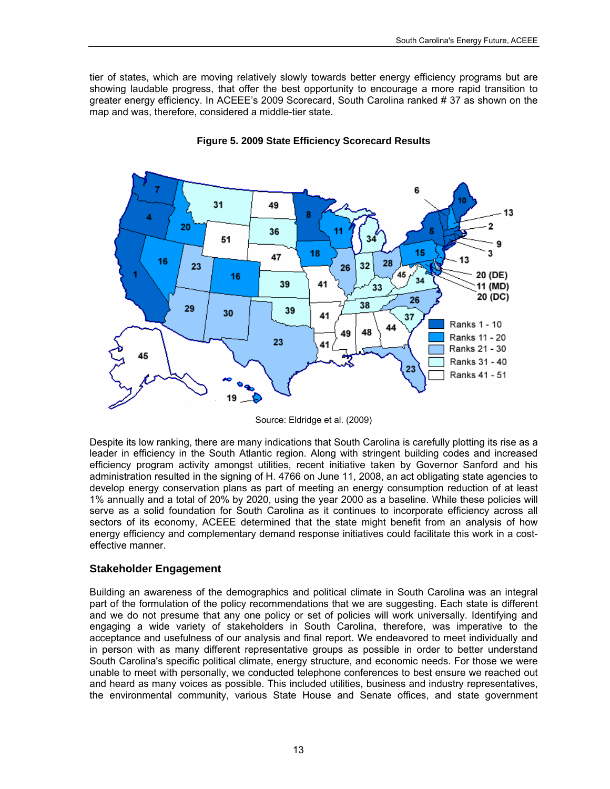tier of states, which are moving relatively slowly towards better energy efficiency programs but are showing laudable progress, that offer the best opportunity to encourage a more rapid transition to greater energy efficiency. In ACEEE's 2009 Scorecard, South Carolina ranked # 37 as shown on the map and was, therefore, considered a middle-tier state.



**Figure 5. 2009 State Efficiency Scorecard Results** 

Source: Eldridge et al. (2009)

Despite its low ranking, there are many indications that South Carolina is carefully plotting its rise as a leader in efficiency in the South Atlantic region. Along with stringent building codes and increased efficiency program activity amongst utilities, recent initiative taken by Governor Sanford and his administration resulted in the signing of H. 4766 on June 11, 2008, an act obligating state agencies to develop energy conservation plans as part of meeting an energy consumption reduction of at least 1% annually and a total of 20% by 2020, using the year 2000 as a baseline. While these policies will serve as a solid foundation for South Carolina as it continues to incorporate efficiency across all sectors of its economy, ACEEE determined that the state might benefit from an analysis of how energy efficiency and complementary demand response initiatives could facilitate this work in a costeffective manner.

### <span id="page-26-0"></span>**Stakeholder Engagement**

Building an awareness of the demographics and political climate in South Carolina was an integral part of the formulation of the policy recommendations that we are suggesting. Each state is different and we do not presume that any one policy or set of policies will work universally. Identifying and engaging a wide variety of stakeholders in South Carolina, therefore, was imperative to the acceptance and usefulness of our analysis and final report. We endeavored to meet individually and in person with as many different representative groups as possible in order to better understand South Carolina's specific political climate, energy structure, and economic needs. For those we were unable to meet with personally, we conducted telephone conferences to best ensure we reached out and heard as many voices as possible. This included utilities, business and industry representatives, the environmental community, various State House and Senate offices, and state government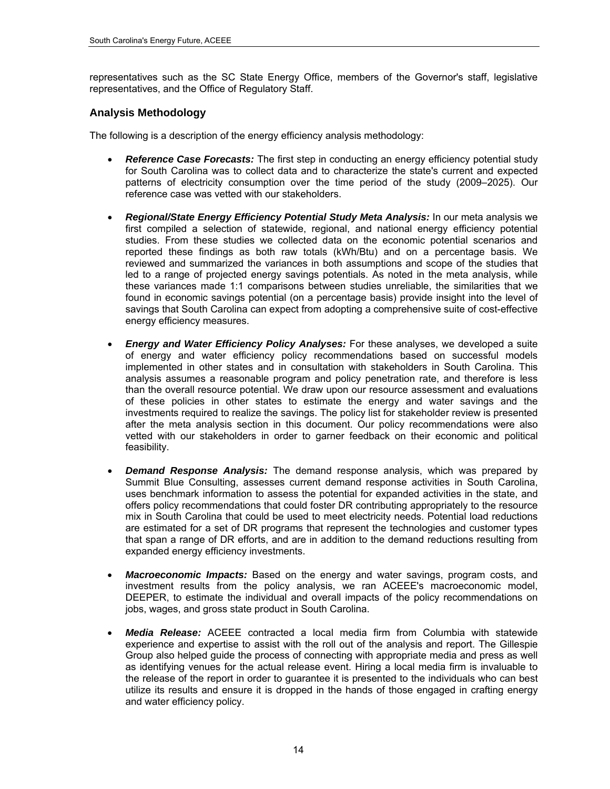representatives such as the SC State Energy Office, members of the Governor's staff, legislative representatives, and the Office of Regulatory Staff.

## <span id="page-27-0"></span>**Analysis Methodology**

The following is a description of the energy efficiency analysis methodology:

- *Reference Case Forecasts:* The first step in conducting an energy efficiency potential study for South Carolina was to collect data and to characterize the state's current and expected patterns of electricity consumption over the time period of the study (2009–2025). Our reference case was vetted with our stakeholders.
- *Regional/State Energy Efficiency Potential Study Meta Analysis:* In our meta analysis we first compiled a selection of statewide, regional, and national energy efficiency potential studies. From these studies we collected data on the economic potential scenarios and reported these findings as both raw totals (kWh/Btu) and on a percentage basis. We reviewed and summarized the variances in both assumptions and scope of the studies that led to a range of projected energy savings potentials. As noted in the meta analysis, while these variances made 1:1 comparisons between studies unreliable, the similarities that we found in economic savings potential (on a percentage basis) provide insight into the level of savings that South Carolina can expect from adopting a comprehensive suite of cost-effective energy efficiency measures.
- *Energy and Water Efficiency Policy Analyses:* For these analyses, we developed a suite of energy and water efficiency policy recommendations based on successful models implemented in other states and in consultation with stakeholders in South Carolina. This analysis assumes a reasonable program and policy penetration rate, and therefore is less than the overall resource potential. We draw upon our resource assessment and evaluations of these policies in other states to estimate the energy and water savings and the investments required to realize the savings. The policy list for stakeholder review is presented after the meta analysis section in this document. Our policy recommendations were also vetted with our stakeholders in order to garner feedback on their economic and political feasibility.
- *Demand Response Analysis:* The demand response analysis, which was prepared by Summit Blue Consulting, assesses current demand response activities in South Carolina, uses benchmark information to assess the potential for expanded activities in the state, and offers policy recommendations that could foster DR contributing appropriately to the resource mix in South Carolina that could be used to meet electricity needs. Potential load reductions are estimated for a set of DR programs that represent the technologies and customer types that span a range of DR efforts, and are in addition to the demand reductions resulting from expanded energy efficiency investments.
- *Macroeconomic Impacts:* Based on the energy and water savings, program costs, and investment results from the policy analysis, we ran ACEEE's macroeconomic model, DEEPER, to estimate the individual and overall impacts of the policy recommendations on jobs, wages, and gross state product in South Carolina.
- *Media Release:* ACEEE contracted a local media firm from Columbia with statewide experience and expertise to assist with the roll out of the analysis and report. The Gillespie Group also helped guide the process of connecting with appropriate media and press as well as identifying venues for the actual release event. Hiring a local media firm is invaluable to the release of the report in order to guarantee it is presented to the individuals who can best utilize its results and ensure it is dropped in the hands of those engaged in crafting energy and water efficiency policy.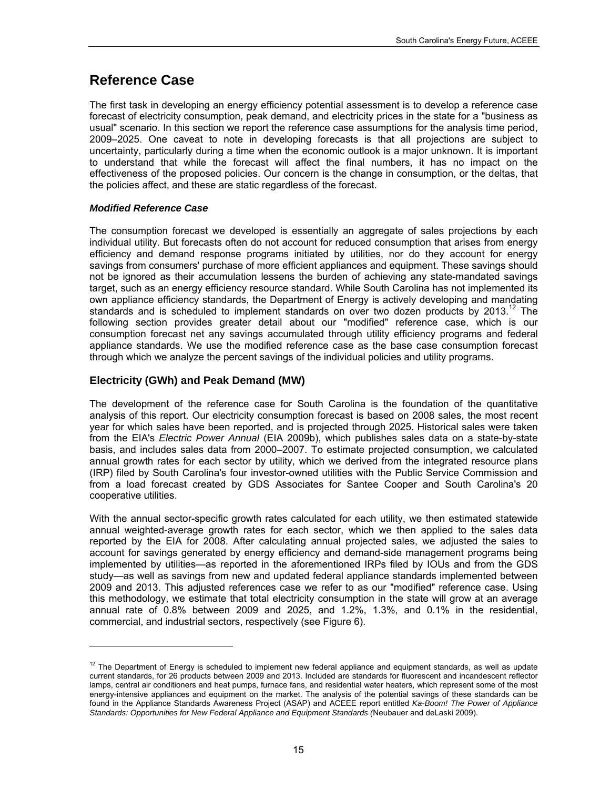## <span id="page-28-0"></span>**Reference Case**

The first task in developing an energy efficiency potential assessment is to develop a reference case forecast of electricity consumption, peak demand, and electricity prices in the state for a "business as usual" scenario. In this section we report the reference case assumptions for the analysis time period, 2009–2025. One caveat to note in developing forecasts is that all projections are subject to uncertainty, particularly during a time when the economic outlook is a major unknown. It is important to understand that while the forecast will affect the final numbers, it has no impact on the effectiveness of the proposed policies. Our concern is the change in consumption, or the deltas, that the policies affect, and these are static regardless of the forecast.

### *Modified Reference Case*

1

The consumption forecast we developed is essentially an aggregate of sales projections by each individual utility. But forecasts often do not account for reduced consumption that arises from energy efficiency and demand response programs initiated by utilities, nor do they account for energy savings from consumers' purchase of more efficient appliances and equipment. These savings should not be ignored as their accumulation lessens the burden of achieving any state-mandated savings target, such as an energy efficiency resource standard. While South Carolina has not implemented its own appliance efficiency standards, the Department of Energy is actively developing and mandating standards and is scheduled to implement standards on over two dozen products by  $2013$ .<sup>12</sup> The following section provides greater detail about our "modified" reference case, which is our consumption forecast net any savings accumulated through utility efficiency programs and federal appliance standards. We use the modified reference case as the base case consumption forecast through which we analyze the percent savings of the individual policies and utility programs.

## <span id="page-28-1"></span>**Electricity (GWh) and Peak Demand (MW)**

The development of the reference case for South Carolina is the foundation of the quantitative analysis of this report. Our electricity consumption forecast is based on 2008 sales, the most recent year for which sales have been reported, and is projected through 2025. Historical sales were taken from the EIA's *Electric Power Annual* (EIA 2009b), which publishes sales data on a state-by-state basis, and includes sales data from 2000–2007. To estimate projected consumption, we calculated annual growth rates for each sector by utility, which we derived from the integrated resource plans (IRP) filed by South Carolina's four investor-owned utilities with the Public Service Commission and from a load forecast created by GDS Associates for Santee Cooper and South Carolina's 20 cooperative utilities.

With the annual sector-specific growth rates calculated for each utility, we then estimated statewide annual weighted-average growth rates for each sector, which we then applied to the sales data reported by the EIA for 2008. After calculating annual projected sales, we adjusted the sales to account for savings generated by energy efficiency and demand-side management programs being implemented by utilities—as reported in the aforementioned IRPs filed by IOUs and from the GDS study—as well as savings from new and updated federal appliance standards implemented between 2009 and 2013. This adjusted references case we refer to as our "modified" reference case. Using this methodology, we estimate that total electricity consumption in the state will grow at an average annual rate of 0.8% between 2009 and 2025, and 1.2%, 1.3%, and 0.1% in the residential, commercial, and industrial sectors, respectively (see [Figure 6](#page-29-0)).

<span id="page-28-2"></span> $12$  The Department of Energy is scheduled to implement new federal appliance and equipment standards, as well as update current standards, for 26 products between 2009 and 2013. Included are standards for fluorescent and incandescent reflector lamps, central air conditioners and heat pumps, furnace fans, and residential water heaters, which represent some of the most energy-intensive appliances and equipment on the market. The analysis of the potential savings of these standards can be found in the Appliance Standards Awareness Project (ASAP) and ACEEE report entitled *Ka-Boom! The Power of Appliance Standards: Opportunities for New Federal Appliance and Equipment Standards (*Neubauer and deLaski 2009).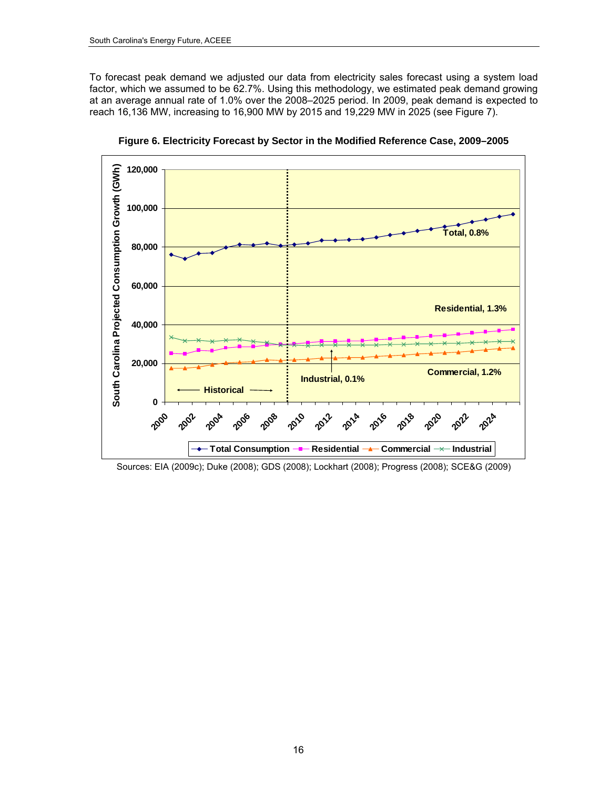To forecast peak demand we adjusted our data from electricity sales forecast using a system load factor, which we assumed to be 62.7%. Using this methodology, we estimated peak demand growing at an average annual rate of 1.0% over the 2008–2025 period. In 2009, peak demand is expected to reach 16,136 MW, increasing to 16,900 MW by 2015 and 19,229 MW in 2025 (see Figure 7).

<span id="page-29-0"></span>

**Figure 6. Electricity Forecast by Sector in the Modified Reference Case, 2009–2005** 

Sources: EIA (2009c); Duke (2008); GDS (2008); Lockhart (2008); Progress (2008); SCE&G (2009)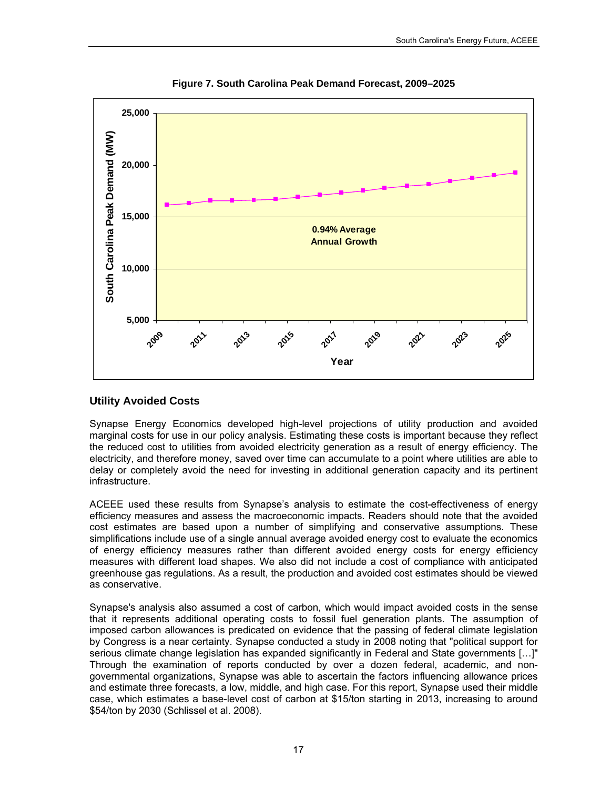

**Figure 7. South Carolina Peak Demand Forecast, 2009–2025** 

## <span id="page-30-0"></span>**Utility Avoided Costs**

Synapse Energy Economics developed high-level projections of utility production and avoided marginal costs for use in our policy analysis. Estimating these costs is important because they reflect the reduced cost to utilities from avoided electricity generation as a result of energy efficiency. The electricity, and therefore money, saved over time can accumulate to a point where utilities are able to delay or completely avoid the need for investing in additional generation capacity and its pertinent infrastructure.

ACEEE used these results from Synapse's analysis to estimate the cost-effectiveness of energy efficiency measures and assess the macroeconomic impacts. Readers should note that the avoided cost estimates are based upon a number of simplifying and conservative assumptions. These simplifications include use of a single annual average avoided energy cost to evaluate the economics of energy efficiency measures rather than different avoided energy costs for energy efficiency measures with different load shapes. We also did not include a cost of compliance with anticipated greenhouse gas regulations. As a result, the production and avoided cost estimates should be viewed as conservative.

Synapse's analysis also assumed a cost of carbon, which would impact avoided costs in the sense that it represents additional operating costs to fossil fuel generation plants. The assumption of imposed carbon allowances is predicated on evidence that the passing of federal climate legislation by Congress is a near certainty. Synapse conducted a study in 2008 noting that "political support for serious climate change legislation has expanded significantly in Federal and State governments […]" Through the examination of reports conducted by over a dozen federal, academic, and nongovernmental organizations, Synapse was able to ascertain the factors influencing allowance prices and estimate three forecasts, a low, middle, and high case. For this report, Synapse used their middle case, which estimates a base-level cost of carbon at \$15/ton starting in 2013, increasing to around \$54/ton by 2030 (Schlissel et al. 2008).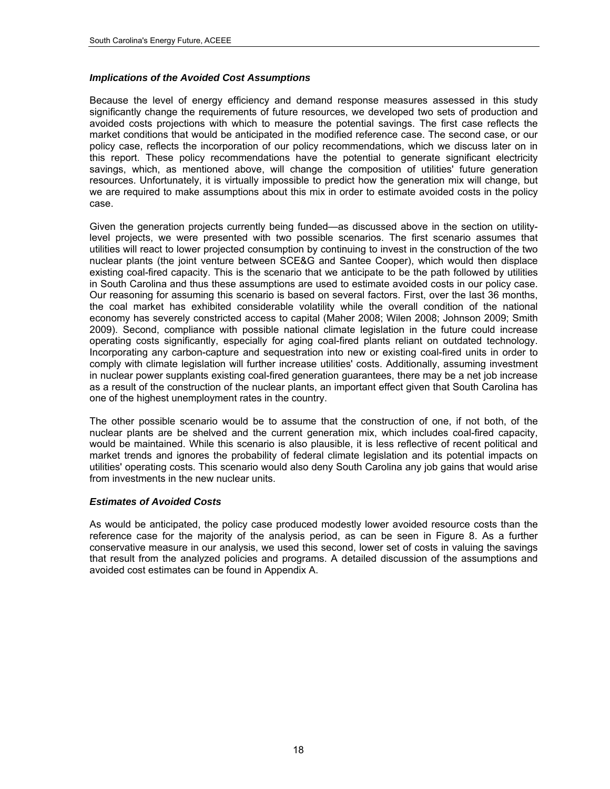#### *Implications of the Avoided Cost Assumptions*

Because the level of energy efficiency and demand response measures assessed in this study significantly change the requirements of future resources, we developed two sets of production and avoided costs projections with which to measure the potential savings. The first case reflects the market conditions that would be anticipated in the modified reference case. The second case, or our policy case, reflects the incorporation of our policy recommendations, which we discuss later on in this report. These policy recommendations have the potential to generate significant electricity savings, which, as mentioned above, will change the composition of utilities' future generation resources. Unfortunately, it is virtually impossible to predict how the generation mix will change, but we are required to make assumptions about this mix in order to estimate avoided costs in the policy case.

Given the generation projects currently being funded—as discussed above in the section on utilitylevel projects, we were presented with two possible scenarios. The first scenario assumes that utilities will react to lower projected consumption by continuing to invest in the construction of the two nuclear plants (the joint venture between SCE&G and Santee Cooper), which would then displace existing coal-fired capacity. This is the scenario that we anticipate to be the path followed by utilities in South Carolina and thus these assumptions are used to estimate avoided costs in our policy case. Our reasoning for assuming this scenario is based on several factors. First, over the last 36 months, the coal market has exhibited considerable volatility while the overall condition of the national economy has severely constricted access to capital (Maher 2008; Wilen 2008; Johnson 2009; Smith 2009). Second, compliance with possible national climate legislation in the future could increase operating costs significantly, especially for aging coal-fired plants reliant on outdated technology. Incorporating any carbon-capture and sequestration into new or existing coal-fired units in order to comply with climate legislation will further increase utilities' costs. Additionally, assuming investment in nuclear power supplants existing coal-fired generation guarantees, there may be a net job increase as a result of the construction of the nuclear plants, an important effect given that South Carolina has one of the highest unemployment rates in the country.

The other possible scenario would be to assume that the construction of one, if not both, of the nuclear plants are be shelved and the current generation mix, which includes coal-fired capacity, would be maintained. While this scenario is also plausible, it is less reflective of recent political and market trends and ignores the probability of federal climate legislation and its potential impacts on utilities' operating costs. This scenario would also deny South Carolina any job gains that would arise from investments in the new nuclear units.

#### *Estimates of Avoided Costs*

As would be anticipated, the policy case produced modestly lower avoided resource costs than the reference case for the majority of the analysis period, as can be seen in Figure 8. As a further conservative measure in our analysis, we used this second, lower set of costs in valuing the savings that result from the analyzed policies and programs. A detailed discussion of the assumptions and avoided cost estimates can be found in Appendix A.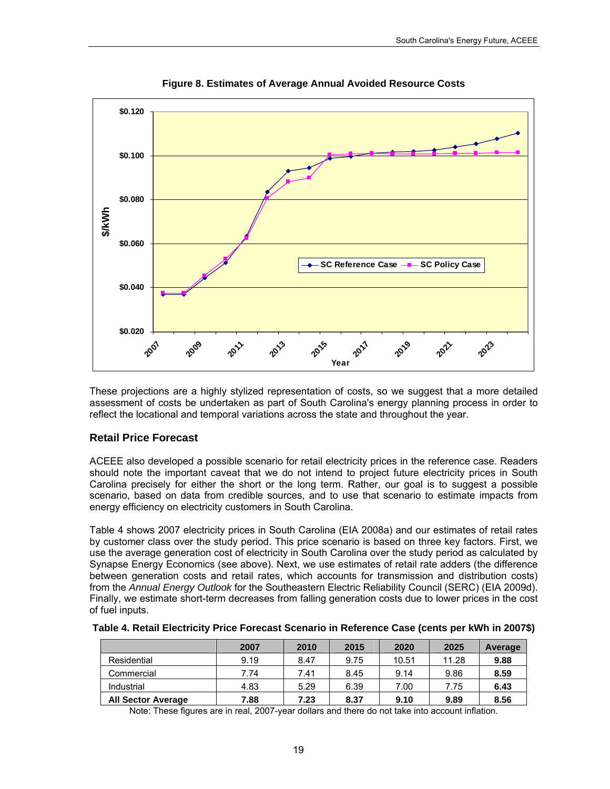

**Figure 8. Estimates of Average Annual Avoided Resource Costs** 

These projections are a highly stylized representation of costs, so we suggest that a more detailed assessment of costs be undertaken as part of South Carolina's energy planning process in order to reflect the locational and temporal variations across the state and throughout the year.

### <span id="page-32-0"></span>**Retail Price Forecast**

ACEEE also developed a possible scenario for retail electricity prices in the reference case. Readers should note the important caveat that we do not intend to project future electricity prices in South Carolina precisely for either the short or the long term. Rather, our goal is to suggest a possible scenario, based on data from credible sources, and to use that scenario to estimate impacts from energy efficiency on electricity customers in South Carolina.

Table 4 shows 2007 electricity prices in South Carolina (EIA 2008a) and our estimates of retail rates by customer class over the study period. This price scenario is based on three key factors. First, we use the average generation cost of electricity in South Carolina over the study period as calculated by Synapse Energy Economics (see above). Next, we use estimates of retail rate adders (the difference between generation costs and retail rates, which accounts for transmission and distribution costs) from the *Annual Energy Outlook* for the Southeastern Electric Reliability Council (SERC) (EIA 2009d). Finally, we estimate short-term decreases from falling generation costs due to lower prices in the cost of fuel inputs.

|                           | 2007 | 2010 | 2015 | 2020  | 2025  | Average |
|---------------------------|------|------|------|-------|-------|---------|
| Residential               | 9.19 | 8.47 | 9.75 | 10.51 | 11.28 | 9.88    |
| Commercial                | 7.74 | 7.41 | 8.45 | 9.14  | 9.86  | 8.59    |
| Industrial                | 4.83 | 5.29 | 6.39 | 7.00  | 7.75  | 6.43    |
| <b>All Sector Average</b> | 7.88 | 7.23 | 8.37 | 9.10  | 9.89  | 8.56    |

|  | Table 4. Retail Electricity Price Forecast Scenario in Reference Case (cents per kWh in 2007\$) |
|--|-------------------------------------------------------------------------------------------------|
|--|-------------------------------------------------------------------------------------------------|

Note: These figures are in real, 2007-year dollars and there do not take into account inflation.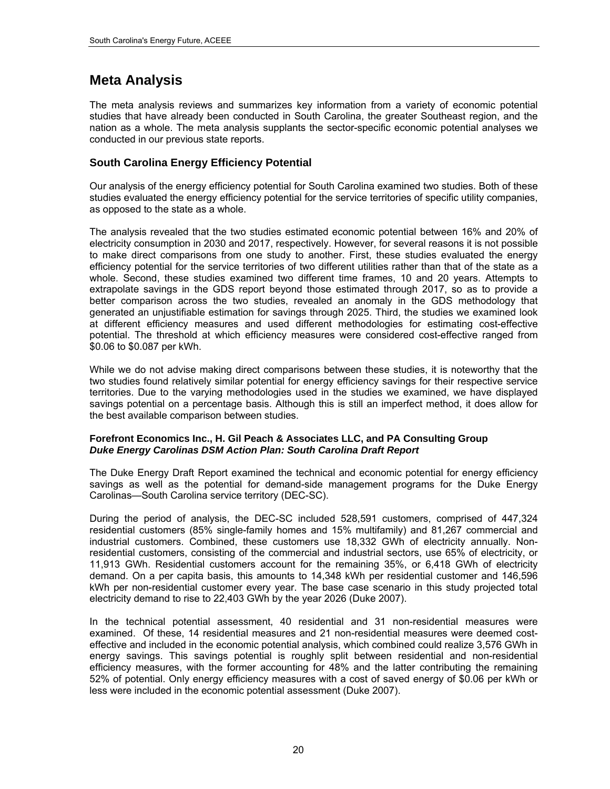## <span id="page-33-0"></span>**Meta Analysis**

The meta analysis reviews and summarizes key information from a variety of economic potential studies that have already been conducted in South Carolina, the greater Southeast region, and the nation as a whole. The meta analysis supplants the sector-specific economic potential analyses we conducted in our previous state reports.

## **South Carolina Energy Efficiency Potential**

Our analysis of the energy efficiency potential for South Carolina examined two studies. Both of these studies evaluated the energy efficiency potential for the service territories of specific utility companies, as opposed to the state as a whole.

The analysis revealed that the two studies estimated economic potential between 16% and 20% of electricity consumption in 2030 and 2017, respectively. However, for several reasons it is not possible to make direct comparisons from one study to another. First, these studies evaluated the energy efficiency potential for the service territories of two different utilities rather than that of the state as a whole. Second, these studies examined two different time frames, 10 and 20 years. Attempts to extrapolate savings in the GDS report beyond those estimated through 2017, so as to provide a better comparison across the two studies, revealed an anomaly in the GDS methodology that generated an unjustifiable estimation for savings through 2025. Third, the studies we examined look at different efficiency measures and used different methodologies for estimating cost-effective potential. The threshold at which efficiency measures were considered cost-effective ranged from \$0.06 to \$0.087 per kWh.

While we do not advise making direct comparisons between these studies, it is noteworthy that the two studies found relatively similar potential for energy efficiency savings for their respective service territories. Due to the varying methodologies used in the studies we examined, we have displayed savings potential on a percentage basis. Although this is still an imperfect method, it does allow for the best available comparison between studies.

#### **Forefront Economics Inc., H. Gil Peach & Associates LLC, and PA Consulting Group** *Duke Energy Carolinas DSM Action Plan: South Carolina Draft Report*

The Duke Energy Draft Report examined the technical and economic potential for energy efficiency savings as well as the potential for demand-side management programs for the Duke Energy Carolinas—South Carolina service territory (DEC-SC).

During the period of analysis, the DEC-SC included 528,591 customers, comprised of 447,324 residential customers (85% single-family homes and 15% multifamily) and 81,267 commercial and industrial customers. Combined, these customers use 18,332 GWh of electricity annually. Nonresidential customers, consisting of the commercial and industrial sectors, use 65% of electricity, or 11,913 GWh. Residential customers account for the remaining 35%, or 6,418 GWh of electricity demand. On a per capita basis, this amounts to 14,348 kWh per residential customer and 146,596 kWh per non-residential customer every year. The base case scenario in this study projected total electricity demand to rise to 22,403 GWh by the year 2026 (Duke 2007).

In the technical potential assessment, 40 residential and 31 non-residential measures were examined. Of these, 14 residential measures and 21 non-residential measures were deemed costeffective and included in the economic potential analysis, which combined could realize 3,576 GWh in energy savings. This savings potential is roughly split between residential and non-residential efficiency measures, with the former accounting for 48% and the latter contributing the remaining 52% of potential. Only energy efficiency measures with a cost of saved energy of \$0.06 per kWh or less were included in the economic potential assessment (Duke 2007).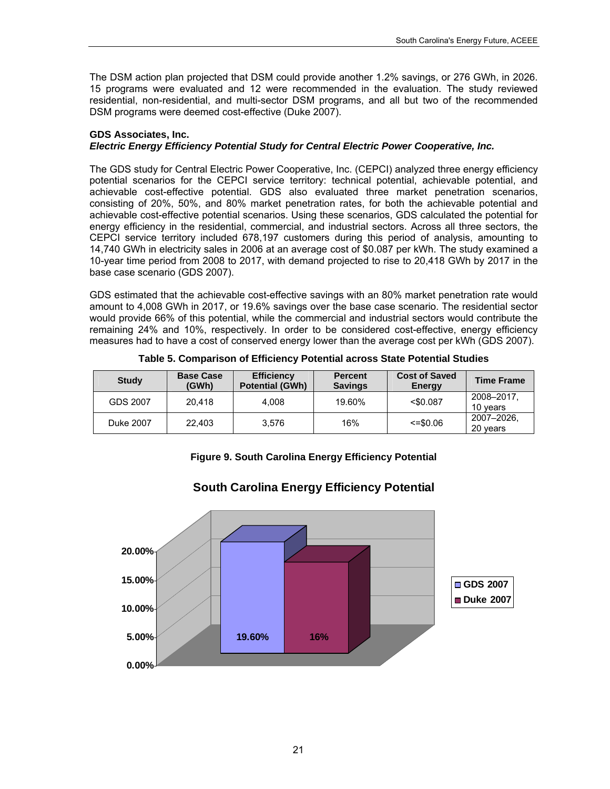The DSM action plan projected that DSM could provide another 1.2% savings, or 276 GWh, in 2026. 15 programs were evaluated and 12 were recommended in the evaluation. The study reviewed residential, non-residential, and multi-sector DSM programs, and all but two of the recommended DSM programs were deemed cost-effective (Duke 2007).

#### **GDS Associates, Inc.**  *Electric Energy Efficiency Potential Study for Central Electric Power Cooperative, Inc.*

The GDS study for Central Electric Power Cooperative, Inc. (CEPCI) analyzed three energy efficiency potential scenarios for the CEPCI service territory: technical potential, achievable potential, and achievable cost-effective potential. GDS also evaluated three market penetration scenarios, consisting of 20%, 50%, and 80% market penetration rates, for both the achievable potential and achievable cost-effective potential scenarios. Using these scenarios, GDS calculated the potential for energy efficiency in the residential, commercial, and industrial sectors. Across all three sectors, the CEPCI service territory included 678,197 customers during this period of analysis, amounting to 14,740 GWh in electricity sales in 2006 at an average cost of \$0.087 per kWh. The study examined a 10-year time period from 2008 to 2017, with demand projected to rise to 20,418 GWh by 2017 in the base case scenario (GDS 2007).

GDS estimated that the achievable cost-effective savings with an 80% market penetration rate would amount to 4,008 GWh in 2017, or 19.6% savings over the base case scenario. The residential sector would provide 66% of this potential, while the commercial and industrial sectors would contribute the remaining 24% and 10%, respectively. In order to be considered cost-effective, energy efficiency measures had to have a cost of conserved energy lower than the average cost per kWh (GDS 2007).

| <b>Study</b> | <b>Base Case</b><br>(GWh) | <b>Efficiency</b><br><b>Potential (GWh)</b> | <b>Percent</b><br><b>Savings</b> | <b>Cost of Saved</b><br><b>Energy</b> | <b>Time Frame</b>      |
|--------------|---------------------------|---------------------------------------------|----------------------------------|---------------------------------------|------------------------|
| GDS 2007     | 20.418                    | 4.008                                       | 19.60%                           | $<$ \$0.087                           | 2008-2017<br>10 vears  |
| Duke 2007    | 22.403                    | 3.576                                       | 16%                              | $\le$ =\$0.06                         | 2007-2026.<br>20 years |

**Table 5. Comparison of Efficiency Potential across State Potential Studies** 

### **Figure 9. South Carolina Energy Efficiency Potential**



# **South Carolina Energy Efficiency Potential**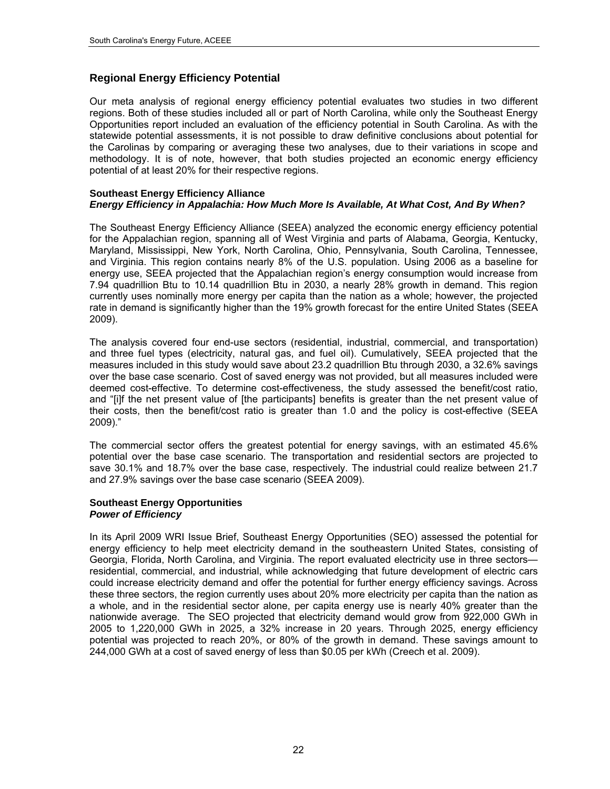## <span id="page-35-0"></span>**Regional Energy Efficiency Potential**

Our meta analysis of regional energy efficiency potential evaluates two studies in two different regions. Both of these studies included all or part of North Carolina, while only the Southeast Energy Opportunities report included an evaluation of the efficiency potential in South Carolina. As with the statewide potential assessments, it is not possible to draw definitive conclusions about potential for the Carolinas by comparing or averaging these two analyses, due to their variations in scope and methodology. It is of note, however, that both studies projected an economic energy efficiency potential of at least 20% for their respective regions.

#### **Southeast Energy Efficiency Alliance**  *Energy Efficiency in Appalachia: How Much More Is Available, At What Cost, And By When?*

The Southeast Energy Efficiency Alliance (SEEA) analyzed the economic energy efficiency potential for the Appalachian region, spanning all of West Virginia and parts of Alabama, Georgia, Kentucky, Maryland, Mississippi, New York, North Carolina, Ohio, Pennsylvania, South Carolina, Tennessee, and Virginia. This region contains nearly 8% of the U.S. population. Using 2006 as a baseline for energy use, SEEA projected that the Appalachian region's energy consumption would increase from 7.94 quadrillion Btu to 10.14 quadrillion Btu in 2030, a nearly 28% growth in demand. This region currently uses nominally more energy per capita than the nation as a whole; however, the projected rate in demand is significantly higher than the 19% growth forecast for the entire United States (SEEA 2009).

The analysis covered four end-use sectors (residential, industrial, commercial, and transportation) and three fuel types (electricity, natural gas, and fuel oil). Cumulatively, SEEA projected that the measures included in this study would save about 23.2 quadrillion Btu through 2030, a 32.6% savings over the base case scenario. Cost of saved energy was not provided, but all measures included were deemed cost-effective. To determine cost-effectiveness, the study assessed the benefit/cost ratio, and "[i]f the net present value of [the participants] benefits is greater than the net present value of their costs, then the benefit/cost ratio is greater than 1.0 and the policy is cost-effective (SEEA 2009)."

The commercial sector offers the greatest potential for energy savings, with an estimated 45.6% potential over the base case scenario. The transportation and residential sectors are projected to save 30.1% and 18.7% over the base case, respectively. The industrial could realize between 21.7 and 27.9% savings over the base case scenario (SEEA 2009).

#### **Southeast Energy Opportunities**  *Power of Efficiency*

In its April 2009 WRI Issue Brief, Southeast Energy Opportunities (SEO) assessed the potential for energy efficiency to help meet electricity demand in the southeastern United States, consisting of Georgia, Florida, North Carolina, and Virginia. The report evaluated electricity use in three sectors residential, commercial, and industrial, while acknowledging that future development of electric cars could increase electricity demand and offer the potential for further energy efficiency savings. Across these three sectors, the region currently uses about 20% more electricity per capita than the nation as a whole, and in the residential sector alone, per capita energy use is nearly 40% greater than the nationwide average. The SEO projected that electricity demand would grow from 922,000 GWh in 2005 to 1,220,000 GWh in 2025, a 32% increase in 20 years. Through 2025, energy efficiency potential was projected to reach 20%, or 80% of the growth in demand. These savings amount to 244,000 GWh at a cost of saved energy of less than \$0.05 per kWh (Creech et al. 2009).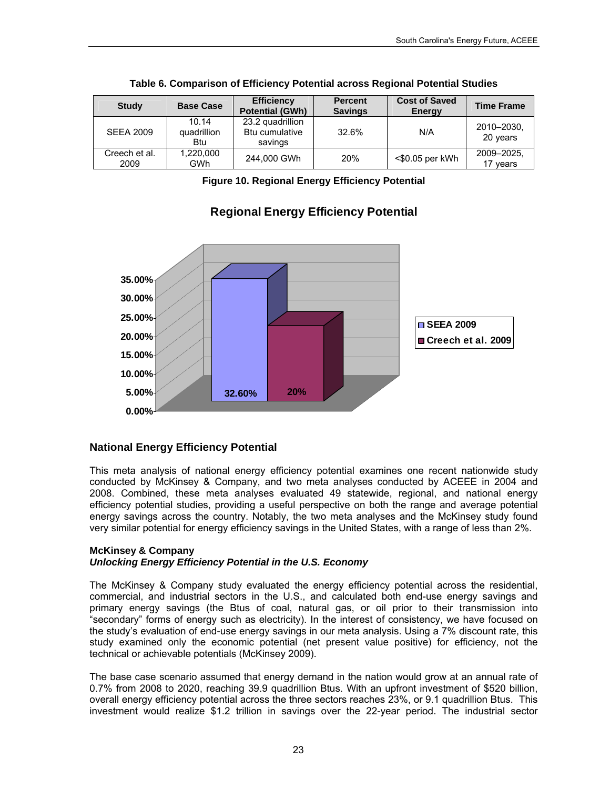| <b>Study</b>          | <b>Base Case</b>                   | <b>Efficiency</b><br><b>Potential (GWh)</b>   | <b>Percent</b><br><b>Savings</b> | <b>Cost of Saved</b><br>Energy | <b>Time Frame</b>      |
|-----------------------|------------------------------------|-----------------------------------------------|----------------------------------|--------------------------------|------------------------|
| <b>SEEA 2009</b>      | 10.14<br>quadrillion<br><b>Btu</b> | 23.2 quadrillion<br>Btu cumulative<br>savings | 32.6%                            | N/A                            | 2010-2030,<br>20 years |
| Creech et al.<br>2009 | 1,220,000<br>GWh                   | 244,000 GWh                                   | 20%                              | $<$ \$0.05 per kWh             | 2009-2025.<br>17 years |

|  | Table 6. Comparison of Efficiency Potential across Regional Potential Studies |  |  |  |
|--|-------------------------------------------------------------------------------|--|--|--|

**Figure 10. Regional Energy Efficiency Potential** 



# **Regional Energy Efficiency Potential**

## **National Energy Efficiency Potential**

This meta analysis of national energy efficiency potential examines one recent nationwide study conducted by McKinsey & Company, and two meta analyses conducted by ACEEE in 2004 and 2008. Combined, these meta analyses evaluated 49 statewide, regional, and national energy efficiency potential studies, providing a useful perspective on both the range and average potential energy savings across the country. Notably, the two meta analyses and the McKinsey study found very similar potential for energy efficiency savings in the United States, with a range of less than 2%.

#### **McKinsey & Company**  *Unlocking Energy Efficiency Potential in the U.S. Economy*

The McKinsey & Company study evaluated the energy efficiency potential across the residential, commercial, and industrial sectors in the U.S., and calculated both end-use energy savings and primary energy savings (the Btus of coal, natural gas, or oil prior to their transmission into "secondary" forms of energy such as electricity). In the interest of consistency, we have focused on the study's evaluation of end-use energy savings in our meta analysis. Using a 7% discount rate, this study examined only the economic potential (net present value positive) for efficiency, not the technical or achievable potentials (McKinsey 2009).

The base case scenario assumed that energy demand in the nation would grow at an annual rate of 0.7% from 2008 to 2020, reaching 39.9 quadrillion Btus. With an upfront investment of \$520 billion, overall energy efficiency potential across the three sectors reaches 23%, or 9.1 quadrillion Btus. This investment would realize \$1.2 trillion in savings over the 22-year period. The industrial sector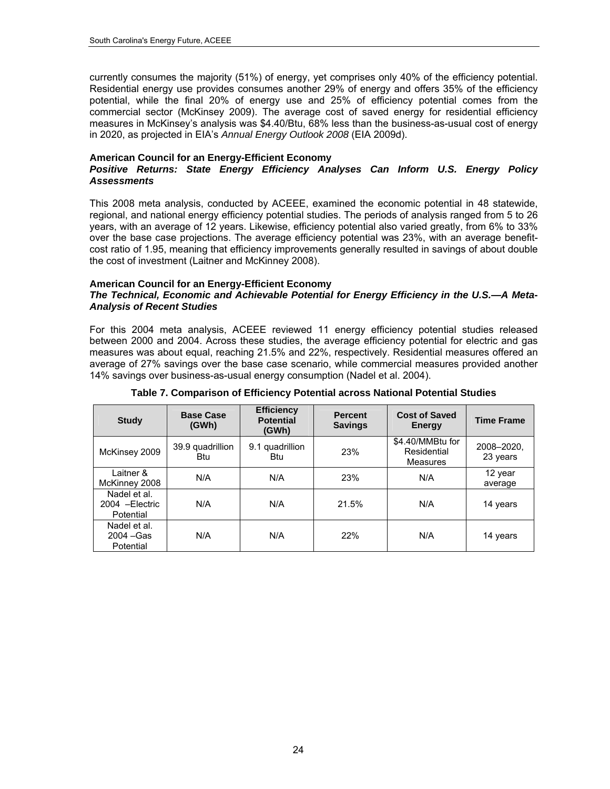currently consumes the majority (51%) of energy, yet comprises only 40% of the efficiency potential. Residential energy use provides consumes another 29% of energy and offers 35% of the efficiency potential, while the final 20% of energy use and 25% of efficiency potential comes from the commercial sector (McKinsey 2009). The average cost of saved energy for residential efficiency measures in McKinsey's analysis was \$4.40/Btu, 68% less than the business-as-usual cost of energy in 2020, as projected in EIA's *Annual Energy Outlook 2008* (EIA 2009d).

#### **American Council for an Energy-Efficient Economy**

#### *Positive Returns: State Energy Efficiency Analyses Can Inform U.S. Energy Policy Assessments*

This 2008 meta analysis, conducted by ACEEE, examined the economic potential in 48 statewide, regional, and national energy efficiency potential studies. The periods of analysis ranged from 5 to 26 years, with an average of 12 years. Likewise, efficiency potential also varied greatly, from 6% to 33% over the base case projections. The average efficiency potential was 23%, with an average benefitcost ratio of 1.95, meaning that efficiency improvements generally resulted in savings of about double the cost of investment (Laitner and McKinney 2008).

#### **American Council for an Energy-Efficient Economy**

#### *The Technical, Economic and Achievable Potential for Energy Efficiency in the U.S.—A Meta-Analysis of Recent Studies*

For this 2004 meta analysis, ACEEE reviewed 11 energy efficiency potential studies released between 2000 and 2004. Across these studies, the average efficiency potential for electric and gas measures was about equal, reaching 21.5% and 22%, respectively. Residential measures offered an average of 27% savings over the base case scenario, while commercial measures provided another 14% savings over business-as-usual energy consumption (Nadel et al. 2004).

| <b>Study</b>                                 | <b>Base Case</b><br>(GWh) | <b>Efficiency</b><br><b>Potential</b><br>(GWh) | <b>Percent</b><br><b>Savings</b> | <b>Cost of Saved</b><br>Energy              | <b>Time Frame</b>      |
|----------------------------------------------|---------------------------|------------------------------------------------|----------------------------------|---------------------------------------------|------------------------|
| McKinsey 2009                                | 39.9 quadrillion<br>Btu   | 9.1 quadrillion<br><b>Btu</b>                  | 23%                              | \$4.40/MMBtu for<br>Residential<br>Measures | 2008-2020,<br>23 years |
| Laitner &<br>McKinney 2008                   | N/A                       | N/A                                            | 23%                              | N/A                                         | 12 year<br>average     |
| Nadel et al.<br>2004 - Electric<br>Potential | N/A                       | N/A                                            | 21.5%                            | N/A                                         | 14 years               |
| Nadel et al.<br>$2004 - Gas$<br>Potential    | N/A                       | N/A                                            | 22%                              | N/A                                         | 14 years               |

#### **Table 7. Comparison of Efficiency Potential across National Potential Studies**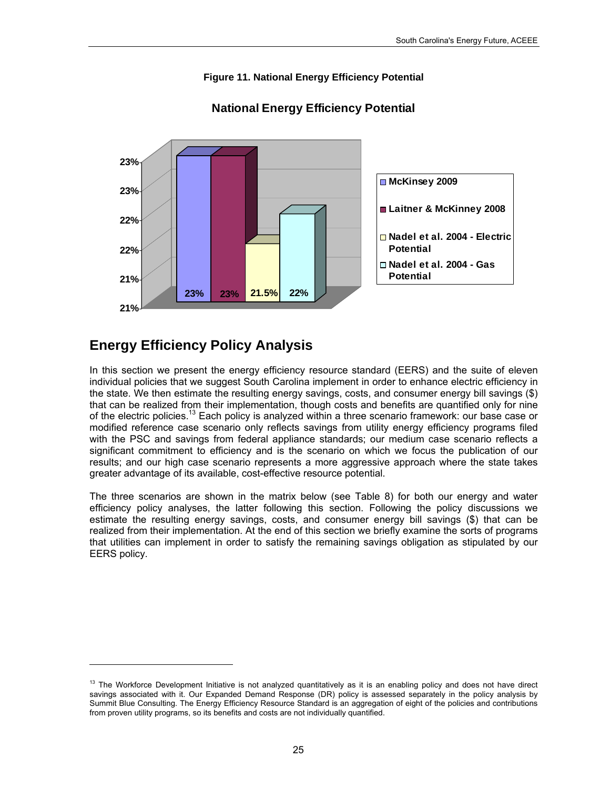## **Figure 11. National Energy Efficiency Potential**



## **National Energy Efficiency Potential**

# **Energy Efficiency Policy Analysis**

-

In this section we present the energy efficiency resource standard (EERS) and the suite of eleven individual policies that we suggest South Carolina implement in order to enhance electric efficiency in the state. We then estimate the resulting energy savings, costs, and consumer energy bill savings (\$) that can be realized from their implementation, though costs and benefits are quantified only for nine of the electric policies.[13](#page-38-0) Each policy is analyzed within a three scenario framework: our base case or modified reference case scenario only reflects savings from utility energy efficiency programs filed with the PSC and savings from federal appliance standards; our medium case scenario reflects a significant commitment to efficiency and is the scenario on which we focus the publication of our results; and our high case scenario represents a more aggressive approach where the state takes greater advantage of its available, cost-effective resource potential.

The three scenarios are shown in the matrix below (see Table 8) for both our energy and water efficiency policy analyses, the latter following this section. Following the policy discussions we estimate the resulting energy savings, costs, and consumer energy bill savings (\$) that can be realized from their implementation. At the end of this section we briefly examine the sorts of programs that utilities can implement in order to satisfy the remaining savings obligation as stipulated by our EERS policy.

<span id="page-38-0"></span><sup>&</sup>lt;sup>13</sup> The Workforce Development Initiative is not analyzed quantitatively as it is an enabling policy and does not have direct savings associated with it. Our Expanded Demand Response (DR) policy is assessed separately in the policy analysis by Summit Blue Consulting. The Energy Efficiency Resource Standard is an aggregation of eight of the policies and contributions from proven utility programs, so its benefits and costs are not individually quantified.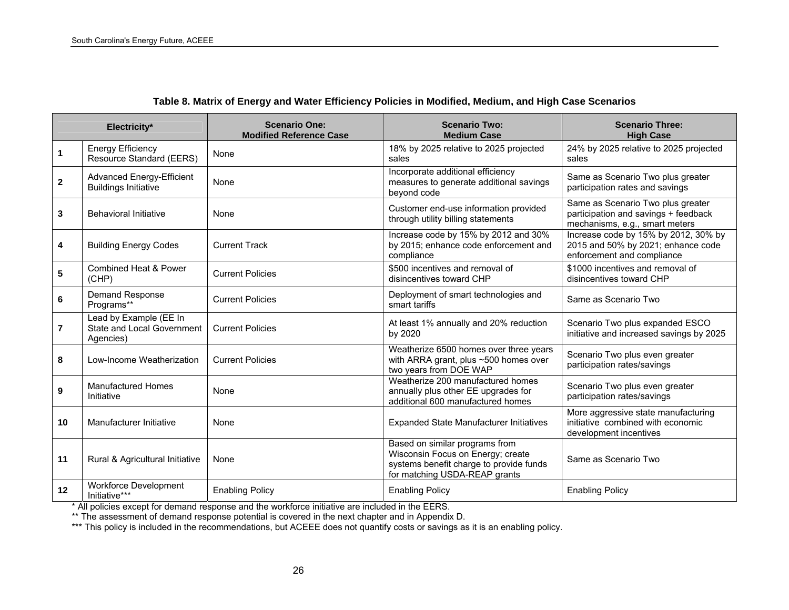|                | Electricity*                                                      | <b>Scenario One:</b><br><b>Modified Reference Case</b> | <b>Scenario Two:</b><br><b>Medium Case</b>                                                                                                      | <b>Scenario Three:</b><br><b>High Case</b>                                                                  |
|----------------|-------------------------------------------------------------------|--------------------------------------------------------|-------------------------------------------------------------------------------------------------------------------------------------------------|-------------------------------------------------------------------------------------------------------------|
| $\mathbf{1}$   | <b>Energy Efficiency</b><br>Resource Standard (EERS)              | None                                                   | 18% by 2025 relative to 2025 projected<br>sales                                                                                                 | 24% by 2025 relative to 2025 projected<br>sales                                                             |
| $\mathbf{2}$   | <b>Advanced Energy-Efficient</b><br><b>Buildings Initiative</b>   | None                                                   | Incorporate additional efficiency<br>measures to generate additional savings<br>beyond code                                                     | Same as Scenario Two plus greater<br>participation rates and savings                                        |
| 3              | <b>Behavioral Initiative</b>                                      | None                                                   | Customer end-use information provided<br>through utility billing statements                                                                     | Same as Scenario Two plus greater<br>participation and savings + feedback<br>mechanisms, e.g., smart meters |
| 4              | <b>Building Energy Codes</b>                                      | <b>Current Track</b>                                   | Increase code by 15% by 2012 and 30%<br>by 2015; enhance code enforcement and<br>compliance                                                     | Increase code by 15% by 2012, 30% by<br>2015 and 50% by 2021; enhance code<br>enforcement and compliance    |
| 5              | <b>Combined Heat &amp; Power</b><br>(CHP)                         | <b>Current Policies</b>                                | \$500 incentives and removal of<br>disincentives toward CHP                                                                                     | \$1000 incentives and removal of<br>disincentives toward CHP                                                |
| 6              | Demand Response<br>Programs**                                     | <b>Current Policies</b>                                | Deployment of smart technologies and<br>smart tariffs                                                                                           | Same as Scenario Two                                                                                        |
| $\overline{7}$ | Lead by Example (EE In<br>State and Local Government<br>Agencies) | <b>Current Policies</b>                                | At least 1% annually and 20% reduction<br>by 2020                                                                                               | Scenario Two plus expanded ESCO<br>initiative and increased savings by 2025                                 |
| 8              | Low-Income Weatherization                                         | <b>Current Policies</b>                                | Weatherize 6500 homes over three years<br>with ARRA grant, plus ~500 homes over<br>two years from DOE WAP                                       | Scenario Two plus even greater<br>participation rates/savings                                               |
| 9              | <b>Manufactured Homes</b><br>Initiative                           | None                                                   | Weatherize 200 manufactured homes<br>annually plus other EE upgrades for<br>additional 600 manufactured homes                                   | Scenario Two plus even greater<br>participation rates/savings                                               |
| 10             | Manufacturer Initiative                                           | None                                                   | Expanded State Manufacturer Initiatives                                                                                                         | More aggressive state manufacturing<br>initiative combined with economic<br>development incentives          |
| 11             | Rural & Agricultural Initiative                                   | None                                                   | Based on similar programs from<br>Wisconsin Focus on Energy; create<br>systems benefit charge to provide funds<br>for matching USDA-REAP grants | Same as Scenario Two                                                                                        |
| 12             | Workforce Development<br>Initiative***                            | <b>Enabling Policy</b>                                 | <b>Enabling Policy</b>                                                                                                                          | <b>Enabling Policy</b>                                                                                      |

## **Table 8. Matrix of Energy and Water Efficiency Policies in Modified, Medium, and High Case Scenarios**

\* All policies except for demand response and the workforce initiative are included in the EERS.

\*\* The assessment of demand response potential is covered in the next chapter and in Appendix D.

<span id="page-39-0"></span>\*\*\* This policy is included in the recommendations, but ACEEE does not quantify costs or savings as it is an enabling policy.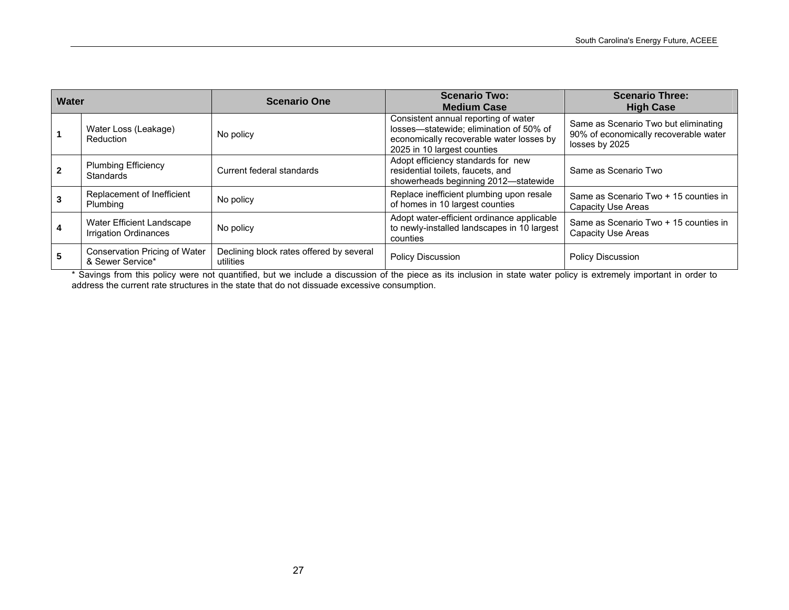| Water |                                                           | <b>Scenario One</b>                                   | <b>Scenario Two:</b><br><b>Medium Case</b>                                                                                                                 | <b>Scenario Three:</b><br><b>High Case</b>                                                      |
|-------|-----------------------------------------------------------|-------------------------------------------------------|------------------------------------------------------------------------------------------------------------------------------------------------------------|-------------------------------------------------------------------------------------------------|
|       | Water Loss (Leakage)<br>Reduction                         | No policy                                             | Consistent annual reporting of water<br>losses-statewide; elimination of 50% of<br>economically recoverable water losses by<br>2025 in 10 largest counties | Same as Scenario Two but eliminating<br>90% of economically recoverable water<br>losses by 2025 |
|       | <b>Plumbing Efficiency</b><br><b>Standards</b>            | Current federal standards                             | Adopt efficiency standards for new<br>residential toilets, faucets, and<br>showerheads beginning 2012-statewide                                            | Same as Scenario Two                                                                            |
|       | Replacement of Inefficient<br>Plumbing                    | No policy                                             | Replace inefficient plumbing upon resale<br>of homes in 10 largest counties                                                                                | Same as Scenario Two + 15 counties in<br>Capacity Use Areas                                     |
|       | Water Efficient Landscape<br><b>Irrigation Ordinances</b> | No policy                                             | Adopt water-efficient ordinance applicable<br>to newly-installed landscapes in 10 largest<br>counties                                                      | Same as Scenario Two + 15 counties in<br><b>Capacity Use Areas</b>                              |
|       | Conservation Pricing of Water<br>& Sewer Service*         | Declining block rates offered by several<br>utilities | <b>Policy Discussion</b>                                                                                                                                   | <b>Policy Discussion</b>                                                                        |

\* Savings from this policy were not quantified, but we include a discussion of the piece as its inclusion in state water policy is extremely important in order to address the current rate structures in the state that do not dissuade excessive consumption.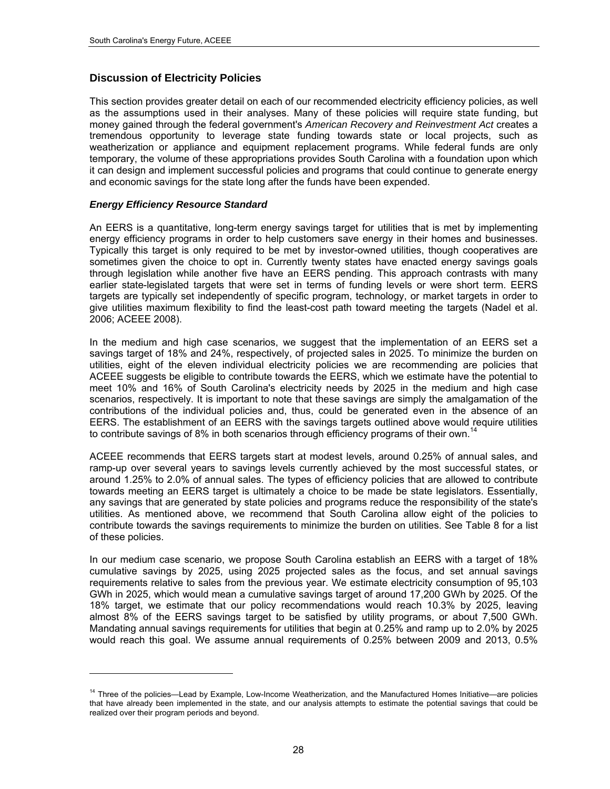## **Discussion of Electricity Policies**

This section provides greater detail on each of our recommended electricity efficiency policies, as well as the assumptions used in their analyses. Many of these policies will require state funding, but money gained through the federal government's *American Recovery and Reinvestment Act* creates a tremendous opportunity to leverage state funding towards state or local projects, such as weatherization or appliance and equipment replacement programs. While federal funds are only temporary, the volume of these appropriations provides South Carolina with a foundation upon which it can design and implement successful policies and programs that could continue to generate energy and economic savings for the state long after the funds have been expended.

#### *Energy Efficiency Resource Standard*

-

An EERS is a quantitative, long-term energy savings target for utilities that is met by implementing energy efficiency programs in order to help customers save energy in their homes and businesses. Typically this target is only required to be met by investor-owned utilities, though cooperatives are sometimes given the choice to opt in. Currently twenty states have enacted energy savings goals through legislation while another five have an EERS pending. This approach contrasts with many earlier state-legislated targets that were set in terms of funding levels or were short term. EERS targets are typically set independently of specific program, technology, or market targets in order to give utilities maximum flexibility to find the least-cost path toward meeting the targets (Nadel et al. 2006; ACEEE 2008).

In the medium and high case scenarios, we suggest that the implementation of an EERS set a savings target of 18% and 24%, respectively, of projected sales in 2025. To minimize the burden on utilities, eight of the eleven individual electricity policies we are recommending are policies that ACEEE suggests be eligible to contribute towards the EERS, which we estimate have the potential to meet 10% and 16% of South Carolina's electricity needs by 2025 in the medium and high case scenarios, respectively. It is important to note that these savings are simply the amalgamation of the contributions of the individual policies and, thus, could be generated even in the absence of an EERS. The establishment of an EERS with the savings targets outlined above would require utilities to contribute savings of 8% in both scenarios through efficiency programs of their own.<sup>14</sup>

ACEEE recommends that EERS targets start at modest levels, around 0.25% of annual sales, and ramp-up over several years to savings levels currently achieved by the most successful states, or around 1.25% to 2.0% of annual sales. The types of efficiency policies that are allowed to contribute towards meeting an EERS target is ultimately a choice to be made be state legislators. Essentially, any savings that are generated by state policies and programs reduce the responsibility of the state's utilities. As mentioned above, we recommend that South Carolina allow eight of the policies to contribute towards the savings requirements to minimize the burden on utilities. See [Table](#page-39-0) 8 for a list of these policies.

In our medium case scenario, we propose South Carolina establish an EERS with a target of 18% cumulative savings by 2025, using 2025 projected sales as the focus, and set annual savings requirements relative to sales from the previous year. We estimate electricity consumption of 95,103 GWh in 2025, which would mean a cumulative savings target of around 17,200 GWh by 2025. Of the 18% target, we estimate that our policy recommendations would reach 10.3% by 2025, leaving almost 8% of the EERS savings target to be satisfied by utility programs, or about 7,500 GWh. Mandating annual savings requirements for utilities that begin at 0.25% and ramp up to 2.0% by 2025 would reach this goal. We assume annual requirements of 0.25% between 2009 and 2013, 0.5%

<span id="page-41-0"></span><sup>&</sup>lt;sup>14</sup> Three of the policies—Lead by Example, Low-Income Weatherization, and the Manufactured Homes Initiative—are policies that have already been implemented in the state, and our analysis attempts to estimate the potential savings that could be realized over their program periods and beyond.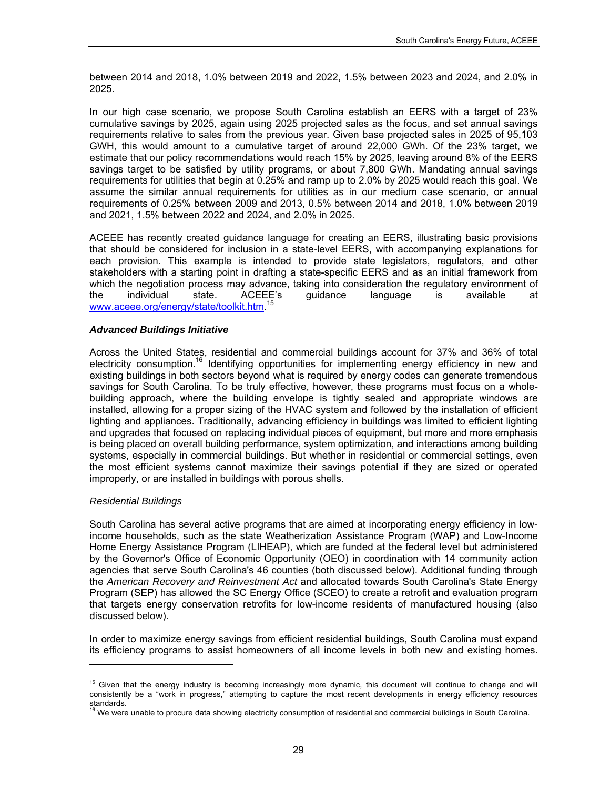between 2014 and 2018, 1.0% between 2019 and 2022, 1.5% between 2023 and 2024, and 2.0% in 2025.

In our high case scenario, we propose South Carolina establish an EERS with a target of 23% cumulative savings by 2025, again using 2025 projected sales as the focus, and set annual savings requirements relative to sales from the previous year. Given base projected sales in 2025 of 95,103 GWH, this would amount to a cumulative target of around 22,000 GWh. Of the 23% target, we estimate that our policy recommendations would reach 15% by 2025, leaving around 8% of the EERS savings target to be satisfied by utility programs, or about 7,800 GWh. Mandating annual savings requirements for utilities that begin at 0.25% and ramp up to 2.0% by 2025 would reach this goal. We assume the similar annual requirements for utilities as in our medium case scenario, or annual requirements of 0.25% between 2009 and 2013, 0.5% between 2014 and 2018, 1.0% between 2019 and 2021, 1.5% between 2022 and 2024, and 2.0% in 2025.

ACEEE has recently created guidance language for creating an EERS, illustrating basic provisions that should be considered for inclusion in a state-level EERS, with accompanying explanations for each provision. This example is intended to provide state legislators, regulators, and other stakeholders with a starting point in drafting a state-specific EERS and as an initial framework from which the negotiation process may advance, taking into consideration the regulatory environment of the individual state. ACEEE's guidance language is available at [www.aceee.org/energy/state/toolkit.htm](http://www.aceee.org/energy/state/toolkit.htm). [15](#page-42-0)

#### *Advanced Buildings Initiative*

Across the United States, residential and commercial buildings account for 37% and 36% of total electricity consumption.[16](#page-42-1) Identifying opportunities for implementing energy efficiency in new and existing buildings in both sectors beyond what is required by energy codes can generate tremendous savings for South Carolina. To be truly effective, however, these programs must focus on a wholebuilding approach, where the building envelope is tightly sealed and appropriate windows are installed, allowing for a proper sizing of the HVAC system and followed by the installation of efficient lighting and appliances. Traditionally, advancing efficiency in buildings was limited to efficient lighting and upgrades that focused on replacing individual pieces of equipment, but more and more emphasis is being placed on overall building performance, system optimization, and interactions among building systems, especially in commercial buildings. But whether in residential or commercial settings, even the most efficient systems cannot maximize their savings potential if they are sized or operated improperly, or are installed in buildings with porous shells.

#### *Residential Buildings*

-

South Carolina has several active programs that are aimed at incorporating energy efficiency in lowincome households, such as the state Weatherization Assistance Program (WAP) and Low-Income Home Energy Assistance Program (LIHEAP), which are funded at the federal level but administered by the Governor's Office of Economic Opportunity (OEO) in coordination with 14 community action agencies that serve South Carolina's 46 counties (both discussed below). Additional funding through the *American Recovery and Reinvestment Act* and allocated towards South Carolina's State Energy Program (SEP) has allowed the SC Energy Office (SCEO) to create a retrofit and evaluation program that targets energy conservation retrofits for low-income residents of manufactured housing (also discussed below).

In order to maximize energy savings from efficient residential buildings, South Carolina must expand its efficiency programs to assist homeowners of all income levels in both new and existing homes.

<span id="page-42-0"></span><sup>&</sup>lt;sup>15</sup> Given that the energy industry is becoming increasingly more dynamic, this document will continue to change and will consistently be a "work in progress," attempting to capture the most recent developments in energy efficiency resources standards

<span id="page-42-1"></span><sup>&</sup>lt;sup>16</sup> We were unable to procure data showing electricity consumption of residential and commercial buildings in South Carolina.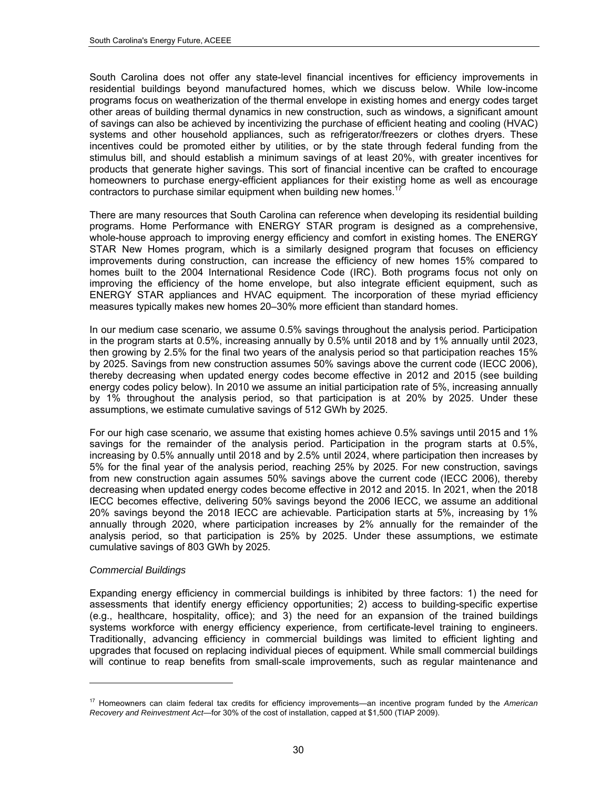South Carolina does not offer any state-level financial incentives for efficiency improvements in residential buildings beyond manufactured homes, which we discuss below. While low-income programs focus on weatherization of the thermal envelope in existing homes and energy codes target other areas of building thermal dynamics in new construction, such as windows, a significant amount of savings can also be achieved by incentivizing the purchase of efficient heating and cooling (HVAC) systems and other household appliances, such as refrigerator/freezers or clothes dryers. These incentives could be promoted either by utilities, or by the state through federal funding from the stimulus bill, and should establish a minimum savings of at least 20%, with greater incentives for products that generate higher savings. This sort of financial incentive can be crafted to encourage homeowners to purchase energy-efficient appliances for their existing home as well as encourage contractors to purchase similar equipment when building new homes.<sup>1</sup>

There are many resources that South Carolina can reference when developing its residential building programs. Home Performance with ENERGY STAR program is designed as a comprehensive, whole-house approach to improving energy efficiency and comfort in existing homes. The ENERGY STAR New Homes program, which is a similarly designed program that focuses on efficiency improvements during construction, can increase the efficiency of new homes 15% compared to homes built to the 2004 International Residence Code (IRC). Both programs focus not only on improving the efficiency of the home envelope, but also integrate efficient equipment, such as ENERGY STAR appliances and HVAC equipment. The incorporation of these myriad efficiency measures typically makes new homes 20–30% more efficient than standard homes.

In our medium case scenario, we assume 0.5% savings throughout the analysis period. Participation in the program starts at 0.5%, increasing annually by 0.5% until 2018 and by 1% annually until 2023, then growing by 2.5% for the final two years of the analysis period so that participation reaches 15% by 2025. Savings from new construction assumes 50% savings above the current code (IECC 2006), thereby decreasing when updated energy codes become effective in 2012 and 2015 (see building energy codes policy below). In 2010 we assume an initial participation rate of 5%, increasing annually by 1% throughout the analysis period, so that participation is at 20% by 2025. Under these assumptions, we estimate cumulative savings of 512 GWh by 2025.

For our high case scenario, we assume that existing homes achieve 0.5% savings until 2015 and 1% savings for the remainder of the analysis period. Participation in the program starts at 0.5%, increasing by 0.5% annually until 2018 and by 2.5% until 2024, where participation then increases by 5% for the final year of the analysis period, reaching 25% by 2025. For new construction, savings from new construction again assumes 50% savings above the current code (IECC 2006), thereby decreasing when updated energy codes become effective in 2012 and 2015. In 2021, when the 2018 IECC becomes effective, delivering 50% savings beyond the 2006 IECC, we assume an additional 20% savings beyond the 2018 IECC are achievable. Participation starts at 5%, increasing by 1% annually through 2020, where participation increases by 2% annually for the remainder of the analysis period, so that participation is 25% by 2025. Under these assumptions, we estimate cumulative savings of 803 GWh by 2025.

#### *Commercial Buildings*

-

Expanding energy efficiency in commercial buildings is inhibited by three factors: 1) the need for assessments that identify energy efficiency opportunities; 2) access to building-specific expertise (e.g., healthcare, hospitality, office); and 3) the need for an expansion of the trained buildings systems workforce with energy efficiency experience, from certificate-level training to engineers. Traditionally, advancing efficiency in commercial buildings was limited to efficient lighting and upgrades that focused on replacing individual pieces of equipment. While small commercial buildings will continue to reap benefits from small-scale improvements, such as regular maintenance and

<span id="page-43-0"></span><sup>17</sup> Homeowners can claim federal tax credits for efficiency improvements—an incentive program funded by the *American Recovery and Reinvestment Act*—for 30% of the cost of installation, capped at \$1,500 (TIAP 2009).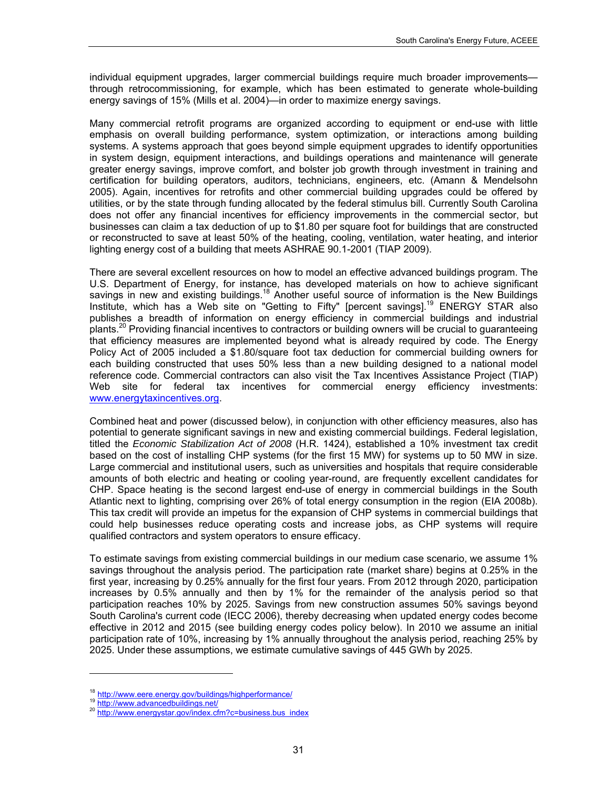individual equipment upgrades, larger commercial buildings require much broader improvements through retrocommissioning, for example, which has been estimated to generate whole-building energy savings of 15% (Mills et al. 2004)—in order to maximize energy savings.

Many commercial retrofit programs are organized according to equipment or end-use with little emphasis on overall building performance, system optimization, or interactions among building systems. A systems approach that goes beyond simple equipment upgrades to identify opportunities in system design, equipment interactions, and buildings operations and maintenance will generate greater energy savings, improve comfort, and bolster job growth through investment in training and certification for building operators, auditors, technicians, engineers, etc. (Amann & Mendelsohn 2005). Again, incentives for retrofits and other commercial building upgrades could be offered by utilities, or by the state through funding allocated by the federal stimulus bill. Currently South Carolina does not offer any financial incentives for efficiency improvements in the commercial sector, but businesses can claim a tax deduction of up to \$1.80 per square foot for buildings that are constructed or reconstructed to save at least 50% of the heating, cooling, ventilation, water heating, and interior lighting energy cost of a building that meets ASHRAE 90.1-2001 (TIAP 2009).

There are several excellent resources on how to model an effective advanced buildings program. The U.S. Department of Energy, for instance, has developed materials on how to achieve significant savings in new and existing buildings.<sup>[18](#page-44-0)</sup> Another useful source of information is the New Buildings Institute, which has a Web site on "Getting to Fifty" [percent savings].<sup>19</sup> ENERGY STAR also publishes a breadth of information on energy efficiency in commercial buildings and industrial plants.<sup>20</sup> Providing financial incentives to contractors or building owners will be crucial to guaranteeing that efficiency measures are implemented beyond what is already required by code. The Energy Policy Act of 2005 included a \$1.80/square foot tax deduction for commercial building owners for each building constructed that uses 50% less than a new building designed to a national model reference code. Commercial contractors can also visit the Tax Incentives Assistance Project (TIAP) Web site for federal tax incentives for commercial energy efficiency investments: [www.energytaxincentives.org](http://www.energytaxincentives.org/).

Combined heat and power (discussed below), in conjunction with other efficiency measures, also has potential to generate significant savings in new and existing commercial buildings. Federal legislation, titled the *Economic Stabilization Act of 2008* (H.R. 1424), established a 10% investment tax credit based on the cost of installing CHP systems (for the first 15 MW) for systems up to 50 MW in size. Large commercial and institutional users, such as universities and hospitals that require considerable amounts of both electric and heating or cooling year-round, are frequently excellent candidates for CHP. Space heating is the second largest end-use of energy in commercial buildings in the South Atlantic next to lighting, comprising over 26% of total energy consumption in the region (EIA 2008b). This tax credit will provide an impetus for the expansion of CHP systems in commercial buildings that could help businesses reduce operating costs and increase jobs, as CHP systems will require qualified contractors and system operators to ensure efficacy.

To estimate savings from existing commercial buildings in our medium case scenario, we assume 1% savings throughout the analysis period. The participation rate (market share) begins at 0.25% in the first year, increasing by 0.25% annually for the first four years. From 2012 through 2020, participation increases by 0.5% annually and then by 1% for the remainder of the analysis period so that participation reaches 10% by 2025. Savings from new construction assumes 50% savings beyond South Carolina's current code (IECC 2006), thereby decreasing when updated energy codes become effective in 2012 and 2015 (see building energy codes policy below). In 2010 we assume an initial participation rate of 10%, increasing by 1% annually throughout the analysis period, reaching 25% by 2025. Under these assumptions, we estimate cumulative savings of 445 GWh by 2025.

l

<span id="page-44-2"></span>

<span id="page-44-1"></span><span id="page-44-0"></span><sup>&</sup>lt;sup>18</sup> <http://www.eere.energy.gov/buildings/highperformance/><br><sup>19</sup> <http://www.advancedbuildings.net/><br><sup>20</sup> [http://www.energystar.gov/index.cfm?c=business.bus\\_index](http://www.energystar.gov/index.cfm?c=business.bus_index)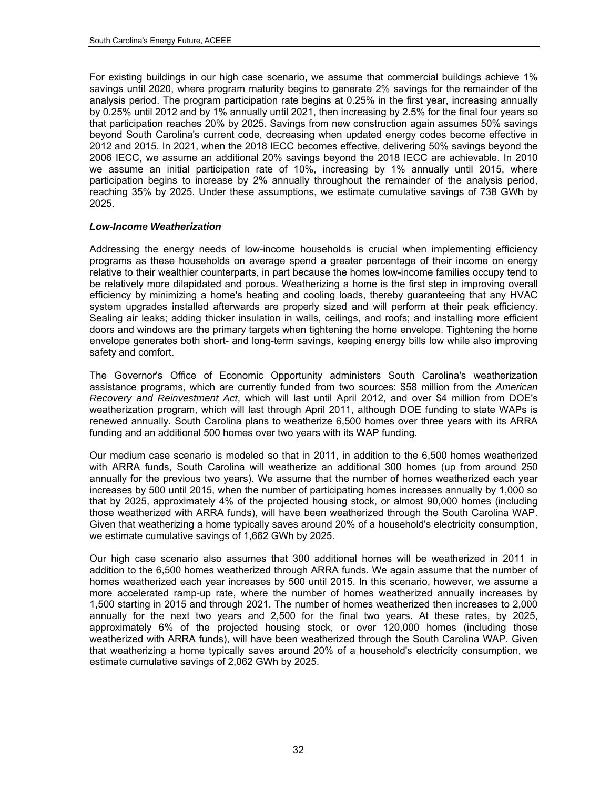For existing buildings in our high case scenario, we assume that commercial buildings achieve 1% savings until 2020, where program maturity begins to generate 2% savings for the remainder of the analysis period. The program participation rate begins at 0.25% in the first year, increasing annually by 0.25% until 2012 and by 1% annually until 2021, then increasing by 2.5% for the final four years so that participation reaches 20% by 2025. Savings from new construction again assumes 50% savings beyond South Carolina's current code, decreasing when updated energy codes become effective in 2012 and 2015. In 2021, when the 2018 IECC becomes effective, delivering 50% savings beyond the 2006 IECC, we assume an additional 20% savings beyond the 2018 IECC are achievable. In 2010 we assume an initial participation rate of 10%, increasing by 1% annually until 2015, where participation begins to increase by 2% annually throughout the remainder of the analysis period, reaching 35% by 2025. Under these assumptions, we estimate cumulative savings of 738 GWh by 2025.

#### *Low-Income Weatherization*

Addressing the energy needs of low-income households is crucial when implementing efficiency programs as these households on average spend a greater percentage of their income on energy relative to their wealthier counterparts, in part because the homes low-income families occupy tend to be relatively more dilapidated and porous. Weatherizing a home is the first step in improving overall efficiency by minimizing a home's heating and cooling loads, thereby guaranteeing that any HVAC system upgrades installed afterwards are properly sized and will perform at their peak efficiency. Sealing air leaks; adding thicker insulation in walls, ceilings, and roofs; and installing more efficient doors and windows are the primary targets when tightening the home envelope. Tightening the home envelope generates both short- and long-term savings, keeping energy bills low while also improving safety and comfort.

The Governor's Office of Economic Opportunity administers South Carolina's weatherization assistance programs, which are currently funded from two sources: \$58 million from the *American Recovery and Reinvestment Act*, which will last until April 2012, and over \$4 million from DOE's weatherization program, which will last through April 2011, although DOE funding to state WAPs is renewed annually. South Carolina plans to weatherize 6,500 homes over three years with its ARRA funding and an additional 500 homes over two years with its WAP funding.

Our medium case scenario is modeled so that in 2011, in addition to the 6,500 homes weatherized with ARRA funds, South Carolina will weatherize an additional 300 homes (up from around 250 annually for the previous two years). We assume that the number of homes weatherized each year increases by 500 until 2015, when the number of participating homes increases annually by 1,000 so that by 2025, approximately 4% of the projected housing stock, or almost 90,000 homes (including those weatherized with ARRA funds), will have been weatherized through the South Carolina WAP. Given that weatherizing a home typically saves around 20% of a household's electricity consumption, we estimate cumulative savings of 1,662 GWh by 2025.

Our high case scenario also assumes that 300 additional homes will be weatherized in 2011 in addition to the 6,500 homes weatherized through ARRA funds. We again assume that the number of homes weatherized each year increases by 500 until 2015. In this scenario, however, we assume a more accelerated ramp-up rate, where the number of homes weatherized annually increases by 1,500 starting in 2015 and through 2021. The number of homes weatherized then increases to 2,000 annually for the next two years and 2,500 for the final two years. At these rates, by 2025, approximately 6% of the projected housing stock, or over 120,000 homes (including those weatherized with ARRA funds), will have been weatherized through the South Carolina WAP. Given that weatherizing a home typically saves around 20% of a household's electricity consumption, we estimate cumulative savings of 2,062 GWh by 2025.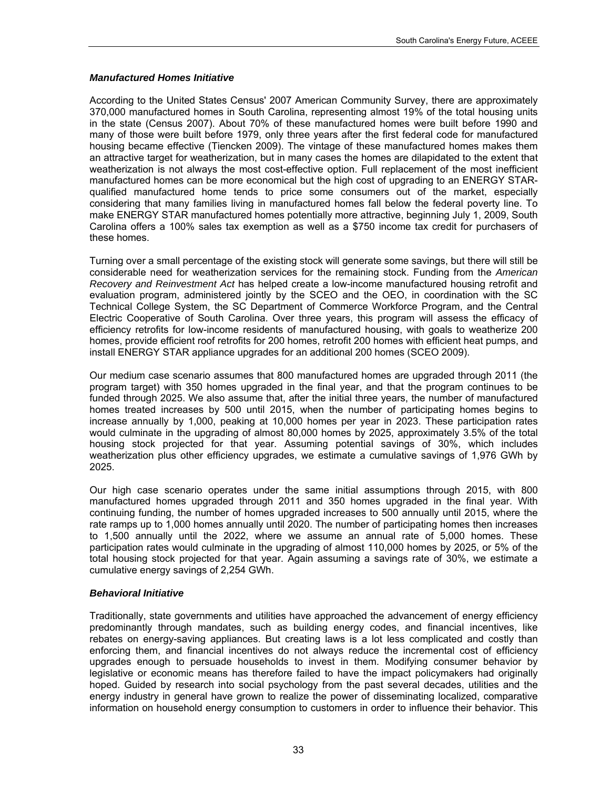#### *Manufactured Homes Initiative*

According to the United States Census' 2007 American Community Survey, there are approximately 370,000 manufactured homes in South Carolina, representing almost 19% of the total housing units in the state (Census 2007). About 70% of these manufactured homes were built before 1990 and many of those were built before 1979, only three years after the first federal code for manufactured housing became effective (Tiencken 2009). The vintage of these manufactured homes makes them an attractive target for weatherization, but in many cases the homes are dilapidated to the extent that weatherization is not always the most cost-effective option. Full replacement of the most inefficient manufactured homes can be more economical but the high cost of upgrading to an ENERGY STARqualified manufactured home tends to price some consumers out of the market, especially considering that many families living in manufactured homes fall below the federal poverty line. To make ENERGY STAR manufactured homes potentially more attractive, beginning July 1, 2009, South Carolina offers a 100% sales tax exemption as well as a \$750 income tax credit for purchasers of these homes.

Turning over a small percentage of the existing stock will generate some savings, but there will still be considerable need for weatherization services for the remaining stock. Funding from the *American Recovery and Reinvestment Act* has helped create a low-income manufactured housing retrofit and evaluation program, administered jointly by the SCEO and the OEO, in coordination with the SC Technical College System, the SC Department of Commerce Workforce Program, and the Central Electric Cooperative of South Carolina. Over three years, this program will assess the efficacy of efficiency retrofits for low-income residents of manufactured housing, with goals to weatherize 200 homes, provide efficient roof retrofits for 200 homes, retrofit 200 homes with efficient heat pumps, and install ENERGY STAR appliance upgrades for an additional 200 homes (SCEO 2009).

Our medium case scenario assumes that 800 manufactured homes are upgraded through 2011 (the program target) with 350 homes upgraded in the final year, and that the program continues to be funded through 2025. We also assume that, after the initial three years, the number of manufactured homes treated increases by 500 until 2015, when the number of participating homes begins to increase annually by 1,000, peaking at 10,000 homes per year in 2023. These participation rates would culminate in the upgrading of almost 80,000 homes by 2025, approximately 3.5% of the total housing stock projected for that year. Assuming potential savings of 30%, which includes weatherization plus other efficiency upgrades, we estimate a cumulative savings of 1,976 GWh by 2025.

Our high case scenario operates under the same initial assumptions through 2015, with 800 manufactured homes upgraded through 2011 and 350 homes upgraded in the final year. With continuing funding, the number of homes upgraded increases to 500 annually until 2015, where the rate ramps up to 1,000 homes annually until 2020. The number of participating homes then increases to 1,500 annually until the 2022, where we assume an annual rate of 5,000 homes. These participation rates would culminate in the upgrading of almost 110,000 homes by 2025, or 5% of the total housing stock projected for that year. Again assuming a savings rate of 30%, we estimate a cumulative energy savings of 2,254 GWh.

#### *Behavioral Initiative*

Traditionally, state governments and utilities have approached the advancement of energy efficiency predominantly through mandates, such as building energy codes, and financial incentives, like rebates on energy-saving appliances. But creating laws is a lot less complicated and costly than enforcing them, and financial incentives do not always reduce the incremental cost of efficiency upgrades enough to persuade households to invest in them. Modifying consumer behavior by legislative or economic means has therefore failed to have the impact policymakers had originally hoped. Guided by research into social psychology from the past several decades, utilities and the energy industry in general have grown to realize the power of disseminating localized, comparative information on household energy consumption to customers in order to influence their behavior. This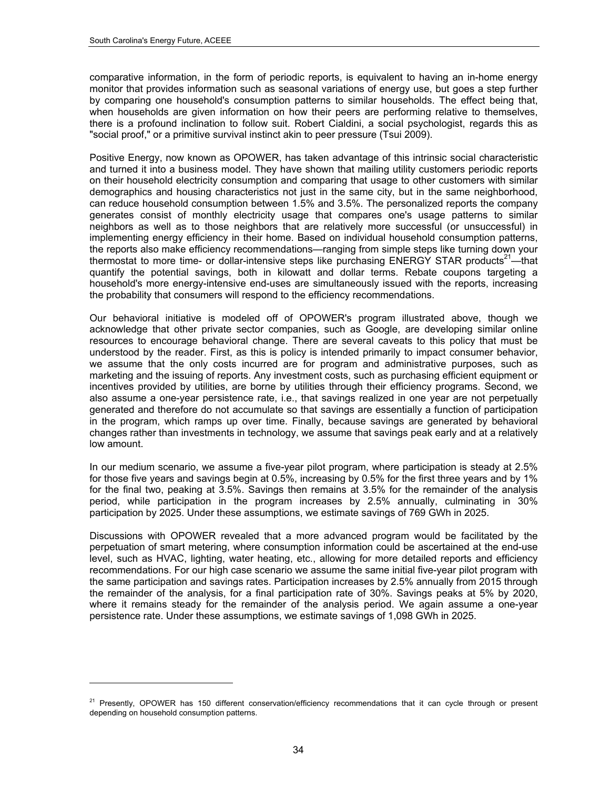-

comparative information, in the form of periodic reports, is equivalent to having an in-home energy monitor that provides information such as seasonal variations of energy use, but goes a step further by comparing one household's consumption patterns to similar households. The effect being that, when households are given information on how their peers are performing relative to themselves, there is a profound inclination to follow suit. Robert Cialdini, a social psychologist, regards this as "social proof," or a primitive survival instinct akin to peer pressure (Tsui 2009).

Positive Energy, now known as OPOWER, has taken advantage of this intrinsic social characteristic and turned it into a business model. They have shown that mailing utility customers periodic reports on their household electricity consumption and comparing that usage to other customers with similar demographics and housing characteristics not just in the same city, but in the same neighborhood, can reduce household consumption between 1.5% and 3.5%. The personalized reports the company generates consist of monthly electricity usage that compares one's usage patterns to similar neighbors as well as to those neighbors that are relatively more successful (or unsuccessful) in implementing energy efficiency in their home. Based on individual household consumption patterns, the reports also make efficiency recommendations—ranging from simple steps like turning down your thermostat to more time- or dollar-intensive steps like purchasing ENERGY STAR products<sup>21</sup>—that quantify the potential savings, both in kilowatt and dollar terms. Rebate coupons targeting a household's more energy-intensive end-uses are simultaneously issued with the reports, increasing the probability that consumers will respond to the efficiency recommendations.

Our behavioral initiative is modeled off of OPOWER's program illustrated above, though we acknowledge that other private sector companies, such as Google, are developing similar online resources to encourage behavioral change. There are several caveats to this policy that must be understood by the reader. First, as this is policy is intended primarily to impact consumer behavior, we assume that the only costs incurred are for program and administrative purposes, such as marketing and the issuing of reports. Any investment costs, such as purchasing efficient equipment or incentives provided by utilities, are borne by utilities through their efficiency programs. Second, we also assume a one-year persistence rate, i.e., that savings realized in one year are not perpetually generated and therefore do not accumulate so that savings are essentially a function of participation in the program, which ramps up over time. Finally, because savings are generated by behavioral changes rather than investments in technology, we assume that savings peak early and at a relatively low amount.

In our medium scenario, we assume a five-year pilot program, where participation is steady at 2.5% for those five years and savings begin at 0.5%, increasing by 0.5% for the first three years and by 1% for the final two, peaking at 3.5%. Savings then remains at 3.5% for the remainder of the analysis period, while participation in the program increases by 2.5% annually, culminating in 30% participation by 2025. Under these assumptions, we estimate savings of 769 GWh in 2025.

Discussions with OPOWER revealed that a more advanced program would be facilitated by the perpetuation of smart metering, where consumption information could be ascertained at the end-use level, such as HVAC, lighting, water heating, etc., allowing for more detailed reports and efficiency recommendations. For our high case scenario we assume the same initial five-year pilot program with the same participation and savings rates. Participation increases by 2.5% annually from 2015 through the remainder of the analysis, for a final participation rate of 30%. Savings peaks at 5% by 2020, where it remains steady for the remainder of the analysis period. We again assume a one-year persistence rate. Under these assumptions, we estimate savings of 1,098 GWh in 2025.

<span id="page-47-0"></span><sup>&</sup>lt;sup>21</sup> Presently, OPOWER has 150 different conservation/efficiency recommendations that it can cycle through or present depending on household consumption patterns.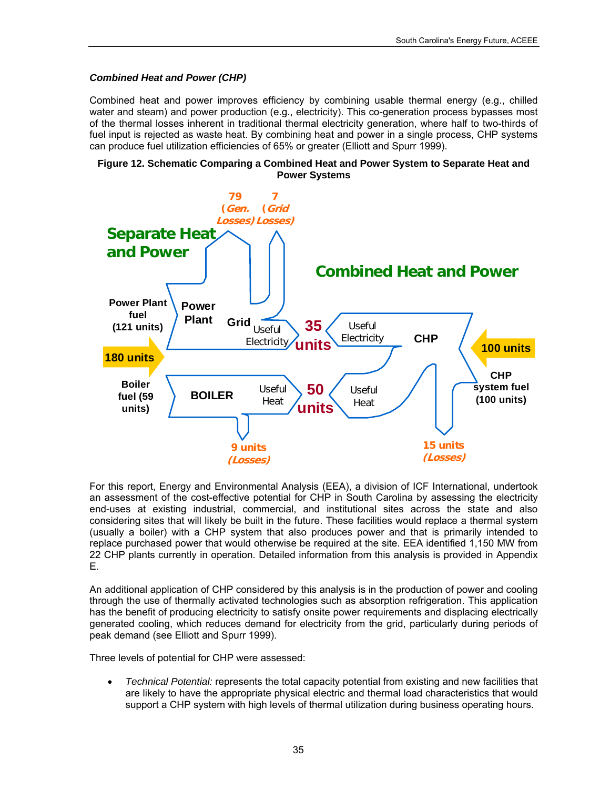## *Combined Heat and Power (CHP)*

Combined heat and power improves efficiency by combining usable thermal energy (e.g., chilled water and steam) and power production (e.g., electricity). This co-generation process bypasses most of the thermal losses inherent in traditional thermal electricity generation, where half to two-thirds of fuel input is rejected as waste heat. By combining heat and power in a single process, CHP systems can produce fuel utilization efficiencies of 65% or greater (Elliott and Spurr 1999).





For this report, Energy and Environmental Analysis (EEA), a division of ICF International, undertook an assessment of the cost-effective potential for CHP in South Carolina by assessing the electricity end-uses at existing industrial, commercial, and institutional sites across the state and also considering sites that will likely be built in the future. These facilities would replace a thermal system (usually a boiler) with a CHP system that also produces power and that is primarily intended to replace purchased power that would otherwise be required at the site. EEA identified 1,150 MW from 22 CHP plants currently in operation. Detailed information from this analysis is provided in Appendix E.

An additional application of CHP considered by this analysis is in the production of power and cooling through the use of thermally activated technologies such as absorption refrigeration. This application has the benefit of producing electricity to satisfy onsite power requirements and displacing electrically generated cooling, which reduces demand for electricity from the grid, particularly during periods of peak demand (see Elliott and Spurr 1999).

Three levels of potential for CHP were assessed:

 *Technical Potential:* represents the total capacity potential from existing and new facilities that are likely to have the appropriate physical electric and thermal load characteristics that would support a CHP system with high levels of thermal utilization during business operating hours.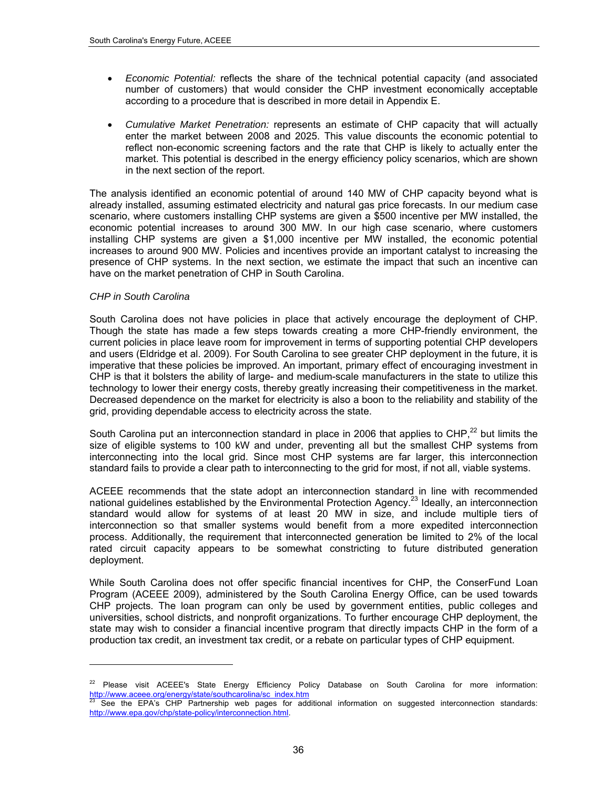- *Economic Potential:* reflects the share of the technical potential capacity (and associated number of customers) that would consider the CHP investment economically acceptable according to a procedure that is described in more detail in Appendix E.
- *Cumulative Market Penetration:* represents an estimate of CHP capacity that will actually enter the market between 2008 and 2025. This value discounts the economic potential to reflect non-economic screening factors and the rate that CHP is likely to actually enter the market. This potential is described in the energy efficiency policy scenarios, which are shown in the next section of the report.

The analysis identified an economic potential of around 140 MW of CHP capacity beyond what is already installed, assuming estimated electricity and natural gas price forecasts. In our medium case scenario, where customers installing CHP systems are given a \$500 incentive per MW installed, the economic potential increases to around 300 MW. In our high case scenario, where customers installing CHP systems are given a \$1,000 incentive per MW installed, the economic potential increases to around 900 MW. Policies and incentives provide an important catalyst to increasing the presence of CHP systems. In the next section, we estimate the impact that such an incentive can have on the market penetration of CHP in South Carolina.

#### *CHP in South Carolina*

l

South Carolina does not have policies in place that actively encourage the deployment of CHP. Though the state has made a few steps towards creating a more CHP-friendly environment, the current policies in place leave room for improvement in terms of supporting potential CHP developers and users (Eldridge et al. 2009). For South Carolina to see greater CHP deployment in the future, it is imperative that these policies be improved. An important, primary effect of encouraging investment in CHP is that it bolsters the ability of large- and medium-scale manufacturers in the state to utilize this technology to lower their energy costs, thereby greatly increasing their competitiveness in the market. Decreased dependence on the market for electricity is also a boon to the reliability and stability of the grid, providing dependable access to electricity across the state.

South Carolina put an interconnection standard in place in 2006 that applies to CHP, $^{22}$  $^{22}$  $^{22}$  but limits the size of eligible systems to 100 kW and under, preventing all but the smallest CHP systems from interconnecting into the local grid. Since most CHP systems are far larger, this interconnection standard fails to provide a clear path to interconnecting to the grid for most, if not all, viable systems.

ACEEE recommends that the state adopt an interconnection standard in line with recommended national guidelines established by the Environmental Protection Agency.<sup>23</sup> Ideally, an interconnection standard would allow for systems of at least 20 MW in size, and include multiple tiers of interconnection so that smaller systems would benefit from a more expedited interconnection process. Additionally, the requirement that interconnected generation be limited to 2% of the local rated circuit capacity appears to be somewhat constricting to future distributed generation deployment.

While South Carolina does not offer specific financial incentives for CHP, the ConserFund Loan Program (ACEEE 2009), administered by the South Carolina Energy Office, can be used towards CHP projects. The loan program can only be used by government entities, public colleges and universities, school districts, and nonprofit organizations. To further encourage CHP deployment, the state may wish to consider a financial incentive program that directly impacts CHP in the form of a production tax credit, an investment tax credit, or a rebate on particular types of CHP equipment.

<span id="page-49-0"></span><sup>&</sup>lt;sup>22</sup> Please visit ACEEE's State Energy Efficiency Policy Database on South Carolina for more information: [http://www.aceee.org/energy/state/southcarolina/sc\\_index.htm](http://www.aceee.org/energy/state/southcarolina/sc_index.htm)

<span id="page-49-1"></span>See the EPA's CHP Partnership web pages for additional information on suggested interconnection standards: [http://www.epa.gov/chp/state-policy/interconnection.html.](http://www.epa.gov/chp/state-policy/interconnection.html)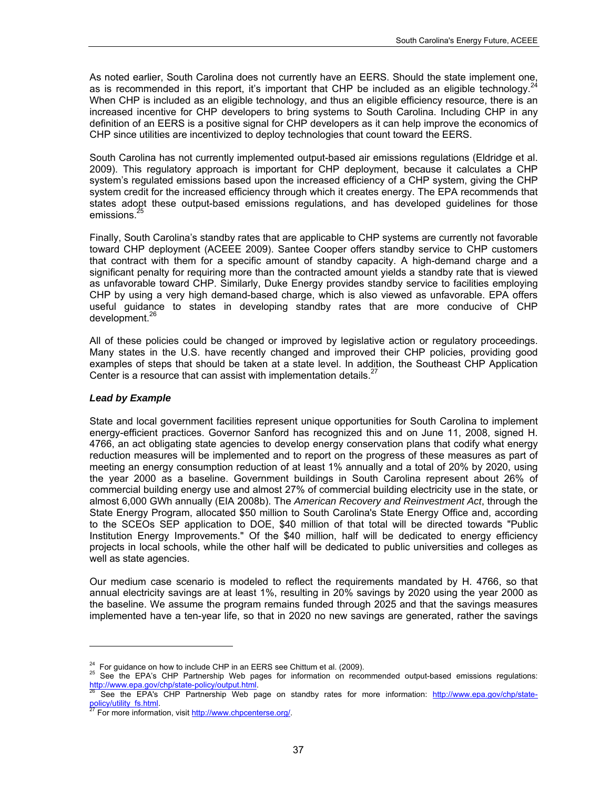As noted earlier, South Carolina does not currently have an EERS. Should the state implement one, as is recommended in this report, it's important that CHP be included as an eligible technology.<sup>2</sup> When CHP is included as an eligible technology, and thus an eligible efficiency resource, there is an increased incentive for CHP developers to bring systems to South Carolina. Including CHP in any definition of an EERS is a positive signal for CHP developers as it can help improve the economics of CHP since utilities are incentivized to deploy technologies that count toward the EERS.

South Carolina has not currently implemented output-based air emissions regulations (Eldridge et al. 2009). This regulatory approach is important for CHP deployment, because it calculates a CHP system's regulated emissions based upon the increased efficiency of a CHP system, giving the CHP system credit for the increased efficiency through which it creates energy. The EPA recommends that states adopt these output-based emissions regulations, and has developed guidelines for those emissions.<sup>[25](#page-50-1)</sup>

Finally, South Carolina's standby rates that are applicable to CHP systems are currently not favorable toward CHP deployment (ACEEE 2009). Santee Cooper offers standby service to CHP customers that contract with them for a specific amount of standby capacity. A high-demand charge and a significant penalty for requiring more than the contracted amount yields a standby rate that is viewed as unfavorable toward CHP. Similarly, Duke Energy provides standby service to facilities employing CHP by using a very high demand-based charge, which is also viewed as unfavorable. EPA offers useful guidance to states in developing standby rates that are more conducive of CHP development.<sup>26</sup>

All of these policies could be changed or improved by legislative action or regulatory proceedings. Many states in the U.S. have recently changed and improved their CHP policies, providing good examples of steps that should be taken at a state level. In addition, the Southeast CHP Application Center is a resource that can assist with implementation details. $<sup>2</sup>$ </sup>

#### *Lead by Example*

l

State and local government facilities represent unique opportunities for South Carolina to implement energy-efficient practices. Governor Sanford has recognized this and on June 11, 2008, signed H. 4766, an act obligating state agencies to develop energy conservation plans that codify what energy reduction measures will be implemented and to report on the progress of these measures as part of meeting an energy consumption reduction of at least 1% annually and a total of 20% by 2020, using the year 2000 as a baseline. Government buildings in South Carolina represent about 26% of commercial building energy use and almost 27% of commercial building electricity use in the state, or almost 6,000 GWh annually (EIA 2008b). The *American Recovery and Reinvestment Act*, through the State Energy Program, allocated \$50 million to South Carolina's State Energy Office and, according to the SCEOs SEP application to DOE, \$40 million of that total will be directed towards "Public Institution Energy Improvements." Of the \$40 million, half will be dedicated to energy efficiency projects in local schools, while the other half will be dedicated to public universities and colleges as well as state agencies.

Our medium case scenario is modeled to reflect the requirements mandated by H. 4766, so that annual electricity savings are at least 1%, resulting in 20% savings by 2020 using the year 2000 as the baseline. We assume the program remains funded through 2025 and that the savings measures implemented have a ten-year life, so that in 2020 no new savings are generated, rather the savings

<span id="page-50-1"></span><span id="page-50-0"></span><sup>&</sup>lt;sup>24</sup> For guidance on how to include CHP in an EERS see Chittum et al. (2009).<br><sup>25</sup> See the EPA's CHP Partnership Web pages for information on recommended output-based emissions regulations:<br>http://www.epa.gov/chp/state-po

<span id="page-50-2"></span>See the EPA's CHP Partnership Web page on standby rates for more information: [http://www.epa.gov/chp/state](http://www.epa.gov/chp/state-policy/utility_fs.html)[policy/utility\\_fs.html.](http://www.epa.gov/chp/state-policy/utility_fs.html)<br><sup>27</sup> For more information, visit<http://www.chpcenterse.org/>.

<span id="page-50-3"></span>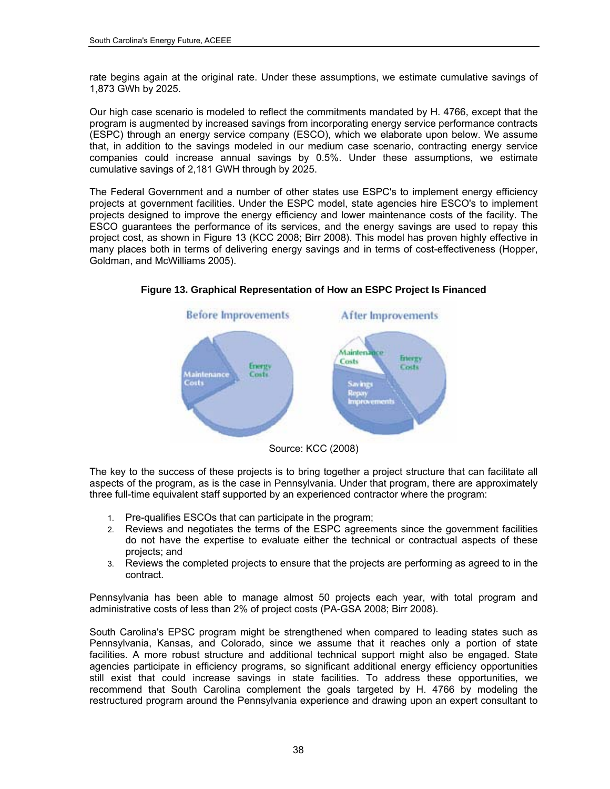rate begins again at the original rate. Under these assumptions, we estimate cumulative savings of 1,873 GWh by 2025.

Our high case scenario is modeled to reflect the commitments mandated by H. 4766, except that the program is augmented by increased savings from incorporating energy service performance contracts (ESPC) through an energy service company (ESCO), which we elaborate upon below. We assume that, in addition to the savings modeled in our medium case scenario, contracting energy service companies could increase annual savings by 0.5%. Under these assumptions, we estimate cumulative savings of 2,181 GWH through by 2025.

The Federal Government and a number of other states use ESPC's to implement energy efficiency projects at government facilities. Under the ESPC model, state agencies hire ESCO's to implement projects designed to improve the energy efficiency and lower maintenance costs of the facility. The ESCO guarantees the performance of its services, and the energy savings are used to repay this project cost, as shown in Figure 13 (KCC 2008; Birr 2008). This model has proven highly effective in many places both in terms of delivering energy savings and in terms of cost-effectiveness (Hopper, Goldman, and McWilliams 2005).



**Figure 13. Graphical Representation of How an ESPC Project Is Financed** 

The key to the success of these projects is to bring together a project structure that can facilitate all aspects of the program, as is the case in Pennsylvania. Under that program, there are approximately three full-time equivalent staff supported by an experienced contractor where the program:

- 1. Pre-qualifies ESCOs that can participate in the program;
- 2. Reviews and negotiates the terms of the ESPC agreements since the government facilities do not have the expertise to evaluate either the technical or contractual aspects of these projects; and
- 3. Reviews the completed projects to ensure that the projects are performing as agreed to in the contract.

Pennsylvania has been able to manage almost 50 projects each year, with total program and administrative costs of less than 2% of project costs (PA-GSA 2008; Birr 2008).

South Carolina's EPSC program might be strengthened when compared to leading states such as Pennsylvania, Kansas, and Colorado, since we assume that it reaches only a portion of state facilities. A more robust structure and additional technical support might also be engaged. State agencies participate in efficiency programs, so significant additional energy efficiency opportunities still exist that could increase savings in state facilities. To address these opportunities, we recommend that South Carolina complement the goals targeted by H. 4766 by modeling the restructured program around the Pennsylvania experience and drawing upon an expert consultant to

Source: KCC (2008)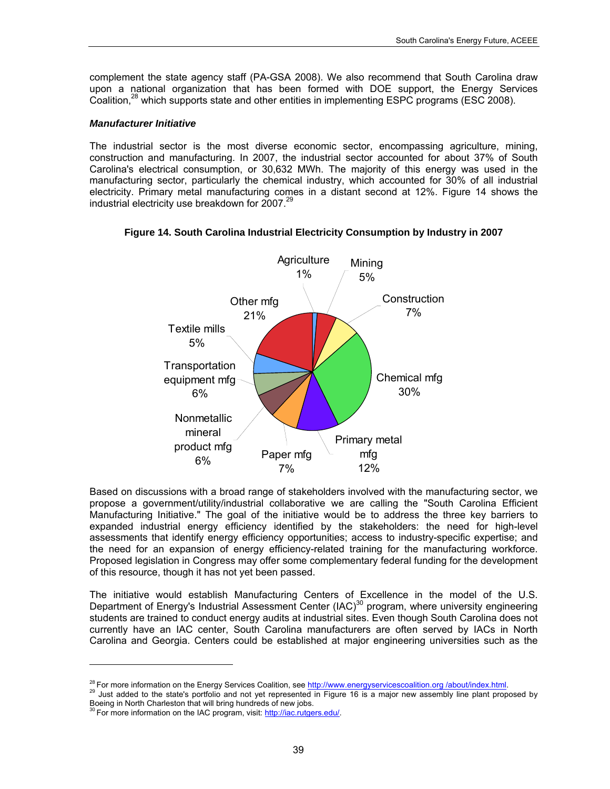complement the state agency staff (PA-GSA 2008). We also recommend that South Carolina draw upon a national organization that has been formed with DOE support, the Energy Services Coalition,<sup>28</sup> which supports state and other entities in implementing ESPC programs (ESC 2008).

#### *Manufacturer Initiative*

The industrial sector is the most diverse economic sector, encompassing agriculture, mining, construction and manufacturing. In 2007, the industrial sector accounted for about 37% of South Carolina's electrical consumption, or 30,632 MWh. The majority of this energy was used in the manufacturing sector, particularly the chemical industry, which accounted for 30% of all industrial electricity. Primary metal manufacturing comes in a distant second at 12%. Figure 14 shows the industrial electricity use breakdown for 2007.<sup>[29](#page-52-1)</sup>



**Figure 14. South Carolina Industrial Electricity Consumption by Industry in 2007** 

Based on discussions with a broad range of stakeholders involved with the manufacturing sector, we propose a government/utility/industrial collaborative we are calling the "South Carolina Efficient Manufacturing Initiative." The goal of the initiative would be to address the three key barriers to expanded industrial energy efficiency identified by the stakeholders: the need for high-level assessments that identify energy efficiency opportunities; access to industry-specific expertise; and the need for an expansion of energy efficiency-related training for the manufacturing workforce. Proposed legislation in Congress may offer some complementary federal funding for the development of this resource, though it has not yet been passed.

The initiative would establish Manufacturing Centers of Excellence in the model of the U.S. Department of Energy's Industrial Assessment Center (IAC)<sup>30</sup> program, where university engineering students are trained to conduct energy audits at industrial sites. Even though South Carolina does not currently have an IAC center, South Carolina manufacturers are often served by IACs in North Carolina and Georgia. Centers could be established at major engineering universities such as the

l

<span id="page-52-1"></span><span id="page-52-0"></span><sup>&</sup>lt;sup>28</sup> For more information on the Energy Services Coalition, see [http://www.energyservicescoalition.org /about/index.html](http://www.energyservicescoalition.org/about/index.html).<br><sup>29</sup> Just added to the state's portfolio and not yet represented in Figure 16 is a major new assembl Boeing in North Charleston that will bring hundreds of new jobs.<br><sup>30</sup> For more information on the IAC program, visit: <u>http://iac.rutgers.edu/</u>.

<span id="page-52-2"></span>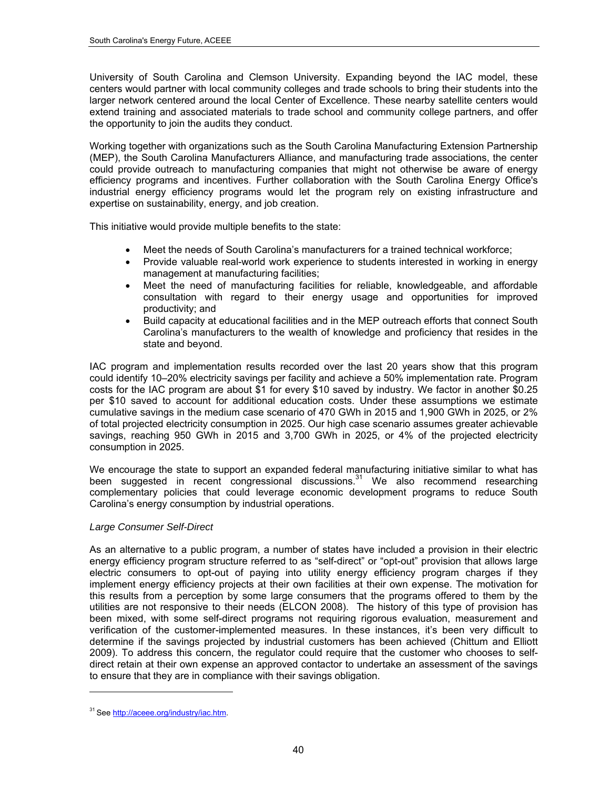University of South Carolina and Clemson University. Expanding beyond the IAC model, these centers would partner with local community colleges and trade schools to bring their students into the larger network centered around the local Center of Excellence. These nearby satellite centers would extend training and associated materials to trade school and community college partners, and offer the opportunity to join the audits they conduct.

Working together with organizations such as the South Carolina Manufacturing Extension Partnership (MEP), the South Carolina Manufacturers Alliance, and manufacturing trade associations, the center could provide outreach to manufacturing companies that might not otherwise be aware of energy efficiency programs and incentives. Further collaboration with the South Carolina Energy Office's industrial energy efficiency programs would let the program rely on existing infrastructure and expertise on sustainability, energy, and job creation.

This initiative would provide multiple benefits to the state:

- Meet the needs of South Carolina's manufacturers for a trained technical workforce;
- Provide valuable real-world work experience to students interested in working in energy management at manufacturing facilities;
- Meet the need of manufacturing facilities for reliable, knowledgeable, and affordable consultation with regard to their energy usage and opportunities for improved productivity; and
- Build capacity at educational facilities and in the MEP outreach efforts that connect South Carolina's manufacturers to the wealth of knowledge and proficiency that resides in the state and beyond.

IAC program and implementation results recorded over the last 20 years show that this program could identify 10–20% electricity savings per facility and achieve a 50% implementation rate. Program costs for the IAC program are about \$1 for every \$10 saved by industry. We factor in another \$0.25 per \$10 saved to account for additional education costs. Under these assumptions we estimate cumulative savings in the medium case scenario of 470 GWh in 2015 and 1,900 GWh in 2025, or 2% of total projected electricity consumption in 2025. Our high case scenario assumes greater achievable savings, reaching 950 GWh in 2015 and 3,700 GWh in 2025, or 4% of the projected electricity consumption in 2025.

We encourage the state to support an expanded federal manufacturing initiative similar to what has been suggested in recent congressional discussions. $31$  We also recommend researching complementary policies that could leverage economic development programs to reduce South Carolina's energy consumption by industrial operations.

## *Large Consumer Self-Direct*

As an alternative to a public program, a number of states have included a provision in their electric energy efficiency program structure referred to as "self-direct" or "opt-out" provision that allows large electric consumers to opt-out of paying into utility energy efficiency program charges if they implement energy efficiency projects at their own facilities at their own expense. The motivation for this results from a perception by some large consumers that the programs offered to them by the utilities are not responsive to their needs (ELCON 2008). The history of this type of provision has been mixed, with some self-direct programs not requiring rigorous evaluation, measurement and verification of the customer-implemented measures. In these instances, it's been very difficult to determine if the savings projected by industrial customers has been achieved (Chittum and Elliott 2009). To address this concern, the regulator could require that the customer who chooses to selfdirect retain at their own expense an approved contactor to undertake an assessment of the savings to ensure that they are in compliance with their savings obligation.

l

<span id="page-53-0"></span><sup>&</sup>lt;sup>31</sup> See<http://aceee.org/industry/iac.htm>.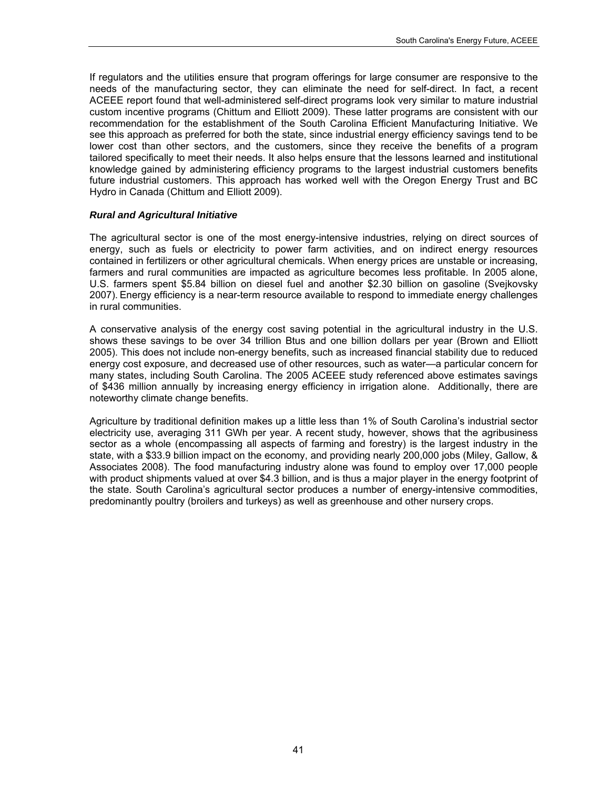If regulators and the utilities ensure that program offerings for large consumer are responsive to the needs of the manufacturing sector, they can eliminate the need for self-direct. In fact, a recent ACEEE report found that well-administered self-direct programs look very similar to mature industrial custom incentive programs (Chittum and Elliott 2009). These latter programs are consistent with our recommendation for the establishment of the South Carolina Efficient Manufacturing Initiative. We see this approach as preferred for both the state, since industrial energy efficiency savings tend to be lower cost than other sectors, and the customers, since they receive the benefits of a program tailored specifically to meet their needs. It also helps ensure that the lessons learned and institutional knowledge gained by administering efficiency programs to the largest industrial customers benefits future industrial customers. This approach has worked well with the Oregon Energy Trust and BC Hydro in Canada (Chittum and Elliott 2009).

#### *Rural and Agricultural Initiative*

The agricultural sector is one of the most energy-intensive industries, relying on direct sources of energy, such as fuels or electricity to power farm activities, and on indirect energy resources contained in fertilizers or other agricultural chemicals. When energy prices are unstable or increasing, farmers and rural communities are impacted as agriculture becomes less profitable. In 2005 alone, U.S. farmers spent \$5.84 billion on diesel fuel and another \$2.30 billion on gasoline (Svejkovsky 2007). Energy efficiency is a near-term resource available to respond to immediate energy challenges in rural communities.

A conservative analysis of the energy cost saving potential in the agricultural industry in the U.S. shows these savings to be over 34 trillion Btus and one billion dollars per year (Brown and Elliott 2005). This does not include non-energy benefits, such as increased financial stability due to reduced energy cost exposure, and decreased use of other resources, such as water—a particular concern for many states, including South Carolina. The 2005 ACEEE study referenced above estimates savings of \$436 million annually by increasing energy efficiency in irrigation alone. Additionally, there are noteworthy climate change benefits.

Agriculture by traditional definition makes up a little less than 1% of South Carolina's industrial sector electricity use, averaging 311 GWh per year. A recent study, however, shows that the agribusiness sector as a whole (encompassing all aspects of farming and forestry) is the largest industry in the state, with a \$33.9 billion impact on the economy, and providing nearly 200,000 jobs (Miley, Gallow, & Associates 2008). The food manufacturing industry alone was found to employ over 17,000 people with product shipments valued at over \$4.3 billion, and is thus a major player in the energy footprint of the state. South Carolina's agricultural sector produces a number of energy-intensive commodities, predominantly poultry (broilers and turkeys) as well as greenhouse and other nursery crops.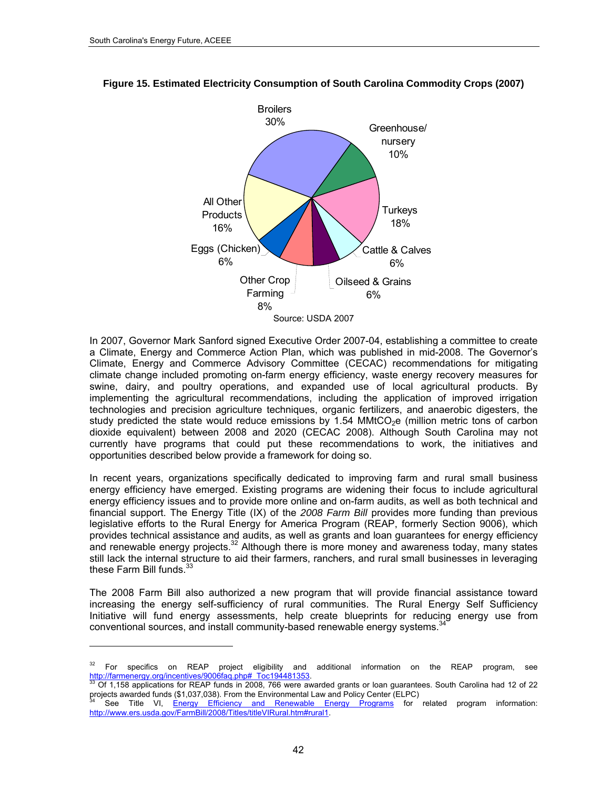-



#### **Figure 15. Estimated Electricity Consumption of South Carolina Commodity Crops (2007)**

In 2007, Governor Mark Sanford signed Executive Order 2007-04, establishing a committee to create a Climate, Energy and Commerce Action Plan, which was published in mid-2008. The Governor's Climate, Energy and Commerce Advisory Committee (CECAC) recommendations for mitigating climate change included promoting on-farm energy efficiency, waste energy recovery measures for swine, dairy, and poultry operations, and expanded use of local agricultural products. By implementing the agricultural recommendations, including the application of improved irrigation technologies and precision agriculture techniques, organic fertilizers, and anaerobic digesters, the study predicted the state would reduce emissions by 1.54 MMtCO<sub>2</sub>e (million metric tons of carbon dioxide equivalent) between 2008 and 2020 (CECAC 2008). Although South Carolina may not currently have programs that could put these recommendations to work, the initiatives and opportunities described below provide a framework for doing so.

In recent years, organizations specifically dedicated to improving farm and rural small business energy efficiency have emerged. Existing programs are widening their focus to include agricultural energy efficiency issues and to provide more online and on-farm audits, as well as both technical and financial support. The Energy Title (IX) of the *2008 Farm Bill* provides more funding than previous legislative efforts to the Rural [En](#page-55-0)ergy for America Program (REAP, formerly Section 9006), which provides technical assistance and audits, as well as grants and loan guarantees for energy efficiency and renewable energ[y](#page-55-1) projects.32 Although there is more money and awareness today, many states still lack the internal structure to aid their farmers, ranchers, and rural small businesses in leveraging these Farm Bill funds. $^{33}$ 

The 2008 Farm Bill also authorized a new program that will provide financial assistance toward increasing the energy self-sufficiency of rural communities. The Rural E[ner](#page-55-2)gy Self Sufficiency Initiative will fund energy assessments, help create blueprints for reducing energy use from conventional sources, and install community-based renewable energy systems.<sup>3</sup>

<span id="page-55-0"></span><sup>&</sup>lt;sup>32</sup> For specifics on REAP project eligibility and additional information on the REAP program, see<br>http://farmenergy.org/incentives/9006fag.php# Toc194481353.

<span id="page-55-1"></span> $\frac{33}{33}$  $\frac{33}{33}$  $\frac{33}{33}$  Of 1,158 applications for REAP funds in 2008, 766 were awarded grants or loan guarantees. South Carolina had 12 of 22 projects awarded funds (\$1,037,038). From the Environmental Law and Policy Center (ELPC)

<span id="page-55-2"></span>See Title VI, [Energy Efficiency and Renewable Energy Programs](http://www.ers.usda.gov/FarmBill/2008/Titles/titleVIRural.htm#rural1) for related program information: <http://www.ers.usda.gov/FarmBill/2008/Titles/titleVIRural.htm#rural1>.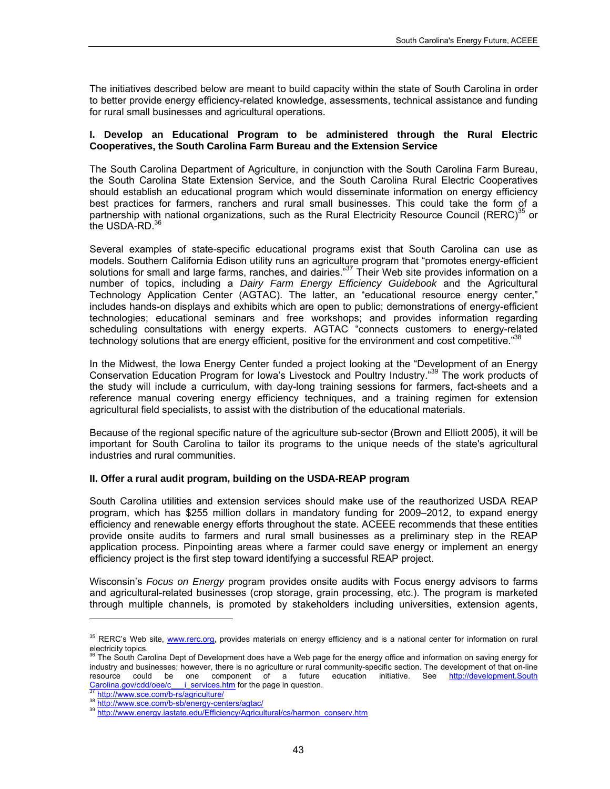The initiatives described below are meant to build capacity within the state of South Carolina in order to better provide energy efficiency-related knowledge, assessments, technical assistance and funding for rural small businesses and agricultural operations.

#### **I. Develop an Educational Program to be administered through the Rural Electric Cooperatives, the South Carolina Farm Bureau and the Extension Service**

The South Carolina Department of Agriculture, in conjunction with the South Carolina Farm Bureau, the South Carolina State Extension Service, and the South Carolina Rural Electric Cooperatives should establish an educational program which would disseminate information on energy efficiency best practices for farmers, ranchers and rural small businesses. This could take the form [of](#page-56-0) a partnership wi[th](#page-56-1) national organizations, such as the Rural Electricity Resource Council (RERC)<sup>35</sup> or the USDA-RD.<sup>36</sup>

Several examples of state-specific educational programs exist that South Carolina can use as models. Southern California Edison utility runs an agricult[ure](#page-56-2) program that "promotes energy-efficient solutions for small and large farms, ranches, and dairies."<sup>37</sup> Their Web site provides information on a number of topics, including a *Dairy Farm Energy Efficiency Guidebook* and the Agricultural Technology Application Center (AGTAC). The latter, an "educational resource energy center," includes hands-on displays and exhibits which are open to public; demonstrations of energy-efficient technologies; educational seminars and free workshops; and provides information regarding scheduling consultations with energy experts. AGTAC "connects customers to energy-r[elat](#page-56-3)ed technology solutions that are energy efficient, positive for the environment and cost competitive."<sup>38</sup>

In the Midwest, the Iowa Energy Center funded a project looking at the "De[ve](#page-56-4)lopment of an Energy Conservation Education Program for Iowa's Livestock and Poultry Industry."<sup>39</sup> The work products of the study will include a curriculum, with day-long training sessions for farmers, fact-sheets and a reference manual covering energy efficiency techniques, and a training regimen for extension agricultural field specialists, to assist with the distribution of the educational materials.

Because of the regional specific nature of the agriculture sub-sector (Brown and Elliott 2005), it will be important for South Carolina to tailor its programs to the unique needs of the state's agricultural industries and rural communities.

## **II. Offer a rural audit program, building on the USDA-REAP program**

South Carolina utilities and extension services should make use of the reauthorized USDA REAP program, which has \$255 million dollars in mandatory funding for 2009–2012, to expand energy efficiency and renewable energy efforts throughout the state. ACEEE recommends that these entities provide onsite audits to farmers and rural small businesses as a preliminary step in the REAP application process. Pinpointing areas where a farmer could save energy or implement an energy efficiency project is the first step toward identifying a successful REAP project.

Wisconsin's *Focus on Energy* program provides onsite audits with Focus energy advisors to farms and agricultural-related businesses (crop storage, grain processing, etc.). The program is marketed through multiple channels, is promoted by stakeholders including universities, extension agents,

l

<span id="page-56-0"></span><sup>&</sup>lt;sup>35</sup> RERC's Web site, **[www.rerc.org](http://www.rerc.org/)**, provides materials on energy efficiency and is a national center for information on rural electricity topics.

<span id="page-56-1"></span>The South Carolina Dept of Development does have a Web page for the energy office and information on saving energy for industry and businesses; however, there is no agriculture or rural community-specific section. The development of that on-line resource could be one component of a future education initiative. See [http://development.South](http://development.ohio.gov/cdd/oee/c___i_services.htm) Carolina.gov/cdd/oee/c is ervices.htm for the page in question.

<span id="page-56-4"></span><span id="page-56-3"></span>

<span id="page-56-2"></span>[<sup>37</sup>](http://development.ohio.gov/cdd/oee/c___i_services.htm)<br>38 <http://www.sce.com/b-sb/energy-centers/agtac/><br>39 [http://www.energy.iastate.edu/Efficiency/Agricultural/cs/harmon\\_conserv.htm](http://www.energy.iastate.edu/Efficiency/Agricultural/cs/harmon_conserv.htm)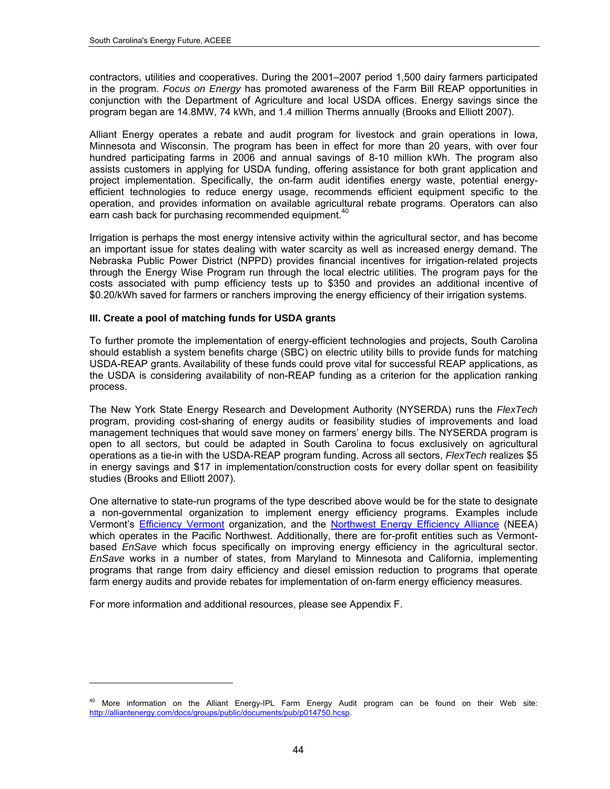contractors, utilities and cooperatives. During the 2001–2007 period 1,500 dairy farmers participated in the program. *Focus on Energy* has promoted awareness of the Farm Bill REAP opportunities in conjunction with the Department of Agriculture and local USDA offices. Energy savings since the program began are 14.8MW, 74 kWh, and 1.4 million Therms annually (Brooks and Elliott 2007).

Alliant Energy operates a rebate and audit program for livestock and grain operations in Iowa, Minnesota and Wisconsin. The program has been in effect for more than 20 years, with over four hundred participating farms in 2006 and annual savings of 8-10 million kWh. The program also assists customers in applying for USDA funding, offering assistance for both grant application and project implementation. Specifically, the on-farm audit identifies energy waste, potential energyefficient technologies to reduce energy usage, recommends efficient equipment specific to the operation, and provides information on available agric[ultu](#page-57-0)ral rebate programs. Operators can also earn cash back for purchasing recommended equipment.<sup>40</sup>

Irrigation is perhaps the most energy intensive activity within the agricultural sector, and has become an important issue for states dealing with water scarcity as well as increased energy demand. The Nebraska Public Power District (NPPD) provides financial incentives for irrigation-related projects through the Energy Wise Program run through the local electric utilities. The program pays for the costs associated with pump efficiency tests up to \$350 and provides an additional incentive of \$0.20/kWh saved for farmers or ranchers improving the energy efficiency of their irrigation systems.

#### **III. Create a pool of matching funds for USDA grants**

To further promote the implementation of energy-efficient technologies and projects, South Carolina should establish a system benefits charge (SBC) on electric utility bills to provide funds for matching USDA-REAP grants. Availability of these funds could prove vital for successful REAP applications, as the USDA is considering availability of non-REAP funding as a criterion for the application ranking process.

The New York State Energy Research and Development Authority (NYSERDA) runs the *FlexTech* program, providing cost-sharing of energy audits or feasibility studies of improvements and load management techniques that would save money on farmers' energy bills. The NYSERDA program is open to all sectors, but could be adapted in South Carolina to focus exclusively on agricultural operations as a tie-in with the USDA-REAP program funding. Across all sectors, *FlexTech* realizes \$5 in energy savings and \$17 in implementation/construction costs for every dollar spent on feasibility studies (Brooks and Elliott 2007).

One alternative to state-run programs of the type described above would be for the state to designate a non-gov[ernmental organiza](http://www.efficiencyvermont.com/pages/Common/AboutUs/)tion to implement en[ergy efficiency programs. Examples](http://www.nwalliance.org/aboutus/index.aspx) include Vermont's **Efficiency Vermont organization**, and the **Northwest Energy Efficiency Alliance** (NEEA) which operates in the Pacific Northwest. Additionally, there are for-profit entities such as Vermontbased *EnSave* which focus specifically on improving energy efficiency in the agricultural sector. *EnSave* works in a number of states, from Maryland to Minnesota and California, implementing programs that range from dairy efficiency and diesel emission reduction to programs that operate farm energy audits and provide rebates for implementation of on-farm energy efficiency measures.

For more information and additional resources, please see Appendix F.

-

<span id="page-57-0"></span><sup>&</sup>lt;sup>40</sup> More information on the Alliant Energy-IPL Farm Energy Audit program can be found on their Web site: <http://alliantenergy.com/docs/groups/public/documents/pub/p014750.hcsp>.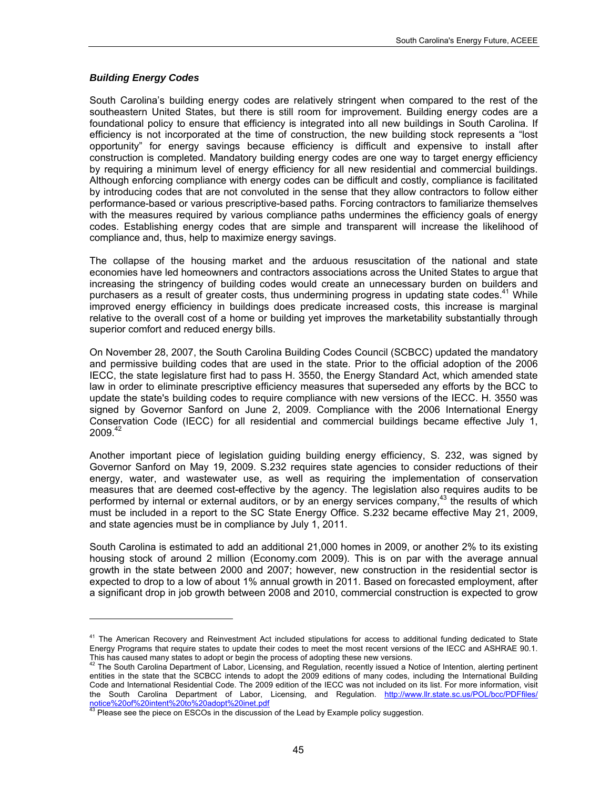### *Building Energy Codes*

l

South Carolina's building energy codes are relatively stringent when compared to the rest of the southeastern United States, but there is still room for improvement. Building energy codes are a foundational policy to ensure that efficiency is integrated into all new buildings in South Carolina. If efficiency is not incorporated at the time of construction, the new building stock represents a "lost opportunity" for energy savings because efficiency is difficult and expensive to install after construction is completed. Mandatory building energy codes are one way to target energy efficiency by requiring a minimum level of energy efficiency for all new residential and commercial buildings. Although enforcing compliance with energy codes can be difficult and costly, compliance is facilitated by introducing codes that are not convoluted in the sense that they allow contractors to follow either performance-based or various prescriptive-based paths. Forcing contractors to familiarize themselves with the measures required by various compliance paths undermines the efficiency goals of energy codes. Establishing energy codes that are simple and transparent will increase the likelihood of compliance and, thus, help to maximize energy savings.

The collapse of the housing market and the arduous resuscitation of the national and state economies have led homeowners and contractors associations across the United States to argue that increasing the stringency of building codes would create an unnecessary burden on builders and purchasers as a result of greater costs, thus undermining progress in updating state codes.<sup>41</sup> While improved energy efficiency in buildings does predicate increased costs, this increase is marginal relative to the overall cost of a home or building yet improves the marketability substantially through superior comfort and reduced energy bills.

On November 28, 2007, the South Carolina Building Codes Council (SCBCC) updated the mandatory and permissive building codes that are used in the state. Prior to the official adoption of the 2006 IECC, the state legislature first had to pass H. 3550, the Energy Standard Act, which amended state law in order to eliminate prescriptive efficiency measures that superseded any efforts by the BCC to update the state's building codes to require compliance with new versions of the IECC. H. 3550 was signed by Governor Sanford on June 2, 2009. Compliance with the 2006 International Energy Conservation Code (IECC) for all residential and commercial buildings became effective July 1, 2009.[42](#page-58-1)

Another important piece of legislation guiding building energy efficiency, S. 232, was signed by Governor Sanford on May 19, 2009. S.232 requires state agencies to consider reductions of their energy, water, and wastewater use, as well as requiring the implementation of conservation measures that are deemed cost-effective by the agency. The legislation also requires audits to be performed by internal or external auditors, or by an energy services company,<sup>[43](#page-58-2)</sup> the results of which must be included in a report to the SC State Energy Office. S.232 became effective May 21, 2009, and state agencies must be in compliance by July 1, 2011.

South Carolina is estimated to add an additional 21,000 homes in 2009, or another 2% to its existing housing stock of around 2 million (Economy.com 2009). This is on par with the average annual growth in the state between 2000 and 2007; however, new construction in the residential sector is expected to drop to a low of about 1% annual growth in 2011. Based on forecasted employment, after a significant drop in job growth between 2008 and 2010, commercial construction is expected to grow

<span id="page-58-0"></span><sup>&</sup>lt;sup>41</sup> The American Recovery and Reinvestment Act included stipulations for access to additional funding dedicated to State Energy Programs that require states to update their codes to meet the most recent versions of the IECC and ASHRAE 90.1.<br>This has caused many states to adopt or begin the process of adopting these new versions.

<span id="page-58-1"></span><sup>&</sup>lt;sup>42</sup> The South Carolina Department of Labor, Licensing, and Regulation, recently issued a Notice of Intention, alerting pertinent entities in the state that the SCBCC intends to adopt the 2009 editions of many codes, including the International Building Code and International Residential Code. The 2009 edition of the IECC was not included on its list. For more information, visit the South Carolina Department of Labor, Licensing, and Regulation. [http://www.llr.state.sc.us/POL/bcc/PDFfiles/](http://www.llr.state.sc.us/POL/bcc/PDFfiles/%20notice%20of%20intent%20to%20adopt%20inet.pdf)  <u>[notice%20of%20intent%20to%20adopt%20inet.pdf](http://www.llr.state.sc.us/POL/bcc/PDFfiles/%20notice%20of%20intent%20to%20adopt%20inet.pdf)</u><br><sup>43</sup> Please see the piece on ESCOs in the discussion of the Lead by Example policy suggestion.

<span id="page-58-2"></span>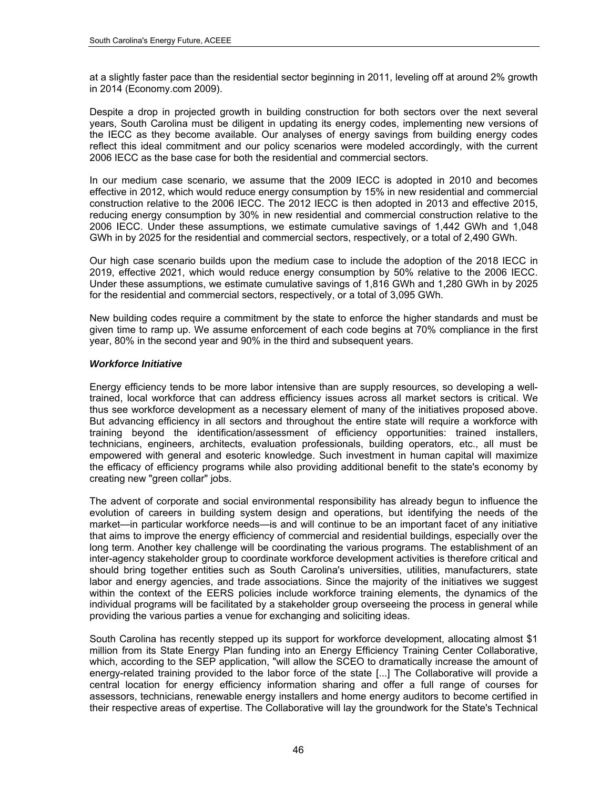at a slightly faster pace than the residential sector beginning in 2011, leveling off at around 2% growth in 2014 (Economy.com 2009).

Despite a drop in projected growth in building construction for both sectors over the next several years, South Carolina must be diligent in updating its energy codes, implementing new versions of the IECC as they become available. Our analyses of energy savings from building energy codes reflect this ideal commitment and our policy scenarios were modeled accordingly, with the current 2006 IECC as the base case for both the residential and commercial sectors.

In our medium case scenario, we assume that the 2009 IECC is adopted in 2010 and becomes effective in 2012, which would reduce energy consumption by 15% in new residential and commercial construction relative to the 2006 IECC. The 2012 IECC is then adopted in 2013 and effective 2015, reducing energy consumption by 30% in new residential and commercial construction relative to the 2006 IECC. Under these assumptions, we estimate cumulative savings of 1,442 GWh and 1,048 GWh in by 2025 for the residential and commercial sectors, respectively, or a total of 2,490 GWh.

Our high case scenario builds upon the medium case to include the adoption of the 2018 IECC in 2019, effective 2021, which would reduce energy consumption by 50% relative to the 2006 IECC. Under these assumptions, we estimate cumulative savings of 1,816 GWh and 1,280 GWh in by 2025 for the residential and commercial sectors, respectively, or a total of 3,095 GWh.

New building codes require a commitment by the state to enforce the higher standards and must be given time to ramp up. We assume enforcement of each code begins at 70% compliance in the first year, 80% in the second year and 90% in the third and subsequent years.

#### *Workforce Initiative*

Energy efficiency tends to be more labor intensive than are supply resources, so developing a welltrained, local workforce that can address efficiency issues across all market sectors is critical. We thus see workforce development as a necessary element of many of the initiatives proposed above. But advancing efficiency in all sectors and throughout the entire state will require a workforce with training beyond the identification/assessment of efficiency opportunities: trained installers, technicians, engineers, architects, evaluation professionals, building operators, etc., all must be empowered with general and esoteric knowledge. Such investment in human capital will maximize the efficacy of efficiency programs while also providing additional benefit to the state's economy by creating new "green collar" jobs.

The advent of corporate and social environmental responsibility has already begun to influence the evolution of careers in building system design and operations, but identifying the needs of the market—in particular workforce needs—is and will continue to be an important facet of any initiative that aims to improve the energy efficiency of commercial and residential buildings, especially over the long term. Another key challenge will be coordinating the various programs. The establishment of an inter-agency stakeholder group to coordinate workforce development activities is therefore critical and should bring together entities such as South Carolina's universities, utilities, manufacturers, state labor and energy agencies, and trade associations. Since the majority of the initiatives we suggest within the context of the EERS policies include workforce training elements, the dynamics of the individual programs will be facilitated by a stakeholder group overseeing the process in general while providing the various parties a venue for exchanging and soliciting ideas.

South Carolina has recently stepped up its support for workforce development, allocating almost \$1 million from its State Energy Plan funding into an Energy Efficiency Training Center Collaborative, which, according to the SEP application, "will allow the SCEO to dramatically increase the amount of energy-related training provided to the labor force of the state [...] The Collaborative will provide a central location for energy efficiency information sharing and offer a full range of courses for assessors, technicians, renewable energy installers and home energy auditors to become certified in their respective areas of expertise. The Collaborative will lay the groundwork for the State's Technical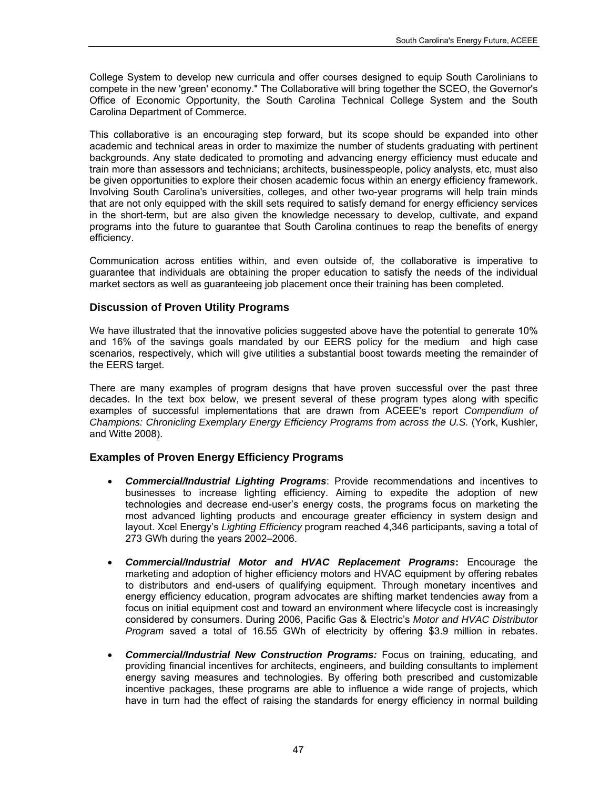College System to develop new curricula and offer courses designed to equip South Carolinians to compete in the new 'green' economy." The Collaborative will bring together the SCEO, the Governor's Office of Economic Opportunity, the South Carolina Technical College System and the South Carolina Department of Commerce.

This collaborative is an encouraging step forward, but its scope should be expanded into other academic and technical areas in order to maximize the number of students graduating with pertinent backgrounds. Any state dedicated to promoting and advancing energy efficiency must educate and train more than assessors and technicians; architects, businesspeople, policy analysts, etc, must also be given opportunities to explore their chosen academic focus within an energy efficiency framework. Involving South Carolina's universities, colleges, and other two-year programs will help train minds that are not only equipped with the skill sets required to satisfy demand for energy efficiency services in the short-term, but are also given the knowledge necessary to develop, cultivate, and expand programs into the future to guarantee that South Carolina continues to reap the benefits of energy efficiency.

Communication across entities within, and even outside of, the collaborative is imperative to guarantee that individuals are obtaining the proper education to satisfy the needs of the individual market sectors as well as guaranteeing job placement once their training has been completed.

## **Discussion of Proven Utility Programs**

We have illustrated that the innovative policies suggested above have the potential to generate 10% and 16% of the savings goals mandated by our EERS policy for the medium and high case scenarios, respectively, which will give utilities a substantial boost towards meeting the remainder of the EERS target.

There are many examples of program designs that have proven successful over the past three decades. In the text box below, we present several of these program types along with specific examples of successful implementations that are drawn from ACEEE's report *Compendium of Champions: Chronicling Exemplary Energy Efficiency Programs from across the U.S.* (York, Kushler, and Witte 2008).

## **Examples of Proven Energy Efficiency Programs**

- *Commercial/Industrial Lighting Programs*: Provide recommendations and incentives to businesses to increase lighting efficiency. Aiming to expedite the adoption of new technologies and decrease end-user's energy costs, the programs focus on marketing the most advanced lighting products and encourage greater efficiency in system design and layout. Xcel Energy's *Lighting Efficiency* program reached 4,346 participants, saving a total of 273 GWh during the years 2002–2006.
- *Commercial/Industrial Motor and HVAC Replacement Programs***:** Encourage the marketing and adoption of higher efficiency motors and HVAC equipment by offering rebates to distributors and end-users of qualifying equipment. Through monetary incentives and energy efficiency education, program advocates are shifting market tendencies away from a focus on initial equipment cost and toward an environment where lifecycle cost is increasingly considered by consumers. During 2006, Pacific Gas & Electric's *Motor and HVAC Distributor Program* saved a total of 16.55 GWh of electricity by offering \$3.9 million in rebates.
- *Commercial/Industrial New Construction Programs:* Focus on training, educating, and providing financial incentives for architects, engineers, and building consultants to implement energy saving measures and technologies. By offering both prescribed and customizable incentive packages, these programs are able to influence a wide range of projects, which have in turn had the effect of raising the standards for energy efficiency in normal building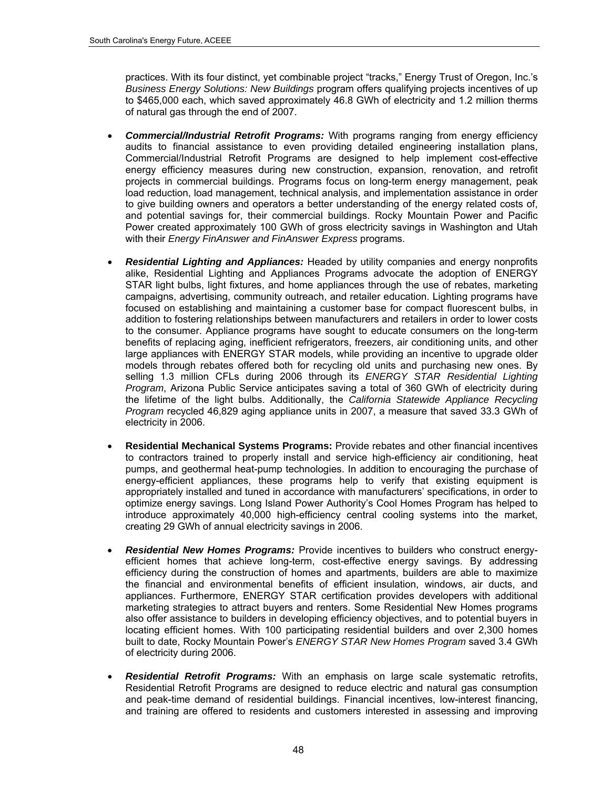practices. With its four distinct, yet combinable project "tracks," Energy Trust of Oregon, Inc.'s *Business Energy Solutions: New Buildings* program offers qualifying projects incentives of up to \$465,000 each, which saved approximately 46.8 GWh of electricity and 1.2 million therms of natural gas through the end of 2007.

- *Commercial/Industrial Retrofit Programs:* With programs ranging from energy efficiency audits to financial assistance to even providing detailed engineering installation plans, Commercial/Industrial Retrofit Programs are designed to help implement cost-effective energy efficiency measures during new construction, expansion, renovation, and retrofit projects in commercial buildings. Programs focus on long-term energy management, peak load reduction, load management, technical analysis, and implementation assistance in order to give building owners and operators a better understanding of the energy related costs of, and potential savings for, their commercial buildings. Rocky Mountain Power and Pacific Power created approximately 100 GWh of gross electricity savings in Washington and Utah with their *Energy FinAnswer and FinAnswer Express* programs.
- *Residential Lighting and Appliances:* Headed by utility companies and energy nonprofits alike, Residential Lighting and Appliances Programs advocate the adoption of ENERGY STAR light bulbs, light fixtures, and home appliances through the use of rebates, marketing campaigns, advertising, community outreach, and retailer education. Lighting programs have focused on establishing and maintaining a customer base for compact fluorescent bulbs, in addition to fostering relationships between manufacturers and retailers in order to lower costs to the consumer. Appliance programs have sought to educate consumers on the long-term benefits of replacing aging, inefficient refrigerators, freezers, air conditioning units, and other large appliances with ENERGY STAR models, while providing an incentive to upgrade older models through rebates offered both for recycling old units and purchasing new ones. By selling 1.3 million CFLs during 2006 through its *ENERGY STAR Residential Lighting Program*, Arizona Public Service anticipates saving a total of 360 GWh of electricity during the lifetime of the light bulbs. Additionally, the *California Statewide Appliance Recycling Program* recycled 46,829 aging appliance units in 2007, a measure that saved 33.3 GWh of electricity in 2006.
- **Residential Mechanical Systems Programs:** Provide rebates and other financial incentives to contractors trained to properly install and service high-efficiency air conditioning, heat pumps, and geothermal heat-pump technologies. In addition to encouraging the purchase of energy-efficient appliances, these programs help to verify that existing equipment is appropriately installed and tuned in accordance with manufacturers' specifications, in order to optimize energy savings. Long Island Power Authority's Cool Homes Program has helped to introduce approximately 40,000 high-efficiency central cooling systems into the market, creating 29 GWh of annual electricity savings in 2006.
- *Residential New Homes Programs:* Provide incentives to builders who construct energyefficient homes that achieve long-term, cost-effective energy savings. By addressing efficiency during the construction of homes and apartments, builders are able to maximize the financial and environmental benefits of efficient insulation, windows, air ducts, and appliances. Furthermore, ENERGY STAR certification provides developers with additional marketing strategies to attract buyers and renters. Some Residential New Homes programs also offer assistance to builders in developing efficiency objectives, and to potential buyers in locating efficient homes. With 100 participating residential builders and over 2,300 homes built to date, Rocky Mountain Power's *ENERGY STAR New Homes Program* saved 3.4 GWh of electricity during 2006.
- *Residential Retrofit Programs:* With an emphasis on large scale systematic retrofits, Residential Retrofit Programs are designed to reduce electric and natural gas consumption and peak-time demand of residential buildings. Financial incentives, low-interest financing, and training are offered to residents and customers interested in assessing and improving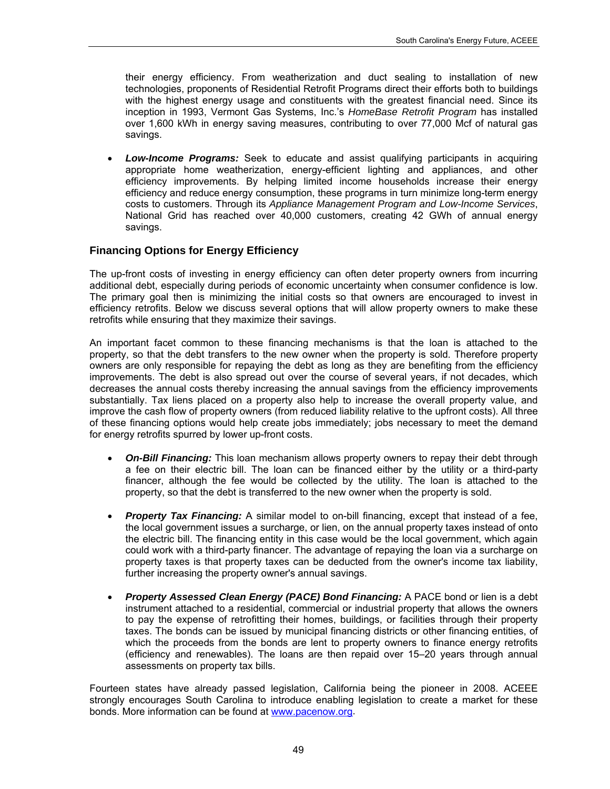their energy efficiency. From weatherization and duct sealing to installation of new technologies, proponents of Residential Retrofit Programs direct their efforts both to buildings with the highest energy usage and constituents with the greatest financial need. Since its inception in 1993, Vermont Gas Systems, Inc.'s *HomeBase Retrofit Program* has installed over 1,600 kWh in energy saving measures, contributing to over 77,000 Mcf of natural gas savings.

 *Low-Income Programs:* Seek to educate and assist qualifying participants in acquiring appropriate home weatherization, energy-efficient lighting and appliances, and other efficiency improvements. By helping limited income households increase their energy efficiency and reduce energy consumption, these programs in turn minimize long-term energy costs to customers. Through its *Appliance Management Program and Low-Income Services*, National Grid has reached over 40,000 customers, creating 42 GWh of annual energy savings.

## **Financing Options for Energy Efficiency**

The up-front costs of investing in energy efficiency can often deter property owners from incurring additional debt, especially during periods of economic uncertainty when consumer confidence is low. The primary goal then is minimizing the initial costs so that owners are encouraged to invest in efficiency retrofits. Below we discuss several options that will allow property owners to make these retrofits while ensuring that they maximize their savings.

An important facet common to these financing mechanisms is that the loan is attached to the property, so that the debt transfers to the new owner when the property is sold. Therefore property owners are only responsible for repaying the debt as long as they are benefiting from the efficiency improvements. The debt is also spread out over the course of several years, if not decades, which decreases the annual costs thereby increasing the annual savings from the efficiency improvements substantially. Tax liens placed on a property also help to increase the overall property value, and improve the cash flow of property owners (from reduced liability relative to the upfront costs). All three of these financing options would help create jobs immediately; jobs necessary to meet the demand for energy retrofits spurred by lower up-front costs.

- *On-Bill Financing:* This loan mechanism allows property owners to repay their debt through a fee on their electric bill. The loan can be financed either by the utility or a third-party financer, although the fee would be collected by the utility. The loan is attached to the property, so that the debt is transferred to the new owner when the property is sold.
- **Property Tax Financing:** A similar model to on-bill financing, except that instead of a fee, the local government issues a surcharge, or lien, on the annual property taxes instead of onto the electric bill. The financing entity in this case would be the local government, which again could work with a third-party financer. The advantage of repaying the loan via a surcharge on property taxes is that property taxes can be deducted from the owner's income tax liability, further increasing the property owner's annual savings.
- *Property Assessed Clean Energy (PACE) Bond Financing:* A PACE bond or lien is a debt instrument attached to a residential, commercial or industrial property that allows the owners to pay the expense of retrofitting their homes, buildings, or facilities through their property taxes. The bonds can be issued by municipal financing districts or other financing entities, of which the proceeds from the bonds are lent to property owners to finance energy retrofits (efficiency and renewables). The loans are then repaid over 15–20 years through annual assessments on property tax bills.

Fourteen states have already passed legislation, California being the pioneer in 2008. ACEEE strongly encourages South Carolina to introduce enabling legislation to create a market for these bonds. More information can be found at [www.pacenow.org](http://www.pacenow.org/).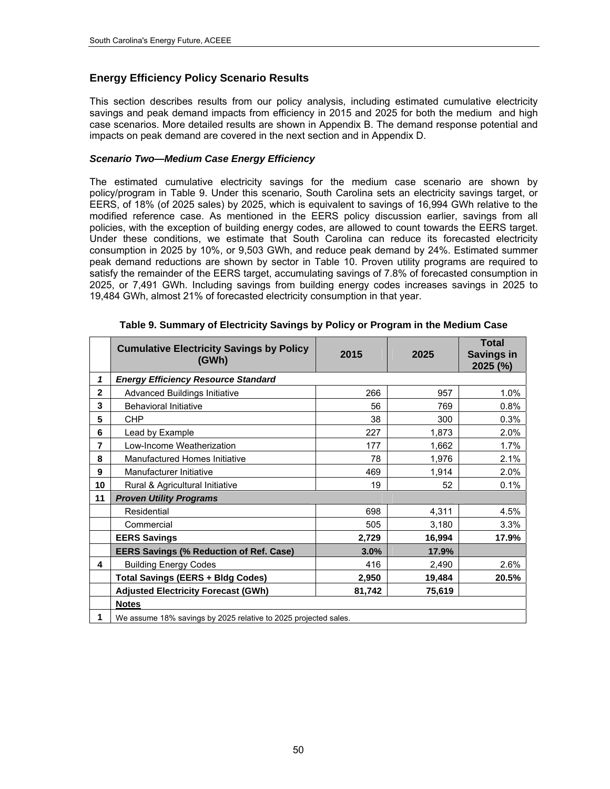## **Energy Efficiency Policy Scenario Results**

This section describes results from our policy analysis, including estimated cumulative electricity savings and peak demand impacts from efficiency in 2015 and 2025 for both the medium and high case scenarios. More detailed results are shown in Appendix B. The demand response potential and impacts on peak demand are covered in the next section and in Appendix D.

#### *Scenario Two—Medium Case Energy Efficiency*

The estimated cumulative electricity savings for the medium case scenario are shown by policy/program in Table 9. Under this scenario, South Carolina sets an electricity savings target, or EERS, of 18% (of 2025 sales) by 2025, which is equivalent to savings of 16,994 GWh relative to the modified reference case. As mentioned in the EERS policy discussion earlier, savings from all policies, with the exception of building energy codes, are allowed to count towards the EERS target. Under these conditions, we estimate that South Carolina can reduce its forecasted electricity consumption in 2025 by 10%, or 9,503 GWh, and reduce peak demand by 24%. Estimated summer peak demand reductions are shown by sector in Table 10. Proven utility programs are required to satisfy the remainder of the EERS target, accumulating savings of 7.8% of forecasted consumption in 2025, or 7,491 GWh. Including savings from building energy codes increases savings in 2025 to 19,484 GWh, almost 21% of forecasted electricity consumption in that year.

|                | <b>Cumulative Electricity Savings by Policy</b><br>(GWh)        | 2015   | 2025   | <b>Total</b><br><b>Savings in</b><br>2025 (%) |  |
|----------------|-----------------------------------------------------------------|--------|--------|-----------------------------------------------|--|
| 1              | <b>Energy Efficiency Resource Standard</b>                      |        |        |                                               |  |
| $\overline{2}$ | <b>Advanced Buildings Initiative</b>                            | 266    | 957    | 1.0%                                          |  |
| 3              | <b>Behavioral Initiative</b>                                    | 56     | 769    | 0.8%                                          |  |
| 5              | <b>CHP</b>                                                      | 38     | 300    | 0.3%                                          |  |
| 6              | Lead by Example                                                 | 227    | 1,873  | 2.0%                                          |  |
| $\overline{7}$ | Low-Income Weatherization                                       | 177    | 1,662  | $1.7\%$                                       |  |
| 8              | Manufactured Homes Initiative                                   | 78     | 1,976  | 2.1%                                          |  |
| 9              | Manufacturer Initiative                                         | 469    | 1,914  | $2.0\%$                                       |  |
| 10             | Rural & Agricultural Initiative                                 | 19     | 52     | 0.1%                                          |  |
| 11             | <b>Proven Utility Programs</b>                                  |        |        |                                               |  |
|                | Residential                                                     | 698    | 4,311  | 4.5%                                          |  |
|                | Commercial                                                      | 505    | 3,180  | 3.3%                                          |  |
|                | <b>EERS Savings</b>                                             | 2,729  | 16,994 | 17.9%                                         |  |
|                | <b>EERS Savings (% Reduction of Ref. Case)</b>                  | 3.0%   | 17.9%  |                                               |  |
| 4              | <b>Building Energy Codes</b>                                    | 416    | 2,490  | 2.6%                                          |  |
|                | <b>Total Savings (EERS + Bldg Codes)</b>                        | 2,950  | 19,484 | 20.5%                                         |  |
|                | <b>Adjusted Electricity Forecast (GWh)</b>                      | 81,742 | 75,619 |                                               |  |
|                | <b>Notes</b>                                                    |        |        |                                               |  |
| 1              | We assume 18% savings by 2025 relative to 2025 projected sales. |        |        |                                               |  |

#### **Table 9. Summary of Electricity Savings by Policy or Program in the Medium Case**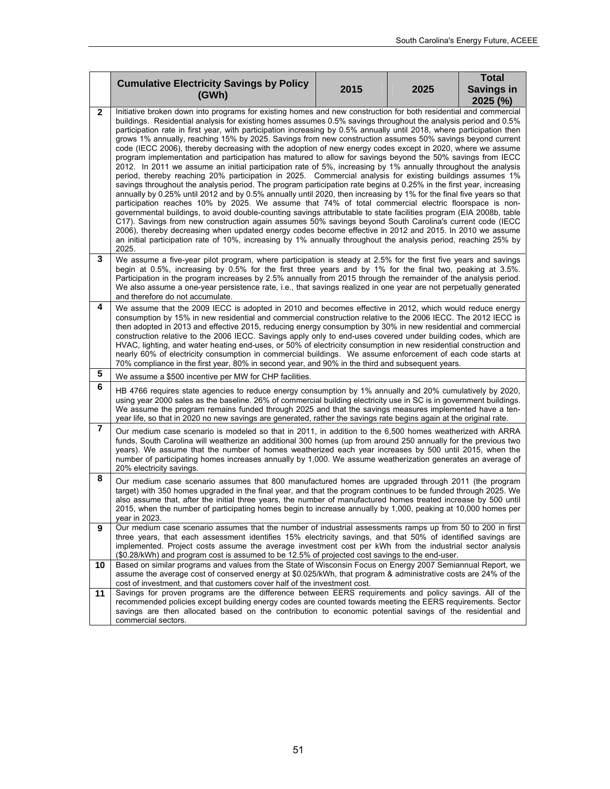|              | <b>Cumulative Electricity Savings by Policy</b>                                                                                                                                                                                                                                                                                                                                                                                                                                                                                                                                                                                                                                                                                                                                                                                                                                                                                                                                                                                                                                                                                                                                                                                                                                                                                                                                                                                                                                                                                                                                                                                                                                                                                                                 |      |      | <b>Total</b>                    |  |
|--------------|-----------------------------------------------------------------------------------------------------------------------------------------------------------------------------------------------------------------------------------------------------------------------------------------------------------------------------------------------------------------------------------------------------------------------------------------------------------------------------------------------------------------------------------------------------------------------------------------------------------------------------------------------------------------------------------------------------------------------------------------------------------------------------------------------------------------------------------------------------------------------------------------------------------------------------------------------------------------------------------------------------------------------------------------------------------------------------------------------------------------------------------------------------------------------------------------------------------------------------------------------------------------------------------------------------------------------------------------------------------------------------------------------------------------------------------------------------------------------------------------------------------------------------------------------------------------------------------------------------------------------------------------------------------------------------------------------------------------------------------------------------------------|------|------|---------------------------------|--|
|              | (GWh)                                                                                                                                                                                                                                                                                                                                                                                                                                                                                                                                                                                                                                                                                                                                                                                                                                                                                                                                                                                                                                                                                                                                                                                                                                                                                                                                                                                                                                                                                                                                                                                                                                                                                                                                                           | 2015 | 2025 | <b>Savings in</b><br>$2025$ (%) |  |
| $\mathbf{2}$ | Initiative broken down into programs for existing homes and new construction for both residential and commercial<br>buildings. Residential analysis for existing homes assumes 0.5% savings throughout the analysis period and 0.5%<br>participation rate in first year, with participation increasing by 0.5% annually until 2018, where participation then<br>grows 1% annually, reaching 15% by 2025. Savings from new construction assumes 50% savings beyond current<br>code (IECC 2006), thereby decreasing with the adoption of new energy codes except in 2020, where we assume<br>program implementation and participation has matured to allow for savings beyond the 50% savings from IECC<br>2012. In 2011 we assume an initial participation rate of 5%, increasing by 1% annually throughout the analysis<br>period, thereby reaching 20% participation in 2025. Commercial analysis for existing buildings assumes 1%<br>savings throughout the analysis period. The program participation rate begins at 0.25% in the first year, increasing<br>annually by 0.25% until 2012 and by 0.5% annually until 2020, then increasing by 1% for the final five years so that<br>participation reaches 10% by 2025. We assume that 74% of total commercial electric floorspace is non-<br>governmental buildings, to avoid double-counting savings attributable to state facilities program (EIA 2008b, table<br>C17). Savings from new construction again assumes 50% savings beyond South Carolina's current code (IECC<br>2006), thereby decreasing when updated energy codes become effective in 2012 and 2015. In 2010 we assume<br>an initial participation rate of 10%, increasing by 1% annually throughout the analysis period, reaching 25% by |      |      |                                 |  |
| 3            | 2025.<br>We assume a five-year pilot program, where participation is steady at 2.5% for the first five years and savings<br>begin at 0.5%, increasing by 0.5% for the first three years and by 1% for the final two, peaking at 3.5%.<br>Participation in the program increases by 2.5% annually from 2015 through the remainder of the analysis period.<br>We also assume a one-year persistence rate, i.e., that savings realized in one year are not perpetually generated<br>and therefore do not accumulate.                                                                                                                                                                                                                                                                                                                                                                                                                                                                                                                                                                                                                                                                                                                                                                                                                                                                                                                                                                                                                                                                                                                                                                                                                                               |      |      |                                 |  |
| 4            | We assume that the 2009 IECC is adopted in 2010 and becomes effective in 2012, which would reduce energy<br>consumption by 15% in new residential and commercial construction relative to the 2006 IECC. The 2012 IECC is<br>then adopted in 2013 and effective 2015, reducing energy consumption by 30% in new residential and commercial<br>construction relative to the 2006 IECC. Savings apply only to end-uses covered under building codes, which are<br>HVAC, lighting, and water heating end-uses, or 50% of electricity consumption in new residential construction and<br>nearly 60% of electricity consumption in commercial buildings. We assume enforcement of each code starts at<br>70% compliance in the first year, 80% in second year, and 90% in the third and subsequent years.                                                                                                                                                                                                                                                                                                                                                                                                                                                                                                                                                                                                                                                                                                                                                                                                                                                                                                                                                            |      |      |                                 |  |
| 5            | We assume a \$500 incentive per MW for CHP facilities.                                                                                                                                                                                                                                                                                                                                                                                                                                                                                                                                                                                                                                                                                                                                                                                                                                                                                                                                                                                                                                                                                                                                                                                                                                                                                                                                                                                                                                                                                                                                                                                                                                                                                                          |      |      |                                 |  |
| 6            | HB 4766 requires state agencies to reduce energy consumption by 1% annually and 20% cumulatively by 2020,<br>using year 2000 sales as the baseline. 26% of commercial building electricity use in SC is in government buildings.<br>We assume the program remains funded through 2025 and that the savings measures implemented have a ten-<br>year life, so that in 2020 no new savings are generated, rather the savings rate begins again at the original rate.                                                                                                                                                                                                                                                                                                                                                                                                                                                                                                                                                                                                                                                                                                                                                                                                                                                                                                                                                                                                                                                                                                                                                                                                                                                                                              |      |      |                                 |  |
| 7            | Our medium case scenario is modeled so that in 2011, in addition to the 6,500 homes weatherized with ARRA<br>funds, South Carolina will weatherize an additional 300 homes (up from around 250 annually for the previous two<br>years). We assume that the number of homes weatherized each year increases by 500 until 2015, when the<br>number of participating homes increases annually by 1,000. We assume weatherization generates an average of<br>20% electricity savings.                                                                                                                                                                                                                                                                                                                                                                                                                                                                                                                                                                                                                                                                                                                                                                                                                                                                                                                                                                                                                                                                                                                                                                                                                                                                               |      |      |                                 |  |
| 8            | Our medium case scenario assumes that 800 manufactured homes are upgraded through 2011 (the program<br>target) with 350 homes upgraded in the final year, and that the program continues to be funded through 2025. We<br>also assume that, after the initial three years, the number of manufactured homes treated increase by 500 until<br>2015, when the number of participating homes begin to increase annually by 1,000, peaking at 10,000 homes per<br>year in 2023.                                                                                                                                                                                                                                                                                                                                                                                                                                                                                                                                                                                                                                                                                                                                                                                                                                                                                                                                                                                                                                                                                                                                                                                                                                                                                     |      |      |                                 |  |
| 9            | Our medium case scenario assumes that the number of industrial assessments ramps up from 50 to 200 in first<br>three years, that each assessment identifies 15% electricity savings, and that 50% of identified savings are<br>implemented. Project costs assume the average investment cost per kWh from the industrial sector analysis<br>(\$0.28/kWh) and program cost is assumed to be 12.5% of projected cost savings to the end-user.                                                                                                                                                                                                                                                                                                                                                                                                                                                                                                                                                                                                                                                                                                                                                                                                                                                                                                                                                                                                                                                                                                                                                                                                                                                                                                                     |      |      |                                 |  |
| 10           | Based on similar programs and values from the State of Wisconsin Focus on Energy 2007 Semiannual Report, we<br>assume the average cost of conserved energy at \$0.025/kWh, that program & administrative costs are 24% of the<br>cost of investment, and that customers cover half of the investment cost.                                                                                                                                                                                                                                                                                                                                                                                                                                                                                                                                                                                                                                                                                                                                                                                                                                                                                                                                                                                                                                                                                                                                                                                                                                                                                                                                                                                                                                                      |      |      |                                 |  |
| 11           | Savings for proven programs are the difference between EERS requirements and policy savings. All of the<br>recommended policies except building energy codes are counted towards meeting the EERS requirements. Sector<br>savings are then allocated based on the contribution to economic potential savings of the residential and<br>commercial sectors.                                                                                                                                                                                                                                                                                                                                                                                                                                                                                                                                                                                                                                                                                                                                                                                                                                                                                                                                                                                                                                                                                                                                                                                                                                                                                                                                                                                                      |      |      |                                 |  |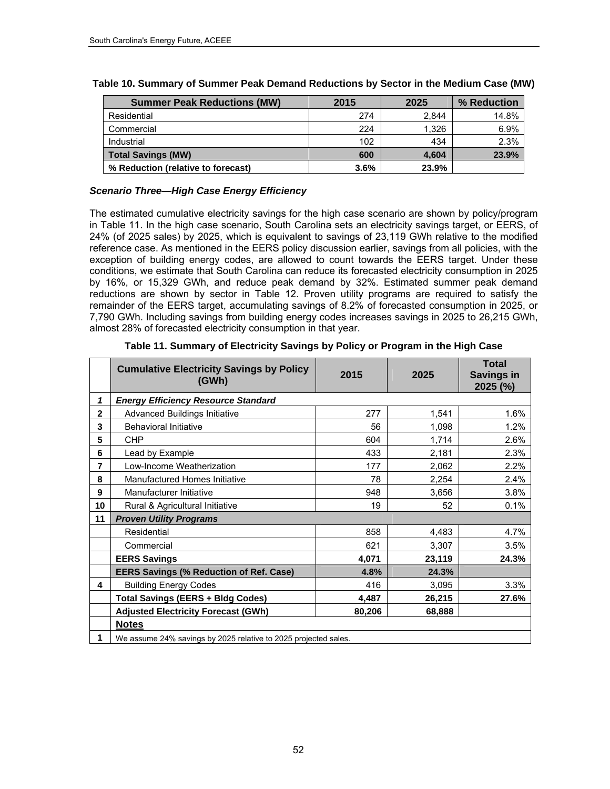| <b>Summer Peak Reductions (MW)</b> | 2015 | 2025  | % Reduction |
|------------------------------------|------|-------|-------------|
| Residential                        | 274  | 2.844 | 14.8%       |
| Commercial                         | 224  | 1.326 | 6.9%        |
| Industrial                         | 102  | 434   | 2.3%        |
| <b>Total Savings (MW)</b>          | 600  | 4.604 | 23.9%       |
| % Reduction (relative to forecast) | 3.6% | 23.9% |             |

## **Table 10. Summary of Summer Peak Demand Reductions by Sector in the Medium Case (MW)**

## *Scenario Three—High Case Energy Efficiency*

The estimated cumulative electricity savings for the high case scenario are shown by policy/program in [Table](#page-65-0) 11. In the high case scenario, South Carolina sets an electricity savings target, or EERS, of 24% (of 2025 sales) by 2025, which is equivalent to savings of 23,119 GWh relative to the modified reference case. As mentioned in the EERS policy discussion earlier, savings from all policies, with the exception of building energy codes, are allowed to count towards the EERS target. Under these conditions, we estimate that South Carolina can reduce its forecasted electricity consumption in 2025 by 16%, or 15,329 GWh, and reduce peak demand by 32%. Estimated summer peak demand reductions are shown by sector in Table 12. Proven utility programs are required to satisfy the remainder of the EERS target, accumulating savings of 8.2% of forecasted consumption in 2025, or 7,790 GWh. Including savings from building energy codes increases savings in 2025 to 26,215 GWh, almost 28% of forecasted electricity consumption in that year.

<span id="page-65-0"></span>

|              | <b>Cumulative Electricity Savings by Policy</b><br>(GWh)        | 2015   | 2025   | <b>Total</b><br><b>Savings in</b><br>2025 (%) |  |
|--------------|-----------------------------------------------------------------|--------|--------|-----------------------------------------------|--|
| 1            | <b>Energy Efficiency Resource Standard</b>                      |        |        |                                               |  |
| $\mathbf{2}$ | <b>Advanced Buildings Initiative</b>                            | 277    | 1,541  | 1.6%                                          |  |
| 3            | <b>Behavioral Initiative</b>                                    | 56     | 1,098  | 1.2%                                          |  |
| 5            | <b>CHP</b>                                                      | 604    | 1,714  | 2.6%                                          |  |
| 6            | Lead by Example                                                 | 433    | 2,181  | 2.3%                                          |  |
| 7            | Low-Income Weatherization                                       | 177    | 2,062  | 2.2%                                          |  |
| 8            | Manufactured Homes Initiative                                   | 78     | 2,254  | 2.4%                                          |  |
| 9            | Manufacturer Initiative                                         | 948    | 3,656  | 3.8%                                          |  |
| 10           | Rural & Agricultural Initiative                                 | 19     | 52     | 0.1%                                          |  |
| 11           | <b>Proven Utility Programs</b>                                  |        |        |                                               |  |
|              | Residential                                                     | 858    | 4,483  | 4.7%                                          |  |
|              | Commercial                                                      | 621    | 3,307  | 3.5%                                          |  |
|              | <b>EERS Savings</b>                                             | 4,071  | 23,119 | 24.3%                                         |  |
|              | <b>EERS Savings (% Reduction of Ref. Case)</b>                  | 4.8%   | 24.3%  |                                               |  |
| 4            | <b>Building Energy Codes</b>                                    | 416    | 3,095  | 3.3%                                          |  |
|              | <b>Total Savings (EERS + Bldg Codes)</b>                        | 4,487  | 26,215 | 27.6%                                         |  |
|              | <b>Adjusted Electricity Forecast (GWh)</b>                      | 80,206 | 68,888 |                                               |  |
|              | <b>Notes</b>                                                    |        |        |                                               |  |
| 1            | We assume 24% savings by 2025 relative to 2025 projected sales. |        |        |                                               |  |

#### **Table 11. Summary of Electricity Savings by Policy or Program in the High Case**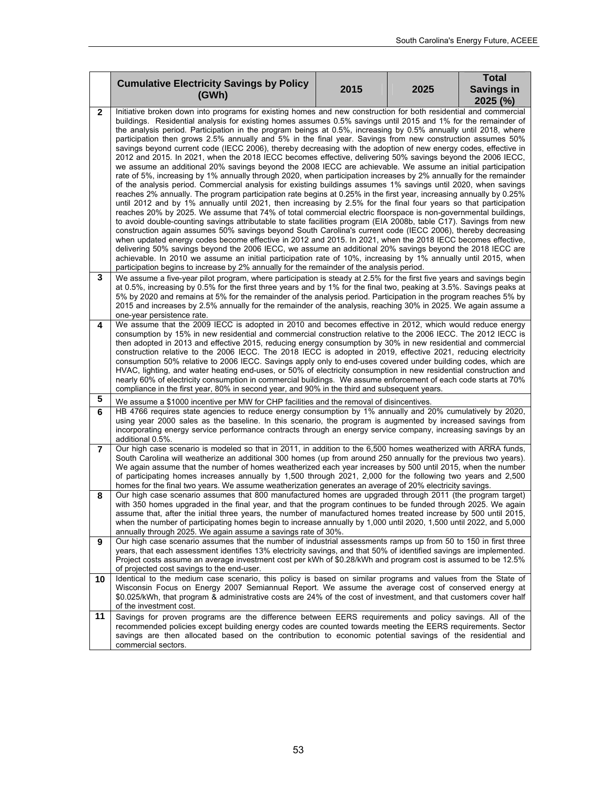|    | <b>Cumulative Electricity Savings by Policy</b>                                                                                                                                                                                                                                                                                                                                                                                                                                                                                                                                                                                                                                                                                                                                                                                                                                                                                                                                                                                                                                                                                                                                                                                                                                                                                                                                                                                                                                                                                                                                                                                                                                                                                                                                                                                                                                                                                                                                                                                                                                                         |      |      | <b>Total</b>                    |  |
|----|---------------------------------------------------------------------------------------------------------------------------------------------------------------------------------------------------------------------------------------------------------------------------------------------------------------------------------------------------------------------------------------------------------------------------------------------------------------------------------------------------------------------------------------------------------------------------------------------------------------------------------------------------------------------------------------------------------------------------------------------------------------------------------------------------------------------------------------------------------------------------------------------------------------------------------------------------------------------------------------------------------------------------------------------------------------------------------------------------------------------------------------------------------------------------------------------------------------------------------------------------------------------------------------------------------------------------------------------------------------------------------------------------------------------------------------------------------------------------------------------------------------------------------------------------------------------------------------------------------------------------------------------------------------------------------------------------------------------------------------------------------------------------------------------------------------------------------------------------------------------------------------------------------------------------------------------------------------------------------------------------------------------------------------------------------------------------------------------------------|------|------|---------------------------------|--|
|    | (GWh)                                                                                                                                                                                                                                                                                                                                                                                                                                                                                                                                                                                                                                                                                                                                                                                                                                                                                                                                                                                                                                                                                                                                                                                                                                                                                                                                                                                                                                                                                                                                                                                                                                                                                                                                                                                                                                                                                                                                                                                                                                                                                                   | 2015 | 2025 | <b>Savings in</b><br>$2025$ (%) |  |
| 2  | Initiative broken down into programs for existing homes and new construction for both residential and commercial<br>buildings. Residential analysis for existing homes assumes 0.5% savings until 2015 and 1% for the remainder of<br>the analysis period. Participation in the program beings at 0.5%, increasing by 0.5% annually until 2018, where<br>participation then grows 2.5% annually and 5% in the final year. Savings from new construction assumes 50%<br>savings beyond current code (IECC 2006), thereby decreasing with the adoption of new energy codes, effective in<br>2012 and 2015. In 2021, when the 2018 IECC becomes effective, delivering 50% savings beyond the 2006 IECC,<br>we assume an additional 20% savings beyond the 2008 IECC are achievable. We assume an initial participation<br>rate of 5%, increasing by 1% annually through 2020, when participation increases by 2% annually for the remainder<br>of the analysis period. Commercial analysis for existing buildings assumes 1% savings until 2020, when savings<br>reaches 2% annually. The program participation rate begins at 0.25% in the first year, increasing annually by 0.25%<br>until 2012 and by 1% annually until 2021, then increasing by 2.5% for the final four years so that participation<br>reaches 20% by 2025. We assume that 74% of total commercial electric floorspace is non-governmental buildings,<br>to avoid double-counting savings attributable to state facilities program (EIA 2008b, table C17). Savings from new<br>construction again assumes 50% savings beyond South Carolina's current code (IECC 2006), thereby decreasing<br>when updated energy codes become effective in 2012 and 2015. In 2021, when the 2018 IECC becomes effective,<br>delivering 50% savings beyond the 2006 IECC, we assume an additional 20% savings beyond the 2018 IECC are<br>achievable. In 2010 we assume an initial participation rate of 10%, increasing by 1% annually until 2015, when<br>participation begins to increase by 2% annually for the remainder of the analysis period. |      |      |                                 |  |
| 3  | We assume a five-year pilot program, where participation is steady at 2.5% for the first five years and savings begin<br>at 0.5%, increasing by 0.5% for the first three years and by 1% for the final two, peaking at 3.5%. Savings peaks at<br>5% by 2020 and remains at 5% for the remainder of the analysis period. Participation in the program reaches 5% by<br>2015 and increases by 2.5% annually for the remainder of the analysis, reaching 30% in 2025. We again assume a<br>one-year persistence rate.                                                                                                                                                                                                                                                                                                                                                                                                                                                                                                                                                                                                                                                                                                                                                                                                                                                                                                                                                                                                                                                                                                                                                                                                                                                                                                                                                                                                                                                                                                                                                                                      |      |      |                                 |  |
| 4  | We assume that the 2009 IECC is adopted in 2010 and becomes effective in 2012, which would reduce energy<br>consumption by 15% in new residential and commercial construction relative to the 2006 IECC. The 2012 IECC is<br>then adopted in 2013 and effective 2015, reducing energy consumption by 30% in new residential and commercial<br>construction relative to the 2006 IECC. The 2018 IECC is adopted in 2019, effective 2021, reducing electricity<br>consumption 50% relative to 2006 IECC. Savings apply only to end-uses covered under building codes, which are<br>HVAC, lighting, and water heating end-uses, or 50% of electricity consumption in new residential construction and<br>nearly 60% of electricity consumption in commercial buildings. We assume enforcement of each code starts at 70%<br>compliance in the first year, 80% in second year, and 90% in the third and subsequent years.                                                                                                                                                                                                                                                                                                                                                                                                                                                                                                                                                                                                                                                                                                                                                                                                                                                                                                                                                                                                                                                                                                                                                                                   |      |      |                                 |  |
| 5  | We assume a \$1000 incentive per MW for CHP facilities and the removal of disincentives.                                                                                                                                                                                                                                                                                                                                                                                                                                                                                                                                                                                                                                                                                                                                                                                                                                                                                                                                                                                                                                                                                                                                                                                                                                                                                                                                                                                                                                                                                                                                                                                                                                                                                                                                                                                                                                                                                                                                                                                                                |      |      |                                 |  |
| 6  | HB 4766 requires state agencies to reduce energy consumption by 1% annually and 20% cumulatively by 2020,<br>using year 2000 sales as the baseline. In this scenario, the program is augmented by increased savings from<br>incorporating energy service performance contracts through an energy service company, increasing savings by an<br>additional 0.5%.                                                                                                                                                                                                                                                                                                                                                                                                                                                                                                                                                                                                                                                                                                                                                                                                                                                                                                                                                                                                                                                                                                                                                                                                                                                                                                                                                                                                                                                                                                                                                                                                                                                                                                                                          |      |      |                                 |  |
| 7  | Our high case scenario is modeled so that in 2011, in addition to the 6,500 homes weatherized with ARRA funds,<br>South Carolina will weatherize an additional 300 homes (up from around 250 annually for the previous two years).<br>We again assume that the number of homes weatherized each year increases by 500 until 2015, when the number<br>of participating homes increases annually by 1,500 through 2021, 2,000 for the following two years and 2,500<br>homes for the final two years. We assume weatherization generates an average of 20% electricity savings.                                                                                                                                                                                                                                                                                                                                                                                                                                                                                                                                                                                                                                                                                                                                                                                                                                                                                                                                                                                                                                                                                                                                                                                                                                                                                                                                                                                                                                                                                                                           |      |      |                                 |  |
| 8  | Our high case scenario assumes that 800 manufactured homes are upgraded through 2011 (the program target)<br>with 350 homes upgraded in the final year, and that the program continues to be funded through 2025. We again<br>assume that, after the initial three years, the number of manufactured homes treated increase by 500 until 2015,<br>when the number of participating homes begin to increase annually by 1,000 until 2020, 1,500 until 2022, and 5,000<br>annually through 2025. We again assume a savings rate of 30%.                                                                                                                                                                                                                                                                                                                                                                                                                                                                                                                                                                                                                                                                                                                                                                                                                                                                                                                                                                                                                                                                                                                                                                                                                                                                                                                                                                                                                                                                                                                                                                   |      |      |                                 |  |
| 9  | Our high case scenario assumes that the number of industrial assessments ramps up from 50 to 150 in first three<br>years, that each assessment identifies 13% electricity savings, and that 50% of identified savings are implemented.<br>Project costs assume an average investment cost per kWh of \$0.28/kWh and program cost is assumed to be 12.5%<br>of projected cost savings to the end-user.                                                                                                                                                                                                                                                                                                                                                                                                                                                                                                                                                                                                                                                                                                                                                                                                                                                                                                                                                                                                                                                                                                                                                                                                                                                                                                                                                                                                                                                                                                                                                                                                                                                                                                   |      |      |                                 |  |
| 10 | Identical to the medium case scenario, this policy is based on similar programs and values from the State of<br>Wisconsin Focus on Energy 2007 Semiannual Report. We assume the average cost of conserved energy at<br>\$0.025/kWh, that program & administrative costs are 24% of the cost of investment, and that customers cover half<br>of the investment cost.                                                                                                                                                                                                                                                                                                                                                                                                                                                                                                                                                                                                                                                                                                                                                                                                                                                                                                                                                                                                                                                                                                                                                                                                                                                                                                                                                                                                                                                                                                                                                                                                                                                                                                                                     |      |      |                                 |  |
| 11 | Savings for proven programs are the difference between EERS requirements and policy savings. All of the<br>recommended policies except building energy codes are counted towards meeting the EERS requirements. Sector<br>savings are then allocated based on the contribution to economic potential savings of the residential and<br>commercial sectors.                                                                                                                                                                                                                                                                                                                                                                                                                                                                                                                                                                                                                                                                                                                                                                                                                                                                                                                                                                                                                                                                                                                                                                                                                                                                                                                                                                                                                                                                                                                                                                                                                                                                                                                                              |      |      |                                 |  |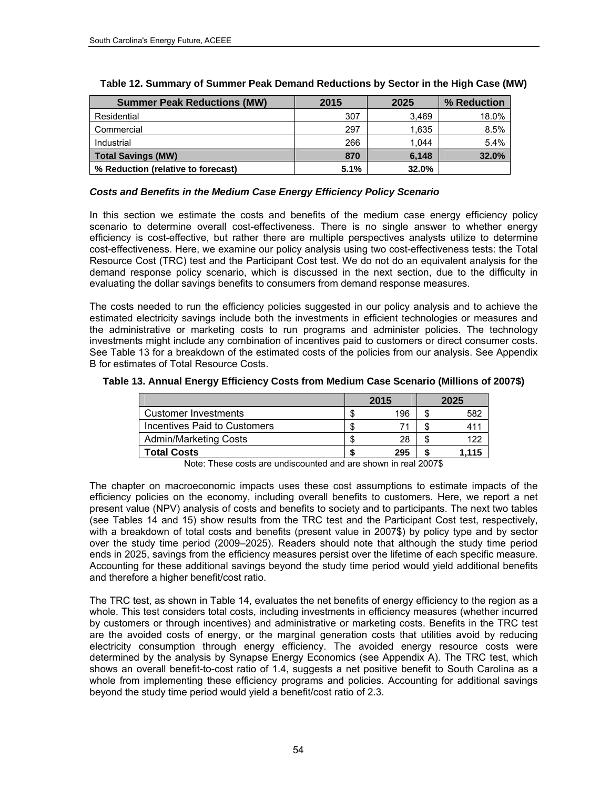| <b>Summer Peak Reductions (MW)</b> | 2015 | 2025  | % Reduction |
|------------------------------------|------|-------|-------------|
| Residential                        | 307  | 3.469 | 18.0%       |
| Commercial                         | 297  | 1.635 | 8.5%        |
| Industrial                         | 266  | 1.044 | 5.4%        |
| <b>Total Savings (MW)</b>          | 870  | 6.148 | 32.0%       |
| % Reduction (relative to forecast) | 5.1% | 32.0% |             |

| Table 12. Summary of Summer Peak Demand Reductions by Sector in the High Case (MW) |  |  |  |
|------------------------------------------------------------------------------------|--|--|--|
|                                                                                    |  |  |  |

## *Costs and Benefits in the Medium Case Energy Efficiency Policy Scenario*

In this section we estimate the costs and benefits of the medium case energy efficiency policy scenario to determine overall cost-effectiveness. There is no single answer to whether energy efficiency is cost-effective, but rather there are multiple perspectives analysts utilize to determine cost-effectiveness. Here, we examine our policy analysis using two cost-effectiveness tests: the Total Resource Cost (TRC) test and the Participant Cost test. We do not do an equivalent analysis for the demand response policy scenario, which is discussed in the next section, due to the difficulty in evaluating the dollar savings benefits to consumers from demand response measures.

The costs needed to run the efficiency policies suggested in our policy analysis and to achieve the estimated electricity savings include both the investments in efficient technologies or measures and the administrative or marketing costs to run programs and administer policies. The technology investments might include any combination of incentives paid to customers or direct consumer costs. See [Table](#page-67-0) 13 for a breakdown of the estimated costs of the policies from our analysis. See Appendix B for estimates of Total Resource Costs.

<span id="page-67-0"></span>

| Table 13. Annual Energy Efficiency Costs from Medium Case Scenario (Millions of 2007\$) |  |  |  |  |  |  |  |  |  |
|-----------------------------------------------------------------------------------------|--|--|--|--|--|--|--|--|--|
|-----------------------------------------------------------------------------------------|--|--|--|--|--|--|--|--|--|

|                              | 2015 | 2025  |
|------------------------------|------|-------|
| Customer Investments         | 196  | 582   |
| Incentives Paid to Customers |      |       |
| <b>Admin/Marketing Costs</b> | 28   |       |
| <b>Total Costs</b>           | 295  | 1.115 |

Note: These costs are undiscounted and are shown in real 2007\$

The chapter on macroeconomic impacts uses these cost assumptions to estimate impacts of the efficiency policies on the economy, including overall benefits to customers. Here, we report a net present value (NPV) analysis of costs and benefits to society and to participants. The next two tables (see Tables 14 and 15) show results from the TRC test and the Participant Cost test, respectively, with a breakdown of total costs and benefits (present value in 2007\$) by policy type and by sector over the study time period (2009–2025). Readers should note that although the study time period ends in 2025, savings from the efficiency measures persist over the lifetime of each specific measure. Accounting for these additional savings beyond the study time period would yield additional benefits and therefore a higher benefit/cost ratio.

The TRC test, as shown in [Table](#page-68-0) 14, evaluates the net benefits of energy efficiency to the region as a whole. This test considers total costs, including investments in efficiency measures (whether incurred by customers or through incentives) and administrative or marketing costs. Benefits in the TRC test are the avoided costs of energy, or the marginal generation costs that utilities avoid by reducing electricity consumption through energy efficiency. The avoided energy resource costs were determined by the analysis by Synapse Energy Economics (see Appendix A). The TRC test, which shows an overall benefit-to-cost ratio of 1.4, suggests a net positive benefit to South Carolina as a whole from implementing these efficiency programs and policies. Accounting for additional savings beyond the study time period would yield a benefit/cost ratio of 2.3.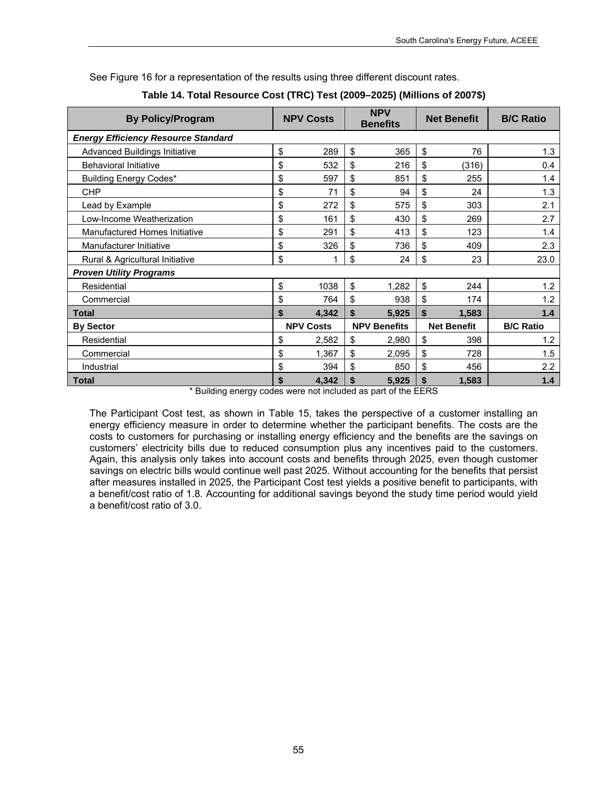<span id="page-68-0"></span>

| <b>By Policy/Program</b>                   |    | <b>NPV Costs</b> |    | <b>NPV</b><br><b>Benefits</b> |    | <b>Net Benefit</b> | <b>B/C Ratio</b> |
|--------------------------------------------|----|------------------|----|-------------------------------|----|--------------------|------------------|
| <b>Energy Efficiency Resource Standard</b> |    |                  |    |                               |    |                    |                  |
| Advanced Buildings Initiative              | \$ | 289              | \$ | 365                           | \$ | 76                 | 1.3              |
| <b>Behavioral Initiative</b>               | \$ | 532              | \$ | 216                           | \$ | (316)              | 0.4              |
| <b>Building Energy Codes*</b>              | \$ | 597              | \$ | 851                           | \$ | 255                | 1.4              |
| <b>CHP</b>                                 | \$ | 71               | \$ | 94                            | \$ | 24                 | 1.3              |
| Lead by Example                            | \$ | 272              | \$ | 575                           | \$ | 303                | 2.1              |
| Low-Income Weatherization                  | \$ | 161              | \$ | 430                           | \$ | 269                | 2.7              |
| Manufactured Homes Initiative              | \$ | 291              | \$ | 413                           | \$ | 123                | 1.4              |
| Manufacturer Initiative                    | \$ | 326              | \$ | 736                           | \$ | 409                | 2.3              |
| Rural & Agricultural Initiative            |    |                  | \$ | 24                            | \$ | 23                 | 23.0             |
| <b>Proven Utility Programs</b>             |    |                  |    |                               |    |                    |                  |
| Residential                                | \$ | 1038             | \$ | 1.282                         | \$ | 244                | 1.2              |
| Commercial                                 | \$ | 764              | \$ | 938                           | \$ | 174                | 1.2              |
| <b>Total</b>                               | \$ | 4,342            | \$ | 5,925                         | \$ | 1,583              | 1.4              |
| <b>By Sector</b>                           |    | <b>NPV Costs</b> |    | <b>NPV Benefits</b>           |    | <b>Net Benefit</b> | <b>B/C Ratio</b> |
| Residential                                | \$ | 2,582            | \$ | 2,980                         | \$ | 398                | 1.2              |
| Commercial                                 | \$ | 1,367            | \$ | 2,095                         | \$ | 728                | 1.5              |
| Industrial                                 | \$ | 394              | \$ | 850                           | \$ | 456                | 2.2              |
| <b>Total</b>                               | \$ | 4,342            | \$ | 5,925                         | \$ | 1,583              | 1.4              |

See Figure 16 for a representation of the results using three different discount rates.

|  |  | Table 14. Total Resource Cost (TRC) Test (2009–2025) (Millions of 2007\$) |
|--|--|---------------------------------------------------------------------------|
|--|--|---------------------------------------------------------------------------|

\* Building energy codes were not included as part of the EERS

The Participant Cost test, as shown in Table 15, takes the perspective of a customer installing an energy efficiency measure in order to determine whether the participant benefits. The costs are the costs to customers for purchasing or installing energy efficiency and the benefits are the savings on customers' electricity bills due to reduced consumption plus any incentives paid to the customers. Again, this analysis only takes into account costs and benefits through 2025, even though customer savings on electric bills would continue well past 2025. Without accounting for the benefits that persist after measures installed in 2025, the Participant Cost test yields a positive benefit to participants, with a benefit/cost ratio of 1.8. Accounting for additional savings beyond the study time period would yield a benefit/cost ratio of 3.0.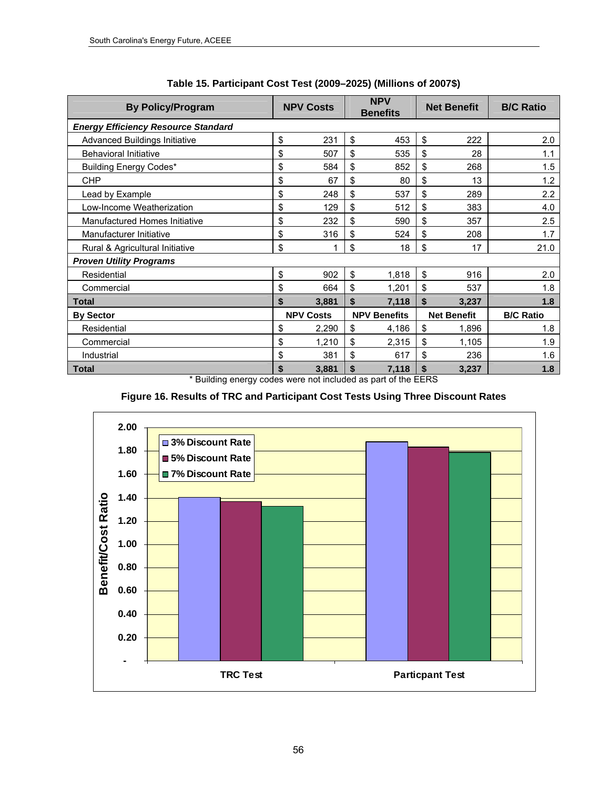| <b>By Policy/Program</b>                   |    | <b>NPV Costs</b> |    | <b>NPV</b><br><b>Benefits</b>                        |    | <b>Net Benefit</b> | <b>B/C Ratio</b> |
|--------------------------------------------|----|------------------|----|------------------------------------------------------|----|--------------------|------------------|
| <b>Energy Efficiency Resource Standard</b> |    |                  |    |                                                      |    |                    |                  |
| <b>Advanced Buildings Initiative</b>       | \$ | 231              | \$ | 453                                                  | \$ | 222                | 2.0              |
| <b>Behavioral Initiative</b>               | \$ | 507              | \$ | 535                                                  | \$ | 28                 | 1.1              |
| Building Energy Codes*                     | \$ | 584              | \$ | 852                                                  | \$ | 268                | 1.5              |
| <b>CHP</b>                                 | \$ | 67               | \$ | 80                                                   | \$ | 13                 | 1.2              |
| Lead by Example                            | \$ | 248              | \$ | 537                                                  | \$ | 289                | 2.2              |
| Low-Income Weatherization                  | \$ | 129              | \$ | 512                                                  | \$ | 383                | 4.0              |
| Manufactured Homes Initiative              | \$ | 232              | \$ | 590                                                  | \$ | 357                | 2.5              |
| Manufacturer Initiative                    | \$ | 316              | \$ | 524                                                  | \$ | 208                | 1.7              |
| Rural & Agricultural Initiative            | \$ |                  | \$ | 18                                                   | \$ | 17                 | 21.0             |
| <b>Proven Utility Programs</b>             |    |                  |    |                                                      |    |                    |                  |
| Residential                                | \$ | 902              | \$ | 1,818                                                | \$ | 916                | 2.0              |
| Commercial                                 | \$ | 664              | \$ | 1,201                                                | \$ | 537                | 1.8              |
| <b>Total</b>                               | \$ | 3,881            | \$ | 7,118                                                | \$ | 3,237              | 1.8              |
| <b>By Sector</b>                           |    | <b>NPV Costs</b> |    | <b>NPV Benefits</b>                                  |    | <b>Net Benefit</b> | <b>B/C Ratio</b> |
| Residential                                | \$ | 2,290            | \$ | 4,186                                                | \$ | 1,896              | 1.8              |
| Commercial                                 | \$ | 1,210            | \$ | 2,315                                                | \$ | 1,105              | 1.9              |
| Industrial                                 | \$ | 381              | \$ | 617                                                  | \$ | 236                | 1.6              |
| Total<br>$+ 111$                           | \$ | 3,881            | \$ | 7,118<br>$\mathbf{r}$ . The contract of $\mathbf{r}$ | \$ | 3,237              | 1.8              |

**Table 15. Participant Cost Test (2009–2025) (Millions of 2007\$)** 

Building energy codes were not included as part of the EERS



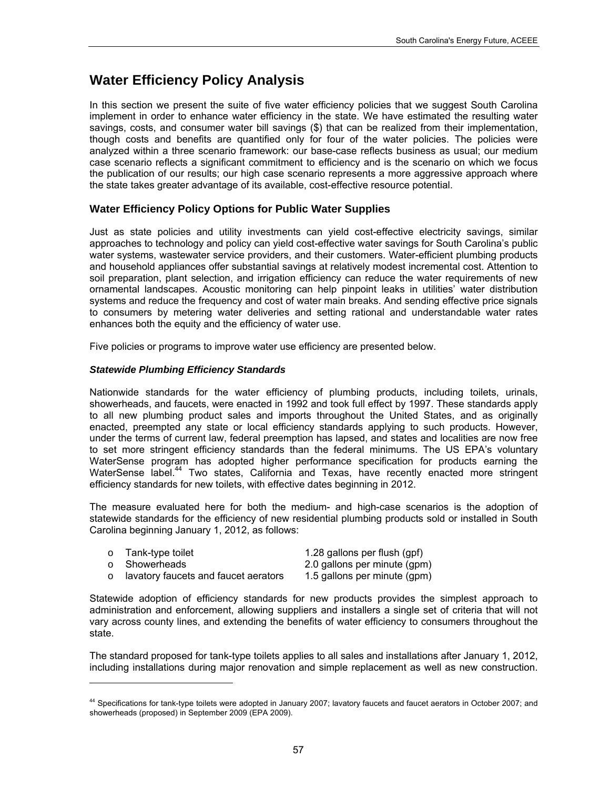# **Water Efficiency Policy Analysis**

In this section we present the suite of five water efficiency policies that we suggest South Carolina implement in order to enhance water efficiency in the state. We have estimated the resulting water savings, costs, and consumer water bill savings (\$) that can be realized from their implementation, though costs and benefits are quantified only for four of the water policies. The policies were analyzed within a three scenario framework: our base-case reflects business as usual; our medium case scenario reflects a significant commitment to efficiency and is the scenario on which we focus the publication of our results; our high case scenario represents a more aggressive approach where the state takes greater advantage of its available, cost-effective resource potential.

## **Water Efficiency Policy Options for Public Water Supplies**

Just as state policies and utility investments can yield cost-effective electricity savings, similar approaches to technology and policy can yield cost-effective water savings for South Carolina's public water systems, wastewater service providers, and their customers. Water-efficient plumbing products and household appliances offer substantial savings at relatively modest incremental cost. Attention to soil preparation, plant selection, and irrigation efficiency can reduce the water requirements of new ornamental landscapes. Acoustic monitoring can help pinpoint leaks in utilities' water distribution systems and reduce the frequency and cost of water main breaks. And sending effective price signals to consumers by metering water deliveries and setting rational and understandable water rates enhances both the equity and the efficiency of water use.

Five policies or programs to improve water use efficiency are presented below.

#### *Statewide Plumbing Efficiency Standards*

l

Nationwide standards for the water efficiency of plumbing products, including toilets, urinals, showerheads, and faucets, were enacted in 1992 and took full effect by 1997. These standards apply to all new plumbing product sales and imports throughout the United States, and as originally enacted, preempted any state or local efficiency standards applying to such products. However, under the terms of current law, federal preemption has lapsed, and states and localities are now free to set more stringent efficiency standards than the federal minimums. The US EPA's voluntary WaterSense program has adopted higher performance specification for products earning the WaterSense label.<sup>44</sup> Two states, California and Texas, have recently enacted more stringent efficiency standards for new toilets, with effective dates beginning in 2012.

The measure evaluated here for both the medium- and high-case scenarios is the adoption of statewide standards for the efficiency of new residential plumbing products sold or installed in South Carolina beginning January 1, 2012, as follows:

|         | ○ Tank-type toilet                   | 1.28 gallons per flush (gpf) |
|---------|--------------------------------------|------------------------------|
|         | ○ Showerheads                        | 2.0 gallons per minute (gpm) |
| $\circ$ | lavatory faucets and faucet aerators | 1.5 gallons per minute (gpm) |

Statewide adoption of efficiency standards for new products provides the simplest approach to administration and enforcement, allowing suppliers and installers a single set of criteria that will not vary across county lines, and extending the benefits of water efficiency to consumers throughout the state.

The standard proposed for tank-type toilets applies to all sales and installations after January 1, 2012, including installations during major renovation and simple replacement as well as new construction.

<span id="page-70-0"></span><sup>44</sup> Specifications for tank-type toilets were adopted in January 2007; lavatory faucets and faucet aerators in October 2007; and showerheads (proposed) in September 2009 (EPA 2009).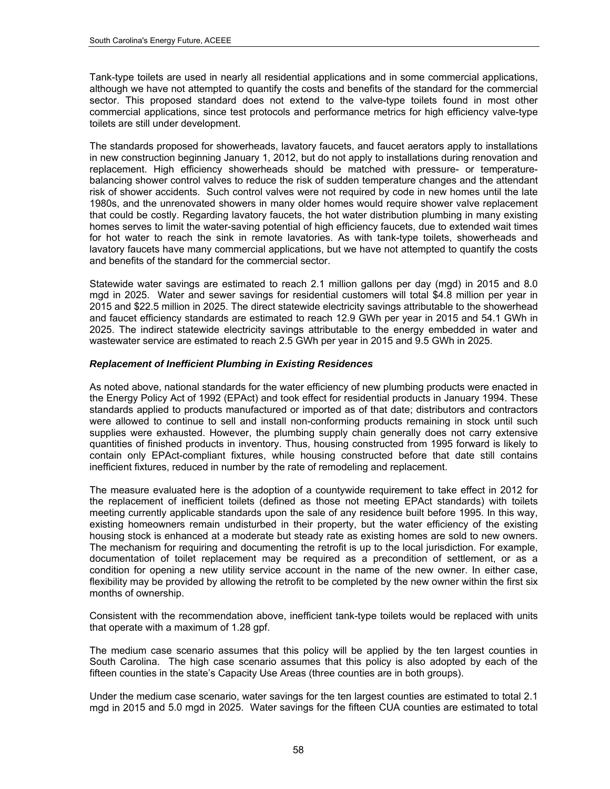Tank-type toilets are used in nearly all residential applications and in some commercial applications, although we have not attempted to quantify the costs and benefits of the standard for the commercial sector. This proposed standard does not extend to the valve-type toilets found in most other commercial applications, since test protocols and performance metrics for high efficiency valve-type toilets are still under development.

The standards proposed for showerheads, lavatory faucets, and faucet aerators apply to installations in new construction beginning January 1, 2012, but do not apply to installations during renovation and replacement. High efficiency showerheads should be matched with pressure- or temperaturebalancing shower control valves to reduce the risk of sudden temperature changes and the attendant risk of shower accidents. Such control valves were not required by code in new homes until the late 1980s, and the unrenovated showers in many older homes would require shower valve replacement that could be costly. Regarding lavatory faucets, the hot water distribution plumbing in many existing homes serves to limit the water-saving potential of high efficiency faucets, due to extended wait times for hot water to reach the sink in remote lavatories. As with tank-type toilets, showerheads and lavatory faucets have many commercial applications, but we have not attempted to quantify the costs and benefits of the standard for the commercial sector.

Statewide water savings are estimated to reach 2.1 million gallons per day (mgd) in 2015 and 8.0 mgd in 2025. Water and sewer savings for residential customers will total \$4.8 million per year in 2015 and \$22.5 million in 2025. The direct statewide electricity savings attributable to the showerhead and faucet efficiency standards are estimated to reach 12.9 GWh per year in 2015 and 54.1 GWh in 2025. The indirect statewide electricity savings attributable to the energy embedded in water and wastewater service are estimated to reach 2.5 GWh per year in 2015 and 9.5 GWh in 2025.

#### *Replacement of Inefficient Plumbing in Existing Residences*

As noted above, national standards for the water efficiency of new plumbing products were enacted in the Energy Policy Act of 1992 (EPAct) and took effect for residential products in January 1994. These standards applied to products manufactured or imported as of that date; distributors and contractors were allowed to continue to sell and install non-conforming products remaining in stock until such supplies were exhausted. However, the plumbing supply chain generally does not carry extensive quantities of finished products in inventory. Thus, housing constructed from 1995 forward is likely to contain only EPAct-compliant fixtures, while housing constructed before that date still contains inefficient fixtures, reduced in number by the rate of remodeling and replacement.

The measure evaluated here is the adoption of a countywide requirement to take effect in 2012 for the replacement of inefficient toilets (defined as those not meeting EPAct standards) with toilets meeting currently applicable standards upon the sale of any residence built before 1995. In this way, existing homeowners remain undisturbed in their property, but the water efficiency of the existing housing stock is enhanced at a moderate but steady rate as existing homes are sold to new owners. The mechanism for requiring and documenting the retrofit is up to the local jurisdiction. For example, documentation of toilet replacement may be required as a precondition of settlement, or as a condition for opening a new utility service account in the name of the new owner. In either case, flexibility may be provided by allowing the retrofit to be completed by the new owner within the first six months of ownership.

Consistent with the recommendation above, inefficient tank-type toilets would be replaced with units that operate with a maximum of 1.28 gpf.

The medium case scenario assumes that this policy will be applied by the ten largest counties in South Carolina. The high case scenario assumes that this policy is also adopted by each of the fifteen counties in the state's Capacity Use Areas (three counties are in both groups).

Under the medium case scenario, water savings for the ten largest counties are estimated to total 2.1 mgd in 2015 and 5.0 mgd in 2025. Water savings for the fifteen CUA counties are estimated to total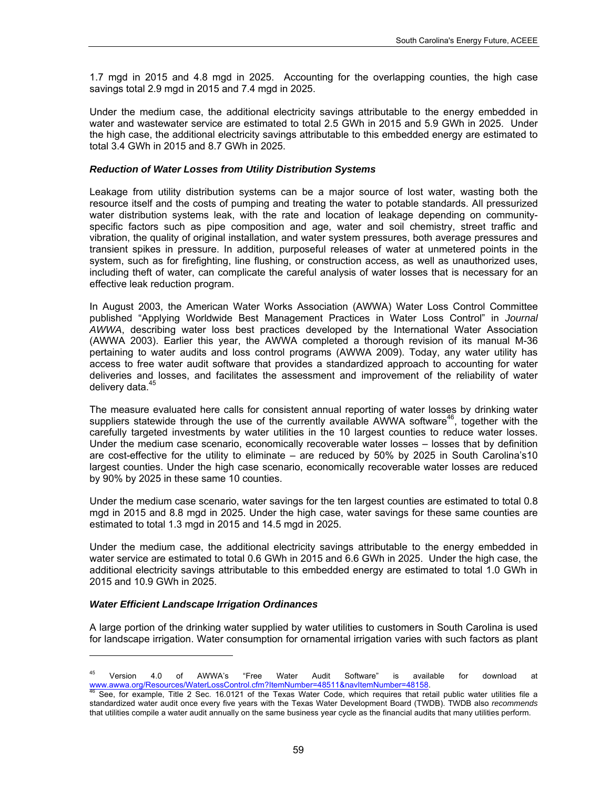1.7 mgd in 2015 and 4.8 mgd in 2025. Accounting for the overlapping counties, the high case savings total 2.9 mgd in 2015 and 7.4 mgd in 2025.

Under the medium case, the additional electricity savings attributable to the energy embedded in water and wastewater service are estimated to total 2.5 GWh in 2015 and 5.9 GWh in 2025. Under the high case, the additional electricity savings attributable to this embedded energy are estimated to total 3.4 GWh in 2015 and 8.7 GWh in 2025.

#### *Reduction of Water Losses from Utility Distribution Systems*

Leakage from utility distribution systems can be a major source of lost water, wasting both the resource itself and the costs of pumping and treating the water to potable standards. All pressurized water distribution systems leak, with the rate and location of leakage depending on communityspecific factors such as pipe composition and age, water and soil chemistry, street traffic and vibration, the quality of original installation, and water system pressures, both average pressures and transient spikes in pressure. In addition, purposeful releases of water at unmetered points in the system, such as for firefighting, line flushing, or construction access, as well as unauthorized uses, including theft of water, can complicate the careful analysis of water losses that is necessary for an effective leak reduction program.

In August 2003, the American Water Works Association (AWWA) Water Loss Control Committee published "Applying Worldwide Best Management Practices in Water Loss Control" in *Journal AWWA*, describing water loss best practices developed by the International Water Association (AWWA 2003). Earlier this year, the AWWA completed a thorough revision of its manual M-36 pertaining to water audits and loss control programs (AWWA 2009). Today, any water utility has access to free water audit software that provides a standardized approach to accounting for water deliveries and losses, and facilitates the assessment and improvement of the reliability of water delivery data.<sup>[45](#page-72-0)</sup>

The measure evaluated here calls for consistent annual reporting of water losses by drinking water suppliers statewide through the use of the currently available AWWA software<sup>[46](#page-72-1)</sup>, together with the carefully targeted investments by water utilities in the 10 largest counties to reduce water losses. Under the medium case scenario, economically recoverable water losses – losses that by definition are cost-effective for the utility to eliminate – are reduced by 50% by 2025 in South Carolina's10 largest counties. Under the high case scenario, economically recoverable water losses are reduced by 90% by 2025 in these same 10 counties.

Under the medium case scenario, water savings for the ten largest counties are estimated to total 0.8 mgd in 2015 and 8.8 mgd in 2025. Under the high case, water savings for these same counties are estimated to total 1.3 mgd in 2015 and 14.5 mgd in 2025.

Under the medium case, the additional electricity savings attributable to the energy embedded in water service are estimated to total 0.6 GWh in 2015 and 6.6 GWh in 2025. Under the high case, the additional electricity savings attributable to this embedded energy are estimated to total 1.0 GWh in 2015 and 10.9 GWh in 2025.

#### *Water Efficient Landscape Irrigation Ordinances*

-

A large portion of the drinking water supplied by water utilities to customers in South Carolina is used for landscape irrigation. Water consumption for ornamental irrigation varies with such factors as plant

<span id="page-72-0"></span><sup>&</sup>lt;sup>45</sup> Version 4.0 of AWWA's "Free Water Audit Software" is available for download at <www.awwa.org/Resources/WaterLossControl.cfm?ItemNumber=48511&navItemNumber=48158>.<br><sup>[46](www.awwa.org/Resources/WaterLossControl.cfm?ItemNumber=48511&navItemNumber=48158)</sup> See, for example, Title 2 Sec. 16.0121 of the Texas Water Code, which requires that retail public water utilities file a

<span id="page-72-1"></span>standardized water audit once every five years with the Texas Water Development Board (TWDB). TWDB also *recommends* that utilities compile a water audit annually on the same business year cycle as the financial audits that many utilities perform.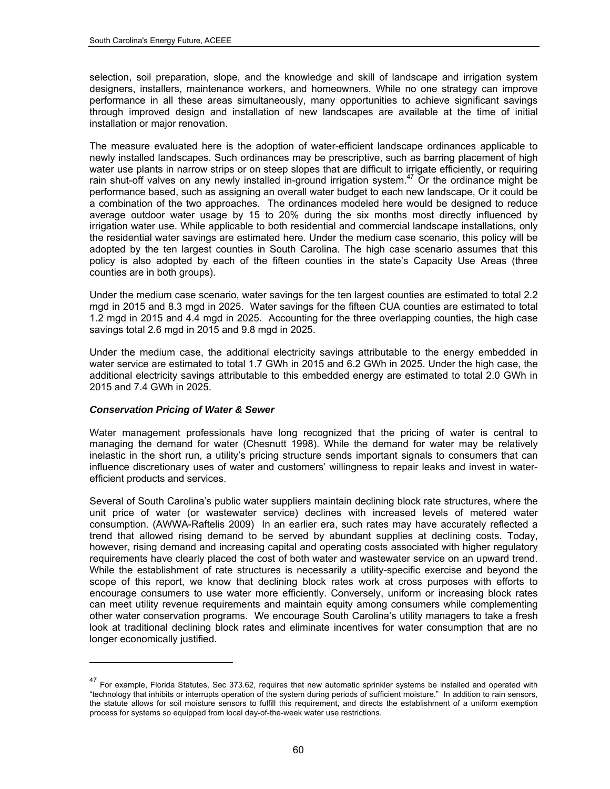selection, soil preparation, slope, and the knowledge and skill of landscape and irrigation system designers, installers, maintenance workers, and homeowners. While no one strategy can improve performance in all these areas simultaneously, many opportunities to achieve significant savings through improved design and installation of new landscapes are available at the time of initial installation or major renovation.

The measure evaluated here is the adoption of water-efficient landscape ordinances applicable to newly installed landscapes. Such ordinances may be prescriptive, such as barring placement of high water use plants in narrow strips or on steep slopes that are difficult to irrigate efficiently, or requiring rain shut-off valves on any newly installed in-ground irrigation system.<sup>[47](#page-73-0)</sup> Or the ordinance might be performance based, such as assigning an overall water budget to each new landscape, Or it could be a combination of the two approaches. The ordinances modeled here would be designed to reduce average outdoor water usage by 15 to 20% during the six months most directly influenced by irrigation water use. While applicable to both residential and commercial landscape installations, only the residential water savings are estimated here. Under the medium case scenario, this policy will be adopted by the ten largest counties in South Carolina. The high case scenario assumes that this policy is also adopted by each of the fifteen counties in the state's Capacity Use Areas (three counties are in both groups).

Under the medium case scenario, water savings for the ten largest counties are estimated to total 2.2 mgd in 2015 and 8.3 mgd in 2025. Water savings for the fifteen CUA counties are estimated to total 1.2 mgd in 2015 and 4.4 mgd in 2025. Accounting for the three overlapping counties, the high case savings total 2.6 mgd in 2015 and 9.8 mgd in 2025.

Under the medium case, the additional electricity savings attributable to the energy embedded in water service are estimated to total 1.7 GWh in 2015 and 6.2 GWh in 2025. Under the high case, the additional electricity savings attributable to this embedded energy are estimated to total 2.0 GWh in 2015 and 7.4 GWh in 2025.

#### *Conservation Pricing of Water & Sewer*

1

Water management professionals have long recognized that the pricing of water is central to managing the demand for water (Chesnutt 1998). While the demand for water may be relatively inelastic in the short run, a utility's pricing structure sends important signals to consumers that can influence discretionary uses of water and customers' willingness to repair leaks and invest in waterefficient products and services.

Several of South Carolina's public water suppliers maintain declining block rate structures, where the unit price of water (or wastewater service) declines with increased levels of metered water consumption. (AWWA-Raftelis 2009) In an earlier era, such rates may have accurately reflected a trend that allowed rising demand to be served by abundant supplies at declining costs. Today, however, rising demand and increasing capital and operating costs associated with higher regulatory requirements have clearly placed the cost of both water and wastewater service on an upward trend. While the establishment of rate structures is necessarily a utility-specific exercise and beyond the scope of this report, we know that declining block rates work at cross purposes with efforts to encourage consumers to use water more efficiently. Conversely, uniform or increasing block rates can meet utility revenue requirements and maintain equity among consumers while complementing other water conservation programs. We encourage South Carolina's utility managers to take a fresh look at traditional declining block rates and eliminate incentives for water consumption that are no longer economically justified.

<span id="page-73-0"></span><sup>&</sup>lt;sup>47</sup> For example, Florida Statutes, Sec 373.62, requires that new automatic sprinkler systems be installed and operated with "technology that inhibits or interrupts operation of the system during periods of sufficient moisture." In addition to rain sensors, the statute allows for soil moisture sensors to fulfill this requirement, and directs the establishment of a uniform exemption process for systems so equipped from local day-of-the-week water use restrictions.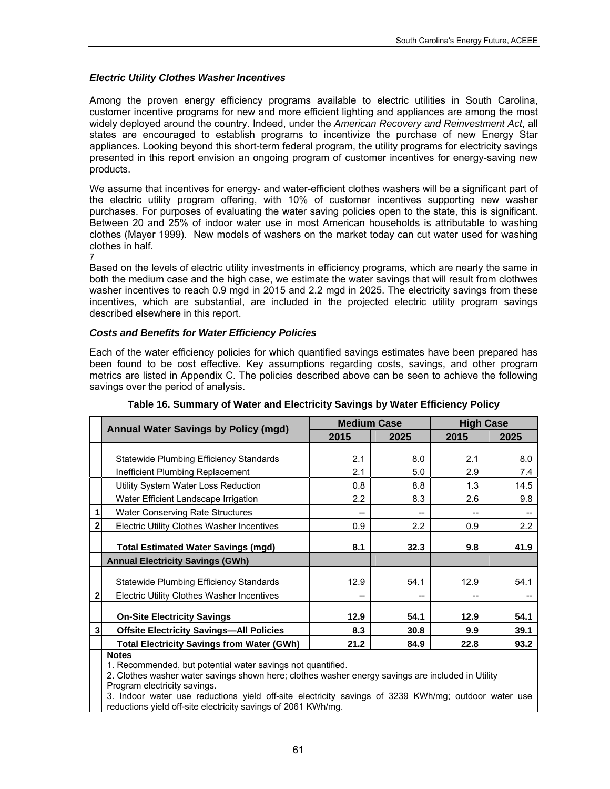#### *Electric Utility Clothes Washer Incentives*

Among the proven energy efficiency programs available to electric utilities in South Carolina, customer incentive programs for new and more efficient lighting and appliances are among the most widely deployed around the country. Indeed, under the *American Recovery and Reinvestment Act*, all states are encouraged to establish programs to incentivize the purchase of new Energy Star appliances. Looking beyond this short-term federal program, the utility programs for electricity savings presented in this report envision an ongoing program of customer incentives for energy-saving new products.

We assume that incentives for energy- and water-efficient clothes washers will be a significant part of the electric utility program offering, with 10% of customer incentives supporting new washer purchases. For purposes of evaluating the water saving policies open to the state, this is significant. Between 20 and 25% of indoor water use in most American households is attributable to washing clothes (Mayer 1999). New models of washers on the market today can cut water used for washing clothes in half.

7

Based on the levels of electric utility investments in efficiency programs, which are nearly the same in both the medium case and the high case, we estimate the water savings that will result from clothwes washer incentives to reach 0.9 mgd in 2015 and 2.2 mgd in 2025. The electricity savings from these incentives, which are substantial, are included in the projected electric utility program savings described elsewhere in this report.

#### *Costs and Benefits for Water Efficiency Policies*

Each of the water efficiency policies for which quantified savings estimates have been prepared has been found to be cost effective. Key assumptions regarding costs, savings, and other program metrics are listed in Appendix C. The policies described above can be seen to achieve the following savings over the period of analysis.

|                | <b>Annual Water Savings by Policy (mgd)</b>       | <b>Medium Case</b> |      | <b>High Case</b> |      |
|----------------|---------------------------------------------------|--------------------|------|------------------|------|
|                |                                                   | 2015               | 2025 | 2015             | 2025 |
|                |                                                   |                    |      |                  |      |
|                | Statewide Plumbing Efficiency Standards           | 2.1                | 8.0  | 2.1              | 8.0  |
|                | Inefficient Plumbing Replacement                  | 2.1                | 5.0  | 2.9              | 7.4  |
|                | Utility System Water Loss Reduction               | 0.8                | 8.8  | 1.3              | 14.5 |
|                | Water Efficient Landscape Irrigation              | 2.2                | 8.3  | 2.6              | 9.8  |
|                | <b>Water Conserving Rate Structures</b>           | --                 | --   | --               |      |
| $\mathbf{2}$   | Electric Utility Clothes Washer Incentives        | 0.9                | 2.2  | 0.9              | 2.2  |
|                | <b>Total Estimated Water Savings (mgd)</b>        | 8.1                | 32.3 | 9.8              | 41.9 |
|                | <b>Annual Electricity Savings (GWh)</b>           |                    |      |                  |      |
|                |                                                   |                    |      |                  |      |
|                | Statewide Plumbing Efficiency Standards           | 12.9               | 54.1 | 12.9             | 54.1 |
| $\overline{2}$ | <b>Electric Utility Clothes Washer Incentives</b> | --                 | --   |                  |      |
|                |                                                   |                    |      |                  |      |
|                | <b>On-Site Electricity Savings</b>                | 12.9               | 54.1 | 12.9             | 54.1 |
| 3              | <b>Offsite Electricity Savings-All Policies</b>   | 8.3                | 30.8 | 9.9              | 39.1 |
|                | <b>Total Electricity Savings from Water (GWh)</b> | 21.2               | 84.9 | 22.8             | 93.2 |
|                | <b>Notes</b>                                      |                    |      |                  |      |

| Table 16. Summary of Water and Electricity Savings by Water Efficiency Policy |  |  |  |
|-------------------------------------------------------------------------------|--|--|--|
|                                                                               |  |  |  |

1. Recommended, but potential water savings not quantified.

2. Clothes washer water savings shown here; clothes washer energy savings are included in Utility Program electricity savings.

3. Indoor water use reductions yield off-site electricity savings of 3239 KWh/mg; outdoor water use reductions yield off-site electricity savings of 2061 KWh/mg.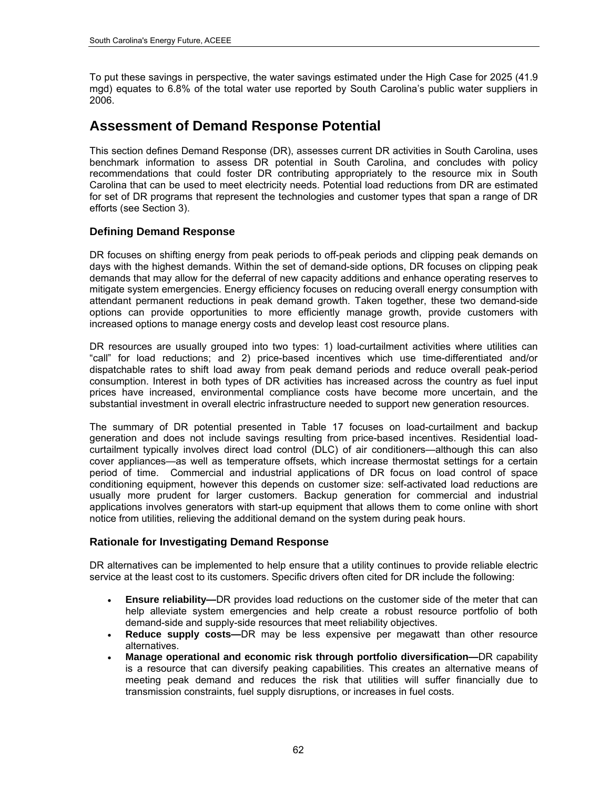To put these savings in perspective, the water savings estimated under the High Case for 2025 (41.9 mgd) equates to 6.8% of the total water use reported by South Carolina's public water suppliers in 2006.

## **Assessment of Demand Response Potential**

This section defines Demand Response (DR), assesses current DR activities in South Carolina, uses benchmark information to assess DR potential in South Carolina, and concludes with policy recommendations that could foster DR contributing appropriately to the resource mix in South Carolina that can be used to meet electricity needs. Potential load reductions from DR are estimated for set of DR programs that represent the technologies and customer types that span a range of DR efforts (see Section 3).

## **Defining Demand Response**

DR focuses on shifting energy from peak periods to off-peak periods and clipping peak demands on days with the highest demands. Within the set of demand-side options, DR focuses on clipping peak demands that may allow for the deferral of new capacity additions and enhance operating reserves to mitigate system emergencies. Energy efficiency focuses on reducing overall energy consumption with attendant permanent reductions in peak demand growth. Taken together, these two demand-side options can provide opportunities to more efficiently manage growth, provide customers with increased options to manage energy costs and develop least cost resource plans.

DR resources are usually grouped into two types: 1) load-curtailment activities where utilities can "call" for load reductions; and 2) price-based incentives which use time-differentiated and/or dispatchable rates to shift load away from peak demand periods and reduce overall peak-period consumption. Interest in both types of DR activities has increased across the country as fuel input prices have increased, environmental compliance costs have become more uncertain, and the substantial investment in overall electric infrastructure needed to support new generation resources.

The summary of DR potential presented in Table 17 focuses on load-curtailment and backup generation and does not include savings resulting from price-based incentives. Residential loadcurtailment typically involves direct load control (DLC) of air conditioners—although this can also cover appliances—as well as temperature offsets, which increase thermostat settings for a certain period of time. Commercial and industrial applications of DR focus on load control of space conditioning equipment, however this depends on customer size: self-activated load reductions are usually more prudent for larger customers. Backup generation for commercial and industrial applications involves generators with start-up equipment that allows them to come online with short notice from utilities, relieving the additional demand on the system during peak hours.

## **Rationale for Investigating Demand Response**

DR alternatives can be implemented to help ensure that a utility continues to provide reliable electric service at the least cost to its customers. Specific drivers often cited for DR include the following:

- **Ensure reliability—**DR provides load reductions on the customer side of the meter that can help alleviate system emergencies and help create a robust resource portfolio of both demand-side and supply-side resources that meet reliability objectives.
- **Reduce supply costs—**DR may be less expensive per megawatt than other resource alternatives.
- **Manage operational and economic risk through portfolio diversification—**DR capability is a resource that can diversify peaking capabilities. This creates an alternative means of meeting peak demand and reduces the risk that utilities will suffer financially due to transmission constraints, fuel supply disruptions, or increases in fuel costs.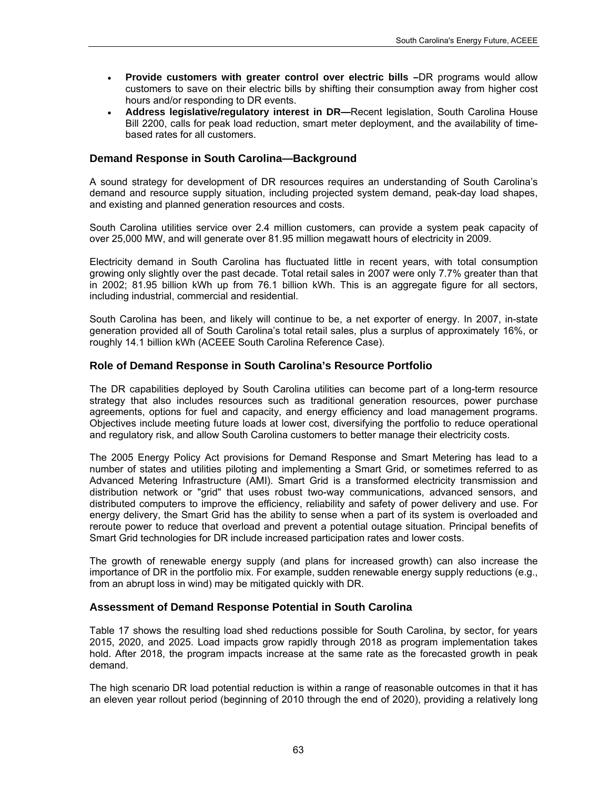- **Provide customers with greater control over electric bills –**DR programs would allow customers to save on their electric bills by shifting their consumption away from higher cost hours and/or responding to DR events.
- **Address legislative/regulatory interest in DR—**Recent legislation, South Carolina House Bill 2200, calls for peak load reduction, smart meter deployment, and the availability of timebased rates for all customers.

#### **Demand Response in South Carolina—Background**

A sound strategy for development of DR resources requires an understanding of South Carolina's demand and resource supply situation, including projected system demand, peak-day load shapes, and existing and planned generation resources and costs.

South Carolina utilities service over 2.4 million customers, can provide a system peak capacity of over 25,000 MW, and will generate over 81.95 million megawatt hours of electricity in 2009.

Electricity demand in South Carolina has fluctuated little in recent years, with total consumption growing only slightly over the past decade. Total retail sales in 2007 were only 7.7% greater than that in 2002; 81.95 billion kWh up from 76.1 billion kWh. This is an aggregate figure for all sectors, including industrial, commercial and residential.

South Carolina has been, and likely will continue to be, a net exporter of energy. In 2007, in-state generation provided all of South Carolina's total retail sales, plus a surplus of approximately 16%, or roughly 14.1 billion kWh (ACEEE South Carolina Reference Case).

#### **Role of Demand Response in South Carolina's Resource Portfolio**

The DR capabilities deployed by South Carolina utilities can become part of a long-term resource strategy that also includes resources such as traditional generation resources, power purchase agreements, options for fuel and capacity, and energy efficiency and load management programs. Objectives include meeting future loads at lower cost, diversifying the portfolio to reduce operational and regulatory risk, and allow South Carolina customers to better manage their electricity costs.

The 2005 Energy Policy Act provisions for Demand Response and Smart Metering has lead to a number of states and utilities piloting and implementing a Smart Grid, or sometimes referred to as Advanced Metering Infrastructure (AMI). Smart Grid is a transformed electricity transmission and distribution network or "grid" that uses robust two-way communications, advanced sensors, and distributed computers to improve the efficiency, reliability and safety of power delivery and use. For energy delivery, the Smart Grid has the ability to sense when a part of its system is overloaded and reroute power to reduce that overload and prevent a potential outage situation. Principal benefits of Smart Grid technologies for DR include increased participation rates and lower costs.

The growth of renewable energy supply (and plans for increased growth) can also increase the importance of DR in the portfolio mix. For example, sudden renewable energy supply reductions (e.g., from an abrupt loss in wind) may be mitigated quickly with DR.

#### **Assessment of Demand Response Potential in South Carolina**

Table 17 shows the resulting load shed reductions possible for South Carolina, by sector, for years 2015, 2020, and 2025. Load impacts grow rapidly through 2018 as program implementation takes hold. After 2018, the program impacts increase at the same rate as the forecasted growth in peak demand.

The high scenario DR load potential reduction is within a range of reasonable outcomes in that it has an eleven year rollout period (beginning of 2010 through the end of 2020), providing a relatively long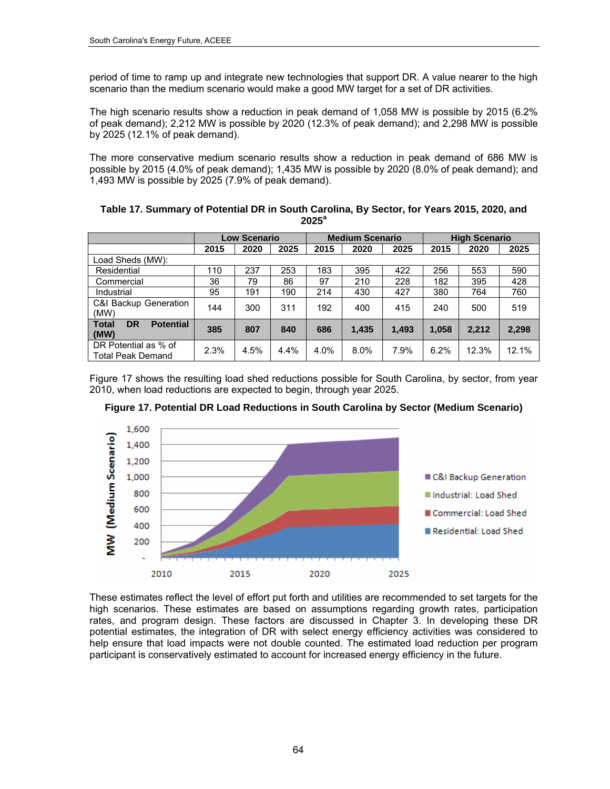period of time to ramp up and integrate new technologies that support DR. A value nearer to the high scenario than the medium scenario would make a good MW target for a set of DR activities.

The high scenario results show a reduction in peak demand of 1,058 MW is possible by 2015 (6.2% of peak demand); 2,212 MW is possible by 2020 (12.3% of peak demand); and 2,298 MW is possible by 2025 (12.1% of peak demand).

The more conservative medium scenario results show a reduction in peak demand of 686 MW is possible by 2015 (4.0% of peak demand); 1,435 MW is possible by 2020 (8.0% of peak demand); and 1,493 MW is possible by 2025 (7.9% of peak demand).

| Table 17. Summary of Potential DR in South Carolina, By Sector, for Years 2015, 2020, and |
|-------------------------------------------------------------------------------------------|
| $2025^a$                                                                                  |

|                                                       |      | <b>Low Scenario</b> |         |      | <b>Medium Scenario</b> |       |       | <b>High Scenario</b> |       |
|-------------------------------------------------------|------|---------------------|---------|------|------------------------|-------|-------|----------------------|-------|
|                                                       | 2015 | 2020                | 2025    | 2015 | 2020                   | 2025  | 2015  | 2020                 | 2025  |
| Load Sheds (MW):                                      |      |                     |         |      |                        |       |       |                      |       |
| Residential                                           | 110  | 237                 | 253     | 183  | 395                    | 422   | 256   | 553                  | 590   |
| Commercial                                            | 36   | 79                  | 86      | 97   | 210                    | 228   | 182   | 395                  | 428   |
| Industrial                                            | 95   | 191                 | 190     | 214  | 430                    | 427   | 380   | 764                  | 760   |
| <b>C&amp;I Backup Generation</b><br>(MW)              | 144  | 300                 | 311     | 192  | 400                    | 415   | 240   | 500                  | 519   |
| <b>Total</b><br><b>Potential</b><br><b>DR</b><br>(MW) | 385  | 807                 | 840     | 686  | 1,435                  | 1.493 | 1.058 | 2,212                | 2,298 |
| DR Potential as % of<br>Total Peak Demand             | 2.3% | 4.5%                | $4.4\%$ | 4.0% | $8.0\%$                | 7.9%  | 6.2%  | 12.3%                | 12.1% |

Figure 17 shows the resulting load shed reductions possible for South Carolina, by sector, from year 2010, when load reductions are expected to begin, through year 2025.





These estimates reflect the level of effort put forth and utilities are recommended to set targets for the high scenarios. These estimates are based on assumptions regarding growth rates, participation rates, and program design. These factors are discussed in Chapter 3. In developing these DR potential estimates, the integration of DR with select energy efficiency activities was considered to help ensure that load impacts were not double counted. The estimated load reduction per program participant is conservatively estimated to account for increased energy efficiency in the future.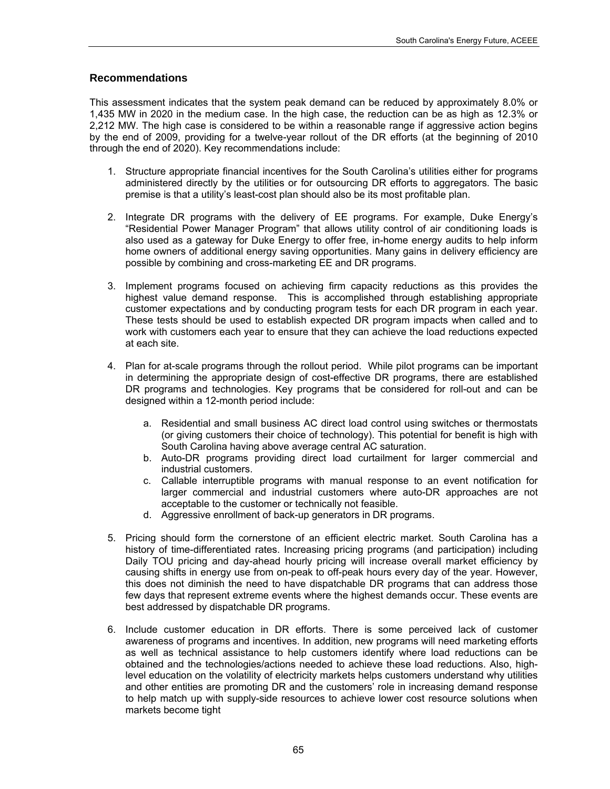#### **Recommendations**

This assessment indicates that the system peak demand can be reduced by approximately 8.0% or 1,435 MW in 2020 in the medium case. In the high case, the reduction can be as high as 12.3% or 2,212 MW. The high case is considered to be within a reasonable range if aggressive action begins by the end of 2009, providing for a twelve-year rollout of the DR efforts (at the beginning of 2010 through the end of 2020). Key recommendations include:

- 1. Structure appropriate financial incentives for the South Carolina's utilities either for programs administered directly by the utilities or for outsourcing DR efforts to aggregators. The basic premise is that a utility's least-cost plan should also be its most profitable plan.
- 2. Integrate DR programs with the delivery of EE programs. For example, Duke Energy's "Residential Power Manager Program" that allows utility control of air conditioning loads is also used as a gateway for Duke Energy to offer free, in-home energy audits to help inform home owners of additional energy saving opportunities. Many gains in delivery efficiency are possible by combining and cross-marketing EE and DR programs.
- 3. Implement programs focused on achieving firm capacity reductions as this provides the highest value demand response. This is accomplished through establishing appropriate customer expectations and by conducting program tests for each DR program in each year. These tests should be used to establish expected DR program impacts when called and to work with customers each year to ensure that they can achieve the load reductions expected at each site.
- 4. Plan for at-scale programs through the rollout period. While pilot programs can be important in determining the appropriate design of cost-effective DR programs, there are established DR programs and technologies. Key programs that be considered for roll-out and can be designed within a 12-month period include:
	- a. Residential and small business AC direct load control using switches or thermostats (or giving customers their choice of technology). This potential for benefit is high with South Carolina having above average central AC saturation.
	- b. Auto-DR programs providing direct load curtailment for larger commercial and industrial customers.
	- c. Callable interruptible programs with manual response to an event notification for larger commercial and industrial customers where auto-DR approaches are not acceptable to the customer or technically not feasible.
	- d. Aggressive enrollment of back-up generators in DR programs.
- 5. Pricing should form the cornerstone of an efficient electric market. South Carolina has a history of time-differentiated rates. Increasing pricing programs (and participation) including Daily TOU pricing and day-ahead hourly pricing will increase overall market efficiency by causing shifts in energy use from on-peak to off-peak hours every day of the year. However, this does not diminish the need to have dispatchable DR programs that can address those few days that represent extreme events where the highest demands occur. These events are best addressed by dispatchable DR programs.
- 6. Include customer education in DR efforts. There is some perceived lack of customer awareness of programs and incentives. In addition, new programs will need marketing efforts as well as technical assistance to help customers identify where load reductions can be obtained and the technologies/actions needed to achieve these load reductions. Also, highlevel education on the volatility of electricity markets helps customers understand why utilities and other entities are promoting DR and the customers' role in increasing demand response to help match up with supply-side resources to achieve lower cost resource solutions when markets become tight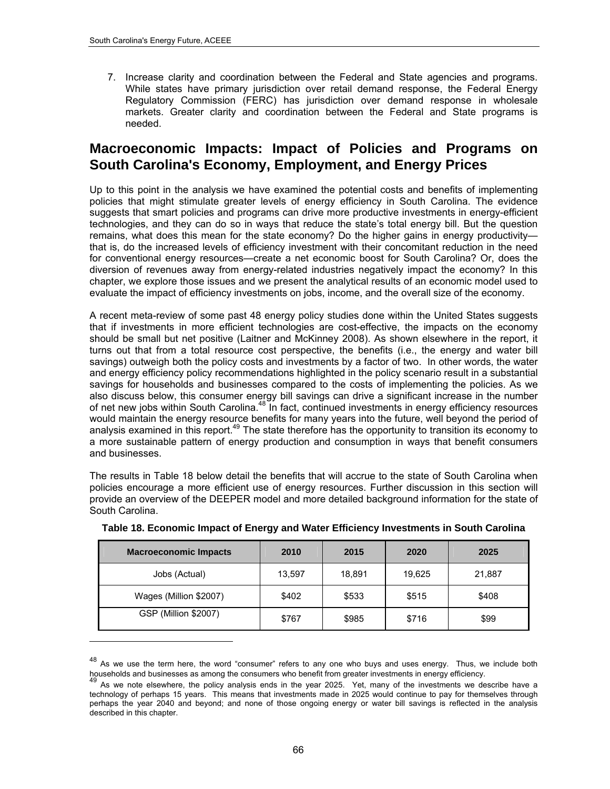l

7. Increase clarity and coordination between the Federal and State agencies and programs. While states have primary jurisdiction over retail demand response, the Federal Energy Regulatory Commission (FERC) has jurisdiction over demand response in wholesale markets. Greater clarity and coordination between the Federal and State programs is needed.

## **Macroeconomic Impacts: Impact of Policies and Programs on South Carolina's Economy, Employment, and Energy Prices**

Up to this point in the analysis we have examined the potential costs and benefits of implementing policies that might stimulate greater levels of energy efficiency in South Carolina. The evidence suggests that smart policies and programs can drive more productive investments in energy-efficient technologies, and they can do so in ways that reduce the state's total energy bill. But the question remains, what does this mean for the state economy? Do the higher gains in energy productivity that is, do the increased levels of efficiency investment with their concomitant reduction in the need for conventional energy resources—create a net economic boost for South Carolina? Or, does the diversion of revenues away from energy-related industries negatively impact the economy? In this chapter, we explore those issues and we present the analytical results of an economic model used to evaluate the impact of efficiency investments on jobs, income, and the overall size of the economy.

A recent meta-review of some past 48 energy policy studies done within the United States suggests that if investments in more efficient technologies are cost-effective, the impacts on the economy should be small but net positive (Laitner and McKinney 2008). As shown elsewhere in the report, it turns out that from a total resource cost perspective, the benefits (i.e., the energy and water bill savings) outweigh both the policy costs and investments by a factor of two. In other words, the water and energy efficiency policy recommendations highlighted in the policy scenario result in a substantial savings for households and businesses compared to the costs of implementing the policies. As we also discuss below, this consumer energy bill savings can drive a significant increase in the number of net new jobs within South Carolina.<sup>48</sup> In fact, continued investments in energy efficiency resources would maintain the energy resource benefits for many years into the future, well beyond the period of analysis examined in this report.<sup>49</sup> The state therefore has the opportunity to transition its economy to a more sustainable pattern of energy production and consumption in ways that benefit consumers and businesses.

The results in [Table](#page-79-2) 18 below detail the benefits that will accrue to the state of South Carolina when policies encourage a more efficient use of energy resources. Further discussion in this section will provide an overview of the DEEPER model and more detailed background information for the state of South Carolina.

<span id="page-79-2"></span>

| <b>Macroeconomic Impacts</b> | 2010   | 2015   | 2020   | 2025   |
|------------------------------|--------|--------|--------|--------|
| Jobs (Actual)                | 13,597 | 18,891 | 19,625 | 21,887 |
| Wages (Million \$2007)       | \$402  | \$533  | \$515  | \$408  |
| GSP (Million \$2007)         | \$767  | \$985  | \$716  | \$99   |

| Table 18. Economic Impact of Energy and Water Efficiency Investments in South Carolina |  |  |  |
|----------------------------------------------------------------------------------------|--|--|--|
|                                                                                        |  |  |  |

<span id="page-79-0"></span> $48$  As we use the term here, the word "consumer" refers to any one who buys and uses energy. Thus, we include both households and businesses as among the consumers who benefit from greater investments in energy efficienc

<span id="page-79-1"></span> $49$  As we note elsewhere, the policy analysis ends in the year 2025. Yet, many of the investments we describe have a technology of perhaps 15 years. This means that investments made in 2025 would continue to pay for themselves through perhaps the year 2040 and beyond; and none of those ongoing energy or water bill savings is reflected in the analysis described in this chapter.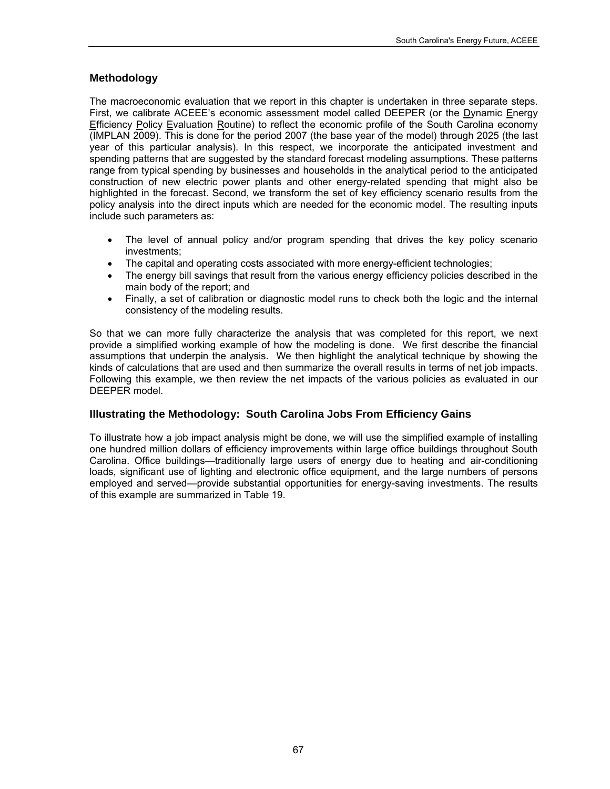## **Methodology**

The macroeconomic evaluation that we report in this chapter is undertaken in three separate steps. First, we calibrate ACEEE's economic assessment model called DEEPER (or the Dynamic Energy Efficiency Policy Evaluation Routine) to reflect the economic profile of the South Carolina economy (IMPLAN 2009). This is done for the period 2007 (the base year of the model) through 2025 (the last year of this particular analysis). In this respect, we incorporate the anticipated investment and spending patterns that are suggested by the standard forecast modeling assumptions. These patterns range from typical spending by businesses and households in the analytical period to the anticipated construction of new electric power plants and other energy-related spending that might also be highlighted in the forecast. Second, we transform the set of key efficiency scenario results from the policy analysis into the direct inputs which are needed for the economic model. The resulting inputs include such parameters as:

- The level of annual policy and/or program spending that drives the key policy scenario investments;
- The capital and operating costs associated with more energy-efficient technologies;
- The energy bill savings that result from the various energy efficiency policies described in the main body of the report; and
- Finally, a set of calibration or diagnostic model runs to check both the logic and the internal consistency of the modeling results.

So that we can more fully characterize the analysis that was completed for this report, we next provide a simplified working example of how the modeling is done. We first describe the financial assumptions that underpin the analysis. We then highlight the analytical technique by showing the kinds of calculations that are used and then summarize the overall results in terms of net job impacts. Following this example, we then review the net impacts of the various policies as evaluated in our DEEPER model.

## **Illustrating the Methodology: South Carolina Jobs From Efficiency Gains**

To illustrate how a job impact analysis might be done, we will use the simplified example of installing one hundred million dollars of efficiency improvements within large office buildings throughout South Carolina. Office buildings—traditionally large users of energy due to heating and air-conditioning loads, significant use of lighting and electronic office equipment, and the large numbers of persons employed and served—provide substantial opportunities for energy-saving investments. The results of this example are summarized in Table 19.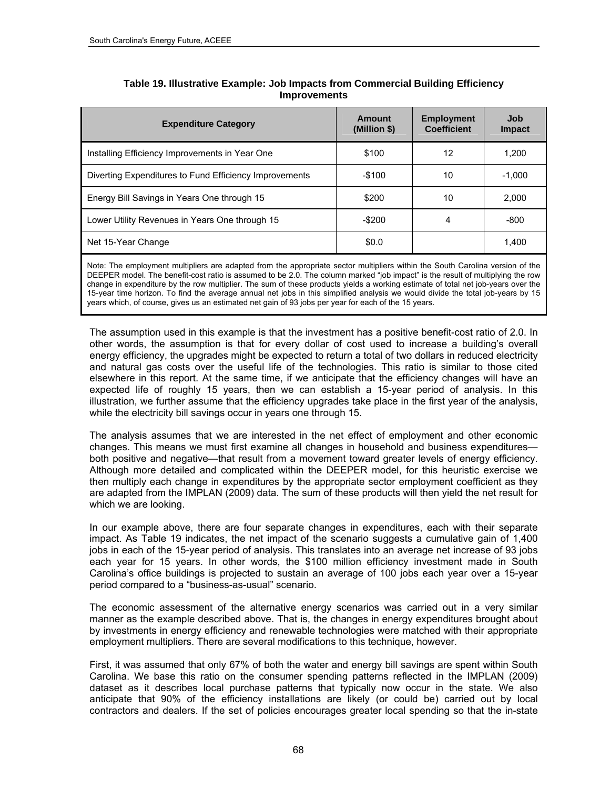| <b>Expenditure Category</b>                            | Amount<br>(Million \$) | <b>Employment</b><br><b>Coefficient</b> | Job<br>Impact |
|--------------------------------------------------------|------------------------|-----------------------------------------|---------------|
| Installing Efficiency Improvements in Year One         | \$100                  | 12                                      | 1.200         |
| Diverting Expenditures to Fund Efficiency Improvements | $-$ \$100              | 10                                      | $-1.000$      |
| Energy Bill Savings in Years One through 15            | \$200                  | 10                                      | 2.000         |
| Lower Utility Revenues in Years One through 15         | -\$200                 | 4                                       | -800          |
| Net 15-Year Change                                     | \$0.0                  |                                         | 1.400         |

#### **Table 19. Illustrative Example: Job Impacts from Commercial Building Efficiency Improvements**

Note: The employment multipliers are adapted from the appropriate sector multipliers within the South Carolina version of the DEEPER model. The benefit-cost ratio is assumed to be 2.0. The column marked "job impact" is the result of multiplying the row change in expenditure by the row multiplier. The sum of these products yields a working estimate of total net job-years over the 15-year time horizon. To find the average annual net jobs in this simplified analysis we would divide the total job-years by 15 years which, of course, gives us an estimated net gain of 93 jobs per year for each of the 15 years.

The assumption used in this example is that the investment has a positive benefit-cost ratio of 2.0. In other words, the assumption is that for every dollar of cost used to increase a building's overall energy efficiency, the upgrades might be expected to return a total of two dollars in reduced electricity and natural gas costs over the useful life of the technologies. This ratio is similar to those cited elsewhere in this report. At the same time, if we anticipate that the efficiency changes will have an expected life of roughly 15 years, then we can establish a 15-year period of analysis. In this illustration, we further assume that the efficiency upgrades take place in the first year of the analysis, while the electricity bill savings occur in years one through 15.

The analysis assumes that we are interested in the net effect of employment and other economic changes. This means we must first examine all changes in household and business expenditures both positive and negative—that result from a movement toward greater levels of energy efficiency. Although more detailed and complicated within the DEEPER model, for this heuristic exercise we then multiply each change in expenditures by the appropriate sector employment coefficient as they are adapted from the IMPLAN (2009) data. The sum of these products will then yield the net result for which we are looking.

In our example above, there are four separate changes in expenditures, each with their separate impact. As Table 19 indicates, the net impact of the scenario suggests a cumulative gain of 1,400 jobs in each of the 15-year period of analysis. This translates into an average net increase of 93 jobs each year for 15 years. In other words, the \$100 million efficiency investment made in South Carolina's office buildings is projected to sustain an average of 100 jobs each year over a 15-year period compared to a "business-as-usual" scenario.

The economic assessment of the alternative energy scenarios was carried out in a very similar manner as the example described above. That is, the changes in energy expenditures brought about by investments in energy efficiency and renewable technologies were matched with their appropriate employment multipliers. There are several modifications to this technique, however.

First, it was assumed that only 67% of both the water and energy bill savings are spent within South Carolina. We base this ratio on the consumer spending patterns reflected in the IMPLAN (2009) dataset as it describes local purchase patterns that typically now occur in the state. We also anticipate that 90% of the efficiency installations are likely (or could be) carried out by local contractors and dealers. If the set of policies encourages greater local spending so that the in-state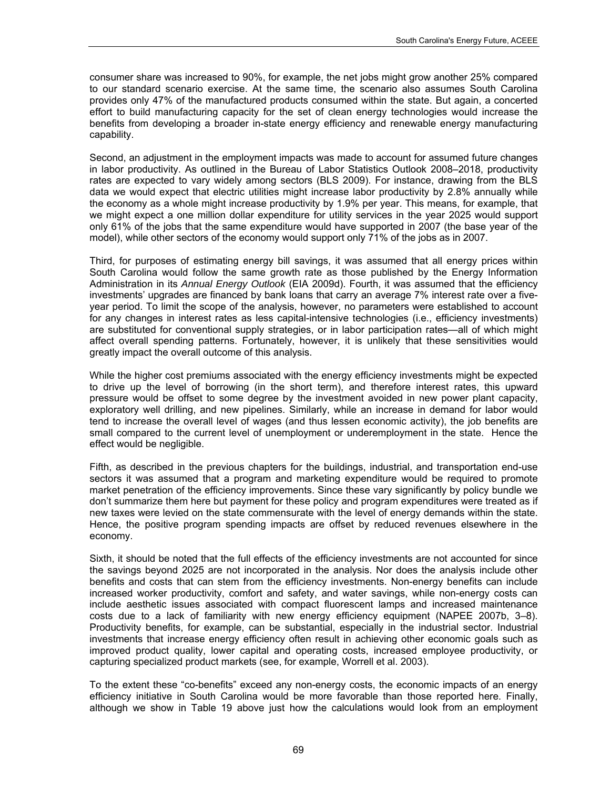consumer share was increased to 90%, for example, the net jobs might grow another 25% compared to our standard scenario exercise. At the same time, the scenario also assumes South Carolina provides only 47% of the manufactured products consumed within the state. But again, a concerted effort to build manufacturing capacity for the set of clean energy technologies would increase the benefits from developing a broader in-state energy efficiency and renewable energy manufacturing capability.

Second, an adjustment in the employment impacts was made to account for assumed future changes in labor productivity. As outlined in the Bureau of Labor Statistics Outlook 2008–2018, productivity rates are expected to vary widely among sectors (BLS 2009). For instance, drawing from the BLS data we would expect that electric utilities might increase labor productivity by 2.8% annually while the economy as a whole might increase productivity by 1.9% per year. This means, for example, that we might expect a one million dollar expenditure for utility services in the year 2025 would support only 61% of the jobs that the same expenditure would have supported in 2007 (the base year of the model), while other sectors of the economy would support only 71% of the jobs as in 2007.

Third, for purposes of estimating energy bill savings, it was assumed that all energy prices within South Carolina would follow the same growth rate as those published by the Energy Information Administration in its *Annual Energy Outlook* (EIA 2009d). Fourth, it was assumed that the efficiency investments' upgrades are financed by bank loans that carry an average 7% interest rate over a fiveyear period. To limit the scope of the analysis, however, no parameters were established to account for any changes in interest rates as less capital-intensive technologies (i.e., efficiency investments) are substituted for conventional supply strategies, or in labor participation rates—all of which might affect overall spending patterns. Fortunately, however, it is unlikely that these sensitivities would greatly impact the overall outcome of this analysis.

While the higher cost premiums associated with the energy efficiency investments might be expected to drive up the level of borrowing (in the short term), and therefore interest rates, this upward pressure would be offset to some degree by the investment avoided in new power plant capacity, exploratory well drilling, and new pipelines. Similarly, while an increase in demand for labor would tend to increase the overall level of wages (and thus lessen economic activity), the job benefits are small compared to the current level of unemployment or underemployment in the state. Hence the effect would be negligible.

Fifth, as described in the previous chapters for the buildings, industrial, and transportation end-use sectors it was assumed that a program and marketing expenditure would be required to promote market penetration of the efficiency improvements. Since these vary significantly by policy bundle we don't summarize them here but payment for these policy and program expenditures were treated as if new taxes were levied on the state commensurate with the level of energy demands within the state. Hence, the positive program spending impacts are offset by reduced revenues elsewhere in the economy.

Sixth, it should be noted that the full effects of the efficiency investments are not accounted for since the savings beyond 2025 are not incorporated in the analysis. Nor does the analysis include other benefits and costs that can stem from the efficiency investments. Non-energy benefits can include increased worker productivity, comfort and safety, and water savings, while non-energy costs can include aesthetic issues associated with compact fluorescent lamps and increased maintenance costs due to a lack of familiarity with new energy efficiency equipment (NAPEE 2007b, 3–8). Productivity benefits, for example, can be substantial, especially in the industrial sector. Industrial investments that increase energy efficiency often result in achieving other economic goals such as improved product quality, lower capital and operating costs, increased employee productivity, or capturing specialized product markets (see, for example, Worrell et al. 2003).

To the extent these "co-benefits" exceed any non-energy costs, the economic impacts of an energy efficiency initiative in South Carolina would be more favorable than those reported here. Finally, although we show in Table 19 above just how the calculations would look from an employment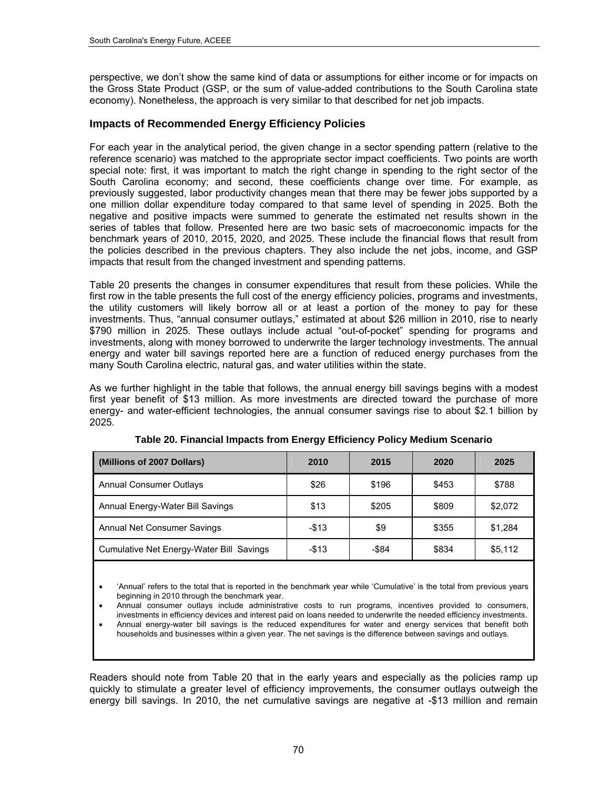perspective, we don't show the same kind of data or assumptions for either income or for impacts on the Gross State Product (GSP, or the sum of value-added contributions to the South Carolina state economy). Nonetheless, the approach is very similar to that described for net job impacts.

#### **Impacts of Recommended Energy Efficiency Policies**

For each year in the analytical period, the given change in a sector spending pattern (relative to the reference scenario) was matched to the appropriate sector impact coefficients. Two points are worth special note: first, it was important to match the right change in spending to the right sector of the South Carolina economy; and second, these coefficients change over time. For example, as previously suggested, labor productivity changes mean that there may be fewer jobs supported by a one million dollar expenditure today compared to that same level of spending in 2025. Both the negative and positive impacts were summed to generate the estimated net results shown in the series of tables that follow. Presented here are two basic sets of macroeconomic impacts for the benchmark years of 2010, 2015, 2020, and 2025. These include the financial flows that result from the policies described in the previous chapters. They also include the net jobs, income, and GSP impacts that result from the changed investment and spending patterns.

Table 20 presents the changes in consumer expenditures that result from these policies. While the first row in the table presents the full cost of the energy efficiency policies, programs and investments, the utility customers will likely borrow all or at least a portion of the money to pay for these investments. Thus, "annual consumer outlays," estimated at about \$26 million in 2010, rise to nearly \$790 million in 2025. These outlays include actual "out-of-pocket" spending for programs and investments, along with money borrowed to underwrite the larger technology investments. The annual energy and water bill savings reported here are a function of reduced energy purchases from the many South Carolina electric, natural gas, and water utilities within the state.

As we further highlight in the table that follows, the annual energy bill savings begins with a modest first year benefit of \$13 million. As more investments are directed toward the purchase of more energy- and water-efficient technologies, the annual consumer savings rise to about \$2.1 billion by 2025.

| (Millions of 2007 Dollars)               | 2010   | 2015  | 2020  | 2025    |
|------------------------------------------|--------|-------|-------|---------|
| <b>Annual Consumer Outlays</b>           | \$26   | \$196 | \$453 | \$788   |
| Annual Energy-Water Bill Savings         | \$13   | \$205 | \$809 | \$2,072 |
| Annual Net Consumer Savings              | $-$13$ | \$9   | \$355 | \$1,284 |
| Cumulative Net Energy-Water Bill Savings | $-$13$ | -\$84 | \$834 | \$5,112 |

**Table 20. Financial Impacts from Energy Efficiency Policy Medium Scenario** 

 'Annual' refers to the total that is reported in the benchmark year while 'Cumulative' is the total from previous years beginning in 2010 through the benchmark year.

 Annual consumer outlays include administrative costs to run programs, incentives provided to consumers, investments in efficiency devices and interest paid on loans needed to underwrite the needed efficiency investments.

 Annual energy-water bill savings is the reduced expenditures for water and energy services that benefit both households and businesses within a given year. The net savings is the difference between savings and outlays.

Readers should note from Table 20 that in the early years and especially as the policies ramp up quickly to stimulate a greater level of efficiency improvements, the consumer outlays outweigh the energy bill savings. In 2010, the net cumulative savings are negative at -\$13 million and remain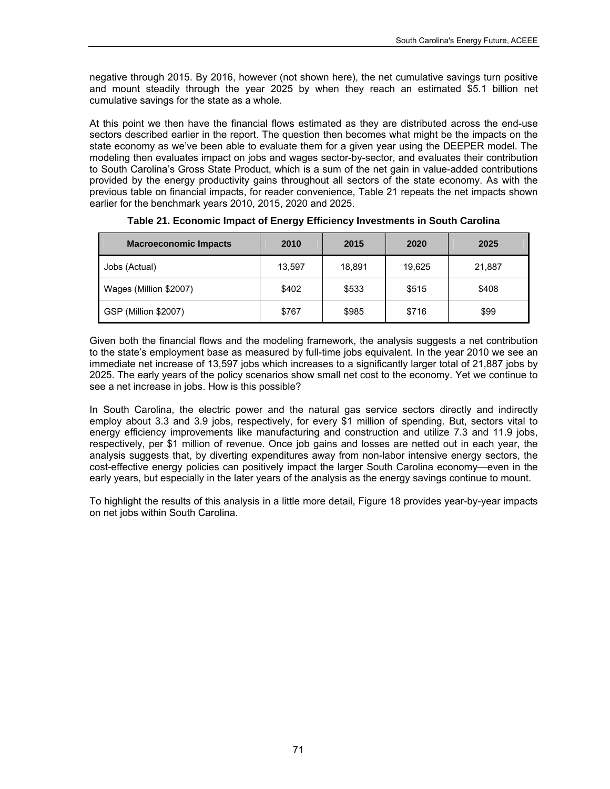negative through 2015. By 2016, however (not shown here), the net cumulative savings turn positive and mount steadily through the year 2025 by when they reach an estimated \$5.1 billion net cumulative savings for the state as a whole.

At this point we then have the financial flows estimated as they are distributed across the end-use sectors described earlier in the report. The question then becomes what might be the impacts on the state economy as we've been able to evaluate them for a given year using the DEEPER model. The modeling then evaluates impact on jobs and wages sector-by-sector, and evaluates their contribution to South Carolina's Gross State Product, which is a sum of the net gain in value-added contributions provided by the energy productivity gains throughout all sectors of the state economy. As with the previous table on financial impacts, for reader convenience, [Table](#page-84-0) 21 repeats the net impacts shown earlier for the benchmark years 2010, 2015, 2020 and 2025.

<span id="page-84-0"></span>

| <b>Macroeconomic Impacts</b> | 2010   | 2015   | 2020   | 2025   |
|------------------------------|--------|--------|--------|--------|
| Jobs (Actual)                | 13,597 | 18.891 | 19.625 | 21,887 |
| Wages (Million \$2007)       | \$402  | \$533  | \$515  | \$408  |
| <b>GSP (Million \$2007)</b>  | \$767  | \$985  | \$716  | \$99   |

**Table 21. Economic Impact of Energy Efficiency Investments in South Carolina** 

Given both the financial flows and the modeling framework, the analysis suggests a net contribution to the state's employment base as measured by full-time jobs equivalent. In the year 2010 we see an immediate net increase of 13,597 jobs which increases to a significantly larger total of 21,887 jobs by 2025. The early years of the policy scenarios show small net cost to the economy. Yet we continue to see a net increase in jobs. How is this possible?

In South Carolina, the electric power and the natural gas service sectors directly and indirectly employ about 3.3 and 3.9 jobs, respectively, for every \$1 million of spending. But, sectors vital to energy efficiency improvements like manufacturing and construction and utilize 7.3 and 11.9 jobs, respectively, per \$1 million of revenue. Once job gains and losses are netted out in each year, the analysis suggests that, by diverting expenditures away from non-labor intensive energy sectors, the cost-effective energy policies can positively impact the larger South Carolina economy—even in the early years, but especially in the later years of the analysis as the energy savings continue to mount.

To highlight the results of this analysis in a little more detail, [Figure](#page-85-0) 18 provides year-by-year impacts on net jobs within South Carolina.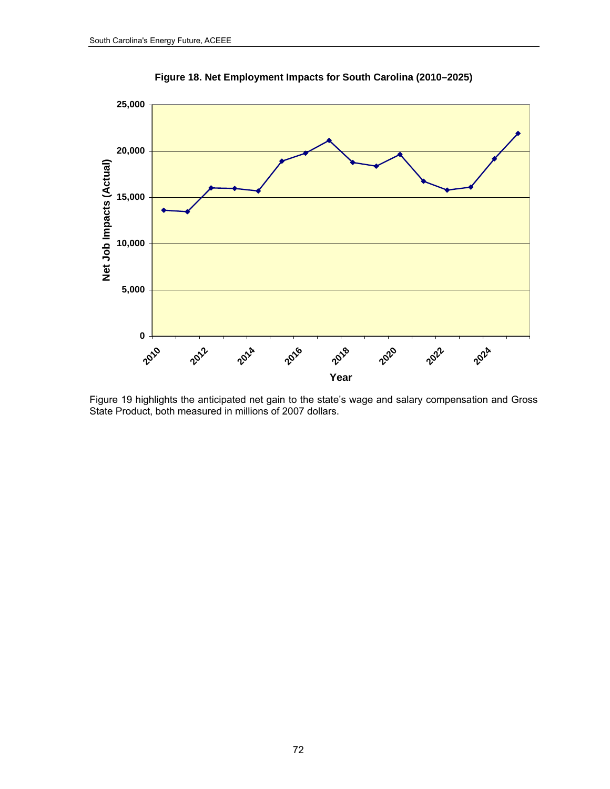<span id="page-85-0"></span>

**Figure 18. Net Employment Impacts for South Carolina (2010–2025)** 

Figure 19 highlights the anticipated net gain to the state's wage and salary compensation and Gross State Product, both measured in millions of 2007 dollars.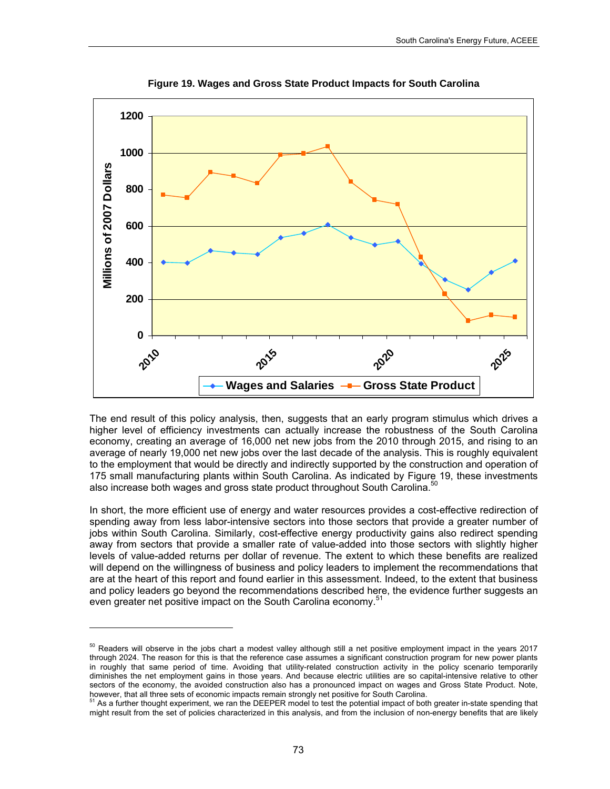

**Figure 19. Wages and Gross State Product Impacts for South Carolina** 

The end result of this policy analysis, then, suggests that an early program stimulus which drives a higher level of efficiency investments can actually increase the robustness of the South Carolina economy, creating an average of 16,000 net new jobs from the 2010 through 2015, and rising to an average of nearly 19,000 net new jobs over the last decade of the analysis. This is roughly equivalent to the employment that would be directly and indirectly supported by the construction and operation of 175 small manufacturing plants within South Carolina. As indicated by Figure 19, these investments also increase both wages and gross state product throughout South Carolina.<sup>50</sup>

In short, the more efficient use of energy and water resources provides a cost-effective redirection of spending away from less labor-intensive sectors into those sectors that provide a greater number of jobs within South Carolina. Similarly, cost-effective energy productivity gains also redirect spending away from sectors that provide a smaller rate of value-added into those sectors with slightly higher levels of value-added returns per dollar of revenue. The extent to which these benefits are realized will depend on the willingness of business and policy leaders to implement the recommendations that are at the heart of this report and found earlier in this assessment. Indeed, to the extent that business and policy leaders go beyond the recommendations described here, the evidence further suggests an even greater net positive impact on the South Carolina economy.<sup>51</sup>

l

<span id="page-86-0"></span><sup>&</sup>lt;sup>50</sup> Readers will observe in the jobs chart a modest valley although still a net positive employment impact in the years 2017 through 2024. The reason for this is that the reference case assumes a significant construction program for new power plants in roughly that same period of time. Avoiding that utility-related construction activity in the policy scenario temporarily diminishes the net employment gains in those years. And because electric utilities are so capital-intensive relative to other sectors of the economy, the avoided construction also has a pronounced impact on wages and Gross State Product. Note,

<span id="page-86-1"></span>however, that all three sets of economic impacts remain strongly net positive for South Carolina.<br><sup>51</sup> As a further thought experiment, we ran the DEEPER model to test the potential impact of both greater in-state spending might result from the set of policies characterized in this analysis, and from the inclusion of non-energy benefits that are likely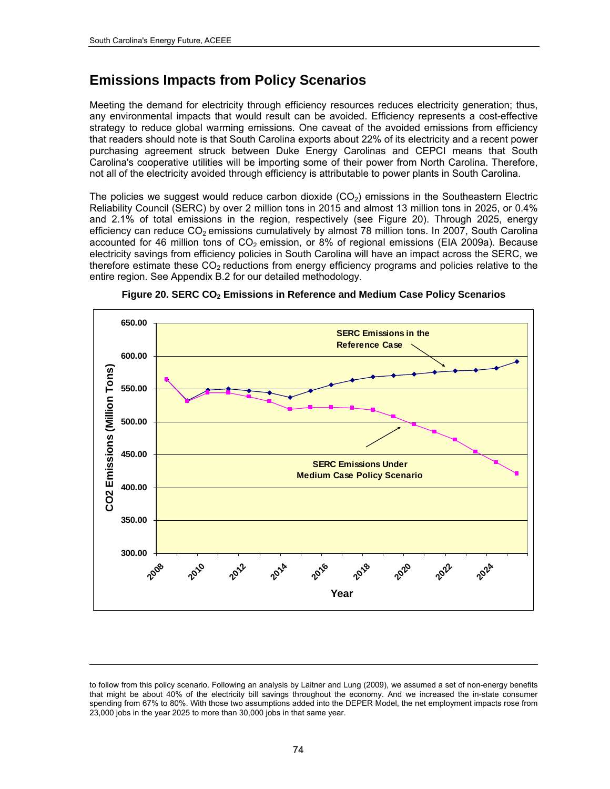l

## **Emissions Impacts from Policy Scenarios**

Meeting the demand for electricity through efficiency resources reduces electricity generation; thus, any environmental impacts that would result can be avoided. Efficiency represents a cost-effective strategy to reduce global warming emissions. One caveat of the avoided emissions from efficiency that readers should note is that South Carolina exports about 22% of its electricity and a recent power purchasing agreement struck between Duke Energy Carolinas and CEPCI means that South Carolina's cooperative utilities will be importing some of their power from North Carolina. Therefore, not all of the electricity avoided through efficiency is attributable to power plants in South Carolina.

The policies we suggest would reduce carbon dioxide  $(CO<sub>2</sub>)$  emissions in the Southeastern Electric Reliability Council (SERC) by over 2 million tons in 2015 and almost 13 million tons in 2025, or 0.4% and 2.1% of total emissions in the region, respectively (see Figure 20). Through 2025, energy efficiency can reduce  $CO<sub>2</sub>$  emissions cumulatively by almost 78 million tons. In 2007, South Carolina accounted for 46 million tons of  $CO<sub>2</sub>$  emission, or 8% of regional emissions (EIA 2009a). Because electricity savings from efficiency policies in South Carolina will have an impact across the SERC, we therefore estimate these  $CO<sub>2</sub>$  reductions from energy efficiency programs and policies relative to the entire region. See Appendix B.2 for our detailed methodology.





to follow from this policy scenario. Following an analysis by Laitner and Lung (2009), we assumed a set of non-energy benefits that might be about 40% of the electricity bill savings throughout the economy. And we increased the in-state consumer spending from 67% to 80%. With those two assumptions added into the DEPER Model, the net employment impacts rose from 23,000 jobs in the year 2025 to more than 30,000 jobs in that same year.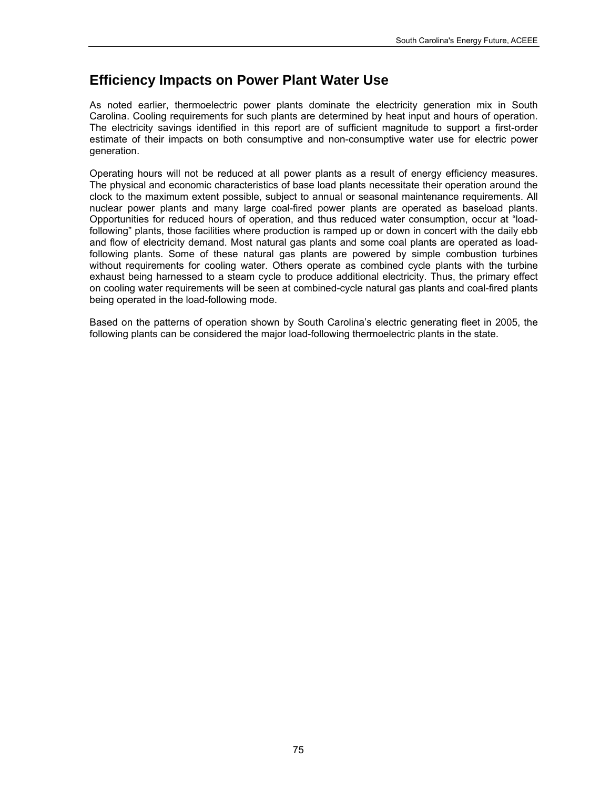## **Efficiency Impacts on Power Plant Water Use**

As noted earlier, thermoelectric power plants dominate the electricity generation mix in South Carolina. Cooling requirements for such plants are determined by heat input and hours of operation. The electricity savings identified in this report are of sufficient magnitude to support a first-order estimate of their impacts on both consumptive and non-consumptive water use for electric power generation.

Operating hours will not be reduced at all power plants as a result of energy efficiency measures. The physical and economic characteristics of base load plants necessitate their operation around the clock to the maximum extent possible, subject to annual or seasonal maintenance requirements. All nuclear power plants and many large coal-fired power plants are operated as baseload plants. Opportunities for reduced hours of operation, and thus reduced water consumption, occur at "loadfollowing" plants, those facilities where production is ramped up or down in concert with the daily ebb and flow of electricity demand. Most natural gas plants and some coal plants are operated as loadfollowing plants. Some of these natural gas plants are powered by simple combustion turbines without requirements for cooling water. Others operate as combined cycle plants with the turbine exhaust being harnessed to a steam cycle to produce additional electricity. Thus, the primary effect on cooling water requirements will be seen at combined-cycle natural gas plants and coal-fired plants being operated in the load-following mode.

Based on the patterns of operation shown by South Carolina's electric generating fleet in 2005, the following plants can be considered the major load-following thermoelectric plants in the state.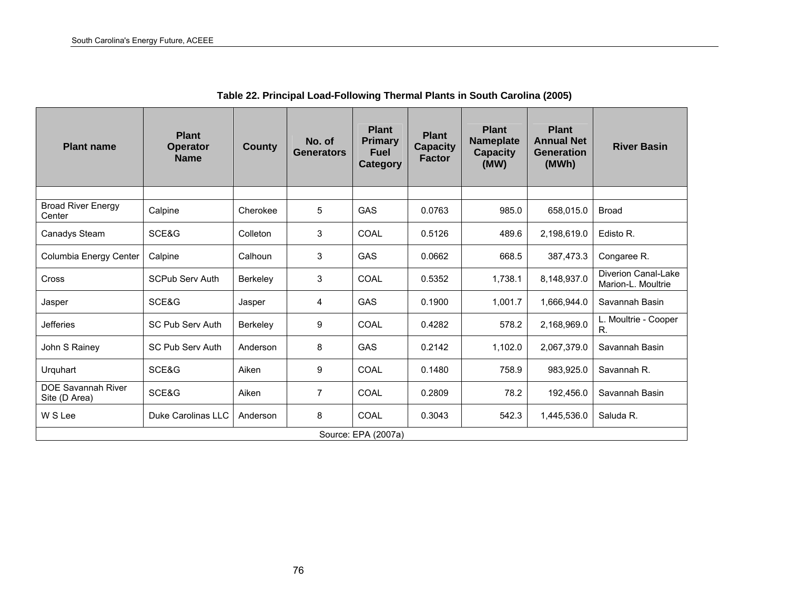| <b>Plant name</b>                          | <b>Plant</b><br><b>Operator</b><br><b>Name</b> | <b>County</b>   | No. of<br><b>Generators</b> | <b>Plant</b><br><b>Primary</b><br><b>Fuel</b><br>Category | <b>Plant</b><br><b>Capacity</b><br><b>Factor</b> | <b>Plant</b><br><b>Nameplate</b><br><b>Capacity</b><br>(MW) | <b>Plant</b><br><b>Annual Net</b><br><b>Generation</b><br>(MWh) | <b>River Basin</b>                        |
|--------------------------------------------|------------------------------------------------|-----------------|-----------------------------|-----------------------------------------------------------|--------------------------------------------------|-------------------------------------------------------------|-----------------------------------------------------------------|-------------------------------------------|
|                                            |                                                |                 |                             |                                                           |                                                  |                                                             |                                                                 |                                           |
| <b>Broad River Energy</b><br>Center        | Calpine                                        | Cherokee        | 5                           | GAS                                                       | 0.0763                                           | 985.0                                                       | 658,015.0                                                       | <b>Broad</b>                              |
| Canadys Steam                              | SCE&G                                          | Colleton        | 3                           | COAL                                                      | 0.5126                                           | 489.6                                                       | 2,198,619.0                                                     | Edisto R.                                 |
| Columbia Energy Center                     | Calpine                                        | Calhoun         | 3                           | <b>GAS</b>                                                | 0.0662                                           | 668.5                                                       | 387,473.3                                                       | Congaree R.                               |
| Cross                                      | SCPub Serv Auth                                | <b>Berkelev</b> | 3                           | COAL                                                      | 0.5352                                           | 1,738.1                                                     | 8,148,937.0                                                     | Diverion Canal-Lake<br>Marion-L. Moultrie |
| Jasper                                     | SCE&G                                          | Jasper          | 4                           | <b>GAS</b>                                                | 0.1900                                           | 1,001.7                                                     | 1,666,944.0                                                     | Savannah Basin                            |
| <b>Jefferies</b>                           | <b>SC Pub Serv Auth</b>                        | <b>Berkelev</b> | 9                           | <b>COAL</b>                                               | 0.4282                                           | 578.2                                                       | 2,168,969.0                                                     | L. Moultrie - Cooper<br>R.                |
| John S Rainey                              | SC Pub Serv Auth                               | Anderson        | 8                           | GAS                                                       | 0.2142                                           | 1,102.0                                                     | 2,067,379.0                                                     | Savannah Basin                            |
| Urquhart                                   | SCE&G                                          | Aiken           | 9                           | COAL                                                      | 0.1480                                           | 758.9                                                       | 983,925.0                                                       | Savannah R.                               |
| <b>DOE Savannah River</b><br>Site (D Area) | SCE&G                                          | Aiken           | 7                           | COAL                                                      | 0.2809                                           | 78.2                                                        | 192,456.0                                                       | Savannah Basin                            |
| W S Lee                                    | Duke Carolinas LLC                             | Anderson        | 8                           | COAL                                                      | 0.3043                                           | 542.3                                                       | 1,445,536.0                                                     | Saluda R.                                 |
|                                            |                                                |                 |                             | Source: EPA (2007a)                                       |                                                  |                                                             |                                                                 |                                           |

**Table 22. Principal Load-Following Thermal Plants in South Carolina (2005)**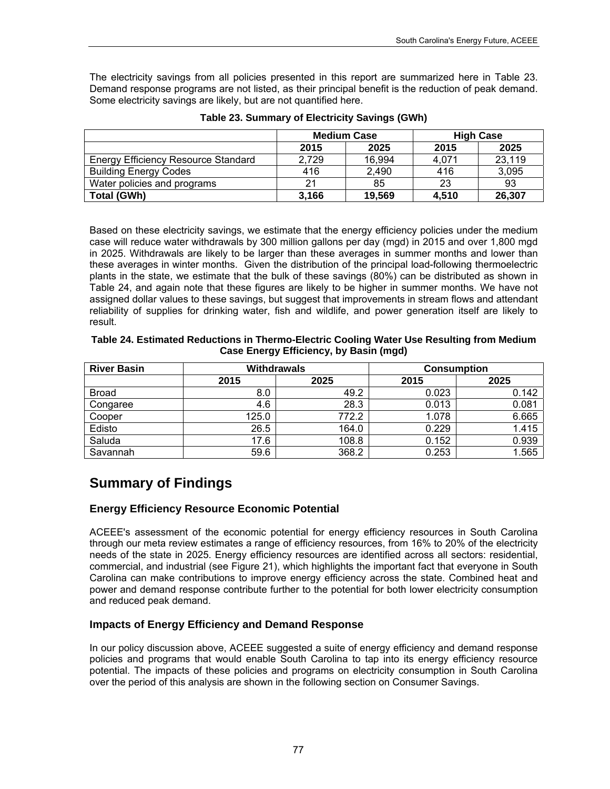The electricity savings from all policies presented in this report are summarized here in Table 23. Demand response programs are not listed, as their principal benefit is the reduction of peak demand. Some electricity savings are likely, but are not quantified here.

|                                            |       | <b>Medium Case</b> |       | <b>High Case</b> |
|--------------------------------------------|-------|--------------------|-------|------------------|
|                                            | 2015  | 2025               | 2015  | 2025             |
| <b>Energy Efficiency Resource Standard</b> | 2,729 | 16,994             | 4,071 | 23,119           |
| <b>Building Energy Codes</b>               | 416   | 2,490              | 416   | 3,095            |
| Water policies and programs                | 21    | 85                 | 23    | 93               |
| Total (GWh)                                | 3.166 | 19.569             | 4.510 | 26,307           |

| Table 23. Summary of Electricity Savings (GWh) |
|------------------------------------------------|
|------------------------------------------------|

Based on these electricity savings, we estimate that the energy efficiency policies under the medium case will reduce water withdrawals by 300 million gallons per day (mgd) in 2015 and over 1,800 mgd in 2025. Withdrawals are likely to be larger than these averages in summer months and lower than these averages in winter months. Given the distribution of the principal load-following thermoelectric plants in the state, we estimate that the bulk of these savings (80%) can be distributed as shown in Table 24, and again note that these figures are likely to be higher in summer months. We have not assigned dollar values to these savings, but suggest that improvements in stream flows and attendant reliability of supplies for drinking water, fish and wildlife, and power generation itself are likely to result.

| Table 24. Estimated Reductions in Thermo-Electric Cooling Water Use Resulting from Medium |
|-------------------------------------------------------------------------------------------|
| Case Energy Efficiency, by Basin (mgd)                                                    |

| <b>River Basin</b> |       | <b>Withdrawals</b> | <b>Consumption</b> |       |  |
|--------------------|-------|--------------------|--------------------|-------|--|
|                    | 2015  | 2025               | 2015               | 2025  |  |
| <b>Broad</b>       | 8.0   | 49.2               | 0.023              | 0.142 |  |
| Congaree           | 4.6   | 28.3               | 0.013              | 0.081 |  |
| Cooper             | 125.0 | 772.2              | 1.078              | 6.665 |  |
| Edisto             | 26.5  | 164.0              | 0.229              | 1.415 |  |
| Saluda             | 17.6  | 108.8              | 0.152              | 0.939 |  |
| Savannah           | 59.6  | 368.2              | 0.253              | 1.565 |  |

## **Summary of Findings**

## **Energy Efficiency Resource Economic Potential**

ACEEE's assessment of the economic potential for energy efficiency resources in South Carolina through our meta review estimates a range of efficiency resources, from 16% to 20% of the electricity needs of the state in 2025. Energy efficiency resources are identified across all sectors: residential, commercial, and industrial (see Figure 21), which highlights the important fact that everyone in South Carolina can make contributions to improve energy efficiency across the state. Combined heat and power and demand response contribute further to the potential for both lower electricity consumption and reduced peak demand.

## **Impacts of Energy Efficiency and Demand Response**

In our policy discussion above, ACEEE suggested a suite of energy efficiency and demand response policies and programs that would enable South Carolina to tap into its energy efficiency resource potential. The impacts of these policies and programs on electricity consumption in South Carolina over the period of this analysis are shown in the following section on Consumer Savings.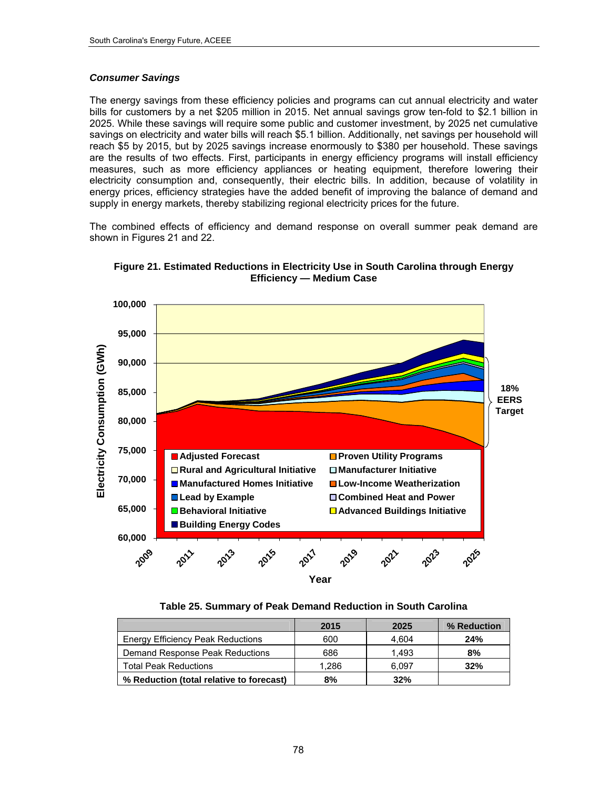#### *Consumer Savings*

The energy savings from these efficiency policies and programs can cut annual electricity and water bills for customers by a net \$205 million in 2015. Net annual savings grow ten-fold to \$2.1 billion in 2025. While these savings will require some public and customer investment, by 2025 net cumulative savings on electricity and water bills will reach \$5.1 billion. Additionally, net savings per household will reach \$5 by 2015, but by 2025 savings increase enormously to \$380 per household. These savings are the results of two effects. First, participants in energy efficiency programs will install efficiency measures, such as more efficiency appliances or heating equipment, therefore lowering their electricity consumption and, consequently, their electric bills. In addition, because of volatility in energy prices, efficiency strategies have the added benefit of improving the balance of demand and supply in energy markets, thereby stabilizing regional electricity prices for the future.

The combined effects of efficiency and demand response on overall summer peak demand are shown in Figures 21 and 22.



**Figure 21. Estimated Reductions in Electricity Use in South Carolina through Energy Efficiency — Medium Case** 

**Table 25. Summary of Peak Demand Reduction in South Carolina** 

|                                          | 2015  | 2025  | % Reduction |
|------------------------------------------|-------|-------|-------------|
| <b>Energy Efficiency Peak Reductions</b> | 600   | 4.604 | 24%         |
| Demand Response Peak Reductions          | 686   | 1.493 | 8%          |
| <b>Total Peak Reductions</b>             | 1.286 | 6.097 | 32%         |
| % Reduction (total relative to forecast) | 8%    | 32%   |             |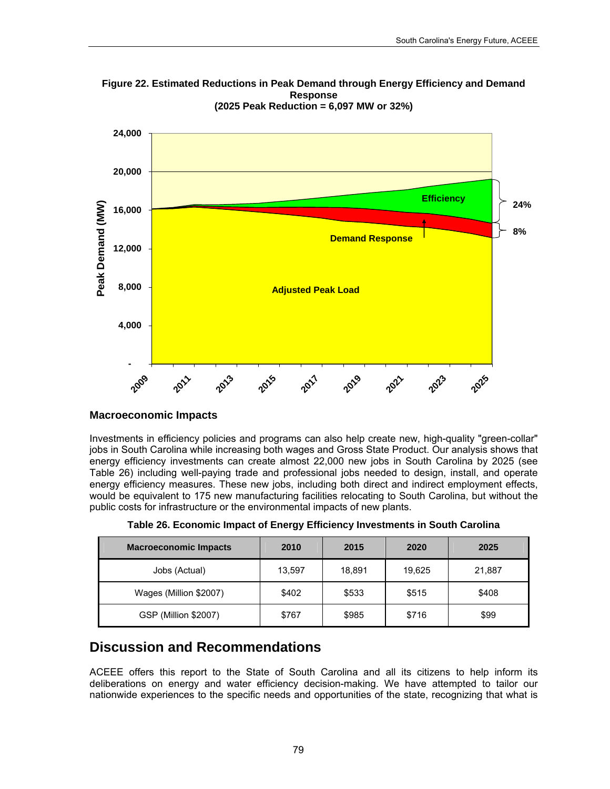

**Figure 22. Estimated Reductions in Peak Demand through Energy Efficiency and Demand Response (2025 Peak Reduction = 6,097 MW or 32%)** 

#### **Macroeconomic Impacts**

Investments in efficiency policies and programs can also help create new, high-quality "green-collar" jobs in South Carolina while increasing both wages and Gross State Product. Our analysis shows that energy efficiency investments can create almost 22,000 new jobs in South Carolina by 2025 (see [Table](#page-92-0) 26) including well-paying trade and professional jobs needed to design, install, and operate energy efficiency measures. These new jobs, including both direct and indirect employment effects, would be equivalent to 175 new manufacturing facilities relocating to South Carolina, but without the public costs for infrastructure or the environmental impacts of new plants.

<span id="page-92-0"></span>

| <b>Macroeconomic Impacts</b> | 2010   | 2015   | 2020   | 2025   |
|------------------------------|--------|--------|--------|--------|
| Jobs (Actual)                | 13,597 | 18,891 | 19,625 | 21,887 |
| Wages (Million \$2007)       | \$402  | \$533  | \$515  | \$408  |
| GSP (Million \$2007)         | \$767  | \$985  | \$716  | \$99   |

**Table 26. Economic Impact of Energy Efficiency Investments in South Carolina** 

## **Discussion and Recommendations**

ACEEE offers this report to the State of South Carolina and all its citizens to help inform its deliberations on energy and water efficiency decision-making. We have attempted to tailor our nationwide experiences to the specific needs and opportunities of the state, recognizing that what is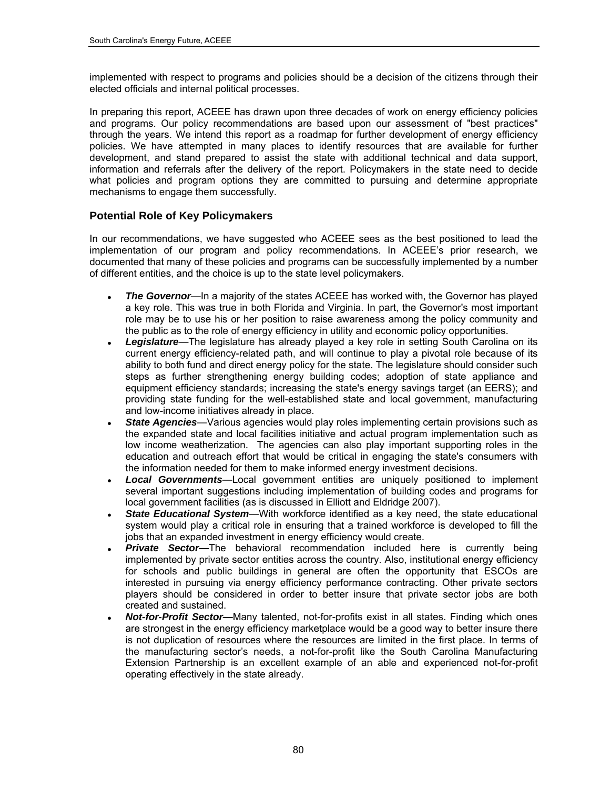implemented with respect to programs and policies should be a decision of the citizens through their elected officials and internal political processes.

In preparing this report, ACEEE has drawn upon three decades of work on energy efficiency policies and programs. Our policy recommendations are based upon our assessment of "best practices" through the years. We intend this report as a roadmap for further development of energy efficiency policies. We have attempted in many places to identify resources that are available for further development, and stand prepared to assist the state with additional technical and data support, information and referrals after the delivery of the report. Policymakers in the state need to decide what policies and program options they are committed to pursuing and determine appropriate mechanisms to engage them successfully.

## **Potential Role of Key Policymakers**

In our recommendations, we have suggested who ACEEE sees as the best positioned to lead the implementation of our program and policy recommendations. In ACEEE's prior research, we documented that many of these policies and programs can be successfully implemented by a number of different entities, and the choice is up to the state level policymakers.

- **The Governor**—In a majority of the states ACEEE has worked with, the Governor has played a key role. This was true in both Florida and Virginia. In part, the Governor's most important role may be to use his or her position to raise awareness among the policy community and the public as to the role of energy efficiency in utility and economic policy opportunities.
- *Legislature*—The legislature has already played a key role in setting South Carolina on its current energy efficiency-related path, and will continue to play a pivotal role because of its ability to both fund and direct energy policy for the state. The legislature should consider such steps as further strengthening energy building codes; adoption of state appliance and equipment efficiency standards; increasing the state's energy savings target (an EERS); and providing state funding for the well-established state and local government, manufacturing and low-income initiatives already in place.
- *State Agencies*—Various agencies would play roles implementing certain provisions such as the expanded state and local facilities initiative and actual program implementation such as low income weatherization. The agencies can also play important supporting roles in the education and outreach effort that would be critical in engaging the state's consumers with the information needed for them to make informed energy investment decisions.
- *Local Governments*—Local government entities are uniquely positioned to implement several important suggestions including implementation of building codes and programs for local government facilities (as is discussed in Elliott and Eldridge 2007).
- *State Educational System*—With workforce identified as a key need, the state educational system would play a critical role in ensuring that a trained workforce is developed to fill the jobs that an expanded investment in energy efficiency would create.
- **Private Sector-**The behavioral recommendation included here is currently being implemented by private sector entities across the country. Also, institutional energy efficiency for schools and public buildings in general are often the opportunity that ESCOs are interested in pursuing via energy efficiency performance contracting. Other private sectors players should be considered in order to better insure that private sector jobs are both created and sustained.
- *Not-for-Profit Sector—*Many talented, not-for-profits exist in all states. Finding which ones are strongest in the energy efficiency marketplace would be a good way to better insure there is not duplication of resources where the resources are limited in the first place. In terms of the manufacturing sector's needs, a not-for-profit like the South Carolina Manufacturing Extension Partnership is an excellent example of an able and experienced not-for-profit operating effectively in the state already.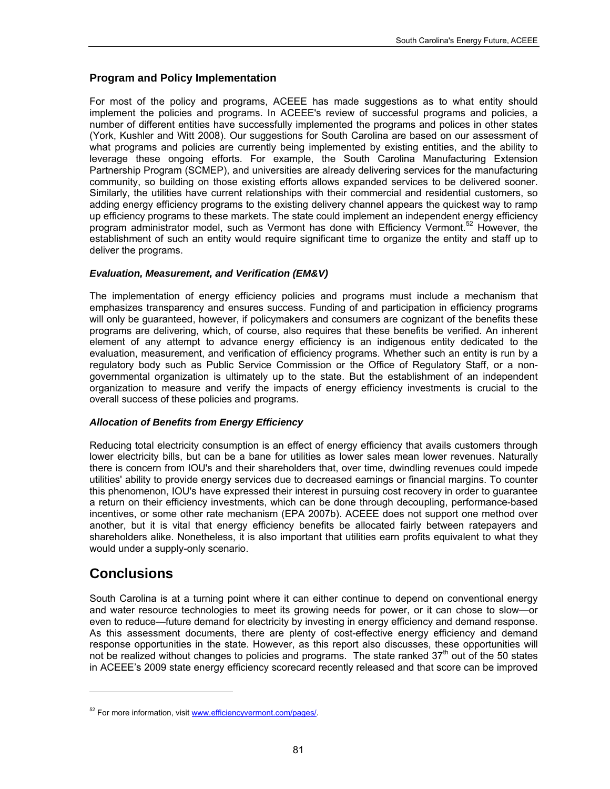#### **Program and Policy Implementation**

For most of the policy and programs, ACEEE has made suggestions as to what entity should implement the policies and programs. In ACEEE's review of successful programs and policies, a number of different entities have successfully implemented the programs and polices in other states (York, Kushler and Witt 2008). Our suggestions for South Carolina are based on our assessment of what programs and policies are currently being implemented by existing entities, and the ability to leverage these ongoing efforts. For example, the South Carolina Manufacturing Extension Partnership Program (SCMEP), and universities are already delivering services for the manufacturing community, so building on those existing efforts allows expanded services to be delivered sooner. Similarly, the utilities have current relationships with their commercial and residential customers, so adding energy efficiency programs to the existing delivery channel appears the quickest way to ramp up efficiency programs to these markets. The state could implement an independent energy efficiency program administrator model, such as Vermont has done with Efficiency Vermont.<sup>[52](#page-94-0)</sup> However, the establishment of such an entity would require significant time to organize the entity and staff up to deliver the programs.

#### *Evaluation, Measurement, and Verification (EM&V)*

The implementation of energy efficiency policies and programs must include a mechanism that emphasizes transparency and ensures success. Funding of and participation in efficiency programs will only be guaranteed, however, if policymakers and consumers are cognizant of the benefits these programs are delivering, which, of course, also requires that these benefits be verified. An inherent element of any attempt to advance energy efficiency is an indigenous entity dedicated to the evaluation, measurement, and verification of efficiency programs. Whether such an entity is run by a regulatory body such as Public Service Commission or the Office of Regulatory Staff, or a nongovernmental organization is ultimately up to the state. But the establishment of an independent organization to measure and verify the impacts of energy efficiency investments is crucial to the overall success of these policies and programs.

#### *Allocation of Benefits from Energy Efficiency*

Reducing total electricity consumption is an effect of energy efficiency that avails customers through lower electricity bills, but can be a bane for utilities as lower sales mean lower revenues. Naturally there is concern from IOU's and their shareholders that, over time, dwindling revenues could impede utilities' ability to provide energy services due to decreased earnings or financial margins. To counter this phenomenon, IOU's have expressed their interest in pursuing cost recovery in order to guarantee a return on their efficiency investments, which can be done through decoupling, performance-based incentives, or some other rate mechanism (EPA 2007b). ACEEE does not support one method over another, but it is vital that energy efficiency benefits be allocated fairly between ratepayers and shareholders alike. Nonetheless, it is also important that utilities earn profits equivalent to what they would under a supply-only scenario.

## **Conclusions**

l

South Carolina is at a turning point where it can either continue to depend on conventional energy and water resource technologies to meet its growing needs for power, or it can chose to slow—or even to reduce—future demand for electricity by investing in energy efficiency and demand response. As this assessment documents, there are plenty of cost-effective energy efficiency and demand response opportunities in the state. However, as this report also discusses, these opportunities will not be realized without changes to policies and programs. The state ranked  $37<sup>th</sup>$  out of the 50 states in ACEEE's 2009 state energy efficiency scorecard recently released and that score can be improved

<span id="page-94-0"></span><sup>&</sup>lt;sup>52</sup> For more information, visit [www.efficiencyvermont.com/pages/.](http://www.efficiencyvermont.com/pages/)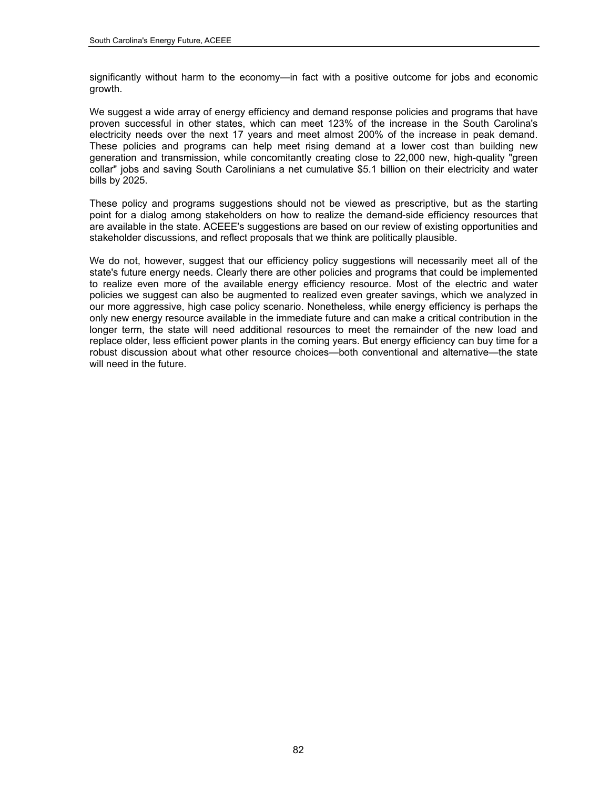significantly without harm to the economy—in fact with a positive outcome for jobs and economic growth.

We suggest a wide array of energy efficiency and demand response policies and programs that have proven successful in other states, which can meet 123% of the increase in the South Carolina's electricity needs over the next 17 years and meet almost 200% of the increase in peak demand. These policies and programs can help meet rising demand at a lower cost than building new generation and transmission, while concomitantly creating close to 22,000 new, high-quality "green collar" jobs and saving South Carolinians a net cumulative \$5.1 billion on their electricity and water bills by 2025.

These policy and programs suggestions should not be viewed as prescriptive, but as the starting point for a dialog among stakeholders on how to realize the demand-side efficiency resources that are available in the state. ACEEE's suggestions are based on our review of existing opportunities and stakeholder discussions, and reflect proposals that we think are politically plausible.

We do not, however, suggest that our efficiency policy suggestions will necessarily meet all of the state's future energy needs. Clearly there are other policies and programs that could be implemented to realize even more of the available energy efficiency resource. Most of the electric and water policies we suggest can also be augmented to realized even greater savings, which we analyzed in our more aggressive, high case policy scenario. Nonetheless, while energy efficiency is perhaps the only new energy resource available in the immediate future and can make a critical contribution in the longer term, the state will need additional resources to meet the remainder of the new load and replace older, less efficient power plants in the coming years. But energy efficiency can buy time for a robust discussion about what other resource choices—both conventional and alternative—the state will need in the future.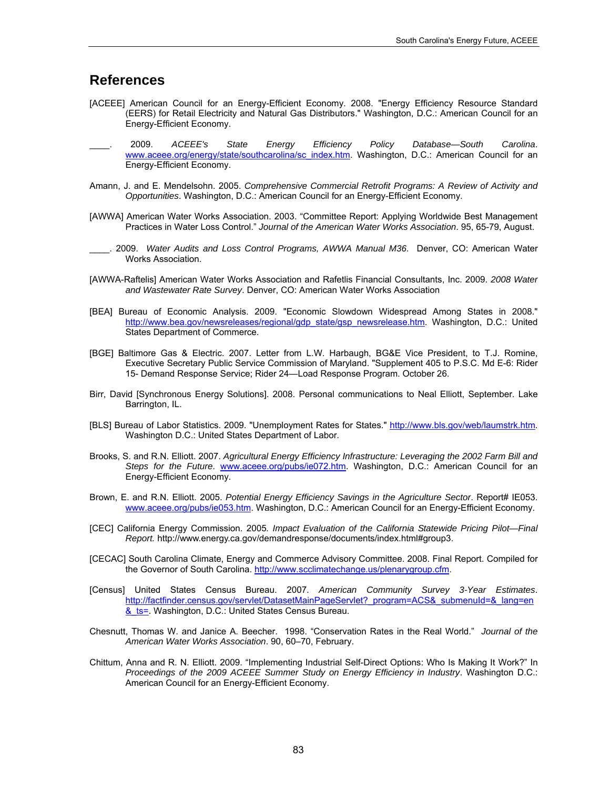## **References**

- [ACEEE] American Council for an Energy-Efficient Economy. 2008. "Energy Efficiency Resource Standard (EERS) for Retail Electricity and Natural Gas Distributors." Washington, D.C.: American Council for an Energy-Efficient Economy.
- \_\_\_\_. 2009. *ACEEE's State Energy Efficiency Policy Database—South Carolina*. [www.aceee.org/energy/state/southcarolina/sc\\_index.htm](http://www.aceee.org/energy/state/southcarolina/sc_index.htm). Washington, D.C.: American Council for an Energy-Efficient Economy.
- Amann, J. and E. Mendelsohn. 2005. *Comprehensive Commercial Retrofit Programs: A Review of Activity and Opportunities*. Washington, D.C.: American Council for an Energy-Efficient Economy.
- [AWWA] American Water Works Association. 2003. "Committee Report: Applying Worldwide Best Management Practices in Water Loss Control." *Journal of the American Water Works Association*. 95, 65-79, August.
- \_\_\_\_. 2009. *Water Audits and Loss Control Programs, AWWA Manual M36*. Denver, CO: American Water Works Association.
- [AWWA-Raftelis] American Water Works Association and Rafetlis Financial Consultants, Inc. 2009. *2008 Water and Wastewater Rate Survey*. Denver, CO: American Water Works Association
- [BEA] Bureau of Economic Analysis. 2009. "Economic Slowdown Widespread Among States in 2008." [http://www.bea.gov/newsreleases/regional/gdp\\_state/gsp\\_newsrelease.htm.](http://www.bea.gov/newsreleases/regional/gdp_state/gsp_newsrelease.htm) Washington, D.C.: United States Department of Commerce.
- [BGE] Baltimore Gas & Electric. 2007. Letter from L.W. Harbaugh, BG&E Vice President, to T.J. Romine, Executive Secretary Public Service Commission of Maryland. "Supplement 405 to P.S.C. Md E-6: Rider 15- Demand Response Service; Rider 24—Load Response Program. October 26.
- Birr, David [Synchronous Energy Solutions]. 2008. Personal communications to Neal Elliott, September. Lake Barrington, IL.
- [BLS] Bureau of Labor Statistics. 2009. "Unemployment Rates for States." [http://www.bls.gov/web/laumstrk.htm.](http://www.bls.gov/web/laumstrk.htm) Washington D.C.: United States Department of Labor.
- Brooks, S. and R.N. Elliott. 2007. *Agricultural Energy Efficiency Infrastructure: Leveraging the 2002 Farm Bill and Steps for the Future*. [www.aceee.org/pubs/ie072.htm](http://www.aceee.org/pubs/ie072.htm). Washington, D.C.: American Council for an Energy-Efficient Economy.
- Brown, E. and R.N. Elliott. 2005. *Potential Energy Efficiency Savings in the Agriculture Sector*. Report# IE053. [www.aceee.org/pubs/ie053.htm](http://www.aceee.org/pubs/ie053.htm). Washington, D.C.: American Council for an Energy-Efficient Economy.
- [CEC] California Energy Commission. 2005*. Impact Evaluation of the California Statewide Pricing Pilot—Final Report.* [http://www.energy.ca.gov/demandresponse/documents/index.html#group3.](http://www.energy.ca.gov/demandresponse/documents/index.html#group3)
- [CECAC] South Carolina Climate, Energy and Commerce Advisory Committee. 2008. Final Report. Compiled for the Governor of South Carolina. <http://www.scclimatechange.us/plenarygroup.cfm>.
- [Census] United States Census Bureau. 2007. *American Community Survey 3-Year Estimates*. [http://factfinder.census.gov/servlet/DatasetMainPageServlet?\\_program=ACS&\\_submenuId=&\\_lang=en](http://factfinder.census.gov/servlet/DatasetMainPageServlet?_program=ACS&_submenuId=&_lang=en&_ts=) & ts=. Washington, D.C.: United States Census Bureau.
- Chesnutt, Thomas W. and Janice A. Beecher. 1998. "Conservation Rates in the Real World." *Journal of the American Water Works Association*. 90, 60–70, February.
- Chittum, Anna and R. N. Elliott. 2009. "Implementing Industrial Self-Direct Options: Who Is Making It Work?" In *Proceedings of the 2009 ACEEE Summer Study on Energy Efficiency in Industry*. Washington D.C.: American Council for an Energy-Efficient Economy.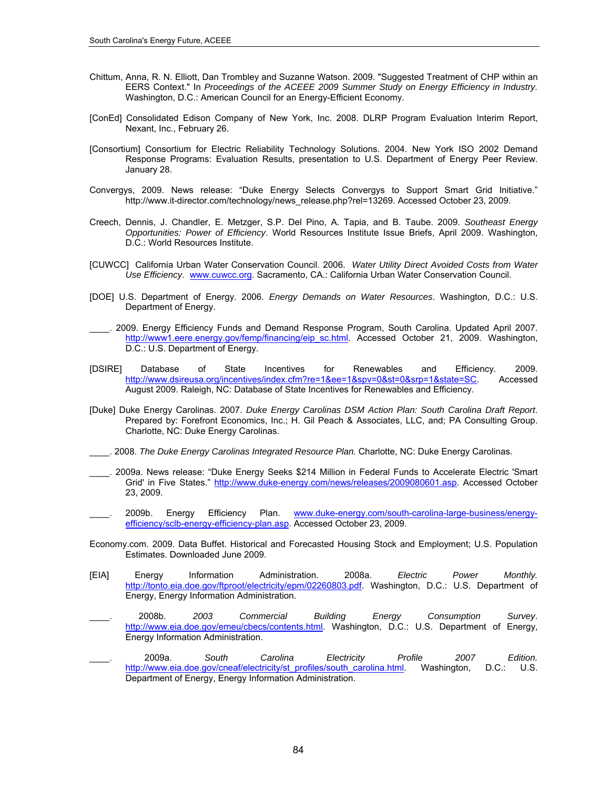- Chittum, Anna, R. N. Elliott, Dan Trombley and Suzanne Watson. 2009. "Suggested Treatment of CHP within an EERS Context." In *Proceedings of the ACEEE 2009 Summer Study on Energy Efficiency in Industry.*  Washington, D.C.: American Council for an Energy-Efficient Economy.
- [ConEd] Consolidated Edison Company of New York, Inc. 2008. DLRP Program Evaluation Interim Report, Nexant, Inc., February 26.
- [Consortium] Consortium for Electric Reliability Technology Solutions. 2004. New York ISO 2002 Demand Response Programs: Evaluation Results, presentation to U.S. Department of Energy Peer Review. January 28.
- Convergys, 2009. News release: "Duke Energy Selects Convergys to Support Smart Grid Initiative." [http://www.it-director.com/technology/news\\_release.php?rel=13269](http://www.it-director.com/technology/news_release.php?rel=13269). Accessed October 23, 2009.
- Creech, Dennis, J. Chandler, E. Metzger, S.P. Del Pino, A. Tapia, and B. Taube. 2009. *Southeast Energy Opportunities: Power of Efficiency*. World Resources Institute Issue Briefs, April 2009. Washington, D.C.: World Resources Institute.
- [CUWCC] California Urban Water Conservation Council. 2006. *Water Utility Direct Avoided Costs from Water Use Efficiency*. [www.cuwcc.org](http://www.cuwcc.org/). Sacramento, CA.: California Urban Water Conservation Council.
- [DOE] U.S. Department of Energy. 2006. *Energy Demands on Water Resources*. Washington, D.C.: U.S. Department of Energy.
- \_\_\_\_. 2009. Energy Efficiency Funds and Demand Response Program, South Carolina. Updated April 2007. [http://www1.eere.energy.gov/femp/financing/eip\\_sc.html.](http://www1.eere.energy.gov/femp/financing/eip_sc.html) Accessed October 21, 2009. Washington, D.C.: U.S. Department of Energy.
- [DSIRE] Database of State Incentives for Renewables and Efficiency. 2009. [http://www.dsireusa.org/incentives/index.cfm?re=1&ee=1&spv=0&st=0&srp=1&state=SC.](http://www.dsireusa.org/incentives/index.cfm?re=1&ee=1&spv=0&st=0&srp=1&state=SC) Accessed August 2009. Raleigh, NC: Database of State Incentives for Renewables and Efficiency.
- [Duke] Duke Energy Carolinas. 2007. *Duke Energy Carolinas DSM Action Plan: South Carolina Draft Report*. Prepared by: Forefront Economics, Inc.; H. Gil Peach & Associates, LLC, and; PA Consulting Group. Charlotte, NC: Duke Energy Carolinas.
- \_\_\_\_. 2008. *The Duke Energy Carolinas Integrated Resource Plan.* Charlotte, NC: Duke Energy Carolinas.
- \_\_\_\_. 2009a. News release: "Duke Energy Seeks \$214 Million in Federal Funds to Accelerate Electric 'Smart Grid' in Five States." [http://www.duke-energy.com/news/releases/2009080601.asp.](http://www.duke-energy.com/news/releases/2009080601.asp) Accessed October 23, 2009.
- \_\_\_\_. 2009b. Energy Efficiency Plan. [www.duke-energy.com/south-carolina-large-business/energy](http://www.duke-energy.com/south-carolina-large-business/energy-efficiency/sclb-energy-efficiency-plan.asp)[efficiency/sclb-energy-efficiency-plan.asp](http://www.duke-energy.com/south-carolina-large-business/energy-efficiency/sclb-energy-efficiency-plan.asp). Accessed October 23, 2009.
- Economy.com. 2009. Data Buffet. Historical and Forecasted Housing Stock and Employment; U.S. Population Estimates. Downloaded June 2009.
- [EIA] Energy Information Administration. 2008a. *Electric Power Monthly.* <http://tonto.eia.doe.gov/ftproot/electricity/epm/02260803.pdf>. Washington, D.C.: U.S. Department of Energy, Energy Information Administration.
- \_\_\_\_. 2008b. *2003 Commercial Building Energy Consumption Survey*. <http://www.eia.doe.gov/emeu/cbecs/contents.html>. Washington, D.C.: U.S. Department of Energy, Energy Information Administration.
- \_\_\_\_. 2009a. *South Carolina Electricity Profile 2007 Edition.* [http://www.eia.doe.gov/cneaf/electricity/st\\_profiles/south\\_carolina.html.](http://www.eia.doe.gov/cneaf/electricity/st_profiles/south_carolina.html) Washington, D.C.: U.S. Department of Energy, Energy Information Administration.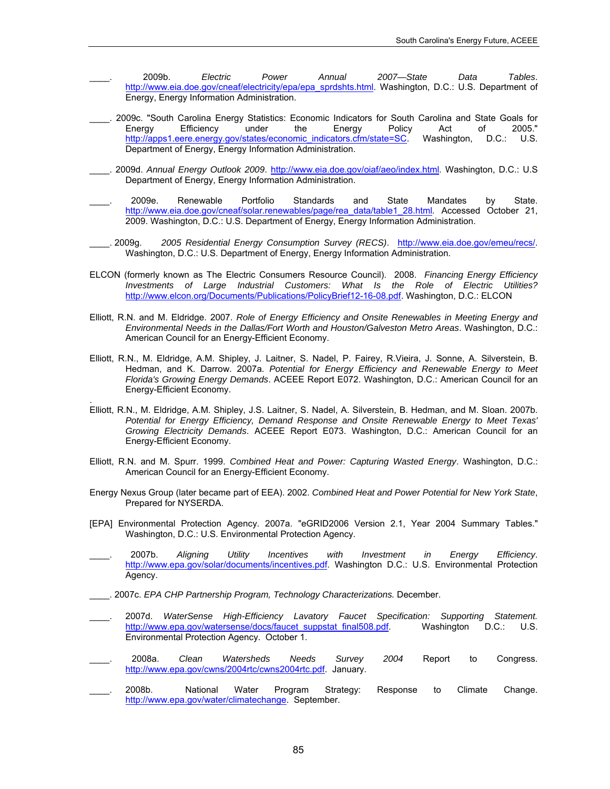- \_\_\_\_. 2009b. *Electric Power Annual 2007—State Data Tables*. [http://www.eia.doe.gov/cneaf/electricity/epa/epa\\_sprdshts.html](http://www.eia.doe.gov/cneaf/electricity/epa/epa_sprdshts.html). Washington, D.C.: U.S. Department of Energy, Energy Information Administration.
- \_\_\_\_. 2009c. "South Carolina Energy Statistics: Economic Indicators for South Carolina and State Goals for Energy Efficiency under the Energy Policy Act of 2005." [http://apps1.eere.energy.gov/states/economic\\_indicators.cfm/state=SC](http://apps1.eere.energy.gov/states/economic_indicators.cfm/state=SC). Washington, D.C.: U.S. Department of Energy, Energy Information Administration.
- \_\_\_\_. 2009d. *Annual Energy Outlook 2009*. <http://www.eia.doe.gov/oiaf/aeo/index.html>. Washington, D.C.: U.S Department of Energy, Energy Information Administration.
- \_\_\_\_. 2009e. Renewable Portfolio Standards and State Mandates by State. [http://www.eia.doe.gov/cneaf/solar.renewables/page/rea\\_data/table1\\_28.html](http://www.eia.doe.gov/cneaf/solar.renewables/page/rea_data/table1_28.html)*.* Accessed October 21, 2009. Washington, D.C.: U.S. Department of Energy, Energy Information Administration.
- \_\_\_\_. 2009g. *2005 Residential Energy Consumption Survey (RECS)*. <http://www.eia.doe.gov/emeu/recs/>. Washington, D.C.: U.S. Department of Energy, Energy Information Administration.
- ELCON (formerly known as The Electric Consumers Resource Council). 2008. *Financing Energy Efficiency Investments of Large Industrial Customers: What Is the Role of Electric Utilities?* [http://www.elcon.org/Documents/Publications/PolicyBrief12-16-08.pdf.](http://www.elcon.org/Documents/Publications/PolicyBrief12-16-08.pdf) Washington, D.C.: ELCON
- Elliott, R.N. and M. Eldridge. 2007. *Role of Energy Efficiency and Onsite Renewables in Meeting Energy and Environmental Needs in the Dallas/Fort Worth and Houston/Galveston Metro Areas*. Washington, D.C.: American Council for an Energy-Efficient Economy.
- Elliott, R.N., M. Eldridge, A.M. Shipley, J. Laitner, S. Nadel, P. Fairey, R.Vieira, J. Sonne, A. Silverstein, B. Hedman, and K. Darrow. 2007a. *Potential for Energy Efficiency and Renewable Energy to Meet Florida's Growing Energy Demands*. ACEEE Report E072. Washington, D.C.: American Council for an Energy-Efficient Economy.
- Elliott, R.N., M. Eldridge, A.M. Shipley, J.S. Laitner, S. Nadel, A. Silverstein, B. Hedman, and M. Sloan. 2007b. *Potential for Energy Efficiency, Demand Response and Onsite Renewable Energy to Meet Texas' Growing Electricity Demands*. ACEEE Report E073. Washington, D.C.: American Council for an Energy-Efficient Economy.
- Elliott, R.N. and M. Spurr. 1999. *Combined Heat and Power: Capturing Wasted Energy*. Washington, D.C.: American Council for an Energy-Efficient Economy.
- Energy Nexus Group (later became part of EEA). 2002. *Combined Heat and Power Potential for New York State*, Prepared for NYSERDA.
- [EPA] Environmental Protection Agency. 2007a. "eGRID2006 Version 2.1, Year 2004 Summary Tables." Washington, D.C.: U.S. Environmental Protection Agency.
- \_\_\_\_. 2007b. *Aligning Utility Incentives with Investment in Energy Efficiency*. [http://www.epa.gov/solar/documents/incentives.pdf.](http://www.epa.gov/solar/documents/incentives.pdf) Washington D.C.: U.S. Environmental Protection Agency.
- \_\_\_\_. 2007c. *EPA CHP Partnership Program, Technology Characterizations.* December.

.

- \_\_\_\_. 2007d. *WaterSense High-Efficiency Lavatory Faucet Specification: Supporting Statement.* [http://www.epa.gov/watersense/docs/faucet\\_suppstat\\_final508.pdf](http://www.epa.gov/watersense/docs/faucet_suppstat_final508.pdf). Washington D.C.: U.S. Environmental Protection Agency. October 1.
- \_\_\_\_. 2008a. *Clean Watersheds Needs Survey 2004* Report to Congress. <http://www.epa.gov/cwns/2004rtc/cwns2004rtc.pdf>. January.
- \_\_\_\_. 2008b. National Water Program Strategy: Response to Climate Change. [http://www.epa.gov/water/climatechange.](http://www.epa.gov/water/climatechange) September.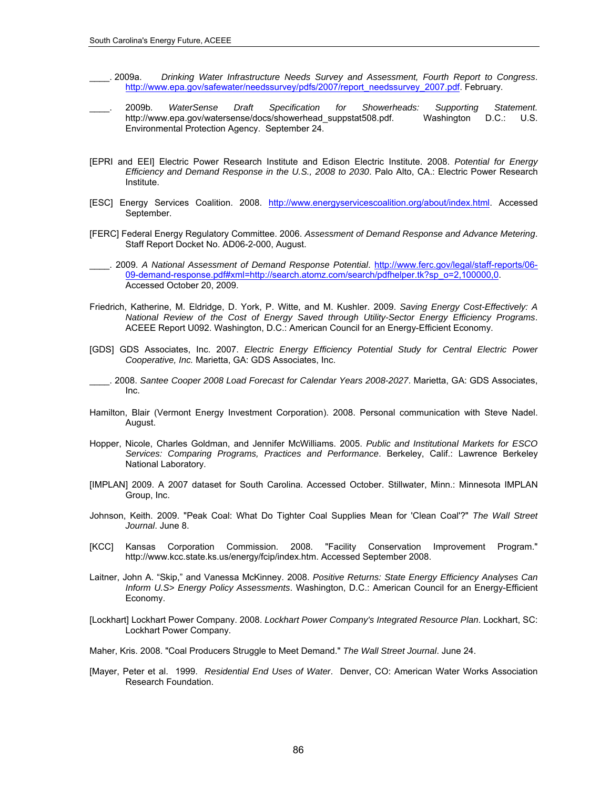- \_\_\_\_. 2009a. *Drinking Water Infrastructure Needs Survey and Assessment, Fourth Report to Congress*. [http://www.epa.gov/safewater/needssurvey/pdfs/2007/report\\_needssurvey\\_2007.pdf.](http://www.epa.gov/safewater/needssurvey/pdfs/2007/report_needssurvey_2007.pdf) February.
- \_\_\_\_. 2009b. *WaterSense Draft Specification for Showerheads: Supporting Statement.* http://www.epa.gov/watersense/docs/showerhead\_suppstat508.pdf. Washington D.C.: U.S. Environmental Protection Agency. September 24.
- [EPRI and EEI] Electric Power Research Institute and Edison Electric Institute. 2008. *Potential for Energy Efficiency and Demand Response in the U.S., 2008 to 2030*. Palo Alto, CA.: Electric Power Research Institute.
- [ESC] Energy Services Coalition. 2008. [http://www.energyservicescoalition.org/about/index.html.](http://www.energyservicescoalition.org/about/index.html) Accessed September.
- [FERC] Federal Energy Regulatory Committee. 2006. *Assessment of Demand Response and Advance Metering*. Staff Report Docket No. AD06-2-000, August.
- \_\_\_\_. 2009. *A National Assessment of Demand Response Potential*. [http://www.ferc.gov/legal/staff-reports/06-](http://www.ferc.gov/legal/staff-reports/06-09-demand-response.pdf#xml=http://search.atomz.com/search/pdfhelper.tk?sp_o=2,100000,0) [09-demand-response.pdf#xml=http://search.atomz.com/search/pdfhelper.tk?sp\\_o=2,100000,0.](http://www.ferc.gov/legal/staff-reports/06-09-demand-response.pdf#xml=http://search.atomz.com/search/pdfhelper.tk?sp_o=2,100000,0) Accessed October 20, 2009.
- Friedrich, Katherine, M. Eldridge, D. York, P. Witte, and M. Kushler. 2009. *Saving Energy Cost-Effectively: A National Review of the Cost of Energy Saved through Utility-Sector Energy Efficiency Programs*. ACEEE Report U092. Washington, D.C.: American Council for an Energy-Efficient Economy.
- [GDS] GDS Associates, Inc. 2007. *Electric Energy Efficiency Potential Study for Central Electric Power Cooperative, Inc.* Marietta, GA: GDS Associates, Inc.
- \_\_\_\_. 2008. *Santee Cooper 2008 Load Forecast for Calendar Years 2008-2027*. Marietta, GA: GDS Associates, Inc.
- Hamilton, Blair (Vermont Energy Investment Corporation). 2008. Personal communication with Steve Nadel. August.
- Hopper, Nicole, Charles Goldman, and Jennifer McWilliams. 2005. *Public and Institutional Markets for ESCO Services: Comparing Programs, Practices and Performance*. Berkeley, Calif.: Lawrence Berkeley National Laboratory.
- [IMPLAN] 2009. A 2007 dataset for South Carolina. Accessed October. Stillwater, Minn.: Minnesota IMPLAN Group, Inc.
- Johnson, Keith. 2009. "Peak Coal: What Do Tighter Coal Supplies Mean for 'Clean Coal'?" *The Wall Street Journal*. June 8.
- [KCC] Kansas Corporation Commission. 2008. "Facility Conservation Improvement Program." <http://www.kcc.state.ks.us/energy/fcip/index.htm.> Accessed September 2008.
- Laitner, John A. "Skip," and Vanessa McKinney. 2008. *Positive Returns: State Energy Efficiency Analyses Can Inform U.S> Energy Policy Assessments*. Washington, D.C.: American Council for an Energy-Efficient Economy.
- [Lockhart] Lockhart Power Company. 2008. *Lockhart Power Company's Integrated Resource Plan*. Lockhart, SC: Lockhart Power Company.
- Maher, Kris. 2008. "Coal Producers Struggle to Meet Demand." *The Wall Street Journal*. June 24.
- [Mayer, Peter et al. 1999. *Residential End Uses of Water*. Denver, CO: American Water Works Association Research Foundation.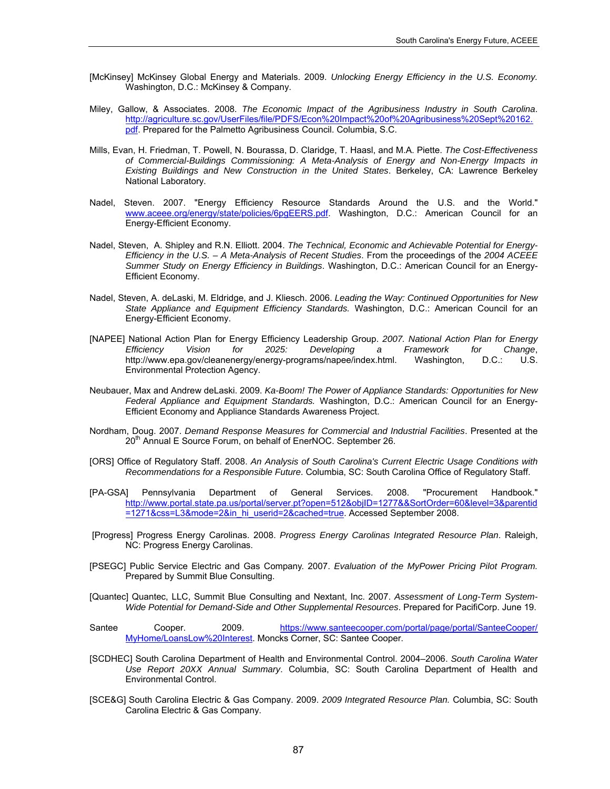- [McKinsey] McKinsey Global Energy and Materials. 2009. *Unlocking Energy Efficiency in the U.S. Economy.* Washington, D.C.: McKinsey & Company.
- Miley, Gallow, & Associates. 2008. *The Economic Impact of the Agribusiness Industry in South Carolina*. [http://agriculture.sc.gov/UserFiles/file/PDFS/Econ%20Impact%20of%20Agribusiness%20Sept%20162.](http://agriculture.sc.gov/UserFiles/file/PDFS/Econ%20Impact%20of%20Agribusiness%20Sept%20162.pdf) [pdf](http://agriculture.sc.gov/UserFiles/file/PDFS/Econ%20Impact%20of%20Agribusiness%20Sept%20162.pdf). Prepared for the Palmetto Agribusiness Council. Columbia, S.C.
- Mills, Evan, H. Friedman, T. Powell, N. Bourassa, D. Claridge, T. Haasl, and M.A. Piette. *The Cost-Effectiveness of Commercial-Buildings Commissioning: A Meta-Analysis of Energy and Non-Energy Impacts in Existing Buildings and New Construction in the United States*. Berkeley, CA: Lawrence Berkeley National Laboratory.
- Nadel, Steven. 2007. "Energy Efficiency Resource Standards Around the U.S. and the World." [www.aceee.org/energy/state/policies/6pgEERS.pdf](http://www.aceee.org/energy/state/policies/6pgEERS.pdf). Washington, D.C.: American Council for an Energy-Efficient Economy.
- Nadel, Steven, A. Shipley and R.N. Elliott. 2004. *The Technical, Economic and Achievable Potential for Energy-Efficiency in the U.S. – A Meta-Analysis of Recent Studies*. From the proceedings of the *2004 ACEEE Summer Study on Energy Efficiency in Buildings*. Washington, D.C.: American Council for an Energy-Efficient Economy.
- Nadel, Steven, A. deLaski, M. Eldridge, and J. Kliesch. 2006. *Leading the Way: Continued Opportunities for New State Appliance and Equipment Efficiency Standards.* Washington, D.C.: American Council for an Energy-Efficient Economy.
- [NAPEE] National Action Plan for Energy Efficiency Leadership Group. *2007. National Action Plan for Energy Efficiency Vision for 2025: Developing a Framework for Change*, <http://www.epa.gov/cleanenergy/energy-programs/napee/index.html>. Washington, D.C.: U.S. Environmental Protection Agency.
- Neubauer, Max and Andrew deLaski. 2009. *Ka-Boom! The Power of Appliance Standards: Opportunities for New Federal Appliance and Equipment Standards.* Washington, D.C.: American Council for an Energy-Efficient Economy and Appliance Standards Awareness Project.
- Nordham, Doug. 2007. *Demand Response Measures for Commercial and Industrial Facilities*. Presented at the 20<sup>th</sup> Annual E Source Forum, on behalf of EnerNOC. September 26.
- [ORS] Office of Regulatory Staff. 2008. *An Analysis of South Carolina's Current Electric Usage Conditions with Recommendations for a Responsible Future*. Columbia, SC: South Carolina Office of Regulatory Staff.
- [PA-GSA] Pennsylvania Department of General Services. 2008. "Procurement Handbook." [http://www.portal.state.pa.us/portal/server.pt?open=512&objID=1277&&SortOrder=60&level=3&parentid](http://www.portal.state.pa.us/portal/server.pt?open=512&objID=1277&&SortOrder=60&level=3&parentid=1271&css=L3&mode=2&in_hi_userid=2&cached=true) [=1271&css=L3&mode=2&in\\_hi\\_userid=2&cached=true](http://www.portal.state.pa.us/portal/server.pt?open=512&objID=1277&&SortOrder=60&level=3&parentid=1271&css=L3&mode=2&in_hi_userid=2&cached=true). Accessed September 2008.
- [Progress] Progress Energy Carolinas. 2008. *Progress Energy Carolinas Integrated Resource Plan*. Raleigh, NC: Progress Energy Carolinas.
- [PSEGC] Public Service Electric and Gas Company. 2007. *Evaluation of the MyPower Pricing Pilot Program.* Prepared by Summit Blue Consulting.
- [Quantec] Quantec, LLC, Summit Blue Consulting and Nextant, Inc. 2007. *Assessment of Long-Term System-Wide Potential for Demand-Side and Other Supplemental Resources*. Prepared for PacifiCorp. June 19.
- Santee Cooper. 2009. [https://www.santeecooper.com/portal/page/portal/SanteeCooper/](https://www.santeecooper.com/portal/page/portal/SanteeCooper/MyHome/LoansLow%20Interest) [MyHome/LoansLow%20Interest](https://www.santeecooper.com/portal/page/portal/SanteeCooper/MyHome/LoansLow%20Interest). Moncks Corner, SC: Santee Cooper.
- [SCDHEC] South Carolina Department of Health and Environmental Control. 2004–2006. *South Carolina Water Use Report 20XX Annual Summary*. Columbia, SC: South Carolina Department of Health and Environmental Control.
- [SCE&G] South Carolina Electric & Gas Company. 2009. *2009 Integrated Resource Plan.* Columbia, SC: South Carolina Electric & Gas Company.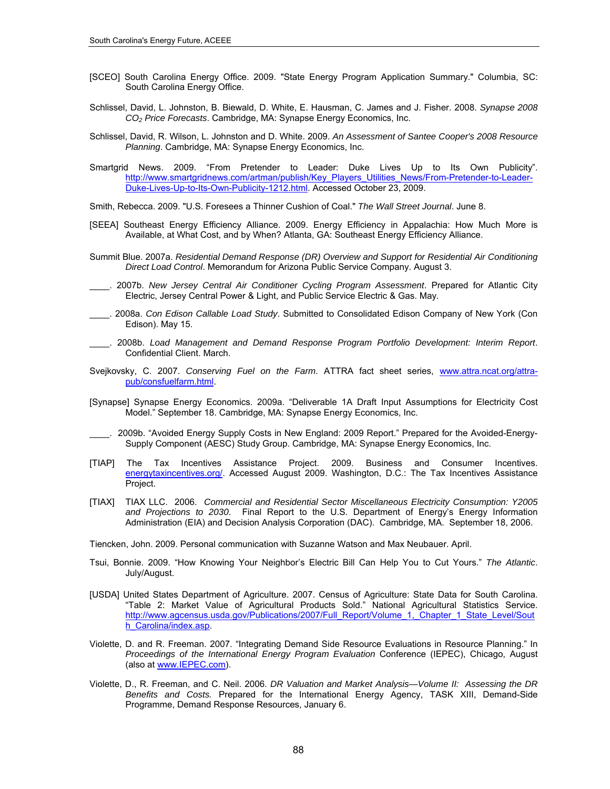- [SCEO] South Carolina Energy Office. 2009. "State Energy Program Application Summary." Columbia, SC: South Carolina Energy Office.
- Schlissel, David, L. Johnston, B. Biewald, D. White, E. Hausman, C. James and J. Fisher. 2008. *Synapse 2008 CO2 Price Forecasts*. Cambridge, MA: Synapse Energy Economics, Inc.
- Schlissel, David, R. Wilson, L. Johnston and D. White. 2009. *An Assessment of Santee Cooper's 2008 Resource Planning*. Cambridge, MA: Synapse Energy Economics, Inc.
- Smartgrid News. 2009. "From Pretender to Leader: Duke Lives Up to Its Own Publicity". [http://www.smartgridnews.com/artman/publish/Key\\_Players\\_Utilities\\_News/From-Pretender-to-Leader-](http://www.smartgridnews.com/artman/publish/Key_Players_Utilities_News/From-Pretender-to-Leader-Duke-Lives-Up-to-Its-Own-Publicity-1212.html)[Duke-Lives-Up-to-Its-Own-Publicity-1212.html](http://www.smartgridnews.com/artman/publish/Key_Players_Utilities_News/From-Pretender-to-Leader-Duke-Lives-Up-to-Its-Own-Publicity-1212.html). Accessed October 23, 2009.
- Smith, Rebecca. 2009. "U.S. Foresees a Thinner Cushion of Coal." *The Wall Street Journal*. June 8.
- [SEEA] Southeast Energy Efficiency Alliance. 2009. Energy Efficiency in Appalachia: How Much More is Available, at What Cost, and by When? Atlanta, GA: Southeast Energy Efficiency Alliance.
- Summit Blue. 2007a. *Residential Demand Response (DR) Overview and Support for Residential Air Conditioning Direct Load Control*. Memorandum for Arizona Public Service Company. August 3.
- \_\_\_\_. 2007b. *New Jersey Central Air Conditioner Cycling Program Assessment*. Prepared for Atlantic City Electric, Jersey Central Power & Light, and Public Service Electric & Gas. May.
- \_\_\_\_. 2008a. *Con Edison Callable Load Study*. Submitted to Consolidated Edison Company of New York (Con Edison). May 15.
- \_\_\_\_. 2008b. *Load Management and Demand Response Program Portfolio Development: Interim Report*. Confidential Client. March.
- Svejkovsky, C. 2007. *Conserving Fuel on the Farm*. ATTRA fact sheet series, [www.attra.ncat.org/attra](http://www.attra.ncat.org/attra-pub/consfuelfarm.html)[pub/consfuelfarm.html.](http://www.attra.ncat.org/attra-pub/consfuelfarm.html)
- [Synapse] Synapse Energy Economics. 2009a. "Deliverable 1A Draft Input Assumptions for Electricity Cost Model." September 18. Cambridge, MA: Synapse Energy Economics, Inc.
- \_\_\_\_. 2009b. "Avoided Energy Supply Costs in New England: 2009 Report." Prepared for the Avoided-Energy-Supply Component (AESC) Study Group. Cambridge, MA: Synapse Energy Economics, Inc.
- [TIAP] The Tax Incentives Assistance Project. 2009. Business and Consumer Incentives. [energytaxincentives.org/](http://energytaxincentives.org/). Accessed August 2009. Washington, D.C.: The Tax Incentives Assistance Project.
- [TIAX] TIAX LLC. 2006. *Commercial and Residential Sector Miscellaneous Electricity Consumption: Y2005 and Projections to 2030*. Final Report to the U.S. Department of Energy's Energy Information Administration (EIA) and Decision Analysis Corporation (DAC). Cambridge, MA. September 18, 2006.

Tiencken, John. 2009. Personal communication with Suzanne Watson and Max Neubauer. April.

- Tsui, Bonnie. 2009. "How Knowing Your Neighbor's Electric Bill Can Help You to Cut Yours." *The Atlantic*. July/August.
- [USDA] United States Department of Agriculture. 2007. Census of Agriculture: State Data for South Carolina. "Table 2: Market Value of Agricultural Products Sold." National Agricultural Statistics Service. [http://www.agcensus.usda.gov/Publications/2007/Full\\_Report/Volume\\_1,\\_Chapter\\_1\\_State\\_Level/Sout](http://www.agcensus.usda.gov/Publications/2007/Full_Report/Volume_1,_Chapter_1_State_Level/South_Carolina/index.asp)\_ [h\\_Carolina/index.asp](http://www.agcensus.usda.gov/Publications/2007/Full_Report/Volume_1,_Chapter_1_State_Level/South_Carolina/index.asp).
- Violette, D. and R. Freeman. 2007. "Integrating Demand Side Resource Evaluations in Resource Planning." In *Proceedings of the International Energy Program Evaluation* Conference (IEPEC), Chicago, August (also at [www.IEPEC.com](http://www.iepec.com/)).
- Violette, D., R. Freeman, and C. Neil. 2006. *DR Valuation and Market Analysis—Volume II: Assessing the DR Benefits and Costs.* Prepared for the International Energy Agency, TASK XIII, Demand-Side Programme, Demand Response Resources, January 6.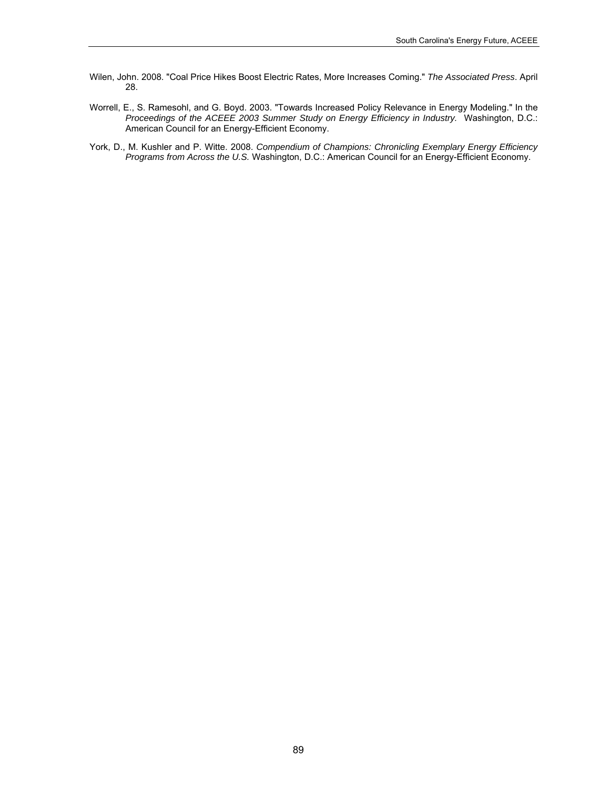- Wilen, John. 2008. "Coal Price Hikes Boost Electric Rates, More Increases Coming." *The Associated Press*. April 28.
- Worrell, E., S. Ramesohl, and G. Boyd. 2003. "Towards Increased Policy Relevance in Energy Modeling." In the *Proceedings of the ACEEE 2003 Summer Study on Energy Efficiency in Industry.* Washington, D.C.: American Council for an Energy-Efficient Economy.
- York, D., M. Kushler and P. Witte. 2008. *Compendium of Champions: Chronicling Exemplary Energy Efficiency Programs from Across the U.S.* Washington, D.C.: American Council for an Energy-Efficient Economy.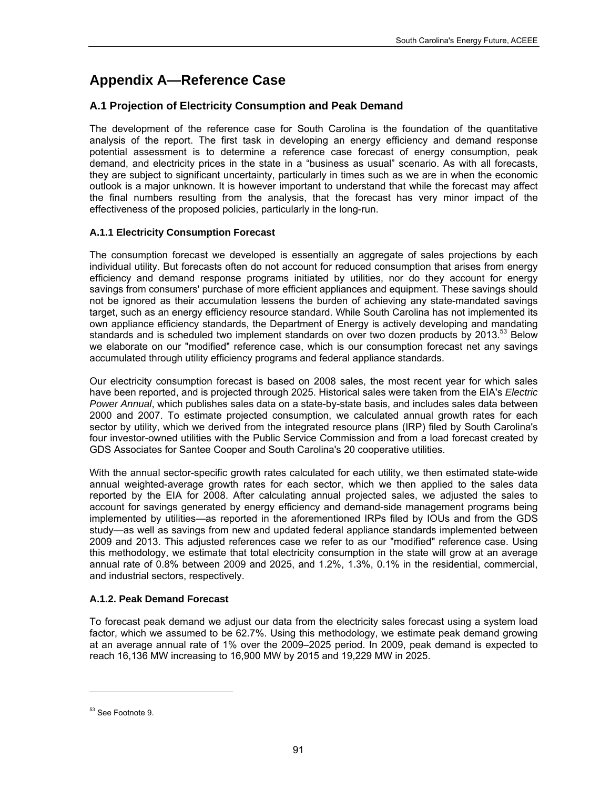# **Appendix A—Reference Case**

## **A.1 Projection of Electricity Consumption and Peak Demand**

The development of the reference case for South Carolina is the foundation of the quantitative analysis of the report. The first task in developing an energy efficiency and demand response potential assessment is to determine a reference case forecast of energy consumption, peak demand, and electricity prices in the state in a "business as usual" scenario. As with all forecasts, they are subject to significant uncertainty, particularly in times such as we are in when the economic outlook is a major unknown. It is however important to understand that while the forecast may affect the final numbers resulting from the analysis, that the forecast has very minor impact of the effectiveness of the proposed policies, particularly in the long-run.

## **A.1.1 Electricity Consumption Forecast**

The consumption forecast we developed is essentially an aggregate of sales projections by each individual utility. But forecasts often do not account for reduced consumption that arises from energy efficiency and demand response programs initiated by utilities, nor do they account for energy savings from consumers' purchase of more efficient appliances and equipment. These savings should not be ignored as their accumulation lessens the burden of achieving any state-mandated savings target, such as an energy efficiency resource standard. While South Carolina has not implemented its own appliance efficiency standards, the Department of Energy is actively developing and mandating standards and is scheduled two implement standards on over two dozen products by 2013.<sup>53</sup> Below we elaborate on our "modified" reference case, which is our consumption forecast net any savings accumulated through utility efficiency programs and federal appliance standards.

Our electricity consumption forecast is based on 2008 sales, the most recent year for which sales have been reported, and is projected through 2025. Historical sales were taken from the EIA's *Electric Power Annual*, which publishes sales data on a state-by-state basis, and includes sales data between 2000 and 2007. To estimate projected consumption, we calculated annual growth rates for each sector by utility, which we derived from the integrated resource plans (IRP) filed by South Carolina's four investor-owned utilities with the Public Service Commission and from a load forecast created by GDS Associates for Santee Cooper and South Carolina's 20 cooperative utilities.

With the annual sector-specific growth rates calculated for each utility, we then estimated state-wide annual weighted-average growth rates for each sector, which we then applied to the sales data reported by the EIA for 2008. After calculating annual projected sales, we adjusted the sales to account for savings generated by energy efficiency and demand-side management programs being implemented by utilities—as reported in the aforementioned IRPs filed by IOUs and from the GDS study—as well as savings from new and updated federal appliance standards implemented between 2009 and 2013. This adjusted references case we refer to as our "modified" reference case. Using this methodology, we estimate that total electricity consumption in the state will grow at an average annual rate of 0.8% between 2009 and 2025, and 1.2%, 1.3%, 0.1% in the residential, commercial, and industrial sectors, respectively.

## **A.1.2. Peak Demand Forecast**

To forecast peak demand we adjust our data from the electricity sales forecast using a system load factor, which we assumed to be 62.7%. Using this methodology, we estimate peak demand growing at an average annual rate of 1% over the 2009–2025 period. In 2009, peak demand is expected to reach 16,136 MW increasing to 16,900 MW by 2015 and 19,229 MW in 2025.

-

<span id="page-104-0"></span><sup>53</sup> See Footnote 9.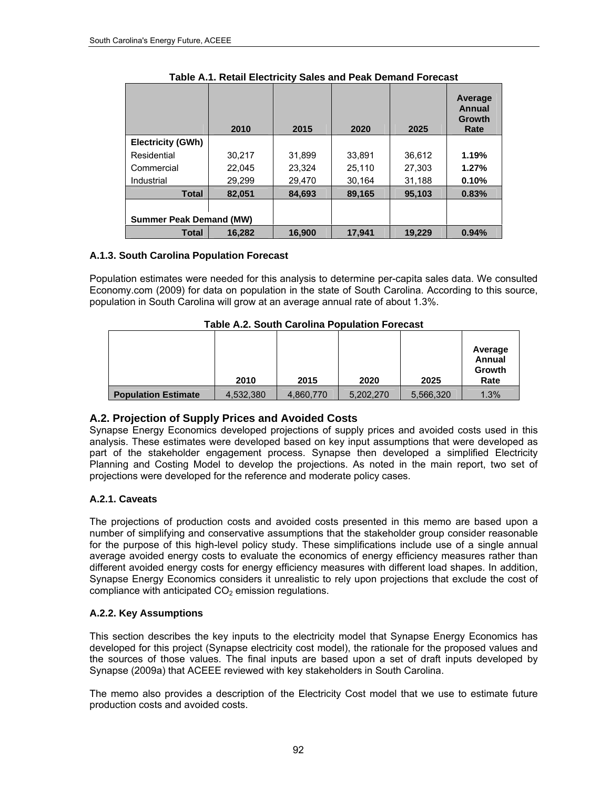|                                | 2010   | 2015   | 2020   | 2025   | Average<br>Annual<br>Growth<br>Rate |
|--------------------------------|--------|--------|--------|--------|-------------------------------------|
| <b>Electricity (GWh)</b>       |        |        |        |        |                                     |
| Residential                    | 30.217 | 31,899 | 33,891 | 36,612 | 1.19%                               |
| Commercial                     | 22.045 | 23.324 | 25.110 | 27.303 | 1.27%                               |
| Industrial                     | 29,299 | 29,470 | 30,164 | 31,188 | 0.10%                               |
| Total                          | 82.051 | 84,693 | 89,165 | 95,103 | 0.83%                               |
| <b>Summer Peak Demand (MW)</b> |        |        |        |        |                                     |
| <b>Total</b>                   | 16,282 | 16.900 | 17,941 | 19,229 | 0.94%                               |

**Table A.1. Retail Electricity Sales and Peak Demand Forecast** 

## **A.1.3. South Carolina Population Forecast**

Population estimates were needed for this analysis to determine per-capita sales data. We consulted Economy.com (2009) for data on population in the state of South Carolina. According to this source, population in South Carolina will grow at an average annual rate of about 1.3%.

|                            | 2010      | 2015      | 2020      | 2025      | Average<br>Annual<br>Growth<br>Rate |
|----------------------------|-----------|-----------|-----------|-----------|-------------------------------------|
| <b>Population Estimate</b> | 4,532,380 | 4,860,770 | 5,202,270 | 5,566,320 | 1.3%                                |

**Table A.2. South Carolina Population Forecast** 

## **A.2. Projection of Supply Prices and Avoided Costs**

Synapse Energy Economics developed projections of supply prices and avoided costs used in this analysis. These estimates were developed based on key input assumptions that were developed as part of the stakeholder engagement process. Synapse then developed a simplified Electricity Planning and Costing Model to develop the projections. As noted in the main report, two set of projections were developed for the reference and moderate policy cases.

## **A.2.1. Caveats**

The projections of production costs and avoided costs presented in this memo are based upon a number of simplifying and conservative assumptions that the stakeholder group consider reasonable for the purpose of this high-level policy study. These simplifications include use of a single annual average avoided energy costs to evaluate the economics of energy efficiency measures rather than different avoided energy costs for energy efficiency measures with different load shapes. In addition, Synapse Energy Economics considers it unrealistic to rely upon projections that exclude the cost of compliance with anticipated  $CO<sub>2</sub>$  emission regulations.

## **A.2.2. Key Assumptions**

This section describes the key inputs to the electricity model that Synapse Energy Economics has developed for this project (Synapse electricity cost model), the rationale for the proposed values and the sources of those values. The final inputs are based upon a set of draft inputs developed by Synapse (2009a) that ACEEE reviewed with key stakeholders in South Carolina.

The memo also provides a description of the Electricity Cost model that we use to estimate future production costs and avoided costs.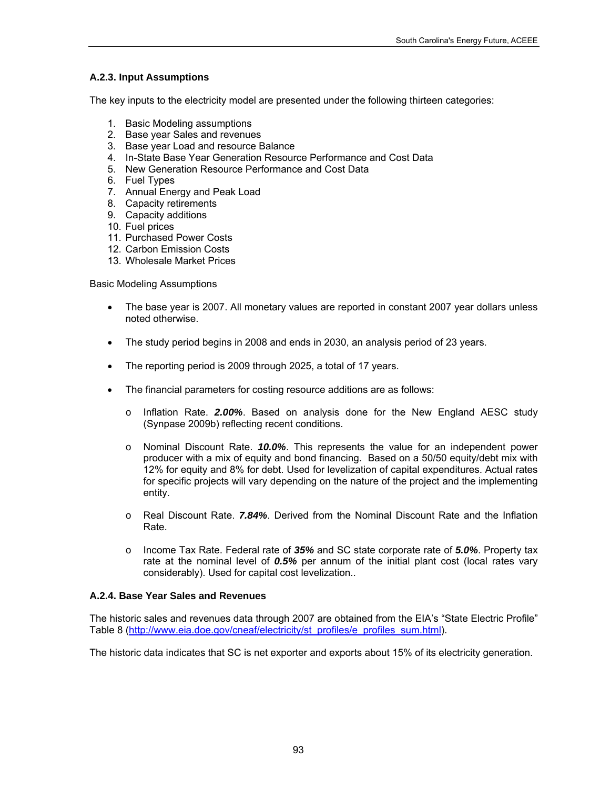### **A.2.3. Input Assumptions**

The key inputs to the electricity model are presented under the following thirteen categories:

- 1. Basic Modeling assumptions
- 2. Base year Sales and revenues
- 3. Base year Load and resource Balance
- 4. In-State Base Year Generation Resource Performance and Cost Data
- 5. New Generation Resource Performance and Cost Data
- 6. Fuel Types
- 7. Annual Energy and Peak Load
- 8. Capacity retirements
- 9. Capacity additions
- 10. Fuel prices
- 11. Purchased Power Costs
- 12. Carbon Emission Costs
- 13. Wholesale Market Prices

Basic Modeling Assumptions

- The base year is 2007. All monetary values are reported in constant 2007 year dollars unless noted otherwise.
- The study period begins in 2008 and ends in 2030, an analysis period of 23 years.
- The reporting period is 2009 through 2025, a total of 17 years.
- The financial parameters for costing resource additions are as follows:
	- o Inflation Rate. *2.00%*. Based on analysis done for the New England AESC study (Synpase 2009b) reflecting recent conditions.
	- o Nominal Discount Rate. *10.0%*. This represents the value for an independent power producer with a mix of equity and bond financing. Based on a 50/50 equity/debt mix with 12% for equity and 8% for debt. Used for levelization of capital expenditures. Actual rates for specific projects will vary depending on the nature of the project and the implementing entity.
	- o Real Discount Rate. *7.84%*. Derived from the Nominal Discount Rate and the Inflation Rate.
	- o Income Tax Rate. Federal rate of *35%* and SC state corporate rate of *5.0%*. Property tax rate at the nominal level of *0.5%* per annum of the initial plant cost (local rates vary considerably). Used for capital cost levelization..

#### **A.2.4. Base Year Sales and Revenues**

The historic sales and revenues data through 2007 are obtained from the EIA's "State Electric Profile" Table 8 [\(http://www.eia.doe.gov/cneaf/electricity/st\\_profiles/e\\_profiles\\_sum.html\)](http://www.eia.doe.gov/cneaf/electricity/st_profiles/e_profiles_sum.html).

The historic data indicates that SC is net exporter and exports about 15% of its electricity generation.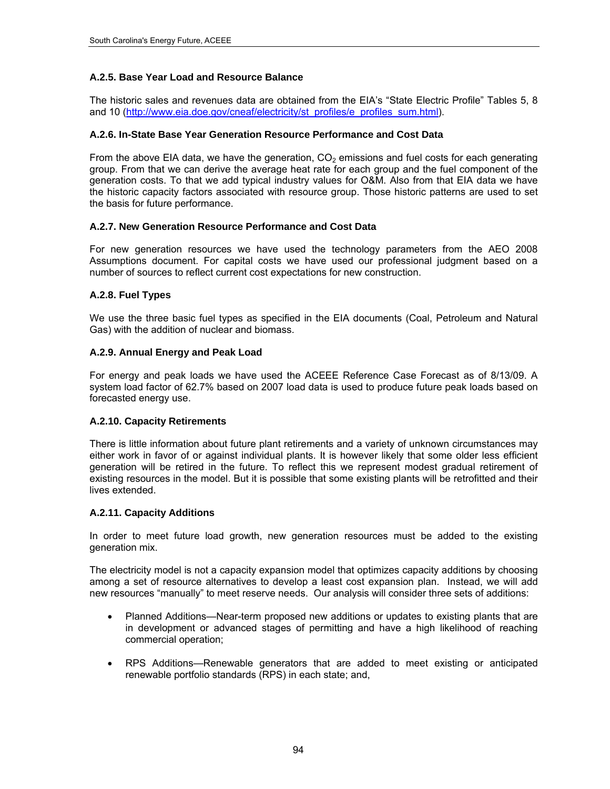#### **A.2.5. Base Year Load and Resource Balance**

The historic sales and revenues data are obtained from the EIA's "State Electric Profile" Tables 5, 8 and 10 ([http://www.eia.doe.gov/cneaf/electricity/st\\_profiles/e\\_profiles\\_sum.html](http://www.eia.doe.gov/cneaf/electricity/st_profiles/e_profiles_sum.html)).

#### **A.2.6. In-State Base Year Generation Resource Performance and Cost Data**

From the above EIA data, we have the generation,  $CO<sub>2</sub>$  emissions and fuel costs for each generating group. From that we can derive the average heat rate for each group and the fuel component of the generation costs. To that we add typical industry values for O&M. Also from that EIA data we have the historic capacity factors associated with resource group. Those historic patterns are used to set the basis for future performance.

#### **A.2.7. New Generation Resource Performance and Cost Data**

For new generation resources we have used the technology parameters from the AEO 2008 Assumptions document. For capital costs we have used our professional judgment based on a number of sources to reflect current cost expectations for new construction.

#### **A.2.8. Fuel Types**

We use the three basic fuel types as specified in the EIA documents (Coal, Petroleum and Natural Gas) with the addition of nuclear and biomass.

#### **A.2.9. Annual Energy and Peak Load**

For energy and peak loads we have used the ACEEE Reference Case Forecast as of 8/13/09. A system load factor of 62.7% based on 2007 load data is used to produce future peak loads based on forecasted energy use.

#### **A.2.10. Capacity Retirements**

There is little information about future plant retirements and a variety of unknown circumstances may either work in favor of or against individual plants. It is however likely that some older less efficient generation will be retired in the future. To reflect this we represent modest gradual retirement of existing resources in the model. But it is possible that some existing plants will be retrofitted and their lives extended.

#### **A.2.11. Capacity Additions**

In order to meet future load growth, new generation resources must be added to the existing generation mix.

The electricity model is not a capacity expansion model that optimizes capacity additions by choosing among a set of resource alternatives to develop a least cost expansion plan. Instead, we will add new resources "manually" to meet reserve needs. Our analysis will consider three sets of additions:

- Planned Additions—Near-term proposed new additions or updates to existing plants that are in development or advanced stages of permitting and have a high likelihood of reaching commercial operation;
- RPS Additions—Renewable generators that are added to meet existing or anticipated renewable portfolio standards (RPS) in each state; and,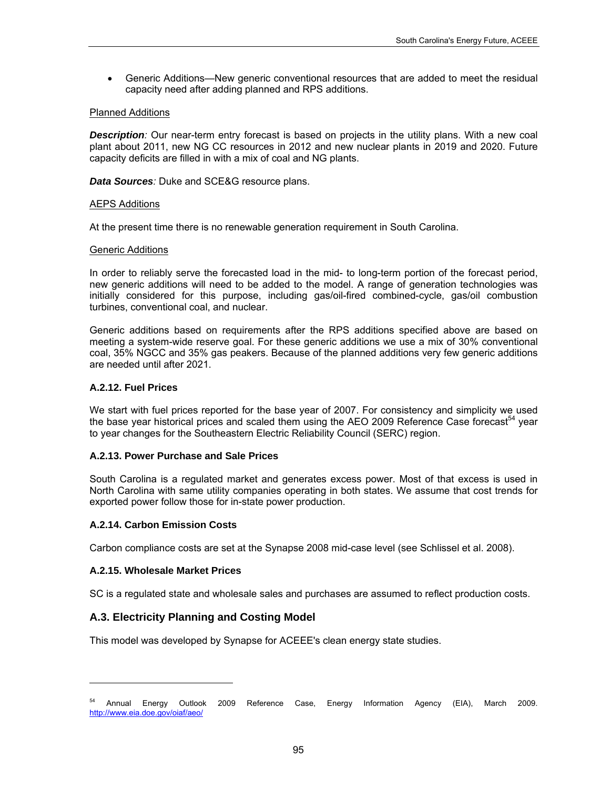Generic Additions—New generic conventional resources that are added to meet the residual capacity need after adding planned and RPS additions.

### Planned Additions

**Description**: Our near-term entry forecast is based on projects in the utility plans. With a new coal plant about 2011, new NG CC resources in 2012 and new nuclear plants in 2019 and 2020. Future capacity deficits are filled in with a mix of coal and NG plants.

*Data Sources:* Duke and SCE&G resource plans.

#### AEPS Additions

At the present time there is no renewable generation requirement in South Carolina.

### Generic Additions

In order to reliably serve the forecasted load in the mid- to long-term portion of the forecast period, new generic additions will need to be added to the model. A range of generation technologies was initially considered for this purpose, including gas/oil-fired combined-cycle, gas/oil combustion turbines, conventional coal, and nuclear.

Generic additions based on requirements after the RPS additions specified above are based on meeting a system-wide reserve goal. For these generic additions we use a mix of 30% conventional coal, 35% NGCC and 35% gas peakers. Because of the planned additions very few generic additions are needed until after 2021.

### **A.2.12. Fuel Prices**

We start with fuel prices reported for the base year of 2007. For consistency and simplicity we used the base year historical prices and scaled them using the AEO 2009 Reference Case forecast<sup>[54](#page-108-0)</sup> year to year changes for the Southeastern Electric Reliability Council (SERC) region.

### **A.2.13. Power Purchase and Sale Prices**

South Carolina is a regulated market and generates excess power. Most of that excess is used in North Carolina with same utility companies operating in both states. We assume that cost trends for exported power follow those for in-state power production.

### **A.2.14. Carbon Emission Costs**

Carbon compliance costs are set at the Synapse 2008 mid-case level (see Schlissel et al. 2008).

### **A.2.15. Wholesale Market Prices**

l

SC is a regulated state and wholesale sales and purchases are assumed to reflect production costs.

### **A.3. Electricity Planning and Costing Model**

This model was developed by Synapse for ACEEE's clean energy state studies.

<span id="page-108-0"></span><sup>&</sup>lt;sup>54</sup> Annual Energy Outlook 2009 Reference Case, Energy Information Agency (EIA), March 2009. <http://www.eia.doe.gov/oiaf/aeo/>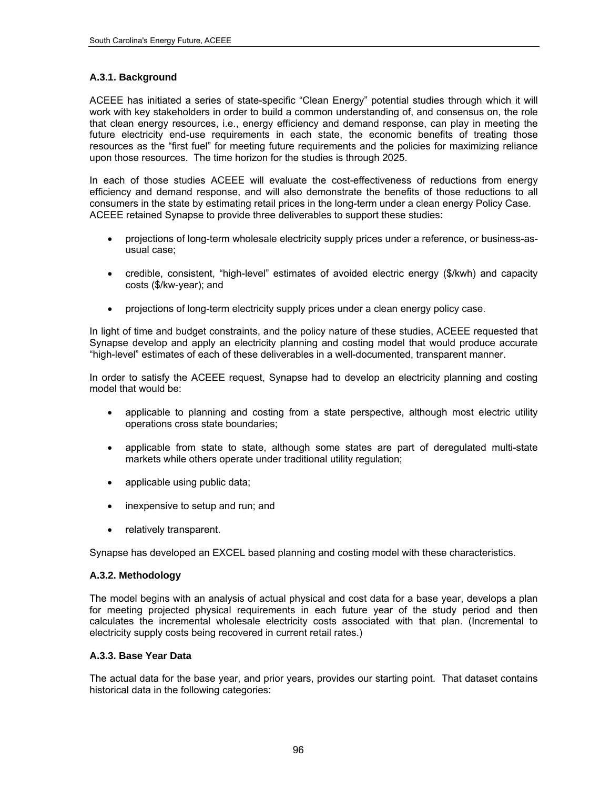## **A.3.1. Background**

ACEEE has initiated a series of state-specific "Clean Energy" potential studies through which it will work with key stakeholders in order to build a common understanding of, and consensus on, the role that clean energy resources, i.e., energy efficiency and demand response, can play in meeting the future electricity end-use requirements in each state, the economic benefits of treating those resources as the "first fuel" for meeting future requirements and the policies for maximizing reliance upon those resources. The time horizon for the studies is through 2025.

In each of those studies ACEEE will evaluate the cost-effectiveness of reductions from energy efficiency and demand response, and will also demonstrate the benefits of those reductions to all consumers in the state by estimating retail prices in the long-term under a clean energy Policy Case. ACEEE retained Synapse to provide three deliverables to support these studies:

- projections of long-term wholesale electricity supply prices under a reference, or business-asusual case;
- credible, consistent, "high-level" estimates of avoided electric energy (\$/kwh) and capacity costs (\$/kw-year); and
- projections of long-term electricity supply prices under a clean energy policy case.

In light of time and budget constraints, and the policy nature of these studies, ACEEE requested that Synapse develop and apply an electricity planning and costing model that would produce accurate "high-level" estimates of each of these deliverables in a well-documented, transparent manner.

In order to satisfy the ACEEE request, Synapse had to develop an electricity planning and costing model that would be:

- applicable to planning and costing from a state perspective, although most electric utility operations cross state boundaries;
- applicable from state to state, although some states are part of deregulated multi-state markets while others operate under traditional utility regulation;
- applicable using public data;
- inexpensive to setup and run; and
- relatively transparent.

Synapse has developed an EXCEL based planning and costing model with these characteristics.

### **A.3.2. Methodology**

The model begins with an analysis of actual physical and cost data for a base year, develops a plan for meeting projected physical requirements in each future year of the study period and then calculates the incremental wholesale electricity costs associated with that plan. (Incremental to electricity supply costs being recovered in current retail rates.)

### **A.3.3. Base Year Data**

The actual data for the base year, and prior years, provides our starting point. That dataset contains historical data in the following categories: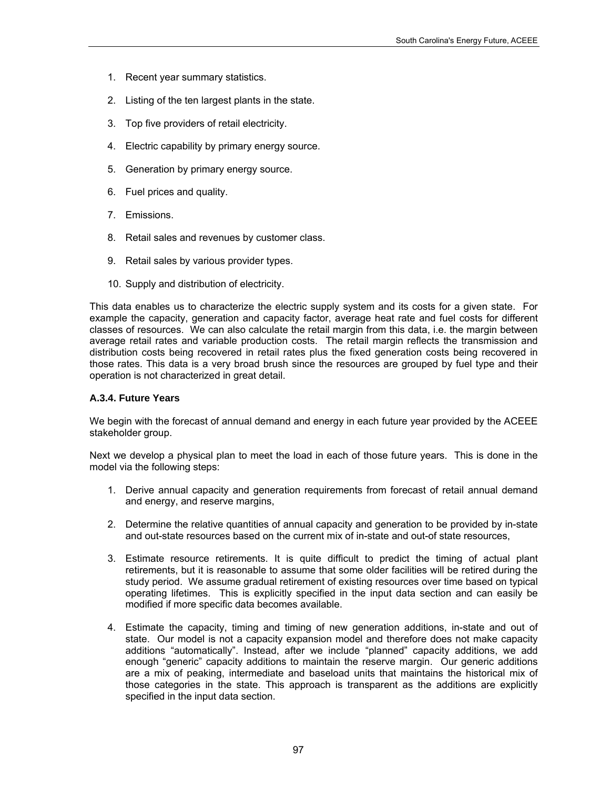- 1. Recent year summary statistics.
- 2. Listing of the ten largest plants in the state.
- 3. Top five providers of retail electricity.
- 4. Electric capability by primary energy source.
- 5. Generation by primary energy source.
- 6. Fuel prices and quality.
- 7. Emissions.
- 8. Retail sales and revenues by customer class.
- 9. Retail sales by various provider types.
- 10. Supply and distribution of electricity.

This data enables us to characterize the electric supply system and its costs for a given state. For example the capacity, generation and capacity factor, average heat rate and fuel costs for different classes of resources. We can also calculate the retail margin from this data, i.e. the margin between average retail rates and variable production costs. The retail margin reflects the transmission and distribution costs being recovered in retail rates plus the fixed generation costs being recovered in those rates. This data is a very broad brush since the resources are grouped by fuel type and their operation is not characterized in great detail.

### **A.3.4. Future Years**

We begin with the forecast of annual demand and energy in each future year provided by the ACEEE stakeholder group.

Next we develop a physical plan to meet the load in each of those future years. This is done in the model via the following steps:

- 1. Derive annual capacity and generation requirements from forecast of retail annual demand and energy, and reserve margins,
- 2. Determine the relative quantities of annual capacity and generation to be provided by in-state and out-state resources based on the current mix of in-state and out-of state resources,
- 3. Estimate resource retirements. It is quite difficult to predict the timing of actual plant retirements, but it is reasonable to assume that some older facilities will be retired during the study period. We assume gradual retirement of existing resources over time based on typical operating lifetimes. This is explicitly specified in the input data section and can easily be modified if more specific data becomes available.
- 4. Estimate the capacity, timing and timing of new generation additions, in-state and out of state. Our model is not a capacity expansion model and therefore does not make capacity additions "automatically". Instead, after we include "planned" capacity additions, we add enough "generic" capacity additions to maintain the reserve margin. Our generic additions are a mix of peaking, intermediate and baseload units that maintains the historical mix of those categories in the state. This approach is transparent as the additions are explicitly specified in the input data section.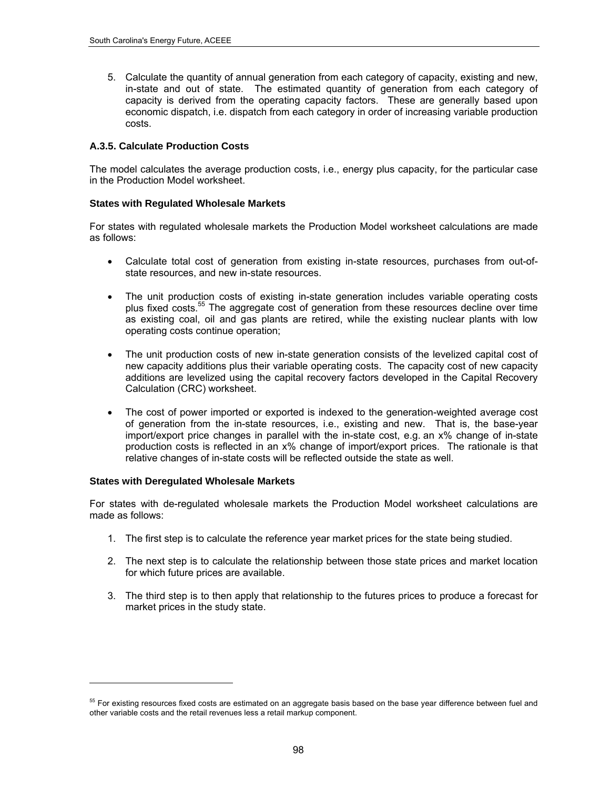5. Calculate the quantity of annual generation from each category of capacity, existing and new, in-state and out of state. The estimated quantity of generation from each category of capacity is derived from the operating capacity factors. These are generally based upon economic dispatch, i.e. dispatch from each category in order of increasing variable production costs.

### **A.3.5. Calculate Production Costs**

The model calculates the average production costs, i.e., energy plus capacity, for the particular case in the Production Model worksheet.

### **States with Regulated Wholesale Markets**

For states with regulated wholesale markets the Production Model worksheet calculations are made as follows:

- Calculate total cost of generation from existing in-state resources, purchases from out-ofstate resources, and new in-state resources.
- The unit production costs of existing in-state generation includes variable operating costs plus fixed costs.<sup>55</sup> The aggregate cost of generation from these resources decline over time as existing coal, oil and gas plants are retired, while the existing nuclear plants with low operating costs continue operation;
- The unit production costs of new in-state generation consists of the levelized capital cost of new capacity additions plus their variable operating costs. The capacity cost of new capacity additions are levelized using the capital recovery factors developed in the Capital Recovery Calculation (CRC) worksheet.
- The cost of power imported or exported is indexed to the generation-weighted average cost of generation from the in-state resources, i.e., existing and new. That is, the base-year import/export price changes in parallel with the in-state cost, e.g. an x% change of in-state production costs is reflected in an x% change of import/export prices. The rationale is that relative changes of in-state costs will be reflected outside the state as well.

### **States with Deregulated Wholesale Markets**

1

For states with de-regulated wholesale markets the Production Model worksheet calculations are made as follows:

- 1. The first step is to calculate the reference year market prices for the state being studied.
- 2. The next step is to calculate the relationship between those state prices and market location for which future prices are available.
- 3. The third step is to then apply that relationship to the futures prices to produce a forecast for market prices in the study state.

<span id="page-111-0"></span><sup>&</sup>lt;sup>55</sup> For existing resources fixed costs are estimated on an aggregate basis based on the base year difference between fuel and other variable costs and the retail revenues less a retail markup component.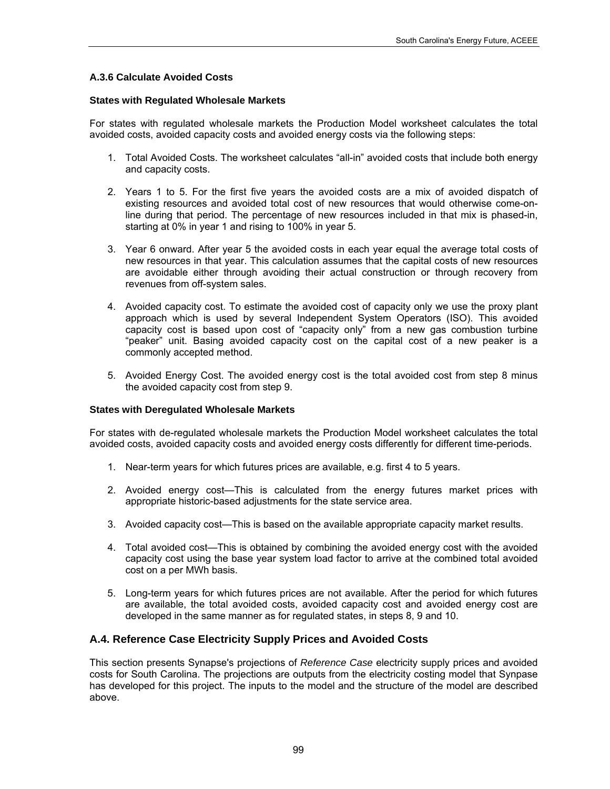# **A.3.6 Calculate Avoided Costs**

### **States with Regulated Wholesale Markets**

For states with regulated wholesale markets the Production Model worksheet calculates the total avoided costs, avoided capacity costs and avoided energy costs via the following steps:

- 1. Total Avoided Costs. The worksheet calculates "all-in" avoided costs that include both energy and capacity costs.
- 2. Years 1 to 5. For the first five years the avoided costs are a mix of avoided dispatch of existing resources and avoided total cost of new resources that would otherwise come-online during that period. The percentage of new resources included in that mix is phased-in, starting at 0% in year 1 and rising to 100% in year 5.
- 3. Year 6 onward. After year 5 the avoided costs in each year equal the average total costs of new resources in that year. This calculation assumes that the capital costs of new resources are avoidable either through avoiding their actual construction or through recovery from revenues from off-system sales.
- 4. Avoided capacity cost. To estimate the avoided cost of capacity only we use the proxy plant approach which is used by several Independent System Operators (ISO). This avoided capacity cost is based upon cost of "capacity only" from a new gas combustion turbine "peaker" unit. Basing avoided capacity cost on the capital cost of a new peaker is a commonly accepted method.
- 5. Avoided Energy Cost. The avoided energy cost is the total avoided cost from step 8 minus the avoided capacity cost from step 9.

### **States with Deregulated Wholesale Markets**

For states with de-regulated wholesale markets the Production Model worksheet calculates the total avoided costs, avoided capacity costs and avoided energy costs differently for different time-periods.

- 1. Near-term years for which futures prices are available, e.g. first 4 to 5 years.
- 2. Avoided energy cost—This is calculated from the energy futures market prices with appropriate historic-based adjustments for the state service area.
- 3. Avoided capacity cost—This is based on the available appropriate capacity market results.
- 4. Total avoided cost—This is obtained by combining the avoided energy cost with the avoided capacity cost using the base year system load factor to arrive at the combined total avoided cost on a per MWh basis.
- 5. Long-term years for which futures prices are not available. After the period for which futures are available, the total avoided costs, avoided capacity cost and avoided energy cost are developed in the same manner as for regulated states, in steps 8, 9 and 10.

# **A.4. Reference Case Electricity Supply Prices and Avoided Costs**

This section presents Synapse's projections of *Reference Case* electricity supply prices and avoided costs for South Carolina. The projections are outputs from the electricity costing model that Synpase has developed for this project. The inputs to the model and the structure of the model are described above.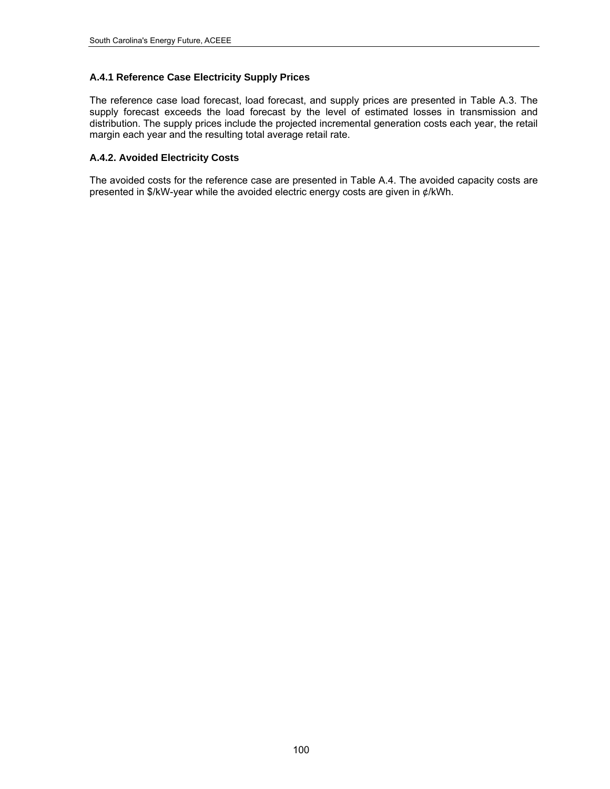# **A.4.1 Reference Case Electricity Supply Prices**

The reference case load forecast, load forecast, and supply prices are presented in [Table](#page-114-0) A.3. The supply forecast exceeds the load forecast by the level of estimated losses in transmission and distribution. The supply prices include the projected incremental generation costs each year, the retail margin each year and the resulting total average retail rate.

## **A.4.2. Avoided Electricity Costs**

The avoided costs for the reference case are presented in [Table A.4](#page-115-0). The avoided capacity costs are presented in \$/kW-year while the avoided electric energy costs are given in ¢/kWh.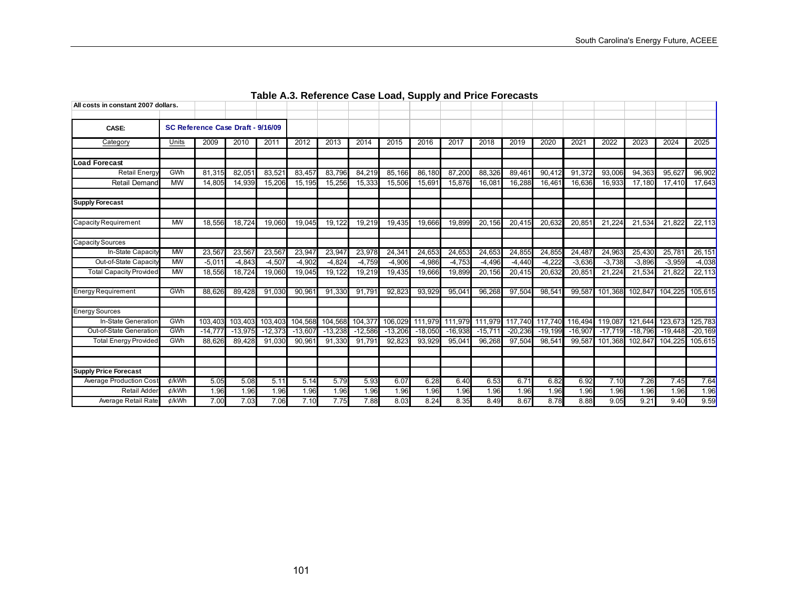<span id="page-114-0"></span>

| All costs in constant 2007 dollars. |             |                                   |                     |                 |           |           |           |           |           |                 |           |           |                         |           |           |                 |           |           |
|-------------------------------------|-------------|-----------------------------------|---------------------|-----------------|-----------|-----------|-----------|-----------|-----------|-----------------|-----------|-----------|-------------------------|-----------|-----------|-----------------|-----------|-----------|
|                                     |             |                                   |                     |                 |           |           |           |           |           |                 |           |           |                         |           |           |                 |           |           |
| CASE:                               |             | SC Reference Case Draft - 9/16/09 |                     |                 |           |           |           |           |           |                 |           |           |                         |           |           |                 |           |           |
| Category                            | Units       | 2009                              | 2010                | 2011            | 2012      | 2013      | 2014      | 2015      | 2016      | 2017            | 2018      | 2019      | 2020                    | 2021      | 2022      | 2023            | 2024      | 2025      |
|                                     |             |                                   |                     |                 |           |           |           |           |           |                 |           |           |                         |           |           |                 |           |           |
| <b>Load Forecast</b>                |             |                                   |                     |                 |           |           |           |           |           |                 |           |           |                         |           |           |                 |           |           |
| Retail Energy                       | GWh         | 81.315                            | 82.05'              | 83,521          | 83.457    | 83,796    | 84,219    | 85,166    | 86.180    | 87.200          | 88.326    | 89,46     | 90.412                  | 91,372    | 93,006    | 94,363          | 95,627    | 96,902    |
| <b>Retail Demand</b>                | $M_{\rm W}$ | 14.805                            | 14,939              | 15,206          | 15,195    | 15,256    | 15,333    | 15,506    | 15,691    | 15,876          | 16,081    | 16,288    | 16,461                  | 16,636    | 16,933    | 17,180          | 17.410    | 17,643    |
| <b>Supply Forecast</b>              |             |                                   |                     |                 |           |           |           |           |           |                 |           |           |                         |           |           |                 |           |           |
| <b>Capacity Requirement</b>         | <b>MW</b>   | 18,556                            | 18.724              | 19.060          | 19.045    | 19.122    | 19,219    | 19,435    | 19.666    | 19.899          | 20.156    | 20.415    | 20.632                  | 20.851    | 21.224    | 21,534          | 21.822    | 22.113    |
| Capacity Sources                    |             |                                   |                     |                 |           |           |           |           |           |                 |           |           |                         |           |           |                 |           |           |
| In-State Capacity                   | <b>MW</b>   | 23,567                            | 23,567              | 23,567          | 23,947    | 23,947    | 23,978    | 24,341    | 24,653    | 24,653          | 24,653    | 24,85     | 24,855                  | 24,487    | 24,963    | 25,430          | 25,781    | 26.151    |
| Out-of-State Capacity               | <b>MW</b>   | $-5.01$                           | $-4.843$            | $-4,507$        | $-4.902$  | $-4.824$  | $-4,759$  | $-4,906$  | $-4.986$  | $-4.753$        | $-4,496$  | $-4.440$  | $-4.222$                | $-3.636$  | $-3,738$  | $-3.896$        | $-3.959$  | $-4,038$  |
| <b>Total Capacity Provided</b>      | <b>MW</b>   | 18,556                            | $\overline{18,724}$ | 19,060          | 19.045    | 19,122    | 19,219    | 19,435    | 19,666    | 19,899          | 20,156    | 20,415    | 20.632                  | 20,851    | 21,224    | 21,534          | 21,822    | 22,113    |
| <b>Energy Requirement</b>           | GWh         | 88.626                            | 89,428              | 91,030          | 90,961    | 91,330    | 91.79'    | 92,823    | 93,929    | 95,04'          | 96,268    | 97,504    | 98,541                  | 99.587    | 101,368   | 102,847         | 104,225   | 105,615   |
| Energy Sources                      |             |                                   |                     |                 |           |           |           |           |           |                 |           |           |                         |           |           |                 |           |           |
| In-State Generation                 | GWh         | 103,403                           |                     | 103,403 103,403 | 104,568   | 104,568   | 104,377   | 106,029   |           | 111,979 111,979 |           |           | 111,979 117,740 117,740 | 116.494   | 119,087   | 121,644         | 123,673   | 125,783   |
| Out-of-State Generation             | GWh         | $-14.77$                          | $-13,975$           | $-12.373$       | $-13,607$ | $-13,238$ | $-12,586$ | $-13,206$ | $-18,050$ | $-16.938$       | $-15.711$ | $-20,236$ | $-19.199$               | $-16.907$ | $-17.719$ | $-18,796$       | $-19,448$ | $-20.169$ |
| <b>Total Energy Provided</b>        | GWh         | 88.626                            | 89,428              | 91,030          | 90.961    | 91,330    | 91,791    | 92,823    | 93.929    | 95.041          | 96,268    | 97,504    | 98.541                  | 99.587    |           | 101,368 102,847 | 104.225   | 105,615   |
|                                     |             |                                   |                     |                 |           |           |           |           |           |                 |           |           |                         |           |           |                 |           |           |
| <b>Supply Price Forecast</b>        |             |                                   |                     |                 |           |           |           |           |           |                 |           |           |                         |           |           |                 |           |           |
| Average Production Cost             | ¢/kWh       | 5.05                              | 5.08                | 5.11            | 5.14      | 5.79      | 5.93      | 6.07      | 6.28      | 6.40            | 6.53      | 6.71      | 6.82                    | 6.92      | 7.10      | 7.26            | 7.45      | 7.64      |
| Retail Adder                        | ¢/kWh       | 1.96                              | 1.96                | 1.96            | 1.96      | 1.96      | 1.96      | 1.96      | 1.96      | 1.96            | 1.96      | 1.96      | 1.96                    | 1.96      | 1.96      | 1.96            | 1.96      | 1.96      |
| Average Retail Rate                 | ¢/kWh       | 7.00                              | 7.03                | 7.06            | 7.10      | 7.75      | 7.88      | 8.03      | 8.24      | 8.35            | 8.49      | 8.67      | 8.78                    | 8.88      | 9.05      | 9.21            | 9.40      | 9.59      |

# **Table A.3. Reference Case Load, Supply and Price Forecasts**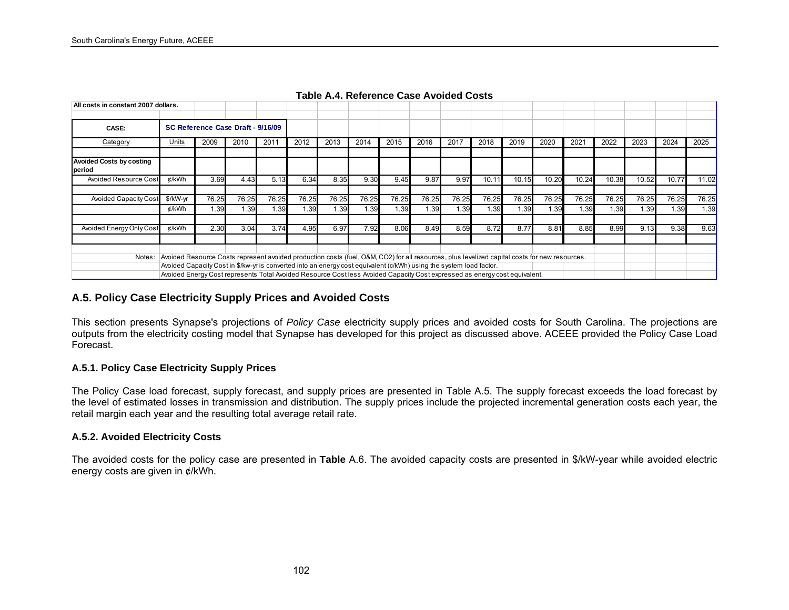| All costs in constant 2007 dollars.       |                                                                                                                                                                                                                                                                                                                                                                                                    |                                   |       |       |       |       |       |       |       |       |       |       |       |       |       |       |       |       |
|-------------------------------------------|----------------------------------------------------------------------------------------------------------------------------------------------------------------------------------------------------------------------------------------------------------------------------------------------------------------------------------------------------------------------------------------------------|-----------------------------------|-------|-------|-------|-------|-------|-------|-------|-------|-------|-------|-------|-------|-------|-------|-------|-------|
| CASE:                                     |                                                                                                                                                                                                                                                                                                                                                                                                    | SC Reference Case Draft - 9/16/09 |       |       |       |       |       |       |       |       |       |       |       |       |       |       |       |       |
| Category                                  | Units                                                                                                                                                                                                                                                                                                                                                                                              | 2009                              | 2010  | 201'  | 2012  | 2013  | 2014  | 2015  | 2016  | 2017  | 2018  | 2019  | 2020  | 2021  | 2022  | 2023  | 2024  | 2025  |
| <b>Avoided Costs by costing</b><br>period |                                                                                                                                                                                                                                                                                                                                                                                                    |                                   |       |       |       |       |       |       |       |       |       |       |       |       |       |       |       |       |
| Avoided Resource Cost                     | ¢/kWh                                                                                                                                                                                                                                                                                                                                                                                              | 3.69                              | 4.43  | 5.13  | 6.34  | 8.35  | 9.30  | 9.45  | 9.87  | 9.97  | 10.11 | 10.15 | 10.20 | 10.24 | 10.38 | 10.52 | 10.77 | 11.02 |
| <b>Avoided Capacity Cost</b>              | \$/kW-yr                                                                                                                                                                                                                                                                                                                                                                                           | 76.25                             | 76.25 | 76.25 | 76.25 | 76.25 | 76.25 | 76.25 | 76.25 | 76.25 | 76.25 | 76.25 | 76.25 | 76.25 | 76.25 | 76.25 | 76.25 | 76.25 |
|                                           | ¢/kWh                                                                                                                                                                                                                                                                                                                                                                                              | 1.39                              | 1.39  | .39   | 1.39  | 1.39  | 1.39  | .39   | 1.39  | .39   | 1.39  | 1.39  | 1.39  | 1.39  | 1.39  | 1.39  | .39   | 1.39  |
| Avoided Energy Only Cost                  | ¢/kWh                                                                                                                                                                                                                                                                                                                                                                                              | 2.30                              | 3.04  | 3.74  | 4.95  | 6.97  | 7.92  | 8.06  | 8.49  | 8.59  | 8.72  | 8.77  | 8.81  | 8.85  | 8.99  | 9.13  | 9.38  | 9.63  |
| Notes:                                    | Avoided Resource Costs represent avoided production costs (fuel, O&M, CO2) for all resources, plus levelized capital costs for new resources.<br>Avoided Capacity Cost in \$/kw-yr is converted into an energy cost equivalent (c/kWh) using the system load factor.<br>Avoided Energy Cost represents Total Avoided Resource Cost less Avoided Capacity Cost expressed as energy cost equivalent. |                                   |       |       |       |       |       |       |       |       |       |       |       |       |       |       |       |       |

**Table A.4. Reference Case Avoided Costs** 

### **A.5. Policy Case Electricity Supply Prices and Avoided Costs**

This section presents Synapse's projections of *Policy Case* electricity supply prices and avoided costs for South Carolina. The projections are outputs from the electricity costing model that Synapse has developed for this project as discussed above. ACEEE provided the Policy Case Load Forecast.

### **A.5.1. Policy Case Electricity Supply Prices**

The Policy Case load forecast, supply forecast, and supply prices are presented in [Table](#page-116-0) A.5. The supply forecast exceeds the load forecast by the level of estimated losses in transmission and distribution. The supply prices include the projected incremental generation costs each year, the retail margin each year and the resulting total average retail rate.

### **A.5.2. Avoided Electricity Costs**

<span id="page-115-0"></span>The avoided costs for the policy case are presented in **[Table](#page-117-0)** A.6. The avoided capacity costs are presented in \$/kW-year while avoided electric energy costs are given in ¢/kWh.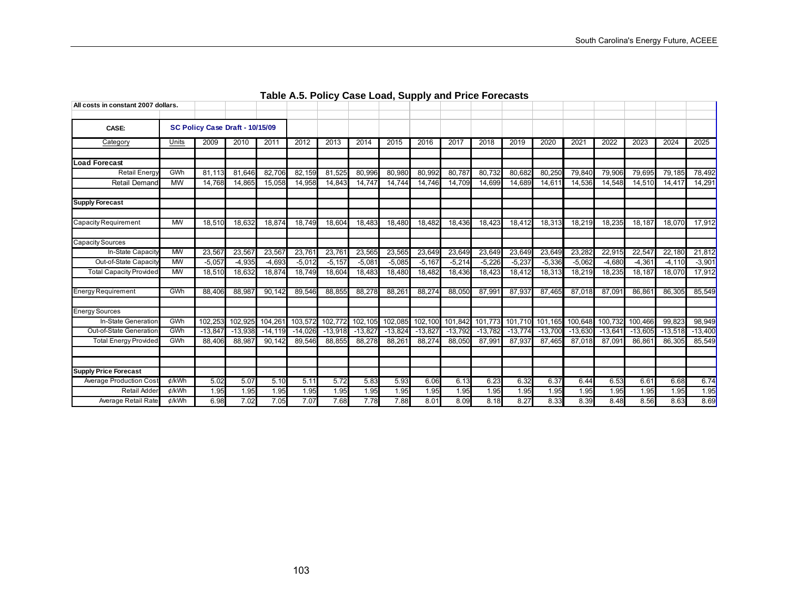<span id="page-116-0"></span>

| All costs in constant 2007 dollars. |           |                                 |           |                      |           |           |          |           |          |                 |           |           |           |           |           |           |           |           |
|-------------------------------------|-----------|---------------------------------|-----------|----------------------|-----------|-----------|----------|-----------|----------|-----------------|-----------|-----------|-----------|-----------|-----------|-----------|-----------|-----------|
|                                     |           |                                 |           |                      |           |           |          |           |          |                 |           |           |           |           |           |           |           |           |
| CASE:                               |           | SC Policy Case Draft - 10/15/09 |           |                      |           |           |          |           |          |                 |           |           |           |           |           |           |           |           |
| Category                            | Units     | 2009                            | 2010      | 2011                 | 2012      | 2013      | 2014     | 2015      | 2016     | 2017            | 2018      | 2019      | 2020      | 2021      | 2022      | 2023      | 2024      | 2025      |
|                                     |           |                                 |           |                      |           |           |          |           |          |                 |           |           |           |           |           |           |           |           |
| <b>Load Forecast</b>                |           |                                 |           |                      |           |           |          |           |          |                 |           |           |           |           |           |           |           |           |
| Retail Energy                       | GWh       | 81.113                          | 81.646    | 82,706               | 82.159    | 81.525    | 80,996   | 80,980    | 80,992   | 80.787          | 80.732    | 80.682    | 80,250    | 79.840    | 79,906    | 79,695    | 79,185    | 78,492    |
| <b>Retail Demand</b>                | <b>MW</b> | 14.768                          | 14,865    | 15,058               | 14,958    | 14,843    | 14,747   | 14,744    | 14,746   | 14,709          | 14,699    | 14,689    | 14,611    | 14,536    | 14,548    | 14,510    | 14,417    | 14,291    |
| <b>Supply Forecast</b>              |           |                                 |           |                      |           |           |          |           |          |                 |           |           |           |           |           |           |           |           |
| <b>Capacity Requirement</b>         | <b>MW</b> | 18,510                          | 18,632    | 18,874               | 18.749    | 18,604    | 18,483   | 18,480    | 18,482   | 18,436          | 18,423    | 18,412    | 18,313    | 18,219    | 18,235    | 18,187    | 18,070    | 17,912    |
| Capacity Sources                    |           |                                 |           |                      |           |           |          |           |          |                 |           |           |           |           |           |           |           |           |
| In-State Capacity                   | <b>MW</b> | 23,567                          | 23,567    | 23,567               | 23,761    | 23,761    | 23,565   | 23,565    | 23,649   | 23,649          | 23,649    | 23,649    | 23,649    | 23.282    | 22,915    | 22,547    | 22,180    | 21,812    |
| Out-of-State Capacity               | <b>MW</b> | $-5,057$                        | $-4,935$  | $-4,693$             | $-5,012$  | $-5, 157$ | $-5,081$ | $-5,085$  | $-5,167$ | $-5,214$        | $-5,226$  | $-5,237$  | $-5,336$  | $-5,062$  | $-4,680$  | $-4,361$  | $-4,110$  | $-3,901$  |
| <b>Total Capacity Provided</b>      | <b>MW</b> | 18,510                          | 18,632    | 18,874               | 18,749    | 18,604    | 18,483   | 18,480    | 18,482   | 18,436          | 18,423    | 18,412    | 18,313    | 18,219    | 18,235    | 18,187    | 18,070    | 17,912    |
| <b>Energy Requirement</b>           | GWh       | 88.406                          | 88.98     | $\overline{90, 142}$ | 89.546    | 88,855    | 88,278   | 88,26'    | 88.274   | 88,050          | 87.99     | 87.937    | 87.465    | 87.018    | 87.09     | 86.86     | 86.305    | 85,549    |
| Energy Sources                      |           |                                 |           |                      |           |           |          |           |          |                 |           |           |           |           |           |           |           |           |
| In-State Generation                 | GWh       | 102,25                          | 102,925   | 104,261              | 103,572   | 102,772   | 102,105  | 102,085   |          | 102,100 101,842 | 101.773   | 101,710   | 101,165   | 100,648   | 100.732   | 100,466   | 99,823    | 98,949    |
| Out-of-State Generation             | GWh       | $-13,84$                        | $-13,938$ | $-14, 119$           | $-14,026$ | $-13,918$ | $-13,82$ | $-13,824$ | $-13,82$ | $-13,792$       | $-13,782$ | $-13,774$ | $-13,700$ | $-13.630$ | $-13,641$ | $-13,605$ | $-13,518$ | $-13,400$ |
| <b>Total Energy Provided</b>        | GWh       | 88,406                          | 88.987    | 90.142               | 89.546    | 88,855    | 88,278   | 88,261    | 88.274   | 88.050          | 87,991    | 87,937    | 87.465    | 87.018    | 87,091    | 86,86     | 86,305    | 85,549    |
|                                     |           |                                 |           |                      |           |           |          |           |          |                 |           |           |           |           |           |           |           |           |
| <b>Supply Price Forecast</b>        |           |                                 |           |                      |           |           |          |           |          |                 |           |           |           |           |           |           |           |           |
| Average Production Cost             | ¢/kWh     | 5.02                            | 5.07      | 5.10                 | 5.11      | 5.72      | 5.83     | 5.93      | 6.06     | 6.13            | 6.23      | 6.32      | 6.37      | 6.44      | 6.53      | 6.61      | 6.68      | 6.74      |
| Retail Adder                        | ¢/kWh     | 1.95                            | 1.95      | 1.95                 | 1.95      | 1.95      | 1.95     | 1.95      | 1.95     | 1.95            | 1.95      | 1.95      | 1.95      | 1.95      | 1.95      | 1.95      | 1.95      | 1.95      |
| Average Retail Rate                 | ¢/kWh     | 6.98                            | 7.02      | 7.05                 | 7.07      | 7.68      | 7.78     | 7.88      | 8.01     | 8.09            | 8.18      | 8.27      | 8.33      | 8.39      | 8.48      | 8.56      | 8.63      | 8.69      |

# **Table A.5. Policy Case Load, Supply and Price Forecasts**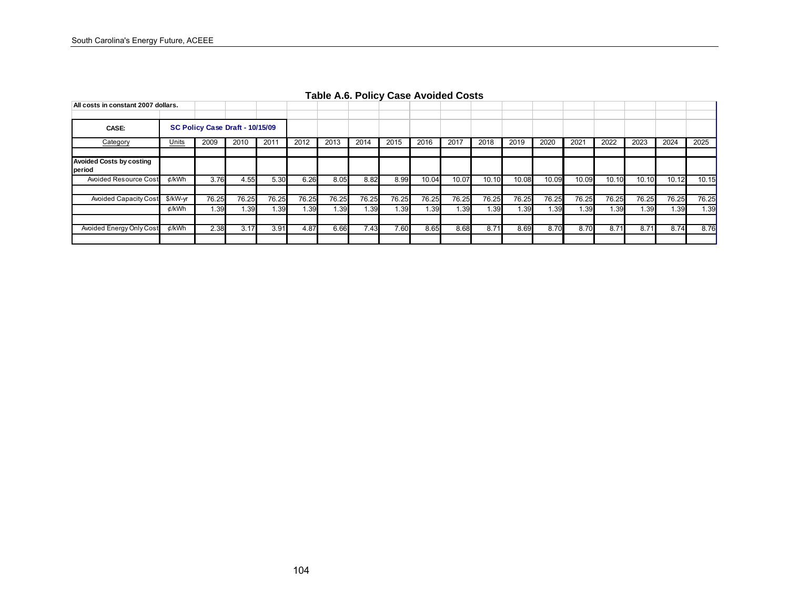<span id="page-117-0"></span>

| All costs in constant 2007 dollars.       |          |                                 |       |       |       |       |       |       |       |       |       |       |       |       |       |       |       |       |
|-------------------------------------------|----------|---------------------------------|-------|-------|-------|-------|-------|-------|-------|-------|-------|-------|-------|-------|-------|-------|-------|-------|
|                                           |          |                                 |       |       |       |       |       |       |       |       |       |       |       |       |       |       |       |       |
| CASE:                                     |          | SC Policy Case Draft - 10/15/09 |       |       |       |       |       |       |       |       |       |       |       |       |       |       |       |       |
| Category                                  | Units    | 2009                            | 2010  | 201'  | 2012  | 2013  | 2014  | 2015  | 2016  | 2017  | 2018  | 2019  | 2020  | 2021  | 2022  | 2023  | 2024  | 2025  |
|                                           |          |                                 |       |       |       |       |       |       |       |       |       |       |       |       |       |       |       |       |
| <b>Avoided Costs by costing</b><br>period |          |                                 |       |       |       |       |       |       |       |       |       |       |       |       |       |       |       |       |
| Avoided Resource Cost                     | ¢/kWh    | 3.76                            | 4.55  | 5.30  | 6.26  | 8.05  | 8.82  | 8.99  | 10.04 | 10.07 | 10.10 | 10.08 | 10.09 | 10.09 | 10.10 | 10.10 | 10.12 | 10.15 |
|                                           |          |                                 |       |       |       |       |       |       |       |       |       |       |       |       |       |       |       |       |
| <b>Avoided Capacity Cost</b>              | \$/kW-yr | 76.25                           | 76.25 | 76.25 | 76.25 | 76.25 | 76.25 | 76.25 | 76.25 | 76.25 | 76.25 | 76.25 | 76.25 | 76.25 | 76.25 | 76.25 | 76.25 | 76.25 |
|                                           | ¢/kWh    | 1.39                            | 1.39  | 1.39  | 1.39  | 1.39  | 1.39  | 1.39  | 1.39  | 1.39  | 1.39  | 1.39  | I.39  | 1.39  | 1.39  | 1.39  | 1.39  | 1.39  |
|                                           |          |                                 |       |       |       |       |       |       |       |       |       |       |       |       |       |       |       |       |
| Avoided Energy Only Cost                  | ¢/kWh    | 2.38                            | 3.17  | 3.91  | 4.87  | 6.66  | 7.43  | 7.60  | 8.65  | 8.68  | 8.71  | 8.69  | 8.70  | 8.70  | 8.71  | 8.71  | 8.74  | 8.76  |
|                                           |          |                                 |       |       |       |       |       |       |       |       |       |       |       |       |       |       |       |       |

**Table A.6. Policy Case Avoided Costs**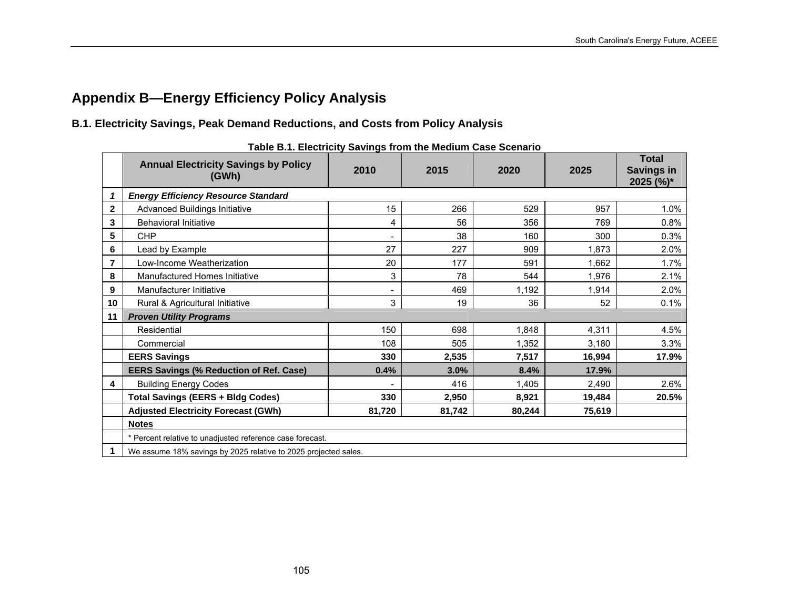# **Appendix B—Energy Efficiency Policy Analysis**

# **B.1. Electricity Savings, Peak Demand Reductions, and Costs from Policy Analysis**

|              | <b>Annual Electricity Savings by Policy</b><br>(GWh)            | 2010                         | 2015   | 2020   | 2025   | <b>Total</b><br><b>Savings in</b><br>2025 (%)* |
|--------------|-----------------------------------------------------------------|------------------------------|--------|--------|--------|------------------------------------------------|
| 1            | <b>Energy Efficiency Resource Standard</b>                      |                              |        |        |        |                                                |
| $\mathbf{2}$ | Advanced Buildings Initiative                                   | 15                           | 266    | 529    | 957    | 1.0%                                           |
| 3            | <b>Behavioral Initiative</b>                                    | 4                            | 56     | 356    | 769    | 0.8%                                           |
| 5            | <b>CHP</b>                                                      | $\qquad \qquad \blacksquare$ | 38     | 160    | 300    | 0.3%                                           |
| 6            | Lead by Example                                                 | 27                           | 227    | 909    | 1,873  | 2.0%                                           |
| 7            | Low-Income Weatherization                                       | 20                           | 177    | 591    | 1,662  | 1.7%                                           |
| 8            | Manufactured Homes Initiative                                   | 3                            | 78     | 544    | 1,976  | 2.1%                                           |
| 9            | Manufacturer Initiative                                         |                              | 469    | 1,192  | 1,914  | 2.0%                                           |
| 10           | Rural & Agricultural Initiative                                 | 3                            | 19     | 36     | 52     | 0.1%                                           |
| 11           | <b>Proven Utility Programs</b>                                  |                              |        |        |        |                                                |
|              | Residential                                                     | 150                          | 698    | 1,848  | 4,311  | 4.5%                                           |
|              | Commercial                                                      | 108                          | 505    | 1,352  | 3,180  | 3.3%                                           |
|              | <b>EERS Savings</b>                                             | 330                          | 2,535  | 7,517  | 16,994 | 17.9%                                          |
|              | <b>EERS Savings (% Reduction of Ref. Case)</b>                  | 0.4%                         | 3.0%   | 8.4%   | 17.9%  |                                                |
| 4            | <b>Building Energy Codes</b>                                    |                              | 416    | 1,405  | 2,490  | 2.6%                                           |
|              | <b>Total Savings (EERS + Bldg Codes)</b>                        | 330                          | 2,950  | 8,921  | 19,484 | 20.5%                                          |
|              | <b>Adjusted Electricity Forecast (GWh)</b>                      | 81,720                       | 81,742 | 80,244 | 75,619 |                                                |
|              | <b>Notes</b>                                                    |                              |        |        |        |                                                |
|              | * Percent relative to unadjusted reference case forecast.       |                              |        |        |        |                                                |
|              | We assume 18% savings by 2025 relative to 2025 projected sales. |                              |        |        |        |                                                |

**Table B.1. Electricity Savings from the Medium Case Scenario**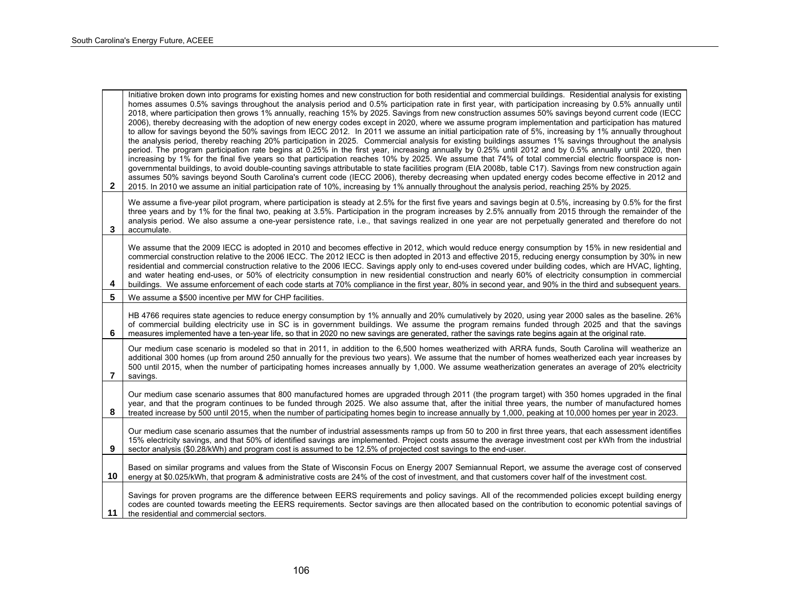| $\mathbf{2}$ | Initiative broken down into programs for existing homes and new construction for both residential and commercial buildings. Residential analysis for existing<br>homes assumes 0.5% savings throughout the analysis period and 0.5% participation rate in first year, with participation increasing by 0.5% annually until<br>2018, where participation then grows 1% annually, reaching 15% by 2025. Savings from new construction assumes 50% savings beyond current code (IECC<br>2006), thereby decreasing with the adoption of new energy codes except in 2020, where we assume program implementation and participation has matured<br>to allow for savings beyond the 50% savings from IECC 2012. In 2011 we assume an initial participation rate of 5%, increasing by 1% annually throughout<br>the analysis period, thereby reaching 20% participation in 2025. Commercial analysis for existing buildings assumes 1% savings throughout the analysis<br>period. The program participation rate begins at 0.25% in the first year, increasing annually by 0.25% until 2012 and by 0.5% annually until 2020, then<br>increasing by 1% for the final five years so that participation reaches 10% by 2025. We assume that 74% of total commercial electric floorspace is non-<br>governmental buildings, to avoid double-counting savings attributable to state facilities program (EIA 2008b, table C17). Savings from new construction again<br>assumes 50% savings beyond South Carolina's current code (IECC 2006), thereby decreasing when updated energy codes become effective in 2012 and<br>2015. In 2010 we assume an initial participation rate of 10%, increasing by 1% annually throughout the analysis period, reaching 25% by 2025. |
|--------------|-----------------------------------------------------------------------------------------------------------------------------------------------------------------------------------------------------------------------------------------------------------------------------------------------------------------------------------------------------------------------------------------------------------------------------------------------------------------------------------------------------------------------------------------------------------------------------------------------------------------------------------------------------------------------------------------------------------------------------------------------------------------------------------------------------------------------------------------------------------------------------------------------------------------------------------------------------------------------------------------------------------------------------------------------------------------------------------------------------------------------------------------------------------------------------------------------------------------------------------------------------------------------------------------------------------------------------------------------------------------------------------------------------------------------------------------------------------------------------------------------------------------------------------------------------------------------------------------------------------------------------------------------------------------------------------------------------------------------------------------------------------|
| 3            | We assume a five-year pilot program, where participation is steady at 2.5% for the first five years and savings begin at 0.5%, increasing by 0.5% for the first<br>three years and by 1% for the final two, peaking at 3.5%. Participation in the program increases by 2.5% annually from 2015 through the remainder of the<br>analysis period. We also assume a one-year persistence rate, i.e., that savings realized in one year are not perpetually generated and therefore do not<br>accumulate.                                                                                                                                                                                                                                                                                                                                                                                                                                                                                                                                                                                                                                                                                                                                                                                                                                                                                                                                                                                                                                                                                                                                                                                                                                                     |
| 4            | We assume that the 2009 IECC is adopted in 2010 and becomes effective in 2012, which would reduce energy consumption by 15% in new residential and<br>commercial construction relative to the 2006 IECC. The 2012 IECC is then adopted in 2013 and effective 2015, reducing energy consumption by 30% in new<br>residential and commercial construction relative to the 2006 IECC. Savings apply only to end-uses covered under building codes, which are HVAC, lighting,<br>and water heating end-uses, or 50% of electricity consumption in new residential construction and nearly 60% of electricity consumption in commercial<br>buildings. We assume enforcement of each code starts at 70% compliance in the first year, 80% in second year, and 90% in the third and subsequent years.                                                                                                                                                                                                                                                                                                                                                                                                                                                                                                                                                                                                                                                                                                                                                                                                                                                                                                                                                            |
| 5            | We assume a \$500 incentive per MW for CHP facilities.                                                                                                                                                                                                                                                                                                                                                                                                                                                                                                                                                                                                                                                                                                                                                                                                                                                                                                                                                                                                                                                                                                                                                                                                                                                                                                                                                                                                                                                                                                                                                                                                                                                                                                    |
| 6            | HB 4766 requires state agencies to reduce energy consumption by 1% annually and 20% cumulatively by 2020, using year 2000 sales as the baseline. 26%<br>of commercial building electricity use in SC is in government buildings. We assume the program remains funded through 2025 and that the savings<br>measures implemented have a ten-year life, so that in 2020 no new savings are generated, rather the savings rate begins again at the original rate.                                                                                                                                                                                                                                                                                                                                                                                                                                                                                                                                                                                                                                                                                                                                                                                                                                                                                                                                                                                                                                                                                                                                                                                                                                                                                            |
| 7            | Our medium case scenario is modeled so that in 2011, in addition to the 6,500 homes weatherized with ARRA funds, South Carolina will weatherize an<br>additional 300 homes (up from around 250 annually for the previous two years). We assume that the number of homes weatherized each year increases by<br>500 until 2015, when the number of participating homes increases annually by 1,000. We assume weatherization generates an average of 20% electricity<br>savings.                                                                                                                                                                                                                                                                                                                                                                                                                                                                                                                                                                                                                                                                                                                                                                                                                                                                                                                                                                                                                                                                                                                                                                                                                                                                            |
| 8            | Our medium case scenario assumes that 800 manufactured homes are upgraded through 2011 (the program target) with 350 homes upgraded in the final<br>year, and that the program continues to be funded through 2025. We also assume that, after the initial three years, the number of manufactured homes<br>treated increase by 500 until 2015, when the number of participating homes begin to increase annually by 1,000, peaking at 10,000 homes per year in 2023.                                                                                                                                                                                                                                                                                                                                                                                                                                                                                                                                                                                                                                                                                                                                                                                                                                                                                                                                                                                                                                                                                                                                                                                                                                                                                     |
| 9            | Our medium case scenario assumes that the number of industrial assessments ramps up from 50 to 200 in first three years, that each assessment identifies<br>15% electricity savings, and that 50% of identified savings are implemented. Project costs assume the average investment cost per kWh from the industrial<br>sector analysis (\$0.28/kWh) and program cost is assumed to be 12.5% of projected cost savings to the end-user.                                                                                                                                                                                                                                                                                                                                                                                                                                                                                                                                                                                                                                                                                                                                                                                                                                                                                                                                                                                                                                                                                                                                                                                                                                                                                                                  |
| 10           | Based on similar programs and values from the State of Wisconsin Focus on Energy 2007 Semiannual Report, we assume the average cost of conserved<br>energy at \$0.025/kWh, that program & administrative costs are 24% of the cost of investment, and that customers cover half of the investment cost.                                                                                                                                                                                                                                                                                                                                                                                                                                                                                                                                                                                                                                                                                                                                                                                                                                                                                                                                                                                                                                                                                                                                                                                                                                                                                                                                                                                                                                                   |
| 11           | Savings for proven programs are the difference between EERS requirements and policy savings. All of the recommended policies except building energy<br>codes are counted towards meeting the EERS requirements. Sector savings are then allocated based on the contribution to economic potential savings of<br>the residential and commercial sectors.                                                                                                                                                                                                                                                                                                                                                                                                                                                                                                                                                                                                                                                                                                                                                                                                                                                                                                                                                                                                                                                                                                                                                                                                                                                                                                                                                                                                   |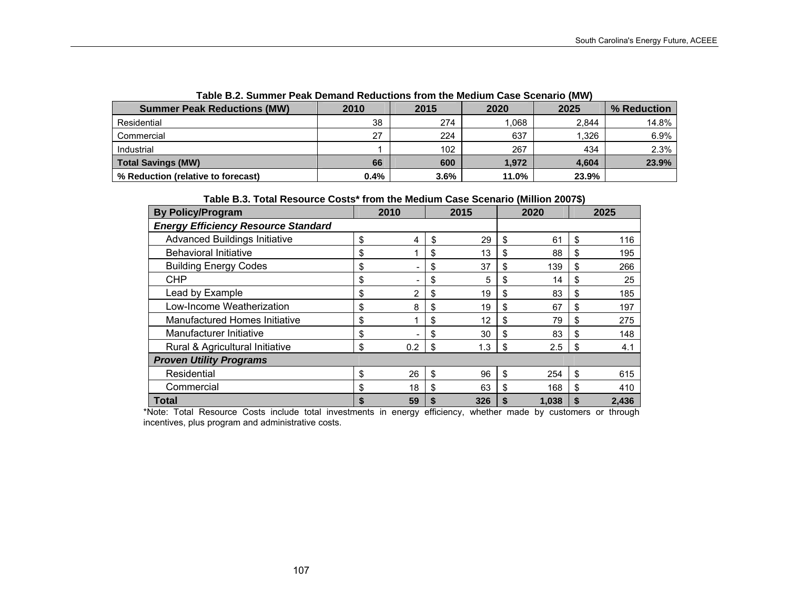| TADIC D.Z. JUINNICI FEAN DENIANU INEUUCHUIS HUIN (IIE MEUIUM GASE JUENAIU (MW) |      |      |       |       |             |
|--------------------------------------------------------------------------------|------|------|-------|-------|-------------|
| <b>Summer Peak Reductions (MW)</b>                                             | 2010 | 2015 | 2020  | 2025  | % Reduction |
| Residential                                                                    | 38   | 274  | .068  | 2.844 | 14.8%       |
| Commercial                                                                     | 27   | 224  | 637   | 1.326 | $6.9\%$     |
| Industrial                                                                     |      | 102  | 267   | 434   | 2.3%        |
| <b>Total Savings (MW)</b>                                                      | 66   | 600  | 1.972 | 4.604 | 23.9%       |
| % Reduction (relative to forecast)                                             | 0.4% | 3.6% | 11.0% | 23.9% |             |

**Table B.2. Summer Peak Demand Reductions from the Medium Case Scenario (MW)** 

### **Table B.3. Total Resource Costs\* from the Medium Case Scenario (Million 2007\$)**

| <b>By Policy/Program</b>                   | 2010      |    | 2015 |    | 2020    |    | 2025  |
|--------------------------------------------|-----------|----|------|----|---------|----|-------|
| <b>Energy Efficiency Resource Standard</b> |           |    |      |    |         |    |       |
| <b>Advanced Buildings Initiative</b>       | \$<br>4   | \$ | 29   | \$ | 61      | \$ | 116   |
| <b>Behavioral Initiative</b>               | \$        | \$ | 13   | \$ | 88      | \$ | 195   |
| <b>Building Energy Codes</b>               | \$        | \$ | 37   | \$ | 139     | \$ | 266   |
| <b>CHP</b>                                 | \$        | \$ | 5    | \$ | 14      | \$ | 25    |
| Lead by Example                            | \$<br>2   | \$ | 19   | \$ | 83      | \$ | 185   |
| Low-Income Weatherization                  | \$<br>8   | \$ | 19   | \$ | 67      | \$ | 197   |
| Manufactured Homes Initiative              | \$        | \$ | 12   | \$ | 79      | S  | 275   |
| Manufacturer Initiative                    | \$        | \$ | 30   | \$ | 83      | \$ | 148   |
| Rural & Agricultural Initiative            | \$<br>0.2 | \$ | 1.3  | \$ | $2.5\,$ | \$ | 4.1   |
| <b>Proven Utility Programs</b>             |           |    |      |    |         |    |       |
| Residential                                | \$<br>26  | \$ | 96   | \$ | 254     | \$ | 615   |
| Commercial                                 | \$<br>18  | \$ | 63   | \$ | 168     | \$ | 410   |
| <b>Total</b>                               | \$<br>59  | S  | 326  | S  | 1,038   |    | 2,436 |

\*Note: Total Resource Costs include total investments in energy efficiency, whether made by customers or through incentives, plus program and administrative costs.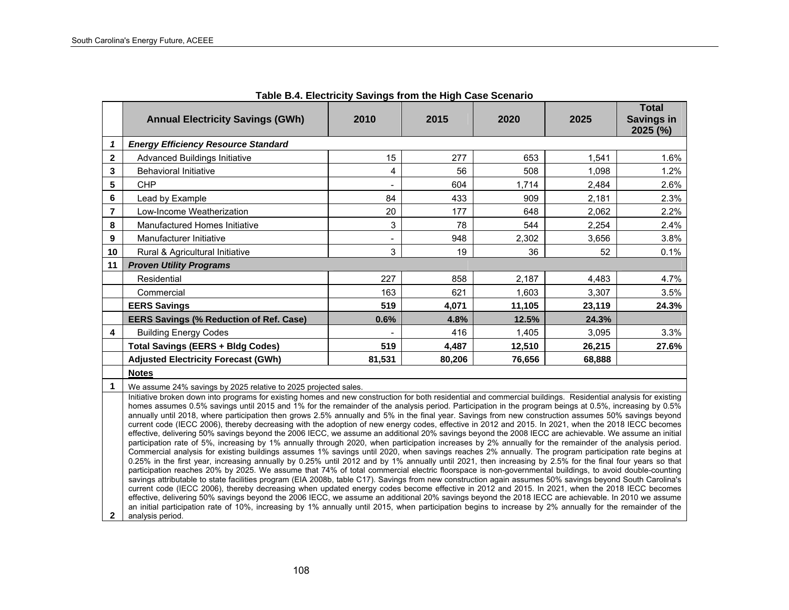|                         | <b>Annual Electricity Savings (GWh)</b>                                                                                                                                                                                                                                                                                                                                                                                                                                                                                                                                                                                                                                                                                                                                                                                                                                                                                                                                                                                                                                                                                                                                                                                                                                                                                                                                                                                                                                                                                                                                                                                                                                                                                                                                                                                                                                                                                                                                                                                                                                                     | 2010   | 2015   | 2020   | 2025   | <b>Total</b><br><b>Savings in</b><br>2025 (%) |  |  |  |  |  |
|-------------------------|---------------------------------------------------------------------------------------------------------------------------------------------------------------------------------------------------------------------------------------------------------------------------------------------------------------------------------------------------------------------------------------------------------------------------------------------------------------------------------------------------------------------------------------------------------------------------------------------------------------------------------------------------------------------------------------------------------------------------------------------------------------------------------------------------------------------------------------------------------------------------------------------------------------------------------------------------------------------------------------------------------------------------------------------------------------------------------------------------------------------------------------------------------------------------------------------------------------------------------------------------------------------------------------------------------------------------------------------------------------------------------------------------------------------------------------------------------------------------------------------------------------------------------------------------------------------------------------------------------------------------------------------------------------------------------------------------------------------------------------------------------------------------------------------------------------------------------------------------------------------------------------------------------------------------------------------------------------------------------------------------------------------------------------------------------------------------------------------|--------|--------|--------|--------|-----------------------------------------------|--|--|--|--|--|
| 1                       | <b>Energy Efficiency Resource Standard</b>                                                                                                                                                                                                                                                                                                                                                                                                                                                                                                                                                                                                                                                                                                                                                                                                                                                                                                                                                                                                                                                                                                                                                                                                                                                                                                                                                                                                                                                                                                                                                                                                                                                                                                                                                                                                                                                                                                                                                                                                                                                  |        |        |        |        |                                               |  |  |  |  |  |
| $\mathbf{2}$            | <b>Advanced Buildings Initiative</b>                                                                                                                                                                                                                                                                                                                                                                                                                                                                                                                                                                                                                                                                                                                                                                                                                                                                                                                                                                                                                                                                                                                                                                                                                                                                                                                                                                                                                                                                                                                                                                                                                                                                                                                                                                                                                                                                                                                                                                                                                                                        | 15     | 277    | 653    | 1,541  | 1.6%                                          |  |  |  |  |  |
| 3                       | <b>Behavioral Initiative</b>                                                                                                                                                                                                                                                                                                                                                                                                                                                                                                                                                                                                                                                                                                                                                                                                                                                                                                                                                                                                                                                                                                                                                                                                                                                                                                                                                                                                                                                                                                                                                                                                                                                                                                                                                                                                                                                                                                                                                                                                                                                                | 4      | 56     | 508    | 1,098  | 1.2%                                          |  |  |  |  |  |
| 5                       | CHP                                                                                                                                                                                                                                                                                                                                                                                                                                                                                                                                                                                                                                                                                                                                                                                                                                                                                                                                                                                                                                                                                                                                                                                                                                                                                                                                                                                                                                                                                                                                                                                                                                                                                                                                                                                                                                                                                                                                                                                                                                                                                         |        | 604    | 1,714  | 2,484  | 2.6%                                          |  |  |  |  |  |
| 6                       | Lead by Example                                                                                                                                                                                                                                                                                                                                                                                                                                                                                                                                                                                                                                                                                                                                                                                                                                                                                                                                                                                                                                                                                                                                                                                                                                                                                                                                                                                                                                                                                                                                                                                                                                                                                                                                                                                                                                                                                                                                                                                                                                                                             | 84     | 433    | 909    | 2,181  | 2.3%                                          |  |  |  |  |  |
| $\overline{\mathbf{r}}$ | Low-Income Weatherization                                                                                                                                                                                                                                                                                                                                                                                                                                                                                                                                                                                                                                                                                                                                                                                                                                                                                                                                                                                                                                                                                                                                                                                                                                                                                                                                                                                                                                                                                                                                                                                                                                                                                                                                                                                                                                                                                                                                                                                                                                                                   | 20     | 177    | 648    | 2,062  | 2.2%                                          |  |  |  |  |  |
| 8                       | Manufactured Homes Initiative                                                                                                                                                                                                                                                                                                                                                                                                                                                                                                                                                                                                                                                                                                                                                                                                                                                                                                                                                                                                                                                                                                                                                                                                                                                                                                                                                                                                                                                                                                                                                                                                                                                                                                                                                                                                                                                                                                                                                                                                                                                               | 3      | 78     | 544    | 2.254  | 2.4%                                          |  |  |  |  |  |
| 9                       | Manufacturer Initiative                                                                                                                                                                                                                                                                                                                                                                                                                                                                                                                                                                                                                                                                                                                                                                                                                                                                                                                                                                                                                                                                                                                                                                                                                                                                                                                                                                                                                                                                                                                                                                                                                                                                                                                                                                                                                                                                                                                                                                                                                                                                     |        | 948    | 2,302  | 3,656  | 3.8%                                          |  |  |  |  |  |
| 10                      | Rural & Agricultural Initiative                                                                                                                                                                                                                                                                                                                                                                                                                                                                                                                                                                                                                                                                                                                                                                                                                                                                                                                                                                                                                                                                                                                                                                                                                                                                                                                                                                                                                                                                                                                                                                                                                                                                                                                                                                                                                                                                                                                                                                                                                                                             | 3      | 19     | 36     | 52     | 0.1%                                          |  |  |  |  |  |
| 11                      | <b>Proven Utility Programs</b>                                                                                                                                                                                                                                                                                                                                                                                                                                                                                                                                                                                                                                                                                                                                                                                                                                                                                                                                                                                                                                                                                                                                                                                                                                                                                                                                                                                                                                                                                                                                                                                                                                                                                                                                                                                                                                                                                                                                                                                                                                                              |        |        |        |        |                                               |  |  |  |  |  |
|                         | Residential                                                                                                                                                                                                                                                                                                                                                                                                                                                                                                                                                                                                                                                                                                                                                                                                                                                                                                                                                                                                                                                                                                                                                                                                                                                                                                                                                                                                                                                                                                                                                                                                                                                                                                                                                                                                                                                                                                                                                                                                                                                                                 | 227    | 858    | 2,187  | 4,483  | 4.7%                                          |  |  |  |  |  |
|                         | Commercial                                                                                                                                                                                                                                                                                                                                                                                                                                                                                                                                                                                                                                                                                                                                                                                                                                                                                                                                                                                                                                                                                                                                                                                                                                                                                                                                                                                                                                                                                                                                                                                                                                                                                                                                                                                                                                                                                                                                                                                                                                                                                  | 163    | 621    | 1,603  | 3,307  | 3.5%                                          |  |  |  |  |  |
|                         | <b>EERS Savings</b>                                                                                                                                                                                                                                                                                                                                                                                                                                                                                                                                                                                                                                                                                                                                                                                                                                                                                                                                                                                                                                                                                                                                                                                                                                                                                                                                                                                                                                                                                                                                                                                                                                                                                                                                                                                                                                                                                                                                                                                                                                                                         | 519    | 4,071  | 11,105 | 23,119 | 24.3%                                         |  |  |  |  |  |
|                         | <b>EERS Savings (% Reduction of Ref. Case)</b>                                                                                                                                                                                                                                                                                                                                                                                                                                                                                                                                                                                                                                                                                                                                                                                                                                                                                                                                                                                                                                                                                                                                                                                                                                                                                                                                                                                                                                                                                                                                                                                                                                                                                                                                                                                                                                                                                                                                                                                                                                              | 0.6%   | 4.8%   | 12.5%  | 24.3%  |                                               |  |  |  |  |  |
| 4                       | <b>Building Energy Codes</b>                                                                                                                                                                                                                                                                                                                                                                                                                                                                                                                                                                                                                                                                                                                                                                                                                                                                                                                                                                                                                                                                                                                                                                                                                                                                                                                                                                                                                                                                                                                                                                                                                                                                                                                                                                                                                                                                                                                                                                                                                                                                |        | 416    | 1,405  | 3,095  | 3.3%                                          |  |  |  |  |  |
|                         | <b>Total Savings (EERS + Bldg Codes)</b>                                                                                                                                                                                                                                                                                                                                                                                                                                                                                                                                                                                                                                                                                                                                                                                                                                                                                                                                                                                                                                                                                                                                                                                                                                                                                                                                                                                                                                                                                                                                                                                                                                                                                                                                                                                                                                                                                                                                                                                                                                                    | 519    | 4,487  | 12,510 | 26,215 | 27.6%                                         |  |  |  |  |  |
|                         | <b>Adjusted Electricity Forecast (GWh)</b>                                                                                                                                                                                                                                                                                                                                                                                                                                                                                                                                                                                                                                                                                                                                                                                                                                                                                                                                                                                                                                                                                                                                                                                                                                                                                                                                                                                                                                                                                                                                                                                                                                                                                                                                                                                                                                                                                                                                                                                                                                                  | 81,531 | 80,206 | 76,656 | 68,888 |                                               |  |  |  |  |  |
|                         | <b>Notes</b>                                                                                                                                                                                                                                                                                                                                                                                                                                                                                                                                                                                                                                                                                                                                                                                                                                                                                                                                                                                                                                                                                                                                                                                                                                                                                                                                                                                                                                                                                                                                                                                                                                                                                                                                                                                                                                                                                                                                                                                                                                                                                |        |        |        |        |                                               |  |  |  |  |  |
| 1                       | We assume 24% savings by 2025 relative to 2025 projected sales.                                                                                                                                                                                                                                                                                                                                                                                                                                                                                                                                                                                                                                                                                                                                                                                                                                                                                                                                                                                                                                                                                                                                                                                                                                                                                                                                                                                                                                                                                                                                                                                                                                                                                                                                                                                                                                                                                                                                                                                                                             |        |        |        |        |                                               |  |  |  |  |  |
| $\mathbf{2}$            | Initiative broken down into programs for existing homes and new construction for both residential and commercial buildings. Residential analysis for existing<br>homes assumes 0.5% savings until 2015 and 1% for the remainder of the analysis period. Participation in the program beings at 0.5%, increasing by 0.5%<br>annually until 2018, where participation then grows 2.5% annually and 5% in the final year. Savings from new construction assumes 50% savings beyond<br>current code (IECC 2006), thereby decreasing with the adoption of new energy codes, effective in 2012 and 2015. In 2021, when the 2018 IECC becomes<br>effective, delivering 50% savings beyond the 2006 IECC, we assume an additional 20% savings beyond the 2008 IECC are achievable. We assume an initial<br>participation rate of 5%, increasing by 1% annually through 2020, when participation increases by 2% annually for the remainder of the analysis period.<br>Commercial analysis for existing buildings assumes 1% savings until 2020, when savings reaches 2% annually. The program participation rate begins at<br>0.25% in the first year, increasing annually by 0.25% until 2012 and by 1% annually until 2021, then increasing by 2.5% for the final four years so that<br>participation reaches 20% by 2025. We assume that 74% of total commercial electric floorspace is non-governmental buildings, to avoid double-counting<br>savings attributable to state facilities program (EIA 2008b, table C17). Savings from new construction again assumes 50% savings beyond South Carolina's<br>current code (IECC 2006), thereby decreasing when updated energy codes become effective in 2012 and 2015. In 2021, when the 2018 IECC becomes<br>effective, delivering 50% savings beyond the 2006 IECC, we assume an additional 20% savings beyond the 2018 IECC are achievable. In 2010 we assume<br>an initial participation rate of 10%, increasing by 1% annually until 2015, when participation begins to increase by 2% annually for the remainder of the<br>analysis period. |        |        |        |        |                                               |  |  |  |  |  |

**Table B.4. Electricity Savings from the High Case Scenario**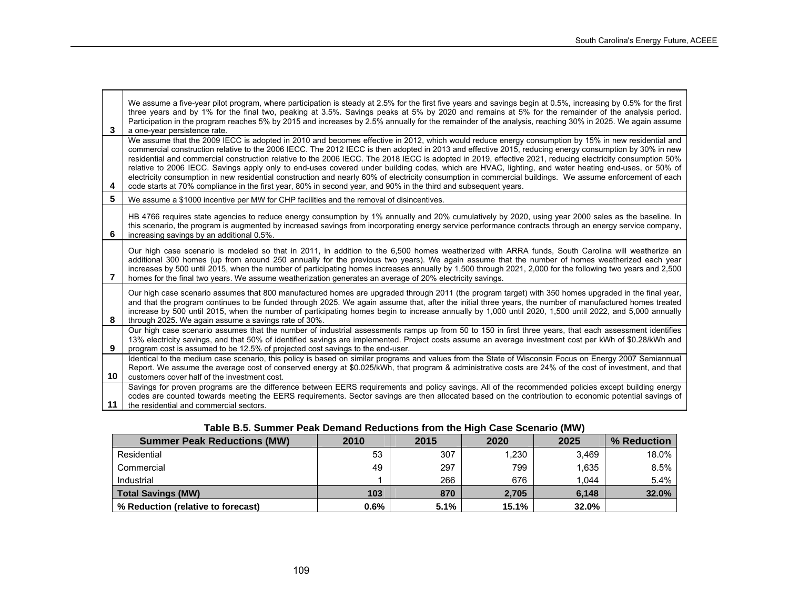$\overline{\phantom{a}}$ 

| 3  | We assume a five-year pilot program, where participation is steady at 2.5% for the first five years and savings begin at 0.5%, increasing by 0.5% for the first<br>three years and by 1% for the final two, peaking at 3.5%. Savings peaks at 5% by 2020 and remains at 5% for the remainder of the analysis period.<br>Participation in the program reaches 5% by 2015 and increases by 2.5% annually for the remainder of the analysis, reaching 30% in 2025. We again assume<br>a one-year persistence rate.<br>We assume that the 2009 IECC is adopted in 2010 and becomes effective in 2012, which would reduce energy consumption by 15% in new residential and                                                                                     |
|----|-----------------------------------------------------------------------------------------------------------------------------------------------------------------------------------------------------------------------------------------------------------------------------------------------------------------------------------------------------------------------------------------------------------------------------------------------------------------------------------------------------------------------------------------------------------------------------------------------------------------------------------------------------------------------------------------------------------------------------------------------------------|
| 4  | commercial construction relative to the 2006 IECC. The 2012 IECC is then adopted in 2013 and effective 2015, reducing energy consumption by 30% in new<br>residential and commercial construction relative to the 2006 IECC. The 2018 IECC is adopted in 2019, effective 2021, reducing electricity consumption 50%<br>relative to 2006 IECC. Savings apply only to end-uses covered under building codes, which are HVAC, lighting, and water heating end-uses, or 50% of<br>electricity consumption in new residential construction and nearly 60% of electricity consumption in commercial buildings. We assume enforcement of each<br>code starts at 70% compliance in the first year, 80% in second year, and 90% in the third and subsequent years. |
| 5. | We assume a \$1000 incentive per MW for CHP facilities and the removal of disincentives.                                                                                                                                                                                                                                                                                                                                                                                                                                                                                                                                                                                                                                                                  |
| 6. | HB 4766 requires state agencies to reduce energy consumption by 1% annually and 20% cumulatively by 2020, using year 2000 sales as the baseline. In<br>this scenario, the program is augmented by increased savings from incorporating energy service performance contracts through an energy service company,<br>increasing savings by an additional 0.5%.                                                                                                                                                                                                                                                                                                                                                                                               |
| 7  | Our high case scenario is modeled so that in 2011, in addition to the 6,500 homes weatherized with ARRA funds, South Carolina will weatherize an<br>additional 300 homes (up from around 250 annually for the previous two years). We again assume that the number of homes weatherized each year<br>increases by 500 until 2015, when the number of participating homes increases annually by 1,500 through 2021, 2,000 for the following two years and 2,500<br>homes for the final two years. We assume weatherization generates an average of 20% electricity savings.                                                                                                                                                                                |
| 8  | Our high case scenario assumes that 800 manufactured homes are upgraded through 2011 (the program target) with 350 homes upgraded in the final year,<br>and that the program continues to be funded through 2025. We again assume that, after the initial three years, the number of manufactured homes treated<br>increase by 500 until 2015, when the number of participating homes begin to increase annually by 1,000 until 2020, 1,500 until 2022, and 5,000 annually<br>through 2025. We again assume a savings rate of 30%.                                                                                                                                                                                                                        |
| 9  | Our high case scenario assumes that the number of industrial assessments ramps up from 50 to 150 in first three years, that each assessment identifies<br>13% electricity savings, and that 50% of identified savings are implemented. Project costs assume an average investment cost per kWh of \$0.28/kWh and<br>program cost is assumed to be 12.5% of projected cost savings to the end-user.                                                                                                                                                                                                                                                                                                                                                        |
| 10 | Identical to the medium case scenario, this policy is based on similar programs and values from the State of Wisconsin Focus on Energy 2007 Semiannual<br>Report. We assume the average cost of conserved energy at \$0.025/kWh, that program & administrative costs are 24% of the cost of investment, and that<br>customers cover half of the investment cost.                                                                                                                                                                                                                                                                                                                                                                                          |
| 11 | Savings for proven programs are the difference between EERS requirements and policy savings. All of the recommended policies except building energy<br>codes are counted towards meeting the EERS requirements. Sector savings are then allocated based on the contribution to economic potential savings of<br>the residential and commercial sectors.                                                                                                                                                                                                                                                                                                                                                                                                   |

| Table B.5. Summer Peak Demand Reductions from the High Case Scenario (MW) |  |  |  |  |  |  |
|---------------------------------------------------------------------------|--|--|--|--|--|--|
|                                                                           |  |  |  |  |  |  |

| <b>Summer Peak Reductions (MW)</b> | 2010 | 2015 | 2020  | 2025  | % Reduction |
|------------------------------------|------|------|-------|-------|-------------|
| Residential                        | 53   | 307  | .230  | 3.469 | 18.0%       |
| Commercial                         | 49   | 297  | 799   | 1.635 | 8.5%        |
| Industrial                         |      | 266  | 676   | 1.044 | 5.4%        |
| <b>Total Savings (MW)</b>          | 103  | 870  | 2.705 | 6,148 | 32.0%       |
| % Reduction (relative to forecast) | 0.6% | 5.1% | 15.1% | 32.0% |             |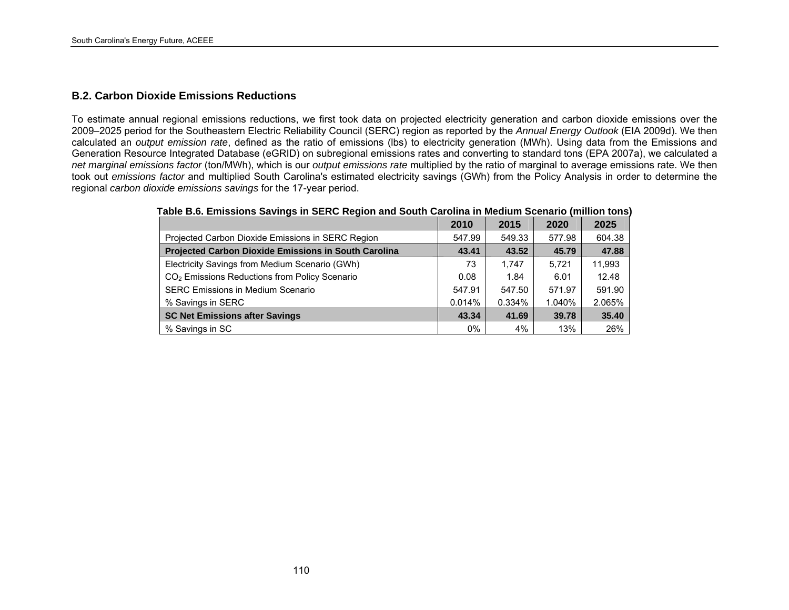# **B.2. Carbon Dioxide Emissions Reductions**

To estimate annual regional emissions reductions, we first took data on projected electricity generation and carbon dioxide emissions over the 2009–2025 period for the Southeastern Electric Reliability Council (SERC) region as reported by the *Annual Energy Outlook* (EIA 2009d). We then calculated an *output emission rate*, defined as the ratio of emissions (lbs) to electricity generation (MWh). Using data from the Emissions and Generation Resource Integrated Database (eGRID) on subregional emissions rates and converting to standard tons (EPA 2007a), we calculated a *net marginal emissions factor* (ton/MWh), which is our *output emissions rate* multiplied by the ratio of marginal to average emissions rate. We then took out *emissions factor* and multiplied South Carolina's estimated electricity savings (GWh) from the Policy Analysis in order to determine the regional *carbon dioxide emissions savings* for the 17-year period.

|                                                             | 2010   | 2015   | 2020   | 2025   |
|-------------------------------------------------------------|--------|--------|--------|--------|
| Projected Carbon Dioxide Emissions in SERC Region           | 547.99 | 549.33 | 577.98 | 604.38 |
| <b>Projected Carbon Dioxide Emissions in South Carolina</b> | 43.41  | 43.52  | 45.79  | 47.88  |
| Electricity Savings from Medium Scenario (GWh)              | 73     | 1.747  | 5.721  | 11.993 |
| CO <sub>2</sub> Emissions Reductions from Policy Scenario   | 0.08   | 1.84   | 6.01   | 12.48  |
| <b>SERC Emissions in Medium Scenario</b>                    | 547.91 | 547.50 | 571.97 | 591.90 |
| % Savings in SERC                                           | 0.014% | 0.334% | 1.040% | 2.065% |
| <b>SC Net Emissions after Savings</b>                       | 43.34  | 41.69  | 39.78  | 35.40  |
| % Savings in SC                                             | 0%     | 4%     | 13%    | 26%    |

**Table B.6. Emissions Savings in SERC Region and South Carolina in Medium Scenario (million tons)**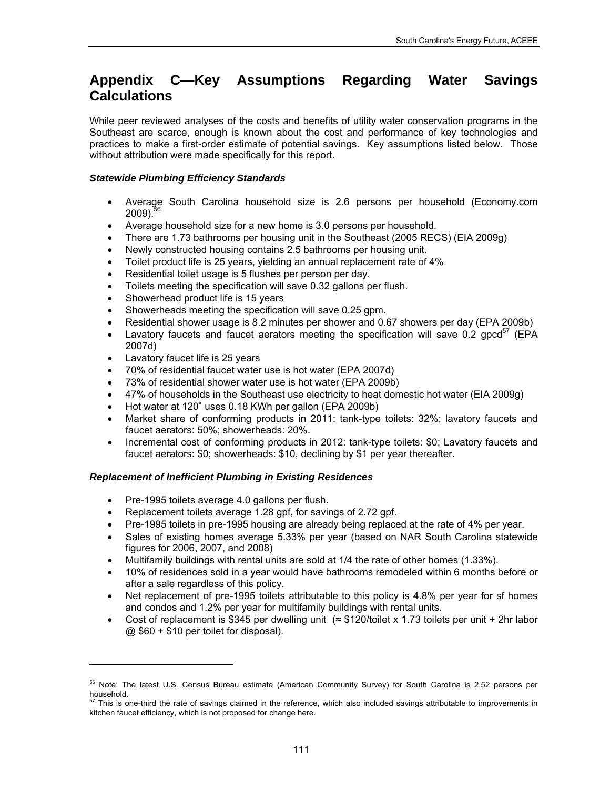# **Appendix C—Key Assumptions Regarding Water Savings Calculations**

While peer reviewed analyses of the costs and benefits of utility water conservation programs in the Southeast are scarce, enough is known about the cost and performance of key technologies and practices to make a first-order estimate of potential savings. Key assumptions listed below. Those without attribution were made specifically for this report.

# *Statewide Plumbing Efficiency Standards*

- Average South Carolina household size is 2.6 persons per household (Economy.com  $2009$ ).<sup>5</sup>
- Average household size for a new home is 3.0 persons per household.
- There are 1.73 bathrooms per housing unit in the Southeast (2005 RECS) (EIA 2009g)
- Newly constructed housing contains 2.5 bathrooms per housing unit.
- Toilet product life is 25 years, yielding an annual replacement rate of 4%
- Residential toilet usage is 5 flushes per person per day.
- Toilets meeting the specification will save 0.32 gallons per flush.
- Showerhead product life is 15 years
- Showerheads meeting the specification will save 0.25 gpm.
- Residential shower usage is 8.2 minutes per shower and 0.67 showers per day (EPA 2009b)
- Lavatory faucets and faucet aerators meeting the specification will save 0.2 gpcd $^{57}$  $^{57}$  $^{57}$  (EPA 2007d)
- Lavatory faucet life is 25 years

1

- 70% of residential faucet water use is hot water (EPA 2007d)
- 73% of residential shower water use is hot water (EPA 2009b)
- 47% of households in the Southeast use electricity to heat domestic hot water (EIA 2009g)
- Hot water at 120° uses 0.18 KWh per gallon (EPA 2009b)
- Market share of conforming products in 2011: tank-type toilets: 32%; lavatory faucets and faucet aerators: 50%; showerheads: 20%.
- Incremental cost of conforming products in 2012: tank-type toilets: \$0; Lavatory faucets and faucet aerators: \$0; showerheads: \$10, declining by \$1 per year thereafter.

# *Replacement of Inefficient Plumbing in Existing Residences*

- Pre-1995 toilets average 4.0 gallons per flush.
- Replacement toilets average 1.28 gpf, for savings of 2.72 gpf.
- Pre-1995 toilets in pre-1995 housing are already being replaced at the rate of 4% per year.
- Sales of existing homes average 5.33% per year (based on NAR South Carolina statewide figures for 2006, 2007, and 2008)
- Multifamily buildings with rental units are sold at 1/4 the rate of other homes (1.33%).
- 10% of residences sold in a year would have bathrooms remodeled within 6 months before or after a sale regardless of this policy.
- Net replacement of pre-1995 toilets attributable to this policy is 4.8% per year for sf homes and condos and 1.2% per year for multifamily buildings with rental units.
- Cost of replacement is \$345 per dwelling unit (≈ \$120/toilet x 1.73 toilets per unit + 2hr labor  $@$  \$60 + \$10 per toilet for disposal).

<span id="page-124-0"></span><sup>56</sup> Note: The latest U.S. Census Bureau estimate (American Community Survey) for South Carolina is 2.52 persons per household.

<span id="page-124-1"></span> $57$  This is one-third the rate of savings claimed in the reference, which also included savings attributable to improvements in kitchen faucet efficiency, which is not proposed for change here.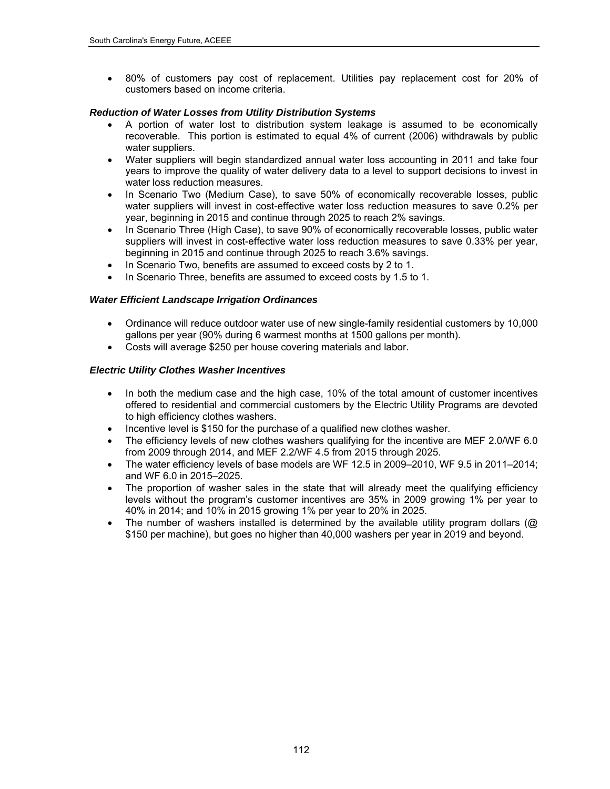80% of customers pay cost of replacement. Utilities pay replacement cost for 20% of customers based on income criteria.

# *Reduction of Water Losses from Utility Distribution Systems*

- A portion of water lost to distribution system leakage is assumed to be economically recoverable. This portion is estimated to equal 4% of current (2006) withdrawals by public water suppliers.
- Water suppliers will begin standardized annual water loss accounting in 2011 and take four years to improve the quality of water delivery data to a level to support decisions to invest in water loss reduction measures.
- In Scenario Two (Medium Case), to save 50% of economically recoverable losses, public water suppliers will invest in cost-effective water loss reduction measures to save 0.2% per year, beginning in 2015 and continue through 2025 to reach 2% savings.
- In Scenario Three (High Case), to save 90% of economically recoverable losses, public water suppliers will invest in cost-effective water loss reduction measures to save 0.33% per year, beginning in 2015 and continue through 2025 to reach 3.6% savings.
- In Scenario Two, benefits are assumed to exceed costs by 2 to 1.
- In Scenario Three, benefits are assumed to exceed costs by 1.5 to 1.

# *Water Efficient Landscape Irrigation Ordinances*

- Ordinance will reduce outdoor water use of new single-family residential customers by 10,000 gallons per year (90% during 6 warmest months at 1500 gallons per month).
- Costs will average \$250 per house covering materials and labor.

# *Electric Utility Clothes Washer Incentives*

- In both the medium case and the high case, 10% of the total amount of customer incentives offered to residential and commercial customers by the Electric Utility Programs are devoted to high efficiency clothes washers.
- Incentive level is \$150 for the purchase of a qualified new clothes washer.
- The efficiency levels of new clothes washers qualifying for the incentive are MEF 2.0/WF 6.0 from 2009 through 2014, and MEF 2.2/WF 4.5 from 2015 through 2025.
- The water efficiency levels of base models are WF 12.5 in 2009–2010, WF 9.5 in 2011–2014; and WF 6.0 in 2015–2025.
- The proportion of washer sales in the state that will already meet the qualifying efficiency levels without the program's customer incentives are 35% in 2009 growing 1% per year to 40% in 2014; and 10% in 2015 growing 1% per year to 20% in 2025.
- The number of washers installed is determined by the available utility program dollars ( $@$ \$150 per machine), but goes no higher than 40,000 washers per year in 2019 and beyond.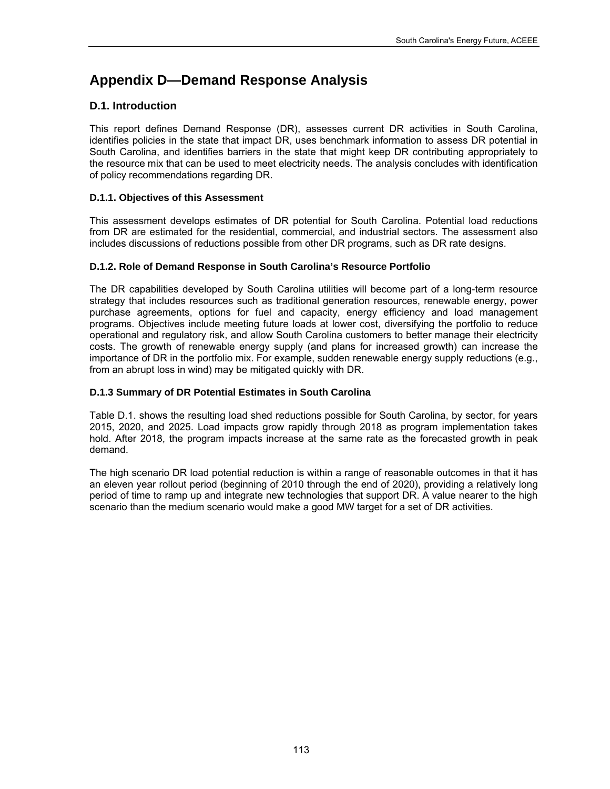# **Appendix D—Demand Response Analysis**

# **D.1. Introduction**

This report defines Demand Response (DR), assesses current DR activities in South Carolina, identifies policies in the state that impact DR, uses benchmark information to assess DR potential in South Carolina, and identifies barriers in the state that might keep DR contributing appropriately to the resource mix that can be used to meet electricity needs. The analysis concludes with identification of policy recommendations regarding DR.

# **D.1.1. Objectives of this Assessment**

This assessment develops estimates of DR potential for South Carolina. Potential load reductions from DR are estimated for the residential, commercial, and industrial sectors. The assessment also includes discussions of reductions possible from other DR programs, such as DR rate designs.

# **D.1.2. Role of Demand Response in South Carolina's Resource Portfolio**

The DR capabilities developed by South Carolina utilities will become part of a long-term resource strategy that includes resources such as traditional generation resources, renewable energy, power purchase agreements, options for fuel and capacity, energy efficiency and load management programs. Objectives include meeting future loads at lower cost, diversifying the portfolio to reduce operational and regulatory risk, and allow South Carolina customers to better manage their electricity costs. The growth of renewable energy supply (and plans for increased growth) can increase the importance of DR in the portfolio mix. For example, sudden renewable energy supply reductions (e.g., from an abrupt loss in wind) may be mitigated quickly with DR.

# **D.1.3 Summary of DR Potential Estimates in South Carolina**

Table D.1. shows the resulting load shed reductions possible for South Carolina, by sector, for years 2015, 2020, and 2025. Load impacts grow rapidly through 2018 as program implementation takes hold. After 2018, the program impacts increase at the same rate as the forecasted growth in peak demand.

The high scenario DR load potential reduction is within a range of reasonable outcomes in that it has an eleven year rollout period (beginning of 2010 through the end of 2020), providing a relatively long period of time to ramp up and integrate new technologies that support DR. A value nearer to the high scenario than the medium scenario would make a good MW target for a set of DR activities.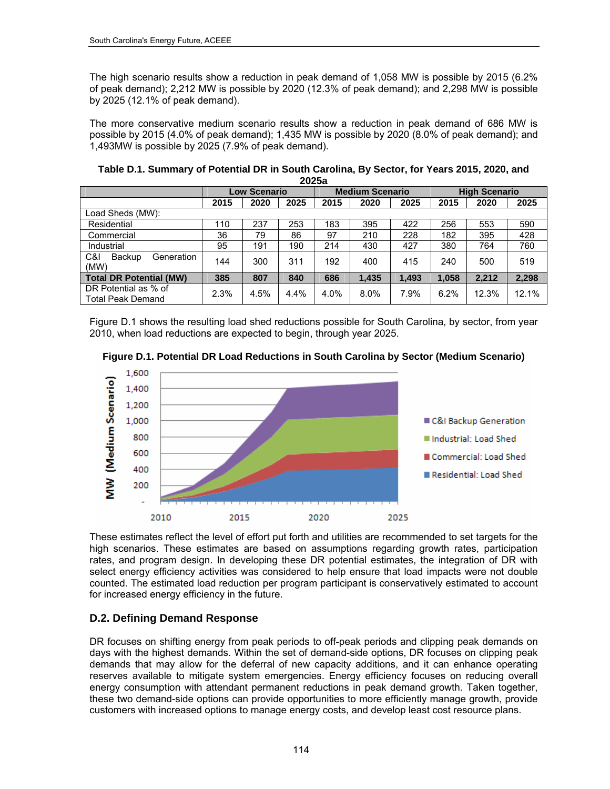The high scenario results show a reduction in peak demand of 1,058 MW is possible by 2015 (6.2% of peak demand); 2,212 MW is possible by 2020 (12.3% of peak demand); and 2,298 MW is possible by 2025 (12.1% of peak demand).

The more conservative medium scenario results show a reduction in peak demand of 686 MW is possible by 2015 (4.0% of peak demand); 1,435 MW is possible by 2020 (8.0% of peak demand); and 1,493MW is possible by 2025 (7.9% of peak demand).

| Table D.1. Summary of Potential DR in South Carolina, By Sector, for Years 2015, 2020, and |
|--------------------------------------------------------------------------------------------|
| 2025a                                                                                      |

|                                                  | <b>Low Scenario</b> |      | <b>Medium Scenario</b> |      | <b>High Scenario</b> |       |       |       |       |
|--------------------------------------------------|---------------------|------|------------------------|------|----------------------|-------|-------|-------|-------|
|                                                  | 2015                | 2020 | 2025                   | 2015 | 2020                 | 2025  | 2015  | 2020  | 2025  |
| _oad Sheds (MW):                                 |                     |      |                        |      |                      |       |       |       |       |
| Residential                                      | 110                 | 237  | 253                    | 183  | 395                  | 422   | 256   | 553   | 590   |
| Commercial                                       | 36                  | 79   | 86                     | 97   | 210                  | 228   | 182   | 395   | 428   |
| Industrial                                       | 95                  | 191  | 190                    | 214  | 430                  | 427   | 380   | 764   | 760   |
| C&I<br>Backup<br>Generation<br>(MW)              | 144                 | 300  | 311                    | 192  | 400                  | 415   | 240   | 500   | 519   |
| <b>Total DR Potential (MW)</b>                   | 385                 | 807  | 840                    | 686  | 1.435                | 1.493 | 1,058 | 2.212 | 2,298 |
| DR Potential as % of<br><b>Total Peak Demand</b> | 2.3%                | 4.5% | 4.4%                   | 4.0% | 8.0%                 | 7.9%  | 6.2%  | 12.3% | 12.1% |

Figure D.1 shows the resulting load shed reductions possible for South Carolina, by sector, from year 2010, when load reductions are expected to begin, through year 2025.





These estimates reflect the level of effort put forth and utilities are recommended to set targets for the high scenarios. These estimates are based on assumptions regarding growth rates, participation rates, and program design. In developing these DR potential estimates, the integration of DR with select energy efficiency activities was considered to help ensure that load impacts were not double counted. The estimated load reduction per program participant is conservatively estimated to account for increased energy efficiency in the future.

# **D.2. Defining Demand Response**

DR focuses on shifting energy from peak periods to off-peak periods and clipping peak demands on days with the highest demands. Within the set of demand-side options, DR focuses on clipping peak demands that may allow for the deferral of new capacity additions, and it can enhance operating reserves available to mitigate system emergencies. Energy efficiency focuses on reducing overall energy consumption with attendant permanent reductions in peak demand growth. Taken together, these two demand-side options can provide opportunities to more efficiently manage growth, provide customers with increased options to manage energy costs, and develop least cost resource plans.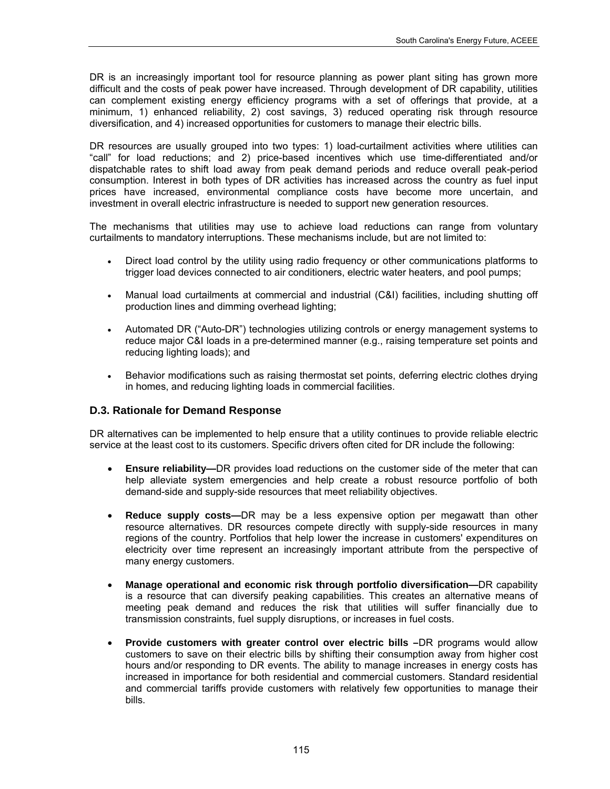DR is an increasingly important tool for resource planning as power plant siting has grown more difficult and the costs of peak power have increased. Through development of DR capability, utilities can complement existing energy efficiency programs with a set of offerings that provide, at a minimum, 1) enhanced reliability, 2) cost savings, 3) reduced operating risk through resource diversification, and 4) increased opportunities for customers to manage their electric bills.

DR resources are usually grouped into two types: 1) load-curtailment activities where utilities can "call" for load reductions; and 2) price-based incentives which use time-differentiated and/or dispatchable rates to shift load away from peak demand periods and reduce overall peak-period consumption. Interest in both types of DR activities has increased across the country as fuel input prices have increased, environmental compliance costs have become more uncertain, and investment in overall electric infrastructure is needed to support new generation resources.

The mechanisms that utilities may use to achieve load reductions can range from voluntary curtailments to mandatory interruptions. These mechanisms include, but are not limited to:

- Direct load control by the utility using radio frequency or other communications platforms to trigger load devices connected to air conditioners, electric water heaters, and pool pumps;
- Manual load curtailments at commercial and industrial (C&I) facilities, including shutting off production lines and dimming overhead lighting;
- Automated DR ("Auto-DR") technologies utilizing controls or energy management systems to reduce major C&I loads in a pre-determined manner (e.g., raising temperature set points and reducing lighting loads); and
- Behavior modifications such as raising thermostat set points, deferring electric clothes drying in homes, and reducing lighting loads in commercial facilities.

# **D.3. Rationale for Demand Response**

DR alternatives can be implemented to help ensure that a utility continues to provide reliable electric service at the least cost to its customers. Specific drivers often cited for DR include the following:

- **Ensure reliability—**DR provides load reductions on the customer side of the meter that can help alleviate system emergencies and help create a robust resource portfolio of both demand-side and supply-side resources that meet reliability objectives.
- **Reduce supply costs—**DR may be a less expensive option per megawatt than other resource alternatives. DR resources compete directly with supply-side resources in many regions of the country. Portfolios that help lower the increase in customers' expenditures on electricity over time represent an increasingly important attribute from the perspective of many energy customers.
- **Manage operational and economic risk through portfolio diversification—**DR capability is a resource that can diversify peaking capabilities. This creates an alternative means of meeting peak demand and reduces the risk that utilities will suffer financially due to transmission constraints, fuel supply disruptions, or increases in fuel costs.
- **Provide customers with greater control over electric bills –**DR programs would allow customers to save on their electric bills by shifting their consumption away from higher cost hours and/or responding to DR events. The ability to manage increases in energy costs has increased in importance for both residential and commercial customers. Standard residential and commercial tariffs provide customers with relatively few opportunities to manage their bills.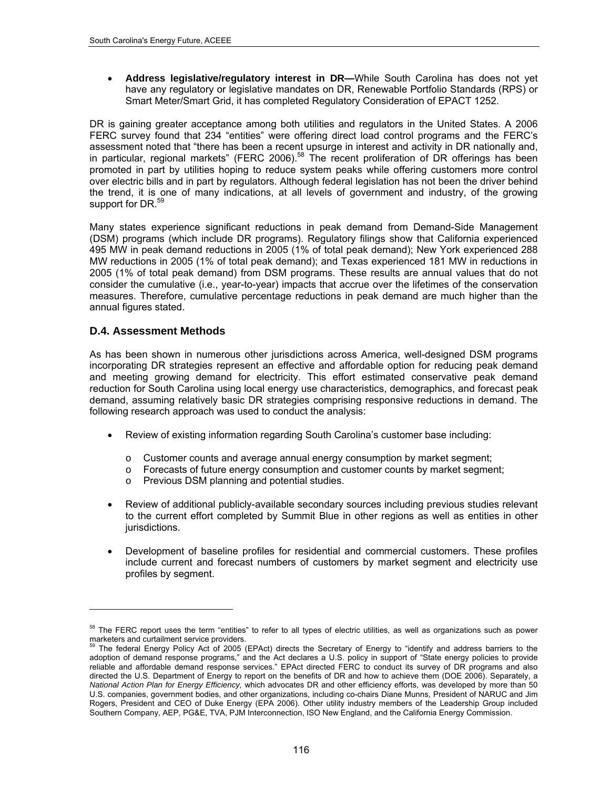**Address legislative/regulatory interest in DR—**While South Carolina has does not yet have any regulatory or legislative mandates on DR, Renewable Portfolio Standards (RPS) or Smart Meter/Smart Grid, it has completed Regulatory Consideration of EPACT 1252.

DR is gaining greater acceptance among both utilities and regulators in the United States. A 2006 FERC survey found that 234 "entities" were offering direct load control programs and the FERC's assessment noted that "there has been a recent upsurge in interest and activity in DR nationally and, in particular, regional markets" (FERC 2006).[58](#page-129-0) The recent proliferation of DR offerings has been promoted in part by utilities hoping to reduce system peaks while offering customers more control over electric bills and in part by regulators. Although federal legislation has not been the driver behind the trend, it is one of many indications, at all levels of government and industry, of the growing [s](#page-129-1)upport for DR.<sup>[59](#page-129-1)</sup>

Many states experience significant reductions in peak demand from Demand-Side Management (DSM) programs (which include DR programs). Regulatory filings show that California experienced 495 MW in peak demand reductions in 2005 (1% of total peak demand); New York experienced 288 MW reductions in 2005 (1% of total peak demand); and Texas experienced 181 MW in reductions in 2005 (1% of total peak demand) from DSM programs. These results are annual values that do not consider the cumulative (i.e., year-to-year) impacts that accrue over the lifetimes of the conservation measures. Therefore, cumulative percentage reductions in peak demand are much higher than the annual figures stated.

# **D.4. Assessment Methods**

1

As has been shown in numerous other jurisdictions across America, well-designed DSM programs incorporating DR strategies represent an effective and affordable option for reducing peak demand and meeting growing demand for electricity. This effort estimated conservative peak demand reduction for South Carolina using local energy use characteristics, demographics, and forecast peak demand, assuming relatively basic DR strategies comprising responsive reductions in demand. The following research approach was used to conduct the analysis:

- Review of existing information regarding South Carolina's customer base including:
	- o Customer counts and average annual energy consumption by market segment;
	- $\circ$  Forecasts of future energy consumption and customer counts by market segment;
	- o Previous DSM planning and potential studies.
- Review of additional publicly-available secondary sources including previous studies relevant to the current effort completed by Summit Blue in other regions as well as entities in other jurisdictions.
- Development of baseline profiles for residential and commercial customers. These profiles include current and forecast numbers of customers by market segment and electricity use profiles by segment.

<span id="page-129-0"></span><sup>&</sup>lt;sup>58</sup> The FERC report uses the term "entities" to refer to all types of electric utilities, as well as organizations such as power marketers and curtailment service providers.

<span id="page-129-1"></span>The federal Energy Policy Act of 2005 (EPAct) directs the Secretary of Energy to "identify and address barriers to the adoption of demand response programs," and the Act declares a U.S. policy in support of "State energy policies to provide reliable and affordable demand response services." EPAct directed FERC to conduct its survey of DR programs and also directed the U.S. Department of Energy to report on the benefits of DR and how to achieve them (DOE 2006). Separately, a *National Action Plan for Energy Efficiency,* which advocates DR and other efficiency efforts, was developed by more than 50 U.S. companies, government bodies, and other organizations, including co-chairs Diane Munns, President of NARUC and Jim Rogers, President and CEO of Duke Energy (EPA 2006). Other utility industry members of the Leadership Group included Southern Company, AEP, PG&E, TVA, PJM Interconnection, ISO New England, and the California Energy Commission.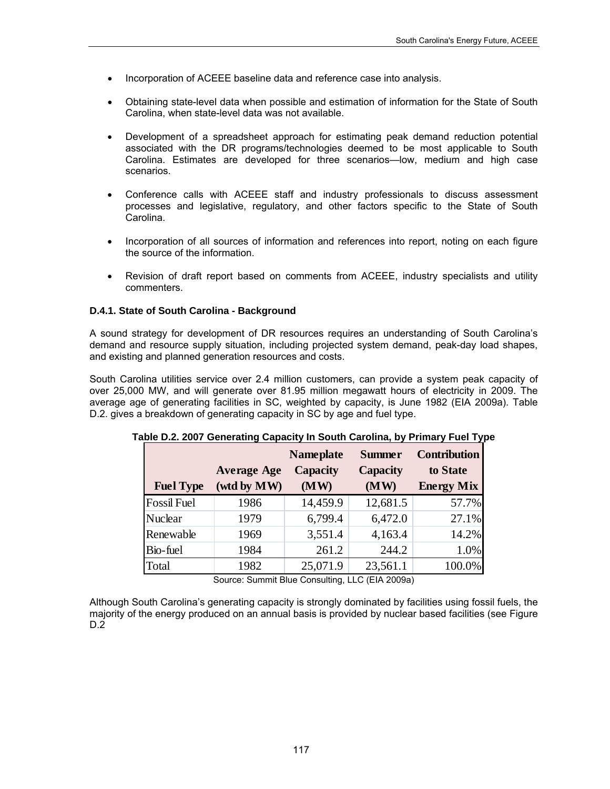- Incorporation of ACEEE baseline data and reference case into analysis.
- Obtaining state-level data when possible and estimation of information for the State of South Carolina, when state-level data was not available.
- Development of a spreadsheet approach for estimating peak demand reduction potential associated with the DR programs/technologies deemed to be most applicable to South Carolina. Estimates are developed for three scenarios—low, medium and high case scenarios.
- Conference calls with ACEEE staff and industry professionals to discuss assessment processes and legislative, regulatory, and other factors specific to the State of South Carolina.
- Incorporation of all sources of information and references into report, noting on each figure the source of the information.
- Revision of draft report based on comments from ACEEE, industry specialists and utility commenters.

### **D.4.1. State of South Carolina - Background**

A sound strategy for development of DR resources requires an understanding of South Carolina's demand and resource supply situation, including projected system demand, peak-day load shapes, and existing and planned generation resources and costs.

South Carolina utilities service over 2.4 million customers, can provide a system peak capacity of over 25,000 MW, and will generate over 81.95 million megawatt hours of electricity in 2009. The average age of generating facilities in SC, weighted by capacity, is June 1982 (EIA 2009a). Table D.2. gives a breakdown of generating capacity in SC by age and fuel type.

|                    |                                   | <b>Nameplate</b>        | <b>Summer</b>           | <b>Contribution</b>           |
|--------------------|-----------------------------------|-------------------------|-------------------------|-------------------------------|
| <b>Fuel Type</b>   | <b>Average Age</b><br>(wtd by MW) | <b>Capacity</b><br>(MW) | <b>Capacity</b><br>(MW) | to State<br><b>Energy Mix</b> |
|                    |                                   |                         |                         |                               |
| <b>Fossil Fuel</b> | 1986                              | 14,459.9                | 12,681.5                | 57.7%                         |
| <b>Nuclear</b>     | 1979                              | 6,799.4                 | 6,472.0                 | 27.1%                         |
| Renewable          | 1969                              | 3,551.4                 | 4,163.4                 | 14.2%                         |
| Bio-fuel           | 1984                              | 261.2                   | 244.2                   | 1.0%                          |
| Total              | 1982                              | 25,071.9                | 23,561.1                | 100.0%                        |

**Table D.2. 2007 Generating Capacity In South Carolina, by Primary Fuel Type** 

Source: Summit Blue Consulting, LLC (EIA 2009a)

Although South Carolina's generating capacity is strongly dominated by facilities using fossil fuels, the majority of the energy produced on an annual basis is provided by nuclear based facilities (see Figure  $D.\overline{2}$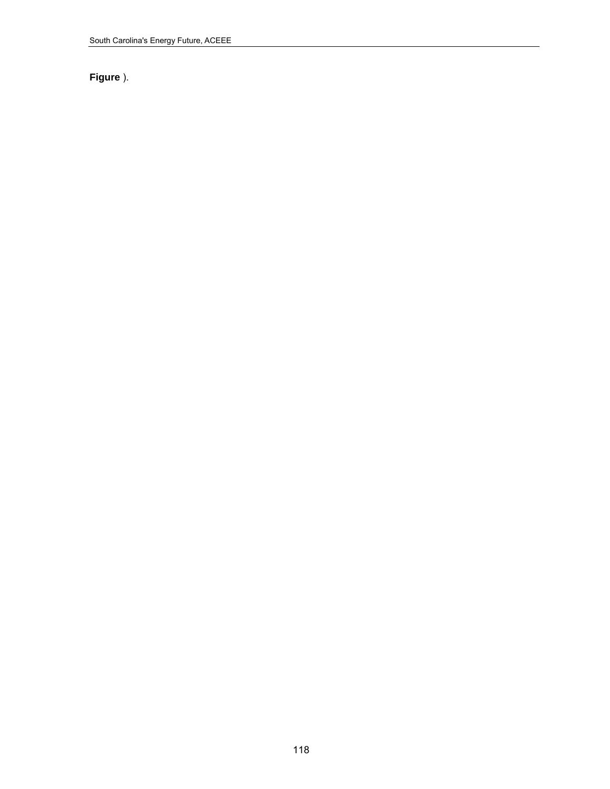# **[Figure](#page-132-0)** ).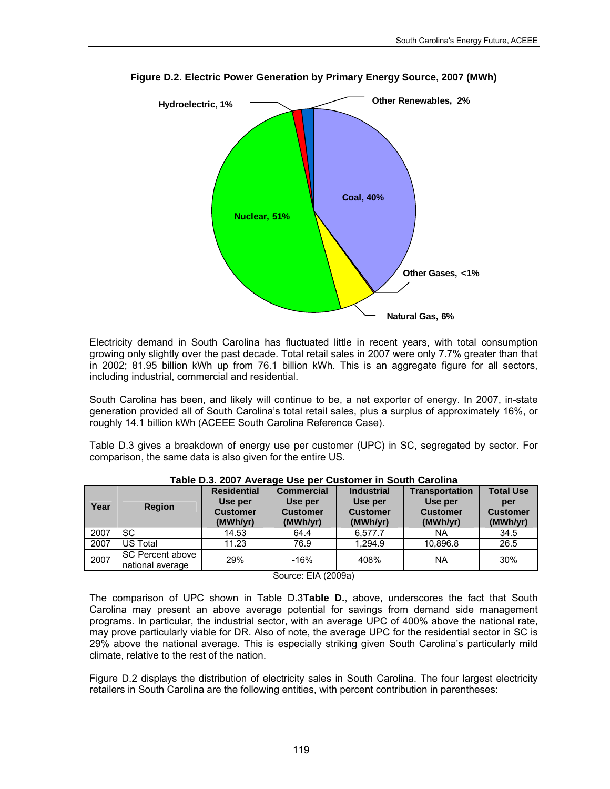

<span id="page-132-0"></span>**Figure D.2. Electric Power Generation by Primary Energy Source, 2007 (MWh)** 

Electricity demand in South Carolina has fluctuated little in recent years, with total consumption growing only slightly over the past decade. Total retail sales in 2007 were only 7.7% greater than that in 2002; 81.95 billion kWh up from 76.1 billion kWh. This is an aggregate figure for all sectors, including industrial, commercial and residential.

South Carolina has been, and likely will continue to be, a net exporter of energy. In 2007, in-state generation provided all of South Carolina's total retail sales, plus a surplus of approximately 16%, or roughly 14.1 billion kWh (ACEEE South Carolina Reference Case).

Table D.3 gives a breakdown of energy use per customer (UPC) in SC, segregated by sector. For comparison, the same data is also given for the entire US.

<span id="page-132-1"></span>

| Year | <b>Region</b>                        | <b>Residential</b><br>Use per<br><b>Customer</b><br>(MWh/yr) | <b>Commercial</b><br>Use per<br><b>Customer</b><br>(MWh/yr) | <b>Industrial</b><br>Use per<br><b>Customer</b><br>(MWh/yr) | <b>Transportation</b><br>Use per<br><b>Customer</b><br>(MWh/yr) | <b>Total Use</b><br>per<br><b>Customer</b><br>(MWh/yr) |
|------|--------------------------------------|--------------------------------------------------------------|-------------------------------------------------------------|-------------------------------------------------------------|-----------------------------------------------------------------|--------------------------------------------------------|
| 2007 | SC                                   | 14.53                                                        | 64.4                                                        | 6,577.7                                                     | <b>NA</b>                                                       | 34.5                                                   |
| 2007 | US Total                             | 11.23                                                        | 76.9                                                        | 1.294.9                                                     | 10,896.8                                                        | 26.5                                                   |
| 2007 | SC Percent above<br>national average | 29%                                                          | $-16%$                                                      | 408%                                                        | <b>NA</b>                                                       | 30%                                                    |

**Table D.3. 2007 Average Use per Customer in South Carolina** 

Source: EIA (2009a)

The comparison of UPC shown in Table D.3**[Table D.](#page-132-1)**, above, underscores the fact that South Carolina may present an above average potential for savings from demand side management programs. In particular, the industrial sector, with an average UPC of 400% above the national rate, may prove particularly viable for DR. Also of note, the average UPC for the residential sector in SC is 29% above the national average. This is especially striking given South Carolina's particularly mild climate, relative to the rest of the nation.

Figure D.2 displays the distribution of electricity sales in South Carolina. The four largest electricity retailers in South Carolina are the following entities, with percent contribution in parentheses: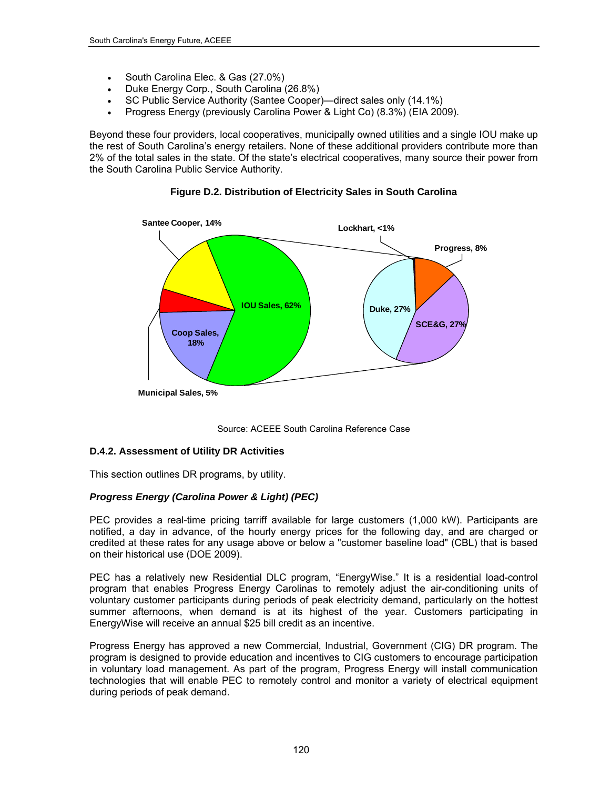- South Carolina Elec. & Gas (27.0%)
- Duke Energy Corp., South Carolina (26.8%)
- SC Public Service Authority (Santee Cooper)—direct sales only (14.1%)
- Progress Energy (previously Carolina Power & Light Co) (8.3%) (EIA 2009).

Beyond these four providers, local cooperatives, municipally owned utilities and a single IOU make up the rest of South Carolina's energy retailers. None of these additional providers contribute more than 2% of the total sales in the state. Of the state's electrical cooperatives, many source their power from the South Carolina Public Service Authority.



**Figure D.2. Distribution of Electricity Sales in South Carolina** 

Source: ACEEE South Carolina Reference Case

### **D.4.2. Assessment of Utility DR Activities**

This section outlines DR programs, by utility.

# *Progress Energy (Carolina Power & Light) (PEC)*

PEC provides a real-time pricing tarriff available for large customers (1,000 kW). Participants are notified, a day in advance, of the hourly energy prices for the following day, and are charged or credited at these rates for any usage above or below a "customer baseline load" (CBL) that is based on their historical use (DOE 2009).

PEC has a relatively new Residential DLC program, "EnergyWise." It is a residential load-control program that enables Progress Energy Carolinas to remotely adjust the air-conditioning units of voluntary customer participants during periods of peak electricity demand, particularly on the hottest summer afternoons, when demand is at its highest of the year. Customers participating in EnergyWise will receive an annual \$25 bill credit as an incentive.

Progress Energy has approved a new Commercial, Industrial, Government (CIG) DR program. The program is designed to provide education and incentives to CIG customers to encourage participation in voluntary load management. As part of the program, Progress Energy will install communication technologies that will enable PEC to remotely control and monitor a variety of electrical equipment during periods of peak demand.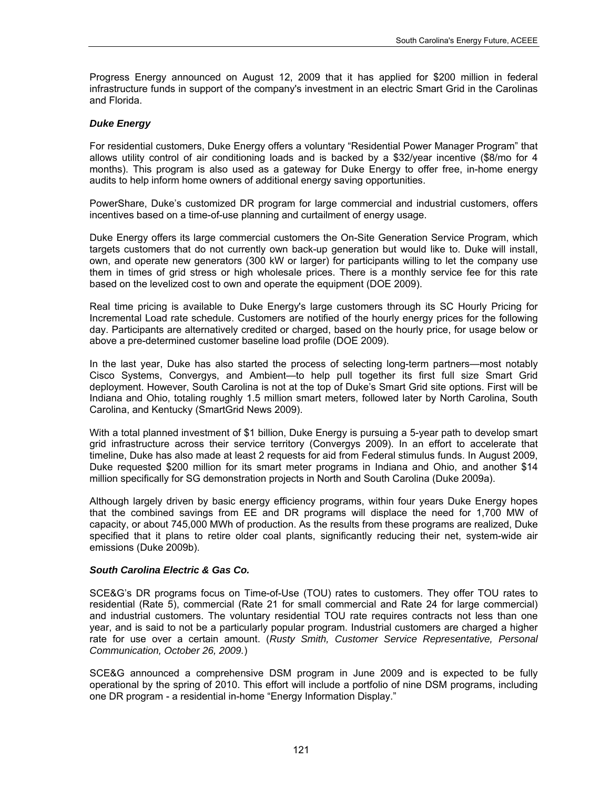Progress Energy announced on August 12, 2009 that it has applied for \$200 million in federal infrastructure funds in support of the company's investment in an electric Smart Grid in the Carolinas and Florida.

### *Duke Energy*

For residential customers, Duke Energy offers a voluntary "Residential Power Manager Program" that allows utility control of air conditioning loads and is backed by a \$32/year incentive (\$8/mo for 4 months). This program is also used as a gateway for Duke Energy to offer free, in-home energy audits to help inform home owners of additional energy saving opportunities.

PowerShare, Duke's customized DR program for large commercial and industrial customers, offers incentives based on a time-of-use planning and curtailment of energy usage.

Duke Energy offers its large commercial customers the On-Site Generation Service Program, which targets customers that do not currently own back-up generation but would like to. Duke will install, own, and operate new generators (300 kW or larger) for participants willing to let the company use them in times of grid stress or high wholesale prices. There is a monthly service fee for this rate based on the levelized cost to own and operate the equipment (DOE 2009).

Real time pricing is available to Duke Energy's large customers through its SC Hourly Pricing for Incremental Load rate schedule. Customers are notified of the hourly energy prices for the following day. Participants are alternatively credited or charged, based on the hourly price, for usage below or above a pre-determined customer baseline load profile (DOE 2009).

In the last year, Duke has also started the process of selecting long-term partners—most notably Cisco Systems, Convergys, and Ambient—to help pull together its first full size Smart Grid deployment. However, South Carolina is not at the top of Duke's Smart Grid site options. First will be Indiana and Ohio, totaling roughly 1.5 million smart meters, followed later by North Carolina, South Carolina, and Kentucky (SmartGrid News 2009).

With a total planned investment of \$1 billion, Duke Energy is pursuing a 5-year path to develop smart grid infrastructure across their service territory (Convergys 2009). In an effort to accelerate that timeline, Duke has also made at least 2 requests for aid from Federal stimulus funds. In August 2009, Duke requested [\\$200 million for its smart meter programs](http://www.duke-energy.com/news/releases/2009080601.asp) in Indiana and Ohio, and another \$14 million specifically for SG demonstration projects in North and South Carolina (Duke 2009a).

Although largely driven by basic energy efficiency programs, within four years Duke Energy hopes that the combined savings from EE and DR programs will displace the need for 1,700 MW of capacity, or about 745,000 MWh of production. As the results from these programs are realized, Duke specified that it plans to retire older coal plants, significantly reducing their net, system-wide air emissions (Duke 2009b).

### *South Carolina Electric & Gas Co.*

SCE&G's DR programs focus on Time-of-Use (TOU) rates to customers. They offer TOU rates to residential (Rate 5), commercial (Rate 21 for small commercial and Rate 24 for large commercial) and industrial customers. The voluntary residential TOU rate requires contracts not less than one year, and is said to not be a particularly popular program. Industrial customers are charged a higher rate for use over a certain amount. (*Rusty Smith, Customer Service Representative, Personal Communication, October 26, 2009.*)

SCE&G announced a comprehensive DSM program in June 2009 and is expected to be fully operational by the spring of 2010. This effort will include a portfolio of nine DSM programs, including one DR program - a residential in-home "Energy Information Display."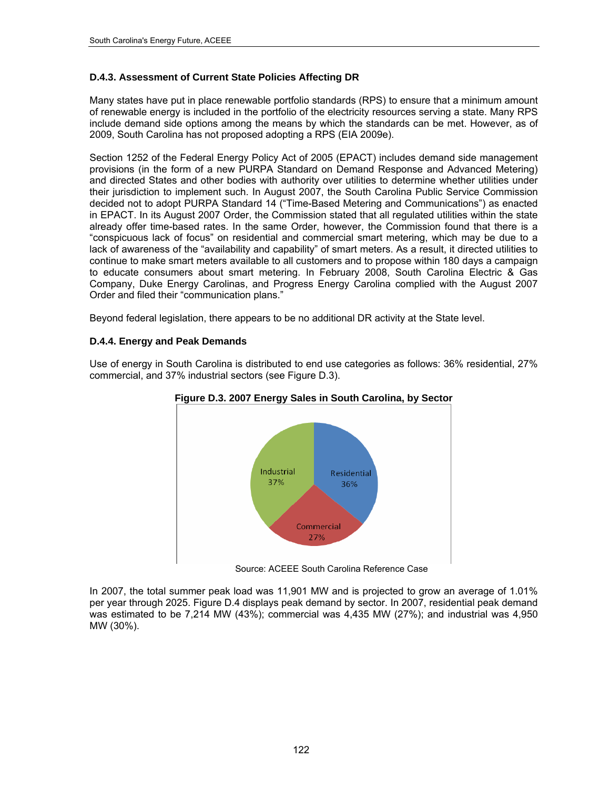# **D.4.3. Assessment of Current State Policies Affecting DR**

Many states have put in place renewable portfolio standards (RPS) to ensure that a minimum amount of renewable energy is included in the portfolio of the electricity resources serving a state. Many RPS include demand side options among the means by which the standards can be met. However, as of 2009, South Carolina has not proposed adopting a RPS (EIA 2009e).

Section 1252 of the Federal Energy Policy Act of 2005 (EPACT) includes demand side management provisions (in the form of a new PURPA Standard on Demand Response and Advanced Metering) and directed States and other bodies with authority over utilities to determine whether utilities under their jurisdiction to implement such. In August 2007, the South Carolina Public Service Commission decided not to adopt PURPA Standard 14 ("Time-Based Metering and Communications") as enacted in EPACT. In its August 2007 Order, the Commission stated that all regulated utilities within the state already offer time-based rates. In the same Order, however, the Commission found that there is a "conspicuous lack of focus" on residential and commercial smart metering, which may be due to a lack of awareness of the "availability and capability" of smart meters. As a result, it directed utilities to continue to make smart meters available to all customers and to propose within 180 days a campaign to educate consumers about smart metering. In February 2008, South Carolina Electric & Gas Company, Duke Energy Carolinas, and Progress Energy Carolina complied with the August 2007 Order and filed their "communication plans."

Beyond federal legislation, there appears to be no additional DR activity at the State level.

# **D.4.4. Energy and Peak Demands**

Use of energy in South Carolina is distributed to end use categories as follows: 36% residential, 27% commercial, and 37% industrial sectors (see Figure D.3).



**Figure D.3. 2007 Energy Sales in South Carolina, by Sector** 

Source: ACEEE South Carolina Reference Case

In 2007, the total summer peak load was 11,901 MW and is projected to grow an average of 1.01% per year through 2025. Figure D.4 displays peak demand by sector. In 2007, residential peak demand was estimated to be 7,214 MW (43%); commercial was 4,435 MW (27%); and industrial was 4,950 MW (30%).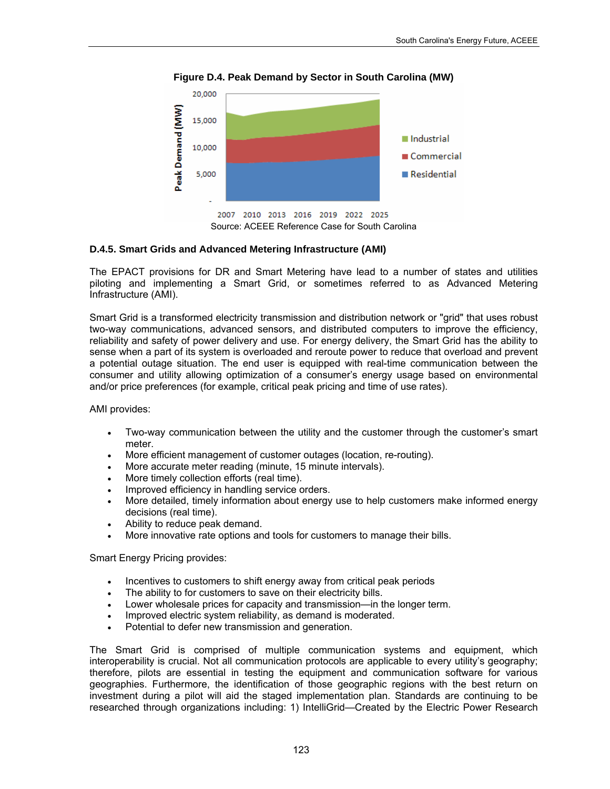

**Figure D.4. Peak Demand by Sector in South Carolina (MW)** 

### **D.4.5. Smart Grids and Advanced Metering Infrastructure (AMI)**

The EPACT provisions for DR and Smart Metering have lead to a number of states and utilities piloting and implementing a Smart Grid, or sometimes referred to as Advanced Metering Infrastructure (AMI).

Smart Grid is a transformed electricity transmission and distribution network or "grid" that uses robust two-way communications, advanced sensors, and distributed computers to improve the efficiency, reliability and safety of power delivery and use. For energy delivery, the Smart Grid has the ability to sense when a part of its system is overloaded and reroute power to reduce that overload and prevent a potential outage situation. The end user is equipped with real-time communication between the consumer and utility allowing optimization of a consumer's energy usage based on environmental and/or price preferences (for example, critical peak pricing and time of use rates).

AMI provides:

- Two-way communication between the utility and the customer through the customer's smart meter.
- More efficient management of customer outages (location, re-routing).
- More accurate meter reading (minute, 15 minute intervals).
- More timely collection efforts (real time).
- Improved efficiency in handling service orders.
- More detailed, timely information about energy use to help customers make informed energy decisions (real time).
- Ability to reduce peak demand.
- More innovative rate options and tools for customers to manage their bills.

Smart Energy Pricing provides:

- Incentives to customers to shift energy away from critical peak periods
- The ability to for customers to save on their electricity bills.
- Lower wholesale prices for capacity and transmission—in the longer term.
- Improved electric system reliability, as demand is moderated.
- Potential to defer new transmission and generation.

The Smart Grid is comprised of multiple communication systems and equipment, which interoperability is crucial. Not all communication protocols are applicable to every utility's geography; therefore, pilots are essential in testing the equipment and communication software for various geographies. Furthermore, the identification of those geographic regions with the best return on investment during a pilot will aid the staged implementation plan. Standards are continuing to be researched through organizations including: 1) IntelliGrid—Created by the Electric Power Research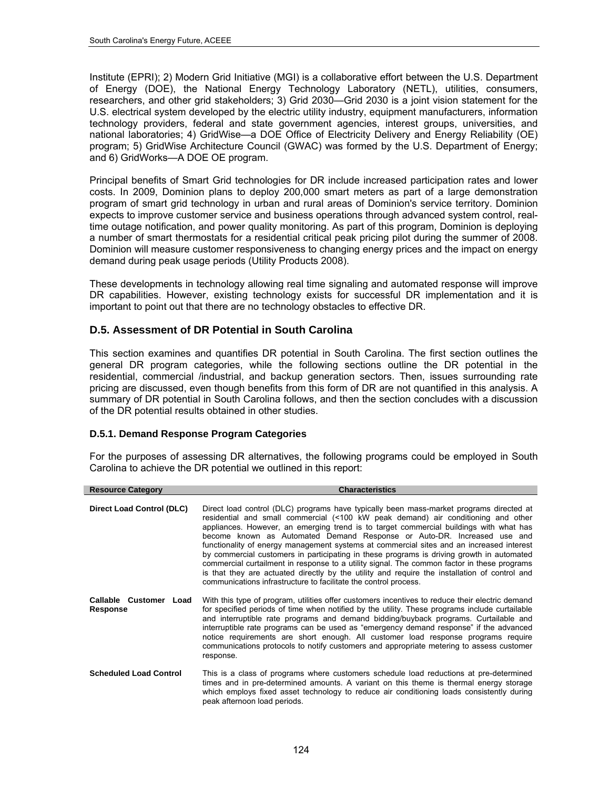Institute (EPRI); 2) Modern Grid Initiative (MGI) is a collaborative effort between the U.S. Department of Energy (DOE), the National Energy Technology Laboratory (NETL), utilities, consumers, researchers, and other grid stakeholders; 3) Grid 2030—Grid 2030 is a joint vision statement for the U.S. electrical system developed by the electric utility industry, equipment manufacturers, information technology providers, federal and state government agencies, interest groups, universities, and national laboratories; 4) GridWise—a DOE Office of Electricity Delivery and Energy Reliability (OE) program; 5) GridWise Architecture Council (GWAC) was formed by the U.S. Department of Energy; and 6) GridWorks—A DOE OE program.

Principal benefits of Smart Grid technologies for DR include increased participation rates and lower costs. In 2009, Dominion plans to deploy 200,000 smart meters as part of a large demonstration program of smart grid technology in urban and rural areas of Dominion's service territory. Dominion expects to improve customer service and business operations through advanced system control, realtime outage notification, and power quality monitoring. As part of this program, Dominion is deploying a number of smart thermostats for a residential critical peak pricing pilot during the summer of 2008. Dominion will measure customer responsiveness to changing energy prices and the impact on energy demand during peak usage periods (Utility Products 2008).

These developments in technology allowing real time signaling and automated response will improve DR capabilities. However, existing technology exists for successful DR implementation and it is important to point out that there are no technology obstacles to effective DR.

# **D.5. Assessment of DR Potential in South Carolina**

This section examines and quantifies DR potential in South Carolina. The first section outlines the general DR program categories, while the following sections outline the DR potential in the residential, commercial /industrial, and backup generation sectors. Then, issues surrounding rate pricing are discussed, even though benefits from this form of DR are not quantified in this analysis. A summary of DR potential in South Carolina follows, and then the section concludes with a discussion of the DR potential results obtained in other studies.

# **D.5.1. Demand Response Program Categories**

I

For the purposes of assessing DR alternatives, the following programs could be employed in South Carolina to achieve the DR potential we outlined in this report:

| <b>Resource Category</b>           | <b>Characteristics</b>                                                                                                                                                                                                                                                                                                                                                                                                                                                                                                                                                                                                                                                                                                                                                                                         |
|------------------------------------|----------------------------------------------------------------------------------------------------------------------------------------------------------------------------------------------------------------------------------------------------------------------------------------------------------------------------------------------------------------------------------------------------------------------------------------------------------------------------------------------------------------------------------------------------------------------------------------------------------------------------------------------------------------------------------------------------------------------------------------------------------------------------------------------------------------|
| <b>Direct Load Control (DLC)</b>   | Direct load control (DLC) programs have typically been mass-market programs directed at<br>residential and small commercial (<100 kW peak demand) air conditioning and other<br>appliances. However, an emerging trend is to target commercial buildings with what has<br>become known as Automated Demand Response or Auto-DR. Increased use and<br>functionality of energy management systems at commercial sites and an increased interest<br>by commercial customers in participating in these programs is driving growth in automated<br>commercial curtailment in response to a utility signal. The common factor in these programs<br>is that they are actuated directly by the utility and require the installation of control and<br>communications infrastructure to facilitate the control process. |
| Callable Customer Load<br>Response | With this type of program, utilities offer customers incentives to reduce their electric demand<br>for specified periods of time when notified by the utility. These programs include curtailable<br>and interruptible rate programs and demand bidding/buyback programs. Curtailable and<br>interruptible rate programs can be used as "emergency demand response" if the advanced<br>notice requirements are short enough. All customer load response programs require<br>communications protocols to notify customers and appropriate metering to assess customer<br>response.                                                                                                                                                                                                                              |
| <b>Scheduled Load Control</b>      | This is a class of programs where customers schedule load reductions at pre-determined<br>times and in pre-determined amounts. A variant on this theme is thermal energy storage<br>which employs fixed asset technology to reduce air conditioning loads consistently during<br>peak afternoon load periods.                                                                                                                                                                                                                                                                                                                                                                                                                                                                                                  |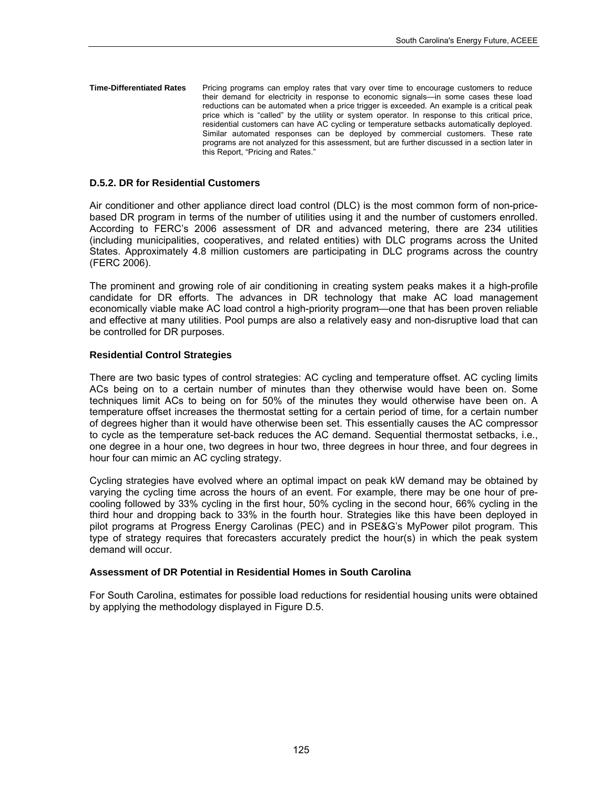**Time-Differentiated Rates** Pricing programs can employ rates that vary over time to encourage customers to reduce their demand for electricity in response to economic signals—in some cases these load reductions can be automated when a price trigger is exceeded. An example is a critical peak price which is "called" by the utility or system operator. In response to this critical price, residential customers can have AC cycling or temperature setbacks automatically deployed. Similar automated responses can be deployed by commercial customers. These rate programs are not analyzed for this assessment, but are further discussed in a section later in this Report, "Pricing and Rates."

### **D.5.2. DR for Residential Customers**

Air conditioner and other appliance direct load control (DLC) is the most common form of non-pricebased DR program in terms of the number of utilities using it and the number of customers enrolled. According to FERC's 2006 assessment of DR and advanced metering, there are 234 utilities (including municipalities, cooperatives, and related entities) with DLC programs across the United States. Approximately 4.8 million customers are participating in DLC programs across the country (FERC 2006).

The prominent and growing role of air conditioning in creating system peaks makes it a high-profile candidate for DR efforts. The advances in DR technology that make AC load management economically viable make AC load control a high-priority program—one that has been proven reliable and effective at many utilities. Pool pumps are also a relatively easy and non-disruptive load that can be controlled for DR purposes.

#### **Residential Control Strategies**

There are two basic types of control strategies: AC cycling and temperature offset. AC cycling limits ACs being on to a certain number of minutes than they otherwise would have been on. Some techniques limit ACs to being on for 50% of the minutes they would otherwise have been on. A temperature offset increases the thermostat setting for a certain period of time, for a certain number of degrees higher than it would have otherwise been set. This essentially causes the AC compressor to cycle as the temperature set-back reduces the AC demand. Sequential thermostat setbacks, i.e., one degree in a hour one, two degrees in hour two, three degrees in hour three, and four degrees in hour four can mimic an AC cycling strategy.

Cycling strategies have evolved where an optimal impact on peak kW demand may be obtained by varying the cycling time across the hours of an event. For example, there may be one hour of precooling followed by 33% cycling in the first hour, 50% cycling in the second hour, 66% cycling in the third hour and dropping back to 33% in the fourth hour. Strategies like this have been deployed in pilot programs at Progress Energy Carolinas (PEC) and in PSE&G's MyPower pilot program. This type of strategy requires that forecasters accurately predict the hour(s) in which the peak system demand will occur.

### **Assessment of DR Potential in Residential Homes in South Carolina**

For South Carolina, estimates for possible load reductions for residential housing units were obtained by applying the methodology displayed in Figure D.5.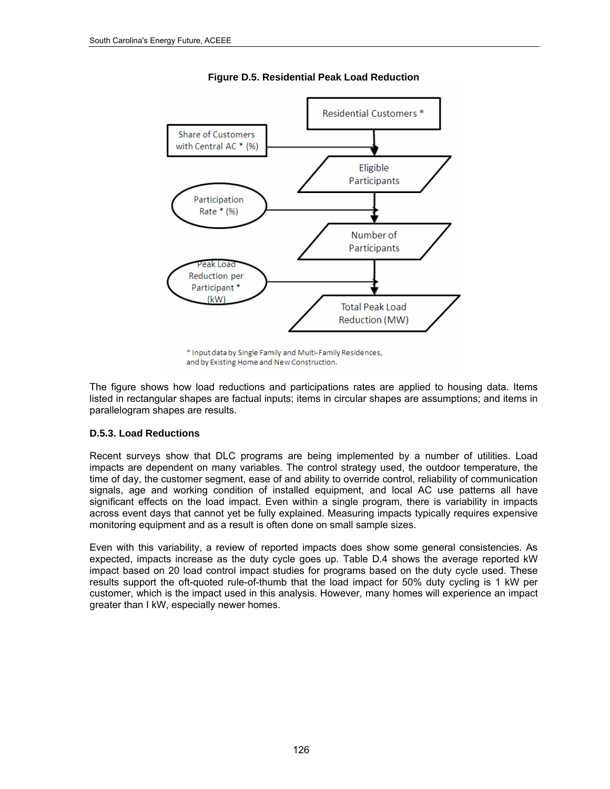

**Figure D.5. Residential Peak Load Reduction** 

The figure shows how load reductions and participations rates are applied to housing data. Items listed in rectangular shapes are factual inputs; items in circular shapes are assumptions; and items in parallelogram shapes are results.

# **D.5.3. Load Reductions**

Recent surveys show that DLC programs are being implemented by a number of utilities. Load impacts are dependent on many variables. The control strategy used, the outdoor temperature, the time of day, the customer segment, ease of and ability to override control, reliability of communication signals, age and working condition of installed equipment, and local AC use patterns all have significant effects on the load impact. Even within a single program, there is variability in impacts across event days that cannot yet be fully explained. Measuring impacts typically requires expensive monitoring equipment and as a result is often done on small sample sizes.

Even with this variability, a review of reported impacts does show some general consistencies. As expected, impacts increase as the duty cycle goes up. Table D.4 shows the average reported kW impact based on 20 load control impact studies for programs based on the duty cycle used. These results support the oft-quoted rule-of-thumb that the load impact for 50% duty cycling is 1 kW per customer, which is the impact used in this analysis. However, many homes will experience an impact greater than I kW, especially newer homes.

<sup>\*</sup> Input data by Single Family and Multi-Family Residences, and by Existing Home and New Construction.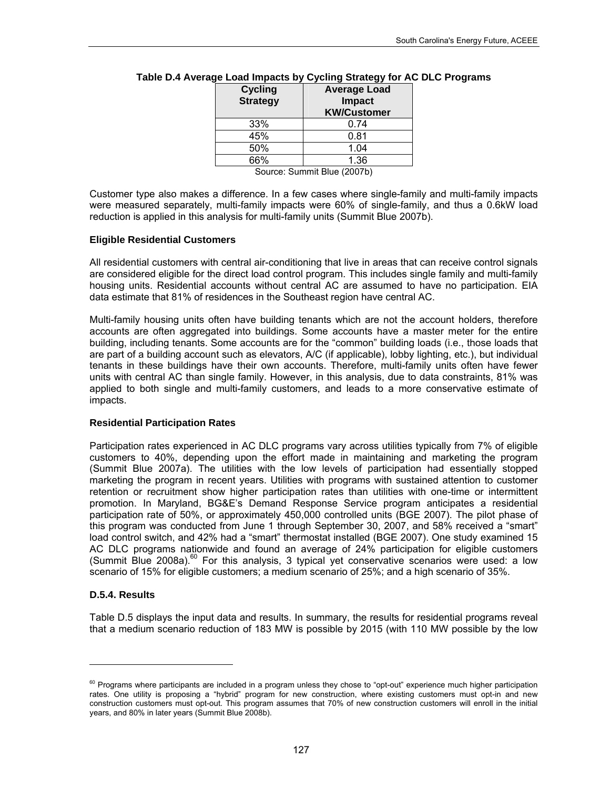| <b>Average Load</b><br>Impact<br><b>KW/Customer</b> |
|-----------------------------------------------------|
| 0.74                                                |
| 0.81                                                |
| 1.04                                                |
| 1.36                                                |
|                                                     |

### **Table D.4 Average Load Impacts by Cycling Strategy for AC DLC Programs**

Source: Summit Blue (2007b)

Customer type also makes a difference. In a few cases where single-family and multi-family impacts were measured separately, multi-family impacts were 60% of single-family, and thus a 0.6kW load reduction is applied in this analysis for multi-family units (Summit Blue 2007b).

#### **Eligible Residential Customers**

All residential customers with central air-conditioning that live in areas that can receive control signals are considered eligible for the direct load control program. This includes single family and multi-family housing units. Residential accounts without central AC are assumed to have no participation. EIA data estimate that 81% of residences in the Southeast region have central AC.

Multi-family housing units often have building tenants which are not the account holders, therefore accounts are often aggregated into buildings. Some accounts have a master meter for the entire building, including tenants. Some accounts are for the "common" building loads (i.e., those loads that are part of a building account such as elevators, A/C (if applicable), lobby lighting, etc.), but individual tenants in these buildings have their own accounts. Therefore, multi-family units often have fewer units with central AC than single family. However, in this analysis, due to data constraints, 81% was applied to both single and multi-family customers, and leads to a more conservative estimate of impacts.

### **Residential Participation Rates**

Participation rates experienced in AC DLC programs vary across utilities typically from 7% of eligible customers to 40%, depending upon the effort made in maintaining and marketing the program (Summit Blue 2007a). The utilities with the low levels of participation had essentially stopped marketing the program in recent years. Utilities with programs with sustained attention to customer retention or recruitment show higher participation rates than utilities with one-time or intermittent promotion. In Maryland, BG&E's Demand Response Service program anticipates a residential participation rate of 50%, or approximately 450,000 controlled units (BGE 2007). The pilot phase of this program was conducted from June 1 through September 30, 2007, and 58% received a "smart" load control switch, and 42% had a "smart" thermostat installed (BGE 2007). One study examined 15 AC DLC programs nationwide and found an average of 24% participation for eligible customers (Summit Blue 2008a). $^{60}$  For this analysis, 3 typical yet conservative scenarios were used: a low scenario of 15% for eligible customers; a medium scenario of 25%; and a high scenario of 35%.

### **D.5.4. Results**

l

Table D.5 displays the input data and results. In summary, the results for residential programs reveal that a medium scenario reduction of 183 MW is possible by 2015 (with 110 MW possible by the low

<span id="page-140-0"></span><sup>&</sup>lt;sup>60</sup> Programs where participants are included in a program unless they chose to "opt-out" experience much higher participation rates. One utility is proposing a "hybrid" program for new construction, where existing customers must opt-in and new construction customers must opt-out. This program assumes that 70% of new construction customers will enroll in the initial years, and 80% in later years (Summit Blue 2008b).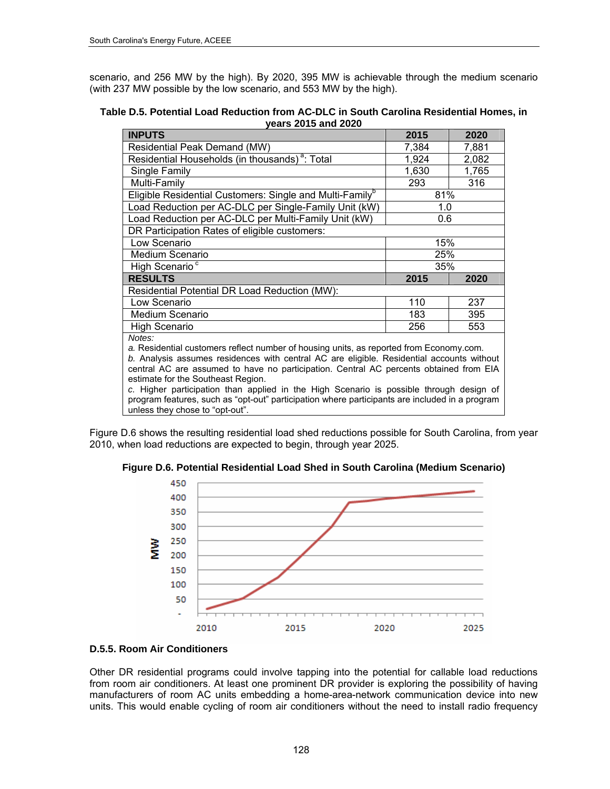scenario, and 256 MW by the high). By 2020, 395 MW is achievable through the medium scenario (with 237 MW possible by the low scenario, and 553 MW by the high).

| Table D.5. Potential Load Reduction from AC-DLC in South Carolina Residential Homes, in |
|-----------------------------------------------------------------------------------------|
| years 2015 and 2020                                                                     |

| <b>INPUTS</b>                                                                                                                                                                                                                                                                                                                  | 2015  | 2020  |  |  |
|--------------------------------------------------------------------------------------------------------------------------------------------------------------------------------------------------------------------------------------------------------------------------------------------------------------------------------|-------|-------|--|--|
| Residential Peak Demand (MW)                                                                                                                                                                                                                                                                                                   | 7,384 | 7,881 |  |  |
| Residential Households (in thousands) <sup>a</sup> : Total                                                                                                                                                                                                                                                                     | 1,924 | 2,082 |  |  |
| Single Family                                                                                                                                                                                                                                                                                                                  | 1,630 | 1,765 |  |  |
| Multi-Family                                                                                                                                                                                                                                                                                                                   | 293   | 316   |  |  |
| Eligible Residential Customers: Single and Multi-Family <sup>b</sup>                                                                                                                                                                                                                                                           | 81%   |       |  |  |
| Load Reduction per AC-DLC per Single-Family Unit (kW)                                                                                                                                                                                                                                                                          | 1.0   |       |  |  |
| Load Reduction per AC-DLC per Multi-Family Unit (kW)                                                                                                                                                                                                                                                                           | 0.6   |       |  |  |
| DR Participation Rates of eligible customers:                                                                                                                                                                                                                                                                                  |       |       |  |  |
| Low Scenario                                                                                                                                                                                                                                                                                                                   | 15%   |       |  |  |
| <b>Medium Scenario</b>                                                                                                                                                                                                                                                                                                         | 25%   |       |  |  |
| High Scenario <sup>c</sup>                                                                                                                                                                                                                                                                                                     | 35%   |       |  |  |
| <b>RESULTS</b>                                                                                                                                                                                                                                                                                                                 | 2015  | 2020  |  |  |
| Residential Potential DR Load Reduction (MW):                                                                                                                                                                                                                                                                                  |       |       |  |  |
| Low Scenario                                                                                                                                                                                                                                                                                                                   | 110   | 237   |  |  |
| <b>Medium Scenario</b>                                                                                                                                                                                                                                                                                                         | 183   | 395   |  |  |
| <b>High Scenario</b>                                                                                                                                                                                                                                                                                                           | 256   | 553   |  |  |
| Notes:<br>a. Residential customers reflect number of housing units, as reported from Economy.com.<br>b. Analysis assumes residences with central AC are eligible. Residential accounts without<br>central AC are assumed to have no participation. Central AC percents obtained from EIA<br>estimate for the Southeast Region. |       |       |  |  |

*c.* Higher participation than applied in the High Scenario is possible through design of program features, such as "opt-out" participation where participants are included in a program unless they chose to "opt-out".

<span id="page-141-0"></span>[Figure](#page-141-0) D.6 shows the resulting residential load shed reductions possible for South Carolina, from year 2010, when load reductions are expected to begin, through year 2025.

**Figure D.6. Potential Residential Load Shed in South Carolina (Medium Scenario)** 



### **D.5.5. Room Air Conditioners**

Other DR residential programs could involve tapping into the potential for callable load reductions from room air conditioners. At least one prominent DR provider is exploring the possibility of having manufacturers of room AC units embedding a home-area-network communication device into new units. This would enable cycling of room air conditioners without the need to install radio frequency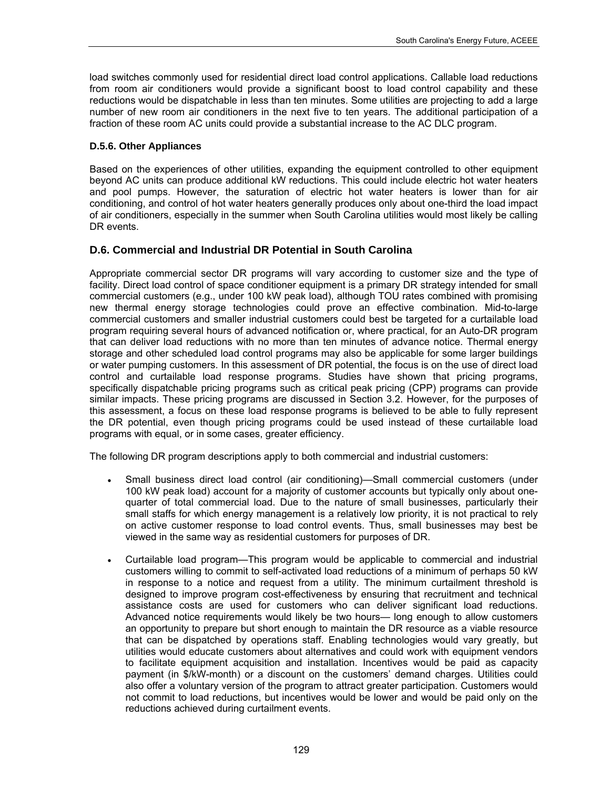load switches commonly used for residential direct load control applications. Callable load reductions from room air conditioners would provide a significant boost to load control capability and these reductions would be dispatchable in less than ten minutes. Some utilities are projecting to add a large number of new room air conditioners in the next five to ten years. The additional participation of a fraction of these room AC units could provide a substantial increase to the AC DLC program.

# **D.5.6. Other Appliances**

Based on the experiences of other utilities, expanding the equipment controlled to other equipment beyond AC units can produce additional kW reductions. This could include electric hot water heaters and pool pumps. However, the saturation of electric hot water heaters is lower than for air conditioning, and control of hot water heaters generally produces only about one-third the load impact of air conditioners, especially in the summer when South Carolina utilities would most likely be calling DR events.

# **D.6. Commercial and Industrial DR Potential in South Carolina**

Appropriate commercial sector DR programs will vary according to customer size and the type of facility. Direct load control of space conditioner equipment is a primary DR strategy intended for small commercial customers (e.g., under 100 kW peak load), although TOU rates combined with promising new thermal energy storage technologies could prove an effective combination. Mid-to-large commercial customers and smaller industrial customers could best be targeted for a curtailable load program requiring several hours of advanced notification or, where practical, for an Auto-DR program that can deliver load reductions with no more than ten minutes of advance notice. Thermal energy storage and other scheduled load control programs may also be applicable for some larger buildings or water pumping customers. In this assessment of DR potential, the focus is on the use of direct load control and curtailable load response programs. Studies have shown that pricing programs, specifically dispatchable pricing programs such as critical peak pricing (CPP) programs can provide similar impacts. These pricing programs are discussed in Section 3.2. However, for the purposes of this assessment, a focus on these load response programs is believed to be able to fully represent the DR potential, even though pricing programs could be used instead of these curtailable load programs with equal, or in some cases, greater efficiency.

The following DR program descriptions apply to both commercial and industrial customers:

- Small business direct load control (air conditioning)—Small commercial customers (under 100 kW peak load) account for a majority of customer accounts but typically only about onequarter of total commercial load. Due to the nature of small businesses, particularly their small staffs for which energy management is a relatively low priority, it is not practical to rely on active customer response to load control events. Thus, small businesses may best be viewed in the same way as residential customers for purposes of DR.
- Curtailable load program—This program would be applicable to commercial and industrial customers willing to commit to self-activated load reductions of a minimum of perhaps 50 kW in response to a notice and request from a utility. The minimum curtailment threshold is designed to improve program cost-effectiveness by ensuring that recruitment and technical assistance costs are used for customers who can deliver significant load reductions. Advanced notice requirements would likely be two hours— long enough to allow customers an opportunity to prepare but short enough to maintain the DR resource as a viable resource that can be dispatched by operations staff. Enabling technologies would vary greatly, but utilities would educate customers about alternatives and could work with equipment vendors to facilitate equipment acquisition and installation. Incentives would be paid as capacity payment (in \$/kW-month) or a discount on the customers' demand charges. Utilities could also offer a voluntary version of the program to attract greater participation. Customers would not commit to load reductions, but incentives would be lower and would be paid only on the reductions achieved during curtailment events.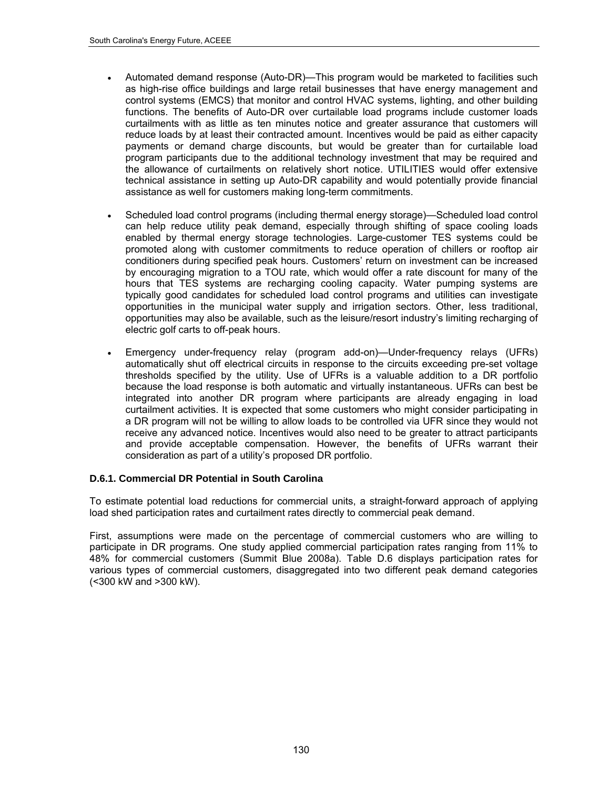- Automated demand response (Auto-DR)—This program would be marketed to facilities such as high-rise office buildings and large retail businesses that have energy management and control systems (EMCS) that monitor and control HVAC systems, lighting, and other building functions. The benefits of Auto-DR over curtailable load programs include customer loads curtailments with as little as ten minutes notice and greater assurance that customers will reduce loads by at least their contracted amount. Incentives would be paid as either capacity payments or demand charge discounts, but would be greater than for curtailable load program participants due to the additional technology investment that may be required and the allowance of curtailments on relatively short notice. UTILITIES would offer extensive technical assistance in setting up Auto-DR capability and would potentially provide financial assistance as well for customers making long-term commitments.
- Scheduled load control programs (including thermal energy storage)—Scheduled load control can help reduce utility peak demand, especially through shifting of space cooling loads enabled by thermal energy storage technologies. Large-customer TES systems could be promoted along with customer commitments to reduce operation of chillers or rooftop air conditioners during specified peak hours. Customers' return on investment can be increased by encouraging migration to a TOU rate, which would offer a rate discount for many of the hours that TES systems are recharging cooling capacity. Water pumping systems are typically good candidates for scheduled load control programs and utilities can investigate opportunities in the municipal water supply and irrigation sectors. Other, less traditional, opportunities may also be available, such as the leisure/resort industry's limiting recharging of electric golf carts to off-peak hours.
- Emergency under-frequency relay (program add-on)—Under-frequency relays (UFRs) automatically shut off electrical circuits in response to the circuits exceeding pre-set voltage thresholds specified by the utility. Use of UFRs is a valuable addition to a DR portfolio because the load response is both automatic and virtually instantaneous. UFRs can best be integrated into another DR program where participants are already engaging in load curtailment activities. It is expected that some customers who might consider participating in a DR program will not be willing to allow loads to be controlled via UFR since they would not receive any advanced notice. Incentives would also need to be greater to attract participants and provide acceptable compensation. However, the benefits of UFRs warrant their consideration as part of a utility's proposed DR portfolio.

### **D.6.1. Commercial DR Potential in South Carolina**

To estimate potential load reductions for commercial units, a straight-forward approach of applying load shed participation rates and curtailment rates directly to commercial peak demand.

First, assumptions were made on the percentage of commercial customers who are willing to participate in DR programs. One study applied commercial participation rates ranging from 11% to 48% for commercial customers (Summit Blue 2008a). Table D.6 displays participation rates for various types of commercial customers, disaggregated into two different peak demand categories (<300 kW and >300 kW).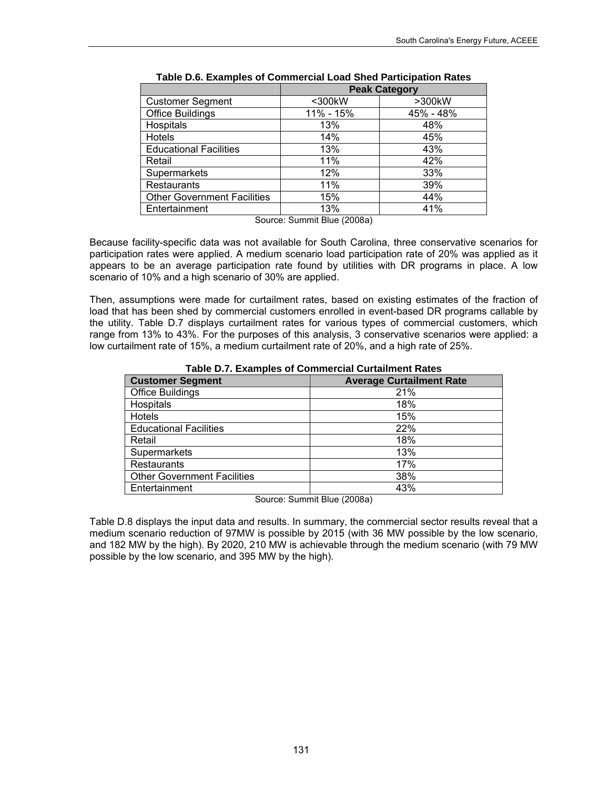|                                    |           | <b>Peak Category</b> |
|------------------------------------|-----------|----------------------|
| <b>Customer Segment</b>            | <300kW    | >300kW               |
| <b>Office Buildings</b>            | 11% - 15% | 45% - 48%            |
| Hospitals                          | 13%       | 48%                  |
| Hotels                             | 14%       | 45%                  |
| <b>Educational Facilities</b>      | 13%       | 43%                  |
| Retail                             | 11%       | 42%                  |
| Supermarkets                       | 12%       | 33%                  |
| Restaurants                        | 11%       | 39%                  |
| <b>Other Government Facilities</b> | 15%       | 44%                  |
| Entertainment                      | 13%       | 41%                  |

|  |  |  | Table D.6. Examples of Commercial Load Shed Participation Rates |
|--|--|--|-----------------------------------------------------------------|
|--|--|--|-----------------------------------------------------------------|

Source: Summit Blue (2008a)

Because facility-specific data was not available for South Carolina, three conservative scenarios for participation rates were applied. A medium scenario load participation rate of 20% was applied as it appears to be an average participation rate found by utilities with DR programs in place. A low scenario of 10% and a high scenario of 30% are applied.

Then, assumptions were made for curtailment rates, based on existing estimates of the fraction of load that has been shed by commercial customers enrolled in event-based DR programs callable by the utility. Table D.7 displays curtailment rates for various types of commercial customers, which range from 13% to 43%. For the purposes of this analysis, 3 conservative scenarios were applied: a low curtailment rate of 15%, a medium curtailment rate of 20%, and a high rate of 25%.

|                                    | $18000$ PM . External provided to the contract of the contract state of the contract of the contract of the contract of the contract of the contract of the contract of the contract of the contract of the contract of the c |
|------------------------------------|-------------------------------------------------------------------------------------------------------------------------------------------------------------------------------------------------------------------------------|
| <b>Customer Segment</b>            | <b>Average Curtailment Rate</b>                                                                                                                                                                                               |
| <b>Office Buildings</b>            | 21%                                                                                                                                                                                                                           |
| Hospitals                          | 18%                                                                                                                                                                                                                           |
| Hotels                             | 15%                                                                                                                                                                                                                           |
| <b>Educational Facilities</b>      | 22%                                                                                                                                                                                                                           |
| Retail                             | 18%                                                                                                                                                                                                                           |
| Supermarkets                       | 13%                                                                                                                                                                                                                           |
| Restaurants                        | 17%                                                                                                                                                                                                                           |
| <b>Other Government Facilities</b> | 38%                                                                                                                                                                                                                           |
| Entertainment                      | 43%                                                                                                                                                                                                                           |

**Table D.7. Examples of Commercial Curtailment Rates** 

Source: Summit Blue (2008a)

Table D.8 displays the input data and results. In summary, the commercial sector results reveal that a medium scenario reduction of 97MW is possible by 2015 (with 36 MW possible by the low scenario, and 182 MW by the high). By 2020, 210 MW is achievable through the medium scenario (with 79 MW possible by the low scenario, and 395 MW by the high).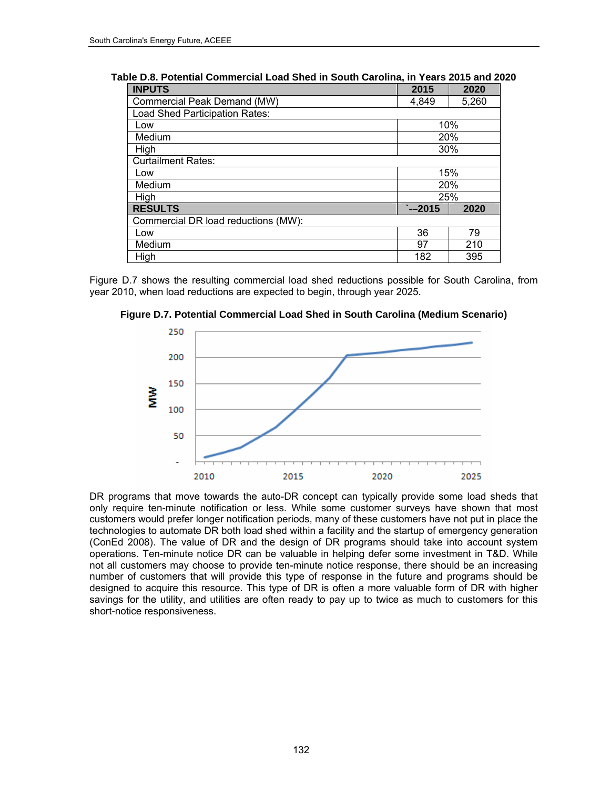| <b>INPUTS</b>                       | 2015    | 2020       |
|-------------------------------------|---------|------------|
| Commercial Peak Demand (MW)         | 4.849   | 5,260      |
| Load Shed Participation Rates:      |         |            |
| Low                                 |         | 10%        |
| Medium                              |         | 20%        |
| High                                |         | 30%        |
| <b>Curtailment Rates:</b>           |         |            |
| Low                                 |         | 15%        |
| Medium                              |         | <b>20%</b> |
| High                                |         | 25%        |
| <b>RESULTS</b>                      | $-2015$ | 2020       |
| Commercial DR load reductions (MW): |         |            |
| Low                                 | 36      | 79         |
| Medium                              | 97      | 210        |
| High                                | 182     | 395        |

**Table D.8. Potential Commercial Load Shed in South Carolina, in Years 2015 and 2020** 

Figure D.7 shows the resulting commercial load shed reductions possible for South Carolina, from year 2010, when load reductions are expected to begin, through year 2025.





DR programs that move towards the auto-DR concept can typically provide some load sheds that only require ten-minute notification or less. While some customer surveys have shown that most customers would prefer longer notification periods, many of these customers have not put in place the technologies to automate DR both load shed within a facility and the startup of emergency generation (ConEd 2008). The value of DR and the design of DR programs should take into account system operations. Ten-minute notice DR can be valuable in helping defer some investment in T&D. While not all customers may choose to provide ten-minute notice response, there should be an increasing number of customers that will provide this type of response in the future and programs should be designed to acquire this resource. This type of DR is often a more valuable form of DR with higher savings for the utility, and utilities are often ready to pay up to twice as much to customers for this short-notice responsiveness.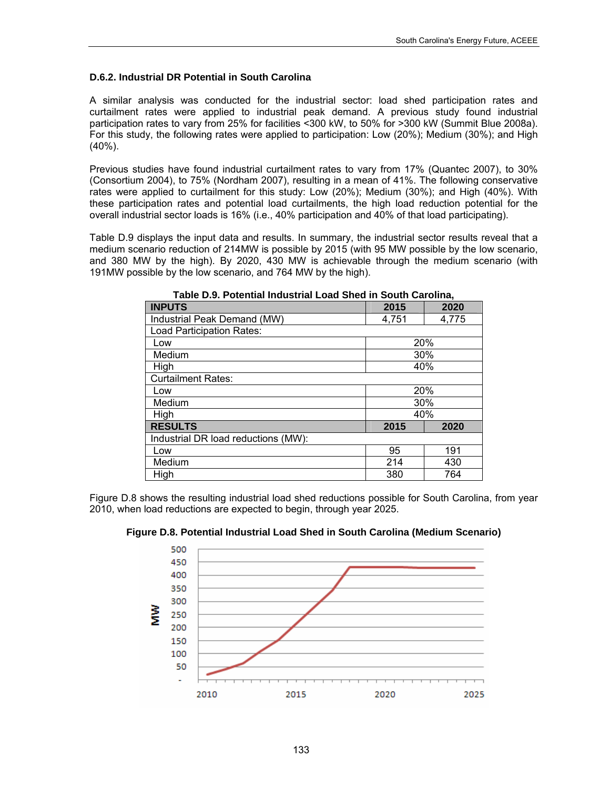#### **D.6.2. Industrial DR Potential in South Carolina**

A similar analysis was conducted for the industrial sector: load shed participation rates and curtailment rates were applied to industrial peak demand. A previous study found industrial participation rates to vary from 25% for facilities <300 kW, to 50% for >300 kW (Summit Blue 2008a). For this study, the following rates were applied to participation: Low (20%); Medium (30%); and High (40%).

Previous studies have found industrial curtailment rates to vary from 17% (Quantec 2007), to 30% (Consortium 2004), to 75% (Nordham 2007), resulting in a mean of 41%. The following conservative rates were applied to curtailment for this study: Low (20%); Medium (30%); and High (40%). With these participation rates and potential load curtailments, the high load reduction potential for the overall industrial sector loads is 16% (i.e., 40% participation and 40% of that load participating).

Table D.9 displays the input data and results. In summary, the industrial sector results reveal that a medium scenario reduction of 214MW is possible by 2015 (with 95 MW possible by the low scenario, and 380 MW by the high). By 2020, 430 MW is achievable through the medium scenario (with 191MW possible by the low scenario, and 764 MW by the high).

| <b>INPUTS</b>                       | 2015           | 2020 |  |  |  |  |  |  |  |  |
|-------------------------------------|----------------|------|--|--|--|--|--|--|--|--|
| Industrial Peak Demand (MW)         | 4,775<br>4,751 |      |  |  |  |  |  |  |  |  |
| Load Participation Rates:           |                |      |  |  |  |  |  |  |  |  |
| Low                                 | 20%            |      |  |  |  |  |  |  |  |  |
| Medium                              | 30%            |      |  |  |  |  |  |  |  |  |
| High                                | 40%            |      |  |  |  |  |  |  |  |  |
| <b>Curtailment Rates:</b>           |                |      |  |  |  |  |  |  |  |  |
| Low                                 | 20%            |      |  |  |  |  |  |  |  |  |
| Medium                              | 30%            |      |  |  |  |  |  |  |  |  |
| High                                | 40%            |      |  |  |  |  |  |  |  |  |
| <b>RESULTS</b>                      | 2015           | 2020 |  |  |  |  |  |  |  |  |
| Industrial DR load reductions (MW): |                |      |  |  |  |  |  |  |  |  |
| Low                                 | 95             | 191  |  |  |  |  |  |  |  |  |
| Medium                              | 214            | 430  |  |  |  |  |  |  |  |  |
| High                                | 380            | 764  |  |  |  |  |  |  |  |  |

**Table D.9. Potential Industrial Load Shed in South Carolina,** 

Figure D.8 shows the resulting industrial load shed reductions possible for South Carolina, from year 2010, when load reductions are expected to begin, through year 2025.



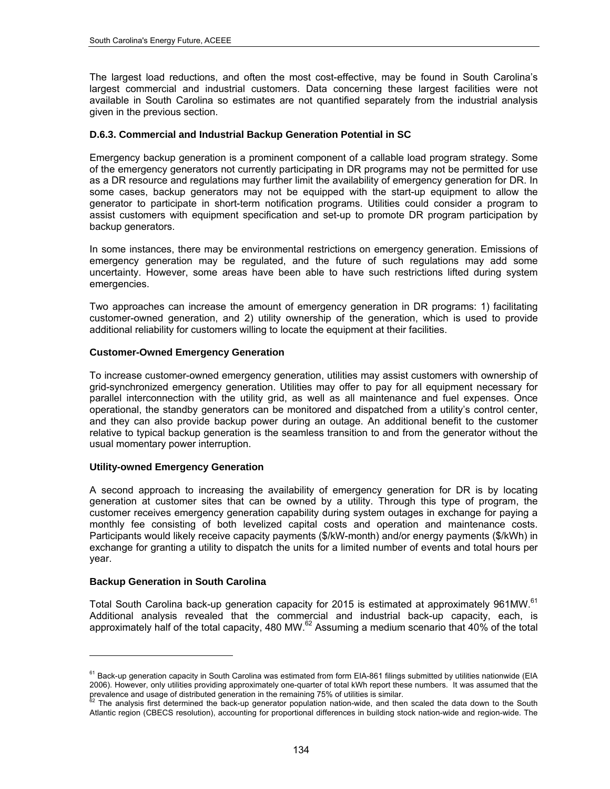The largest load reductions, and often the most cost-effective, may be found in South Carolina's largest commercial and industrial customers. Data concerning these largest facilities were not available in South Carolina so estimates are not quantified separately from the industrial analysis given in the previous section.

#### **D.6.3. Commercial and Industrial Backup Generation Potential in SC**

Emergency backup generation is a prominent component of a callable load program strategy. Some of the emergency generators not currently participating in DR programs may not be permitted for use as a DR resource and regulations may further limit the availability of emergency generation for DR. In some cases, backup generators may not be equipped with the start-up equipment to allow the generator to participate in short-term notification programs. Utilities could consider a program to assist customers with equipment specification and set-up to promote DR program participation by backup generators.

In some instances, there may be environmental restrictions on emergency generation. Emissions of emergency generation may be regulated, and the future of such regulations may add some uncertainty. However, some areas have been able to have such restrictions lifted during system emergencies.

Two approaches can increase the amount of emergency generation in DR programs: 1) facilitating customer-owned generation, and 2) utility ownership of the generation, which is used to provide additional reliability for customers willing to locate the equipment at their facilities.

#### **Customer-Owned Emergency Generation**

To increase customer-owned emergency generation, utilities may assist customers with ownership of grid-synchronized emergency generation. Utilities may offer to pay for all equipment necessary for parallel interconnection with the utility grid, as well as all maintenance and fuel expenses. Once operational, the standby generators can be monitored and dispatched from a utility's control center, and they can also provide backup power during an outage. An additional benefit to the customer relative to typical backup generation is the seamless transition to and from the generator without the usual momentary power interruption.

#### **Utility-owned Emergency Generation**

A second approach to increasing the availability of emergency generation for DR is by locating generation at customer sites that can be owned by a utility. Through this type of program, the customer receives emergency generation capability during system outages in exchange for paying a monthly fee consisting of both levelized capital costs and operation and maintenance costs. Participants would likely receive capacity payments (\$/kW-month) and/or energy payments (\$/kWh) in exchange for granting a utility to dispatch the units for a limited number of events and total hours per year.

#### **Backup Generation in South Carolina**

l

Total South Carolina back-up generation capacity for 2015 is estimated at approximately 961MW.<sup>61</sup> Additional analysis revealed that the commercial and industrial back-up capacity, each, is approximately half of the total capacity, 480 MW. $^{62}$  Assuming a medium scenario that 40% of the total

<span id="page-147-0"></span><sup>&</sup>lt;sup>61</sup> Back-up generation capacity in South Carolina was estimated from form EIA-861 filings submitted by utilities nationwide (EIA 2006). However, only utilities providing approximately one-quarter of total kWh report these numbers. It was assumed that the prevalence and usage of distributed generation in the remaining 75% of utilities is similar.<br><sup>62</sup> The analysis first determined the back-up generator population nation-wide, and then scaled the data down to the South

<span id="page-147-1"></span>Atlantic region (CBECS resolution), accounting for proportional differences in building stock nation-wide and region-wide. The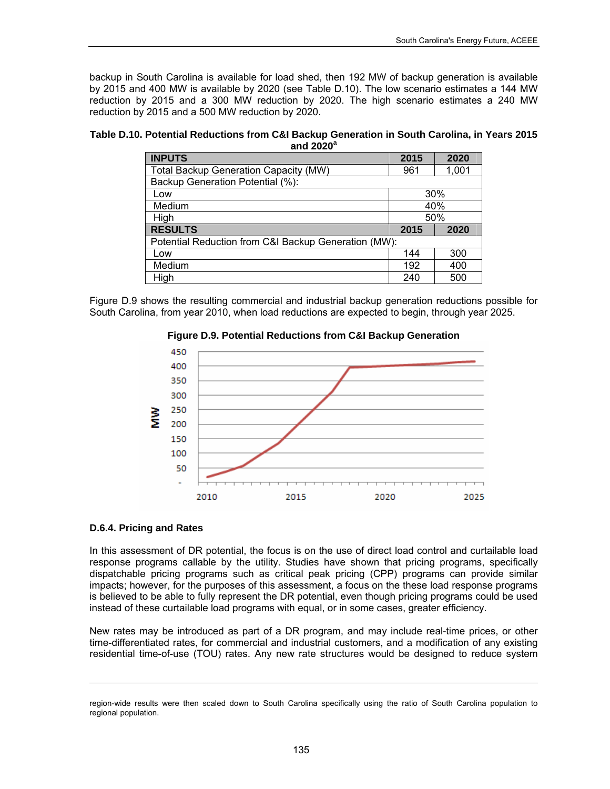backup in South Carolina is available for load shed, then 192 MW of backup generation is available by 2015 and 400 MW is available by 2020 (see Table D.10). The low scenario estimates a 144 MW reduction by 2015 and a 300 MW reduction by 2020. The high scenario estimates a 240 MW reduction by 2015 and a 500 MW reduction by 2020.

**Table D.10. Potential Reductions from C&I Backup Generation in South Carolina, in Years 2015 and 2020<sup>a</sup>**

| <b>INPUTS</b>                                        | 2015 | 2020  |
|------------------------------------------------------|------|-------|
| Total Backup Generation Capacity (MW)                | 961  | 1,001 |
| Backup Generation Potential (%):                     |      |       |
| Low                                                  |      | 30%   |
| Medium                                               |      | 40%   |
| High                                                 |      | 50%   |
| <b>RESULTS</b>                                       | 2015 | 2020  |
| Potential Reduction from C&I Backup Generation (MW): |      |       |
| Low                                                  | 144  | 300   |
| Medium                                               | 192  | 400   |
| High                                                 | 240  | 500   |

Figure D.9 shows the resulting commercial and industrial backup generation reductions possible for South Carolina, from year 2010, when load reductions are expected to begin, through year 2025.



#### **Figure D.9. Potential Reductions from C&I Backup Generation**

#### **D.6.4. Pricing and Rates**

l

In this assessment of DR potential, the focus is on the use of direct load control and curtailable load response programs callable by the utility. Studies have shown that pricing programs, specifically dispatchable pricing programs such as critical peak pricing (CPP) programs can provide similar impacts; however, for the purposes of this assessment, a focus on the these load response programs is believed to be able to fully represent the DR potential, even though pricing programs could be used instead of these curtailable load programs with equal, or in some cases, greater efficiency.

New rates may be introduced as part of a DR program, and may include real-time prices, or other time-differentiated rates, for commercial and industrial customers, and a modification of any existing residential time-of-use (TOU) rates. Any new rate structures would be designed to reduce system

region-wide results were then scaled down to South Carolina specifically using the ratio of South Carolina population to regional population.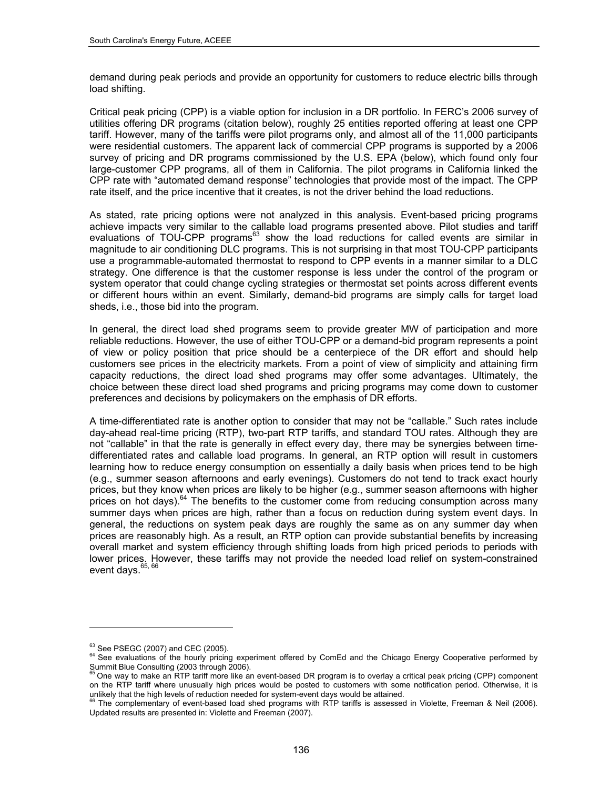demand during peak periods and provide an opportunity for customers to reduce electric bills through load shifting.

Critical peak pricing (CPP) is a viable option for inclusion in a DR portfolio. In FERC's 2006 survey of utilities offering DR programs (citation below), roughly 25 entities reported offering at least one CPP tariff. However, many of the tariffs were pilot programs only, and almost all of the 11,000 participants were residential customers. The apparent lack of commercial CPP programs is supported by a 2006 survey of pricing and DR programs commissioned by the U.S. EPA (below), which found only four large-customer CPP programs, all of them in California. The pilot programs in California linked the CPP rate with "automated demand response" technologies that provide most of the impact. The CPP rate itself, and the price incentive that it creates, is not the driver behind the load reductions.

As stated, rate pricing options were not analyzed in this analysis. Event-based pricing programs achieve impacts very similar to the callable load programs presented above. Pilot studies and tariff evaluations of TOU-CPP programs<sup>63</sup> show the load reductions for called events are similar in magnitude to air conditioning DLC programs. This is not surprising in that most TOU-CPP participants use a programmable-automated thermostat to respond to CPP events in a manner similar to a DLC strategy. One difference is that the customer response is less under the control of the program or system operator that could change cycling strategies or thermostat set points across different events or different hours within an event. Similarly, demand-bid programs are simply calls for target load sheds, i.e., those bid into the program.

In general, the direct load shed programs seem to provide greater MW of participation and more reliable reductions. However, the use of either TOU-CPP or a demand-bid program represents a point of view or policy position that price should be a centerpiece of the DR effort and should help customers see prices in the electricity markets. From a point of view of simplicity and attaining firm capacity reductions, the direct load shed programs may offer some advantages. Ultimately, the choice between these direct load shed programs and pricing programs may come down to customer preferences and decisions by policymakers on the emphasis of DR efforts.

A time-differentiated rate is another option to consider that may not be "callable." Such rates include day-ahead real-time pricing (RTP), two-part RTP tariffs, and standard TOU rates. Although they are not "callable" in that the rate is generally in effect every day, there may be synergies between timedifferentiated rates and callable load programs. In general, an RTP option will result in customers learning how to reduce energy consumption on essentially a daily basis when prices tend to be high (e.g., summer season afternoons and early evenings). Customers do not tend to track exact hourly prices, but they know when prices are likely to be higher (e.g., summer season afternoons with higher prices on hot days). $64$  The benefits to the customer come from reducing consumption across many summer days when prices are high, rather than a focus on reduction during system event days. In general, the reductions on system peak days are roughly the same as on any summer day when prices are reasonably high. As a result, an RTP option can provide substantial benefits by increasing overall market and system efficiency through shifting loads from high priced periods to periods with lower prices. However, these tariffs may not provide the needed load relief on system-constrained event days. [65,](#page-149-2) [66](#page-149-3)

l

<span id="page-149-0"></span><sup>&</sup>lt;sup>63</sup> See PSEGC (2007) and CEC (2005).<br><sup>64</sup> See evaluations of the hourly pricing experiment offered by ComEd and the Chicago Energy Cooperative performed by

<span id="page-149-2"></span><span id="page-149-1"></span>Summit Blue Consulting (2003 through 2006).<br><sup>65</sup> One way to make an RTP tariff more like an event-based DR program is to overlay a critical peak pricing (CPP) component on the RTP tariff where unusually high prices would be posted to customers with some notification period. Otherwise, it is unlikely that the high levels of reduction needed for system-event days would be attained.<br><sup>66</sup> The complementary of event-based load shed programs with RTP tariffs is assessed in Violette, Freeman & Neil (2006).

<span id="page-149-3"></span>Updated results are presented in: Violette and Freeman (2007).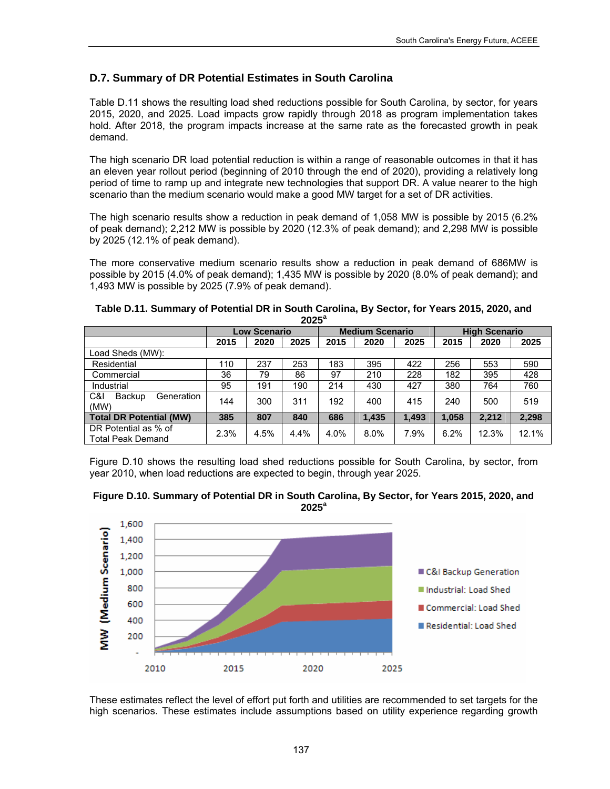## **D.7. Summary of DR Potential Estimates in South Carolina**

Table D.11 shows the resulting load shed reductions possible for South Carolina, by sector, for years 2015, 2020, and 2025. Load impacts grow rapidly through 2018 as program implementation takes hold. After 2018, the program impacts increase at the same rate as the forecasted growth in peak demand.

The high scenario DR load potential reduction is within a range of reasonable outcomes in that it has an eleven year rollout period (beginning of 2010 through the end of 2020), providing a relatively long period of time to ramp up and integrate new technologies that support DR. A value nearer to the high scenario than the medium scenario would make a good MW target for a set of DR activities.

The high scenario results show a reduction in peak demand of 1,058 MW is possible by 2015 (6.2% of peak demand); 2,212 MW is possible by 2020 (12.3% of peak demand); and 2,298 MW is possible by 2025 (12.1% of peak demand).

The more conservative medium scenario results show a reduction in peak demand of 686MW is possible by 2015 (4.0% of peak demand); 1,435 MW is possible by 2020 (8.0% of peak demand); and 1,493 MW is possible by 2025 (7.9% of peak demand).

|                                           | 2025 |                     |      |      |                        |       |                      |       |       |
|-------------------------------------------|------|---------------------|------|------|------------------------|-------|----------------------|-------|-------|
|                                           |      | <b>Low Scenario</b> |      |      | <b>Medium Scenario</b> |       | <b>High Scenario</b> |       |       |
|                                           | 2015 | 2020                | 2025 | 2015 | 2020                   | 2025  | 2015                 | 2020  | 2025  |
| oad Sheds (MW):                           |      |                     |      |      |                        |       |                      |       |       |
| Residential                               | 110  | 237                 | 253  | 183  | 395                    | 422   | 256                  | 553   | 590   |
| Commercial                                | 36   | 79                  | 86   | 97   | 210                    | 228   | 182                  | 395   | 428   |
| Industrial                                | 95   | 191                 | 190  | 214  | 430                    | 427   | 380                  | 764   | 760   |
| C&I<br>Backup<br>Generation<br>(MW)       | 144  | 300                 | 311  | 192  | 400                    | 415   | 240                  | 500   | 519   |
| <b>Total DR Potential (MW)</b>            | 385  | 807                 | 840  | 686  | 1.435                  | 1.493 | 1.058                | 2.212 | 2,298 |
| DR Potential as % of<br>Total Peak Demand | 2.3% | 4.5%                | 4.4% | 4.0% | 8.0%                   | 7.9%  | 6.2%                 | 12.3% | 12.1% |

| Table D.11. Summary of Potential DR in South Carolina, By Sector, for Years 2015, 2020, and |  |
|---------------------------------------------------------------------------------------------|--|
| $2025^a$                                                                                    |  |

Figure D.10 shows the resulting load shed reductions possible for South Carolina, by sector, from year 2010, when load reductions are expected to begin, through year 2025.





These estimates reflect the level of effort put forth and utilities are recommended to set targets for the high scenarios. These estimates include assumptions based on utility experience regarding growth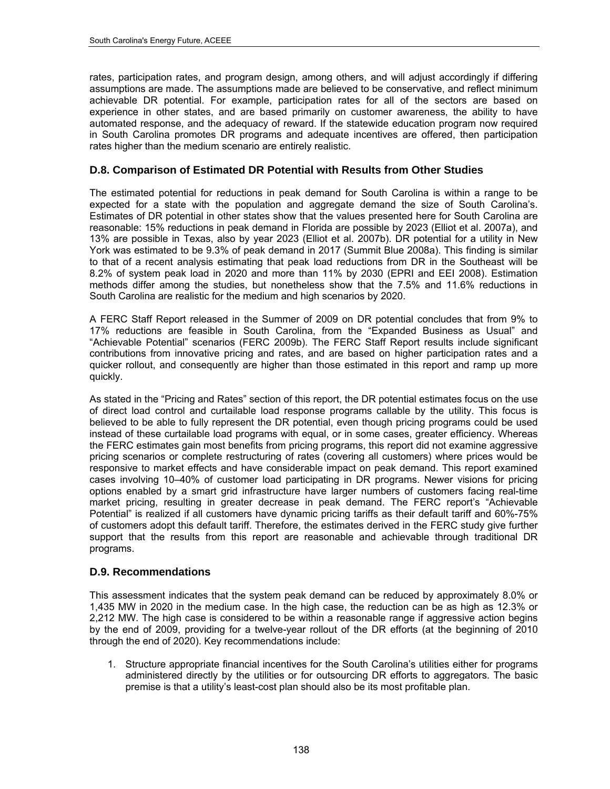rates, participation rates, and program design, among others, and will adjust accordingly if differing assumptions are made. The assumptions made are believed to be conservative, and reflect minimum achievable DR potential. For example, participation rates for all of the sectors are based on experience in other states, and are based primarily on customer awareness, the ability to have automated response, and the adequacy of reward. If the statewide education program now required in South Carolina promotes DR programs and adequate incentives are offered, then participation rates higher than the medium scenario are entirely realistic.

## **D.8. Comparison of Estimated DR Potential with Results from Other Studies**

The estimated potential for reductions in peak demand for South Carolina is within a range to be expected for a state with the population and aggregate demand the size of South Carolina's. Estimates of DR potential in other states show that the values presented here for South Carolina are reasonable: 15% reductions in peak demand in Florida are possible by 2023 (Elliot et al. 2007a), and 13% are possible in Texas, also by year 2023 (Elliot et al. 2007b). DR potential for a utility in New York was estimated to be 9.3% of peak demand in 2017 (Summit Blue 2008a). This finding is similar to that of a recent analysis estimating that peak load reductions from DR in the Southeast will be 8.2% of system peak load in 2020 and more than 11% by 2030 (EPRI and EEI 2008). Estimation methods differ among the studies, but nonetheless show that the 7.5% and 11.6% reductions in South Carolina are realistic for the medium and high scenarios by 2020.

A FERC Staff Report released in the Summer of 2009 on DR potential concludes that from 9% to 17% reductions are feasible in South Carolina, from the "Expanded Business as Usual" and "Achievable Potential" scenarios (FERC 2009b). The FERC Staff Report results include significant contributions from innovative pricing and rates, and are based on higher participation rates and a quicker rollout, and consequently are higher than those estimated in this report and ramp up more quickly.

As stated in the "Pricing and Rates" section of this report, the DR potential estimates focus on the use of direct load control and curtailable load response programs callable by the utility. This focus is believed to be able to fully represent the DR potential, even though pricing programs could be used instead of these curtailable load programs with equal, or in some cases, greater efficiency. Whereas the FERC estimates gain most benefits from pricing programs, this report did not examine aggressive pricing scenarios or complete restructuring of rates (covering all customers) where prices would be responsive to market effects and have considerable impact on peak demand. This report examined cases involving 10–40% of customer load participating in DR programs. Newer visions for pricing options enabled by a smart grid infrastructure have larger numbers of customers facing real-time market pricing, resulting in greater decrease in peak demand. The FERC report's "Achievable Potential" is realized if all customers have dynamic pricing tariffs as their default tariff and 60%-75% of customers adopt this default tariff. Therefore, the estimates derived in the FERC study give further support that the results from this report are reasonable and achievable through traditional DR programs.

### **D.9. Recommendations**

This assessment indicates that the system peak demand can be reduced by approximately 8.0% or 1,435 MW in 2020 in the medium case. In the high case, the reduction can be as high as 12.3% or 2,212 MW. The high case is considered to be within a reasonable range if aggressive action begins by the end of 2009, providing for a twelve-year rollout of the DR efforts (at the beginning of 2010 through the end of 2020). Key recommendations include:

1. Structure appropriate financial incentives for the South Carolina's utilities either for programs administered directly by the utilities or for outsourcing DR efforts to aggregators. The basic premise is that a utility's least-cost plan should also be its most profitable plan.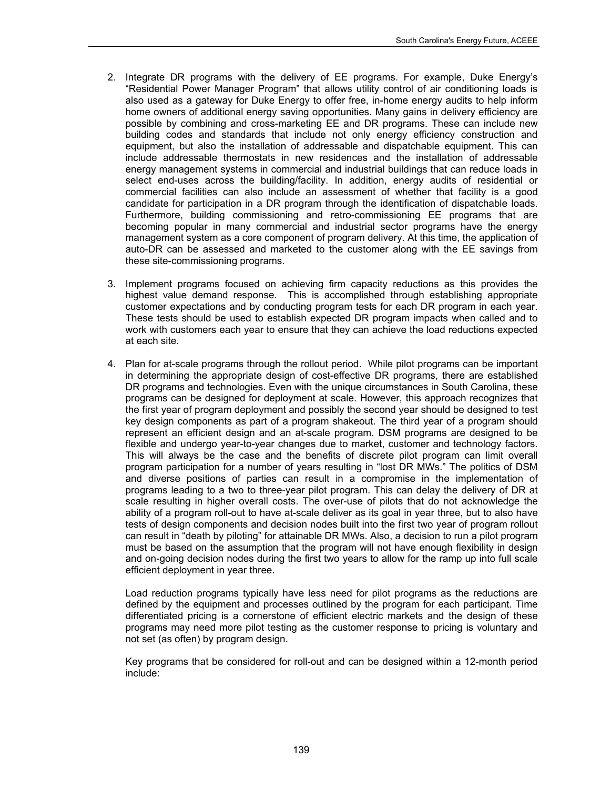- 2. Integrate DR programs with the delivery of EE programs. For example, Duke Energy's "Residential Power Manager Program" that allows utility control of air conditioning loads is also used as a gateway for Duke Energy to offer free, in-home energy audits to help inform home owners of additional energy saving opportunities. Many gains in delivery efficiency are possible by combining and cross-marketing EE and DR programs. These can include new building codes and standards that include not only energy efficiency construction and equipment, but also the installation of addressable and dispatchable equipment. This can include addressable thermostats in new residences and the installation of addressable energy management systems in commercial and industrial buildings that can reduce loads in select end-uses across the building/facility. In addition, energy audits of residential or commercial facilities can also include an assessment of whether that facility is a good candidate for participation in a DR program through the identification of dispatchable loads. Furthermore, building commissioning and retro-commissioning EE programs that are becoming popular in many commercial and industrial sector programs have the energy management system as a core component of program delivery. At this time, the application of auto-DR can be assessed and marketed to the customer along with the EE savings from these site-commissioning programs.
- 3. Implement programs focused on achieving firm capacity reductions as this provides the highest value demand response. This is accomplished through establishing appropriate customer expectations and by conducting program tests for each DR program in each year. These tests should be used to establish expected DR program impacts when called and to work with customers each year to ensure that they can achieve the load reductions expected at each site.
- 4. Plan for at-scale programs through the rollout period. While pilot programs can be important in determining the appropriate design of cost-effective DR programs, there are established DR programs and technologies. Even with the unique circumstances in South Carolina, these programs can be designed for deployment at scale. However, this approach recognizes that the first year of program deployment and possibly the second year should be designed to test key design components as part of a program shakeout. The third year of a program should represent an efficient design and an at-scale program. DSM programs are designed to be flexible and undergo year-to-year changes due to market, customer and technology factors. This will always be the case and the benefits of discrete pilot program can limit overall program participation for a number of years resulting in "lost DR MWs." The politics of DSM and diverse positions of parties can result in a compromise in the implementation of programs leading to a two to three-year pilot program. This can delay the delivery of DR at scale resulting in higher overall costs. The over-use of pilots that do not acknowledge the ability of a program roll-out to have at-scale deliver as its goal in year three, but to also have tests of design components and decision nodes built into the first two year of program rollout can result in "death by piloting" for attainable DR MWs. Also, a decision to run a pilot program must be based on the assumption that the program will not have enough flexibility in design and on-going decision nodes during the first two years to allow for the ramp up into full scale efficient deployment in year three.

Load reduction programs typically have less need for pilot programs as the reductions are defined by the equipment and processes outlined by the program for each participant. Time differentiated pricing is a cornerstone of efficient electric markets and the design of these programs may need more pilot testing as the customer response to pricing is voluntary and not set (as often) by program design.

Key programs that be considered for roll-out and can be designed within a 12-month period include: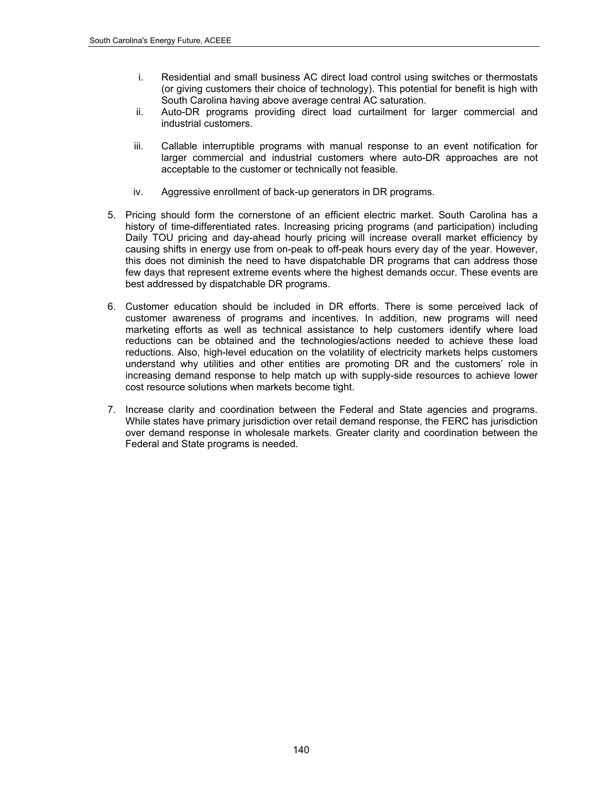- i. Residential and small business AC direct load control using switches or thermostats (or giving customers their choice of technology). This potential for benefit is high with South Carolina having above average central AC saturation.
- ii. Auto-DR programs providing direct load curtailment for larger commercial and industrial customers.
- iii. Callable interruptible programs with manual response to an event notification for larger commercial and industrial customers where auto-DR approaches are not acceptable to the customer or technically not feasible.
- iv. Aggressive enrollment of back-up generators in DR programs.
- 5. Pricing should form the cornerstone of an efficient electric market. South Carolina has a history of time-differentiated rates. Increasing pricing programs (and participation) including Daily TOU pricing and day-ahead hourly pricing will increase overall market efficiency by causing shifts in energy use from on-peak to off-peak hours every day of the year. However, this does not diminish the need to have dispatchable DR programs that can address those few days that represent extreme events where the highest demands occur. These events are best addressed by dispatchable DR programs.
- 6. Customer education should be included in DR efforts. There is some perceived lack of customer awareness of programs and incentives. In addition, new programs will need marketing efforts as well as technical assistance to help customers identify where load reductions can be obtained and the technologies/actions needed to achieve these load reductions. Also, high-level education on the volatility of electricity markets helps customers understand why utilities and other entities are promoting DR and the customers' role in increasing demand response to help match up with supply-side resources to achieve lower cost resource solutions when markets become tight.
- 7. Increase clarity and coordination between the Federal and State agencies and programs. While states have primary jurisdiction over retail demand response, the FERC has jurisdiction over demand response in wholesale markets. Greater clarity and coordination between the Federal and State programs is needed.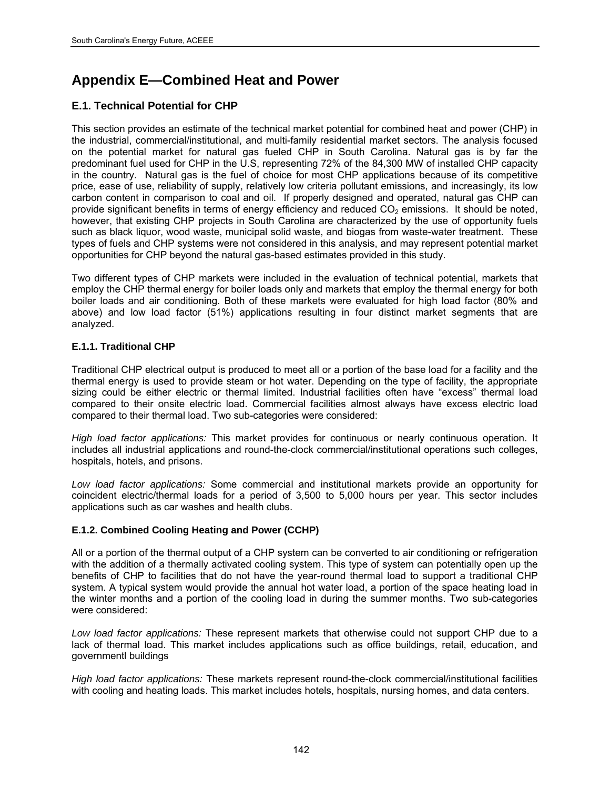# **Appendix E—Combined Heat and Power**

## **E.1. Technical Potential for CHP**

This section provides an estimate of the technical market potential for combined heat and power (CHP) in the industrial, commercial/institutional, and multi-family residential market sectors. The analysis focused on the potential market for natural gas fueled CHP in South Carolina. Natural gas is by far the predominant fuel used for CHP in the U.S, representing 72% of the 84,300 MW of installed CHP capacity in the country. Natural gas is the fuel of choice for most CHP applications because of its competitive price, ease of use, reliability of supply, relatively low criteria pollutant emissions, and increasingly, its low carbon content in comparison to coal and oil. If properly designed and operated, natural gas CHP can provide significant benefits in terms of energy efficiency and reduced  $CO<sub>2</sub>$  emissions. It should be noted, however, that existing CHP projects in South Carolina are characterized by the use of opportunity fuels such as black liquor, wood waste, municipal solid waste, and biogas from waste-water treatment. These types of fuels and CHP systems were not considered in this analysis, and may represent potential market opportunities for CHP beyond the natural gas-based estimates provided in this study.

Two different types of CHP markets were included in the evaluation of technical potential, markets that employ the CHP thermal energy for boiler loads only and markets that employ the thermal energy for both boiler loads and air conditioning. Both of these markets were evaluated for high load factor (80% and above) and low load factor (51%) applications resulting in four distinct market segments that are analyzed.

### **E.1.1. Traditional CHP**

Traditional CHP electrical output is produced to meet all or a portion of the base load for a facility and the thermal energy is used to provide steam or hot water. Depending on the type of facility, the appropriate sizing could be either electric or thermal limited. Industrial facilities often have "excess" thermal load compared to their onsite electric load. Commercial facilities almost always have excess electric load compared to their thermal load. Two sub-categories were considered:

*High load factor applications:* This market provides for continuous or nearly continuous operation. It includes all industrial applications and round-the-clock commercial/institutional operations such colleges, hospitals, hotels, and prisons.

*Low load factor applications:* Some commercial and institutional markets provide an opportunity for coincident electric/thermal loads for a period of 3,500 to 5,000 hours per year. This sector includes applications such as car washes and health clubs.

### **E.1.2. Combined Cooling Heating and Power (CCHP)**

All or a portion of the thermal output of a CHP system can be converted to air conditioning or refrigeration with the addition of a thermally activated cooling system. This type of system can potentially open up the benefits of CHP to facilities that do not have the year-round thermal load to support a traditional CHP system. A typical system would provide the annual hot water load, a portion of the space heating load in the winter months and a portion of the cooling load in during the summer months. Two sub-categories were considered:

*Low load factor applications:* These represent markets that otherwise could not support CHP due to a lack of thermal load. This market includes applications such as office buildings, retail, education, and governmentl buildings

*High load factor applications:* These markets represent round-the-clock commercial/institutional facilities with cooling and heating loads. This market includes hotels, hospitals, nursing homes, and data centers.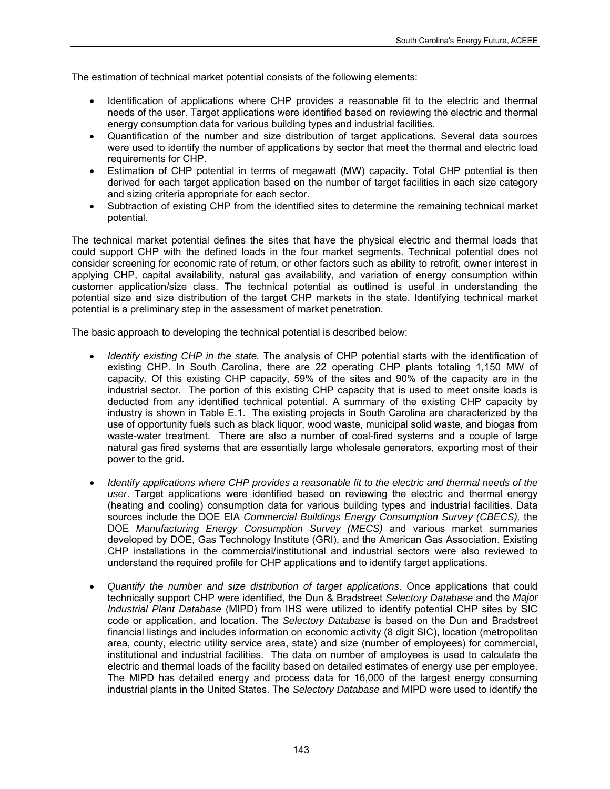The estimation of technical market potential consists of the following elements:

- Identification of applications where CHP provides a reasonable fit to the electric and thermal needs of the user. Target applications were identified based on reviewing the electric and thermal energy consumption data for various building types and industrial facilities.
- Quantification of the number and size distribution of target applications. Several data sources were used to identify the number of applications by sector that meet the thermal and electric load requirements for CHP.
- Estimation of CHP potential in terms of megawatt (MW) capacity. Total CHP potential is then derived for each target application based on the number of target facilities in each size category and sizing criteria appropriate for each sector.
- Subtraction of existing CHP from the identified sites to determine the remaining technical market potential.

The technical market potential defines the sites that have the physical electric and thermal loads that could support CHP with the defined loads in the four market segments. Technical potential does not consider screening for economic rate of return, or other factors such as ability to retrofit, owner interest in applying CHP, capital availability, natural gas availability, and variation of energy consumption within customer application/size class. The technical potential as outlined is useful in understanding the potential size and size distribution of the target CHP markets in the state. Identifying technical market potential is a preliminary step in the assessment of market penetration.

The basic approach to developing the technical potential is described below:

- *Identify existing CHP in the state.* The analysis of CHP potential starts with the identification of existing CHP. In South Carolina, there are 22 operating CHP plants totaling 1,150 MW of capacity. Of this existing CHP capacity, 59% of the sites and 90% of the capacity are in the industrial sector. The portion of this existing CHP capacity that is used to meet onsite loads is deducted from any identified technical potential. A summary of the existing CHP capacity by industry is shown in Table E.1. The existing projects in South Carolina are characterized by the use of opportunity fuels such as black liquor, wood waste, municipal solid waste, and biogas from waste-water treatment. There are also a number of coal-fired systems and a couple of large natural gas fired systems that are essentially large wholesale generators, exporting most of their power to the grid.
- *Identify applications where CHP provides a reasonable fit to the electric and thermal needs of the user*. Target applications were identified based on reviewing the electric and thermal energy (heating and cooling) consumption data for various building types and industrial facilities. Data sources include the DOE EIA *Commercial Buildings Energy Consumption Survey (CBECS),* the DOE *Manufacturing Energy Consumption Survey (MECS)* and various market summaries developed by DOE, Gas Technology Institute (GRI), and the American Gas Association. Existing CHP installations in the commercial/institutional and industrial sectors were also reviewed to understand the required profile for CHP applications and to identify target applications.
- *Quantify the number and size distribution of target applications*. Once applications that could technically support CHP were identified, the Dun & Bradstreet *Selectory Database* and the *Major Industrial Plant Database* (MIPD) from IHS were utilized to identify potential CHP sites by SIC code or application, and location. The *Selectory Database* is based on the Dun and Bradstreet financial listings and includes information on economic activity (8 digit SIC), location (metropolitan area, county, electric utility service area, state) and size (number of employees) for commercial, institutional and industrial facilities. The data on number of employees is used to calculate the electric and thermal loads of the facility based on detailed estimates of energy use per employee. The MIPD has detailed energy and process data for 16,000 of the largest energy consuming industrial plants in the United States. The *Selectory Database* and MIPD were used to identify the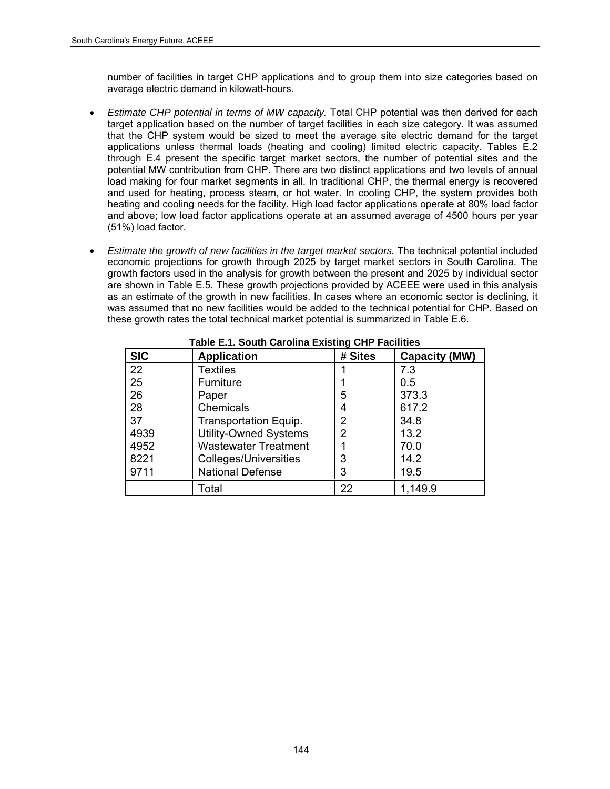number of facilities in target CHP applications and to group them into size categories based on average electric demand in kilowatt-hours.

- *Estimate CHP potential in terms of MW capacity.* Total CHP potential was then derived for each target application based on the number of target facilities in each size category. It was assumed that the CHP system would be sized to meet the average site electric demand for the target applications unless thermal loads (heating and cooling) limited electric capacity. Tables E.2 through E.4 present the specific target market sectors, the number of potential sites and the potential MW contribution from CHP. There are two distinct applications and two levels of annual load making for four market segments in all. In traditional CHP, the thermal energy is recovered and used for heating, process steam, or hot water. In cooling CHP, the system provides both heating and cooling needs for the facility. High load factor applications operate at 80% load factor and above; low load factor applications operate at an assumed average of 4500 hours per year (51%) load factor.
- *Estimate the growth of new facilities in the target market sectors.* The technical potential included economic projections for growth through 2025 by target market sectors in South Carolina. The growth factors used in the analysis for growth between the present and 2025 by individual sector are shown in Table E.5. These growth projections provided by ACEEE were used in this analysis as an estimate of the growth in new facilities. In cases where an economic sector is declining, it was assumed that no new facilities would be added to the technical potential for CHP. Based on these growth rates the total technical market potential is summarized in Table E.6.

| <b>SIC</b>        | <b>Application</b>           | # Sites | <b>Capacity (MW)</b> |
|-------------------|------------------------------|---------|----------------------|
| $22 \overline{ }$ | <b>Textiles</b>              |         | 7.3                  |
| 25                | Furniture                    |         | 0.5                  |
| 26                | Paper                        | 5       | 373.3                |
| 28                | Chemicals                    | 4       | 617.2                |
| 37                | Transportation Equip.        | 2       | 34.8                 |
| 4939              | <b>Utility-Owned Systems</b> | 2       | 13.2                 |
| 4952              | <b>Wastewater Treatment</b>  |         | 70.0                 |
| 8221              | <b>Colleges/Universities</b> | 3       | 14.2                 |
| 9711              | <b>National Defense</b>      | 3       | 19.5                 |
|                   | Total                        | 22      | 1,149.9              |

**Table E.1. South Carolina Existing CHP Facilities**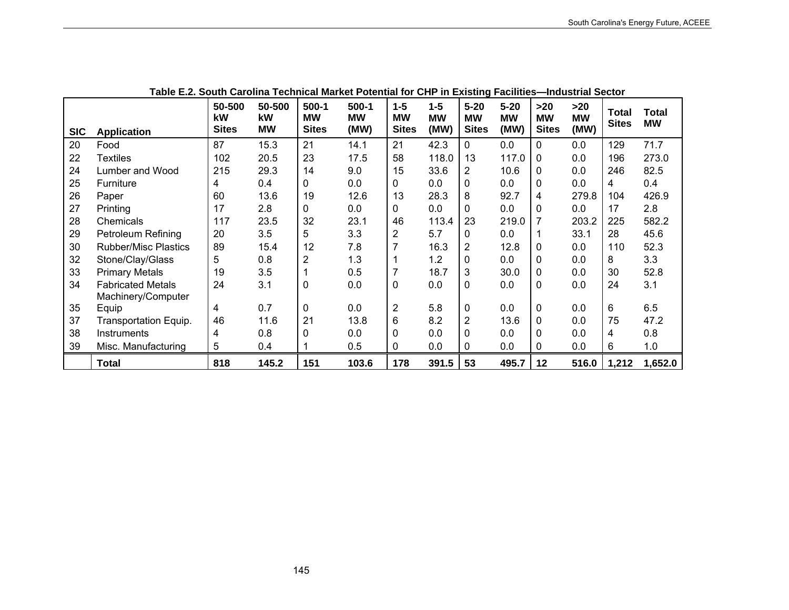| Table L.Z. Obdul barbinia Technical Market Folehuar for Ohi Thi LAISung Fachilles—Industrial Oector |                             |                              |                           |                                      |                              |                                      |                              |                                       |                               |                                  |                            |                              |                           |
|-----------------------------------------------------------------------------------------------------|-----------------------------|------------------------------|---------------------------|--------------------------------------|------------------------------|--------------------------------------|------------------------------|---------------------------------------|-------------------------------|----------------------------------|----------------------------|------------------------------|---------------------------|
| <b>SIC</b>                                                                                          | <b>Application</b>          | 50-500<br>kW<br><b>Sites</b> | 50-500<br>kW<br><b>MW</b> | $500-1$<br><b>MW</b><br><b>Sites</b> | $500-1$<br><b>MW</b><br>(MW) | $1 - 5$<br><b>MW</b><br><b>Sites</b> | $1 - 5$<br><b>MW</b><br>(MW) | $5 - 20$<br><b>MW</b><br><b>Sites</b> | $5 - 20$<br><b>MW</b><br>(MW) | >20<br><b>MW</b><br><b>Sites</b> | $>20$<br><b>MW</b><br>(MW) | <b>Total</b><br><b>Sites</b> | <b>Total</b><br><b>MW</b> |
| 20                                                                                                  | Food                        | 87                           | 15.3                      | 21                                   | 14.1                         | 21                                   | 42.3                         | 0                                     | 0.0                           | $\Omega$                         | 0.0                        | 129                          | 71.7                      |
| 22                                                                                                  | <b>Textiles</b>             | 102                          | 20.5                      | 23                                   | 17.5                         | 58                                   | 118.0                        | 13                                    | 117.0                         | $\Omega$                         | 0.0                        | 196                          | 273.0                     |
| 24                                                                                                  | Lumber and Wood             | 215                          | 29.3                      | 14                                   | 9.0                          | 15                                   | 33.6                         | 2                                     | 10.6                          | $\Omega$                         | 0.0                        | 246                          | 82.5                      |
| 25                                                                                                  | Furniture                   | 4                            | 0.4                       | 0                                    | 0.0                          | 0                                    | 0.0                          | 0                                     | 0.0                           | $\Omega$                         | 0.0                        | 4                            | 0.4                       |
| 26                                                                                                  | Paper                       | 60                           | 13.6                      | 19                                   | 12.6                         | 13                                   | 28.3                         | 8                                     | 92.7                          | 4                                | 279.8                      | 104                          | 426.9                     |
| 27                                                                                                  | Printing                    | 17                           | 2.8                       | $\Omega$                             | 0.0                          | 0                                    | 0.0                          | 0                                     | 0.0                           | $\Omega$                         | 0.0                        | 17                           | 2.8                       |
| 28                                                                                                  | Chemicals                   | 117                          | 23.5                      | 32                                   | 23.1                         | 46                                   | 113.4                        | 23                                    | 219.0                         | 7                                | 203.2                      | 225                          | 582.2                     |
| 29                                                                                                  | <b>Petroleum Refining</b>   | 20                           | 3.5                       | 5                                    | 3.3                          | 2                                    | 5.7                          | 0                                     | 0.0                           |                                  | 33.1                       | 28                           | 45.6                      |
| 30                                                                                                  | <b>Rubber/Misc Plastics</b> | 89                           | 15.4                      | 12                                   | 7.8                          | 7                                    | 16.3                         | 2                                     | 12.8                          | $\Omega$                         | 0.0                        | 110                          | 52.3                      |
| 32                                                                                                  | Stone/Clay/Glass            | 5                            | 0.8                       | $\overline{2}$                       | 1.3                          |                                      | 1.2                          | 0                                     | 0.0                           | 0                                | 0.0                        | 8                            | 3.3                       |
| 33                                                                                                  | <b>Primary Metals</b>       | 19                           | 3.5                       |                                      | 0.5                          | 7                                    | 18.7                         | 3                                     | 30.0                          | 0                                | 0.0                        | 30                           | 52.8                      |
| 34                                                                                                  | <b>Fabricated Metals</b>    | 24                           | 3.1                       | 0                                    | 0.0                          | 0                                    | 0.0                          | 0                                     | 0.0                           | 0                                | 0.0                        | 24                           | 3.1                       |
|                                                                                                     | Machinery/Computer          |                              |                           |                                      |                              |                                      |                              |                                       |                               |                                  |                            |                              |                           |
| 35                                                                                                  | Equip                       | 4                            | 0.7                       | 0                                    | 0.0                          | 2                                    | 5.8                          | 0                                     | 0.0                           | $\mathbf 0$                      | 0.0                        | 6                            | 6.5                       |
| 37                                                                                                  | Transportation Equip.       | 46                           | 11.6                      | 21                                   | 13.8                         | 6                                    | 8.2                          | $\overline{2}$                        | 13.6                          | $\Omega$                         | 0.0                        | 75                           | 47.2                      |
| 38                                                                                                  | Instruments                 | 4                            | 0.8                       | 0                                    | 0.0                          | 0                                    | 0.0                          | 0                                     | 0.0                           | $\Omega$                         | 0.0                        | 4                            | 0.8                       |
| 39                                                                                                  | Misc. Manufacturing         | 5                            | 0.4                       |                                      | 0.5                          | 0                                    | 0.0                          | 0                                     | 0.0                           | 0                                | 0.0                        | 6                            | 1.0                       |
|                                                                                                     | <b>Total</b>                | 818                          | 145.2                     | 151                                  | 103.6                        | 178                                  | 391.5                        | 53                                    | 495.7                         | 12                               | 516.0                      | 1,212                        | 1,652.0                   |

## **Table E.2. South Carolina Technical Market Potential for CHP in Existing Facilities—Industrial Sector**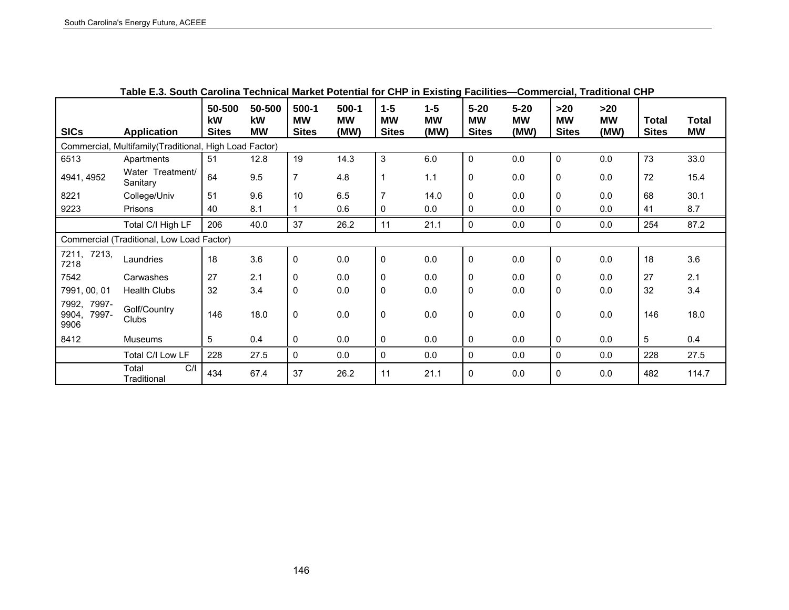|                                       | rabic L.J. Obath Odromia Technical market i Olehtiai for Ohr in Existing Facilities - Obimilercial, Fraunonal Ohr |                                     |                           |                                    |                                |                                    |                            |                                       |                               |                                  |                          |                              |                    |
|---------------------------------------|-------------------------------------------------------------------------------------------------------------------|-------------------------------------|---------------------------|------------------------------------|--------------------------------|------------------------------------|----------------------------|---------------------------------------|-------------------------------|----------------------------------|--------------------------|------------------------------|--------------------|
| <b>SICs</b>                           | <b>Application</b>                                                                                                | 50-500<br><b>kW</b><br><b>Sites</b> | 50-500<br>kW<br><b>MW</b> | 500-1<br><b>MW</b><br><b>Sites</b> | $500 - 1$<br><b>MW</b><br>(MW) | $1-5$<br><b>MW</b><br><b>Sites</b> | $1-5$<br><b>MW</b><br>(MW) | $5 - 20$<br><b>MW</b><br><b>Sites</b> | $5 - 20$<br><b>MW</b><br>(MW) | >20<br><b>MW</b><br><b>Sites</b> | >20<br><b>MW</b><br>(MW) | <b>Total</b><br><b>Sites</b> | Total<br><b>MW</b> |
|                                       | Commercial, Multifamily (Traditional, High Load Factor)                                                           |                                     |                           |                                    |                                |                                    |                            |                                       |                               |                                  |                          |                              |                    |
| 6513                                  | Apartments                                                                                                        | 51                                  | 12.8                      | 19                                 | 14.3                           | $\mathbf{3}$                       | 6.0                        | $\pmb{0}$                             | 0.0                           | 0                                | 0.0                      | 73                           | 33.0               |
| 4941, 4952                            | Water Treatment/<br>Sanitary                                                                                      | 64                                  | 9.5                       | $\overline{7}$                     | 4.8                            | $\overline{1}$                     | 1.1                        | $\pmb{0}$                             | 0.0                           | 0                                | 0.0                      | 72                           | 15.4               |
| 8221                                  | College/Univ                                                                                                      | 51                                  | 9.6                       | 10                                 | 6.5                            | $\overline{7}$                     | 14.0                       | 0                                     | 0.0                           | 0                                | 0.0                      | 68                           | 30.1               |
| 9223                                  | Prisons                                                                                                           | 40                                  | 8.1                       |                                    | 0.6                            | 0                                  | 0.0                        | 0                                     | 0.0                           | 0                                | 0.0                      | 41                           | 8.7                |
|                                       | Total C/I High LF                                                                                                 | 206                                 | 40.0                      | 37                                 | 26.2                           | 11                                 | 21.1                       | $\pmb{0}$                             | 0.0                           | 0                                | 0.0                      | 254                          | 87.2               |
|                                       | Commercial (Traditional, Low Load Factor)                                                                         |                                     |                           |                                    |                                |                                    |                            |                                       |                               |                                  |                          |                              |                    |
| 7211, 7213,<br>7218                   | Laundries                                                                                                         | 18                                  | 3.6                       | $\mathbf 0$                        | 0.0                            | $\pmb{0}$                          | 0.0                        | $\pmb{0}$                             | 0.0                           | 0                                | 0.0                      | 18                           | 3.6                |
| 7542                                  | Carwashes                                                                                                         | 27                                  | 2.1                       | $\mathbf 0$                        | 0.0                            | $\mathbf 0$                        | 0.0                        | 0                                     | 0.0                           | 0                                | 0.0                      | 27                           | 2.1                |
| 7991, 00, 01                          | <b>Health Clubs</b>                                                                                               | 32                                  | 3.4                       | $\mathbf 0$                        | 0.0                            | $\mathbf 0$                        | 0.0                        | 0                                     | 0.0                           | $\mathbf 0$                      | 0.0                      | 32                           | 3.4                |
| 7992, 7997-<br>9904,<br>7997-<br>9906 | Golf/Country<br>Clubs                                                                                             | 146                                 | 18.0                      | $\mathbf 0$                        | 0.0                            | $\mathbf 0$                        | 0.0                        | $\pmb{0}$                             | 0.0                           | 0                                | 0.0                      | 146                          | 18.0               |
| 8412                                  | Museums                                                                                                           | 5                                   | 0.4                       | $\mathbf 0$                        | 0.0                            | 0                                  | 0.0                        | 0                                     | 0.0                           | 0                                | 0.0                      | 5                            | 0.4                |
|                                       | Total C/I Low LF                                                                                                  | 228                                 | 27.5                      | $\mathbf 0$                        | 0.0                            | 0                                  | 0.0                        | $\pmb{0}$                             | 0.0                           | 0                                | 0.0                      | 228                          | 27.5               |
|                                       | C/I<br>Total<br>Traditional                                                                                       | 434                                 | 67.4                      | 37                                 | 26.2                           | 11                                 | 21.1                       | 0                                     | 0.0                           | 0                                | 0.0                      | 482                          | 114.7              |

**Table E.3. South Carolina Technical Market Potential for CHP in Existing Facilities—Commercial, Traditional CHP**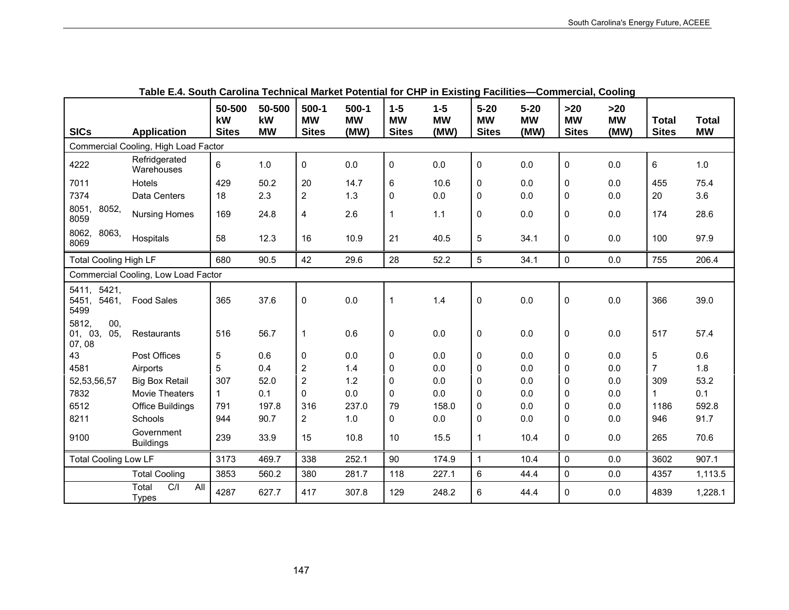|                                       | rapic E.m. Obath Odromia Teomnodi market i otomiai ibi Orin ini Exioting i abilitico |                              |                           |                                      |                              |                                    |                              |                                       |                               | sommorolal, ooomig                 |                            |                              |                           |
|---------------------------------------|--------------------------------------------------------------------------------------|------------------------------|---------------------------|--------------------------------------|------------------------------|------------------------------------|------------------------------|---------------------------------------|-------------------------------|------------------------------------|----------------------------|------------------------------|---------------------------|
| <b>SICs</b>                           | <b>Application</b>                                                                   | 50-500<br>kW<br><b>Sites</b> | 50-500<br>kW<br><b>MW</b> | $500-1$<br><b>MW</b><br><b>Sites</b> | $500-1$<br><b>MW</b><br>(MW) | $1-5$<br><b>MW</b><br><b>Sites</b> | $1 - 5$<br><b>MW</b><br>(MW) | $5 - 20$<br><b>MW</b><br><b>Sites</b> | $5 - 20$<br><b>MW</b><br>(MW) | $>20$<br><b>MW</b><br><b>Sites</b> | $>20$<br><b>MW</b><br>(MW) | <b>Total</b><br><b>Sites</b> | <b>Total</b><br><b>MW</b> |
|                                       | Commercial Cooling, High Load Factor                                                 |                              |                           |                                      |                              |                                    |                              |                                       |                               |                                    |                            |                              |                           |
| 4222                                  | Refridgerated<br>Warehouses                                                          | 6                            | 1.0                       | $\pmb{0}$                            | 0.0                          | $\pmb{0}$                          | 0.0                          | 0                                     | 0.0                           | 0                                  | 0.0                        | 6                            | $1.0\,$                   |
| 7011                                  | Hotels                                                                               | 429                          | 50.2                      | 20                                   | 14.7                         | 6                                  | 10.6                         | 0                                     | 0.0                           | $\Omega$                           | 0.0                        | 455                          | 75.4                      |
| 7374                                  | Data Centers                                                                         | 18                           | 2.3                       | $\overline{2}$                       | 1.3                          | $\mathbf{0}$                       | 0.0                          | 0                                     | 0.0                           | $\mathbf{0}$                       | 0.0                        | 20                           | 3.6                       |
| 8051,<br>8052,<br>8059                | <b>Nursing Homes</b>                                                                 | 169                          | 24.8                      | 4                                    | 2.6                          | $\mathbf{1}$                       | 1.1                          | 0                                     | 0.0                           | 0                                  | 0.0                        | 174                          | 28.6                      |
| 8062, 8063,<br>8069                   | Hospitals                                                                            | 58                           | 12.3                      | 16                                   | 10.9                         | 21                                 | 40.5                         | 5                                     | 34.1                          | 0                                  | 0.0                        | 100                          | 97.9                      |
| <b>Total Cooling High LF</b>          |                                                                                      | 680                          | 90.5                      | 42                                   | 29.6                         | 28                                 | 52.2                         | 5                                     | 34.1                          | 0                                  | 0.0                        | 755                          | 206.4                     |
|                                       | Commercial Cooling, Low Load Factor                                                  |                              |                           |                                      |                              |                                    |                              |                                       |                               |                                    |                            |                              |                           |
| 5411, 5421,<br>5451,<br>5461,<br>5499 | <b>Food Sales</b>                                                                    | 365                          | 37.6                      | $\mathbf 0$                          | 0.0                          | $\mathbf 1$                        | 1.4                          | 0                                     | 0.0                           | $\mathbf 0$                        | 0.0                        | 366                          | 39.0                      |
| 5812,<br>00,<br>01, 03, 05,<br>07,08  | Restaurants                                                                          | 516                          | 56.7                      | $\mathbf{1}$                         | 0.6                          | 0                                  | 0.0                          | 0                                     | 0.0                           | $\mathbf 0$                        | 0.0                        | 517                          | 57.4                      |
| 43                                    | Post Offices                                                                         | $\overline{5}$               | 0.6                       | $\mathbf{0}$                         | 0.0                          | 0                                  | 0.0                          | 0                                     | 0.0                           | $\mathbf{0}$                       | 0.0                        | 5                            | 0.6                       |
| 4581                                  | Airports                                                                             | 5                            | 0.4                       | $\overline{2}$                       | 1.4                          | 0                                  | 0.0                          | 0                                     | 0.0                           | 0                                  | 0.0                        | 7                            | 1.8                       |
| 52,53,56,57                           | <b>Big Box Retail</b>                                                                | 307                          | 52.0                      | $\overline{2}$                       | 1.2                          | 0                                  | 0.0                          | 0                                     | 0.0                           | $\mathbf{0}$                       | 0.0                        | 309                          | 53.2                      |
| 7832                                  | Movie Theaters                                                                       | $\mathbf{1}$                 | 0.1                       | $\Omega$                             | 0.0                          | $\mathbf{0}$                       | 0.0                          | 0                                     | 0.0                           | 0                                  | 0.0                        | 1                            | 0.1                       |
| 6512                                  | Office Buildings                                                                     | 791                          | 197.8                     | 316                                  | 237.0                        | 79                                 | 158.0                        | 0                                     | 0.0                           | 0                                  | 0.0                        | 1186                         | 592.8                     |
| 8211                                  | Schools                                                                              | 944                          | 90.7                      | $\overline{2}$                       | 1.0                          | $\mathbf{0}$                       | 0.0                          | 0                                     | 0.0                           | 0                                  | 0.0                        | 946                          | 91.7                      |
| 9100                                  | Government<br><b>Buildings</b>                                                       | 239                          | 33.9                      | 15                                   | 10.8                         | 10                                 | 15.5                         | $\mathbf{1}$                          | 10.4                          | 0                                  | 0.0                        | 265                          | 70.6                      |
| <b>Total Cooling Low LF</b>           |                                                                                      | 3173                         | 469.7                     | 338                                  | 252.1                        | 90                                 | 174.9                        | $\mathbf{1}$                          | 10.4                          | 0                                  | 0.0                        | 3602                         | 907.1                     |
|                                       | <b>Total Cooling</b>                                                                 | 3853                         | 560.2                     | 380                                  | 281.7                        | 118                                | 227.1                        | 6                                     | 44.4                          | 0                                  | 0.0                        | 4357                         | 1,113.5                   |
|                                       | C/I<br>Total<br>All<br><b>Types</b>                                                  | 4287                         | 627.7                     | 417                                  | 307.8                        | 129                                | 248.2                        | 6                                     | 44.4                          | 0                                  | 0.0                        | 4839                         | 1,228.1                   |

| Table E.4. South Carolina Technical Market Potential for CHP in Existing Facilities—Commercial, Cooling |  |
|---------------------------------------------------------------------------------------------------------|--|
|---------------------------------------------------------------------------------------------------------|--|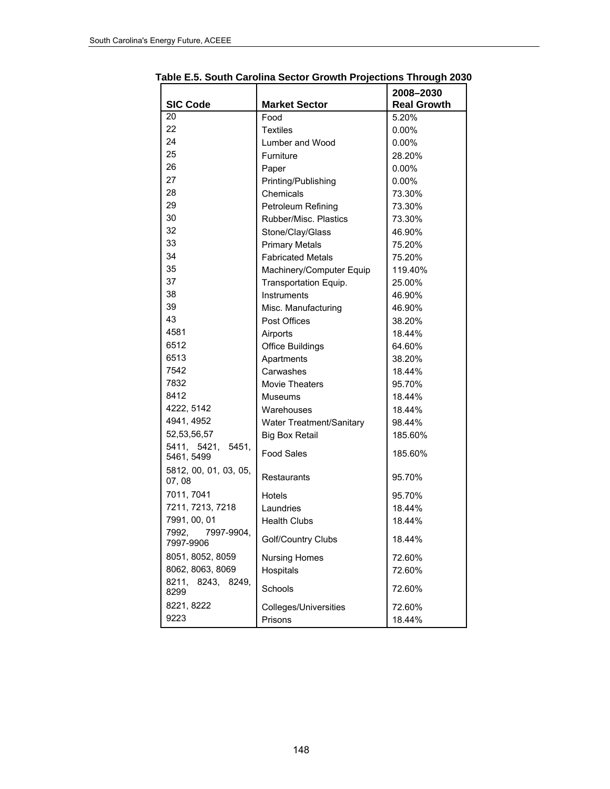|                                 |                          | 2008-2030          |  |
|---------------------------------|--------------------------|--------------------|--|
| <b>SIC Code</b>                 | <b>Market Sector</b>     | <b>Real Growth</b> |  |
| 20                              | Food                     | 5.20%              |  |
| 22                              | <b>Textiles</b>          | $0.00\%$           |  |
| 24                              | Lumber and Wood          | 0.00%              |  |
| 25                              | Furniture                | 28.20%             |  |
| 26                              | Paper                    | $0.00\%$           |  |
| 27                              | Printing/Publishing      | $0.00\%$           |  |
| 28                              | Chemicals                | 73.30%             |  |
| 29                              | Petroleum Refining       | 73.30%             |  |
| 30                              | Rubber/Misc. Plastics    | 73.30%             |  |
| 32                              | Stone/Clay/Glass         | 46.90%             |  |
| 33                              | <b>Primary Metals</b>    | 75.20%             |  |
| 34                              | <b>Fabricated Metals</b> | 75.20%             |  |
| 35                              | Machinery/Computer Equip | 119.40%            |  |
| 37                              | Transportation Equip.    | 25.00%             |  |
| 38                              | Instruments              | 46.90%             |  |
| 39                              | Misc. Manufacturing      | 46.90%             |  |
| 43                              | Post Offices             | 38.20%             |  |
| 4581                            | Airports                 | 18.44%             |  |
| 6512                            | <b>Office Buildings</b>  | 64.60%             |  |
| 6513                            | Apartments               | 38.20%             |  |
| 7542                            | Carwashes                | 18.44%             |  |
| 7832                            | <b>Movie Theaters</b>    | 95.70%             |  |
| 8412                            | Museums                  | 18.44%             |  |
| 4222, 5142                      | Warehouses               | 18.44%             |  |
| 4941, 4952                      | Water Treatment/Sanitary | 98.44%             |  |
| 52,53,56,57                     | <b>Big Box Retail</b>    | 185.60%            |  |
| 5411, 5421, 5451,<br>5461, 5499 | <b>Food Sales</b>        | 185.60%            |  |
| 5812, 00, 01, 03, 05,<br>07,08  | Restaurants              | 95.70%             |  |
| 7011, 7041                      | Hotels                   | 95.70%             |  |
| 7211, 7213, 7218                | Laundries                | 18.44%             |  |
| 7991, 00, 01                    | <b>Health Clubs</b>      | 18.44%             |  |
| 7992, 7997-9904.<br>7997-9906   | Golf/Country Clubs       | 18.44%             |  |
| 8051, 8052, 8059                | <b>Nursing Homes</b>     | 72.60%             |  |
| 8062, 8063, 8069                | Hospitals                | 72.60%             |  |
| 8211, 8243,<br>8249.<br>8299    | Schools                  | 72.60%             |  |
| 8221, 8222                      | Colleges/Universities    | 72.60%             |  |
| 9223                            | Prisons                  | 18.44%             |  |

**Table E.5. South Carolina Sector Growth Projections Through 2030**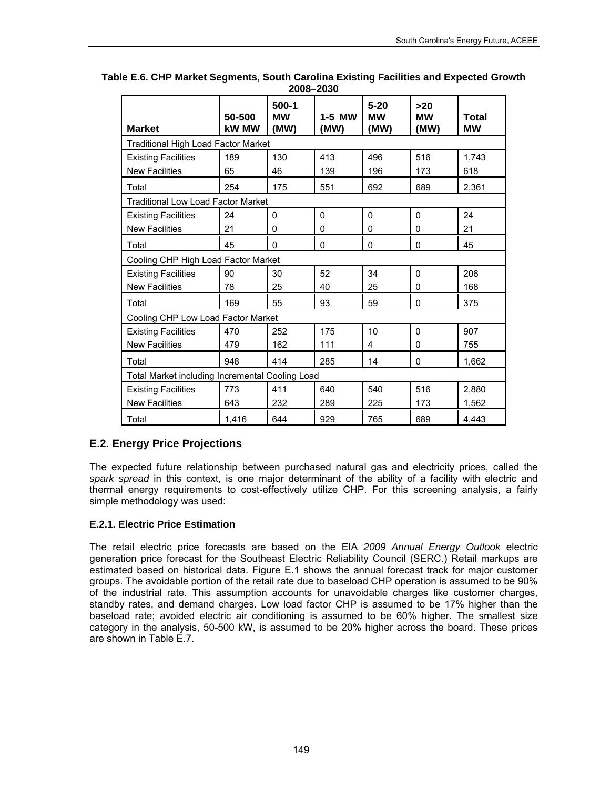| <b>Market</b>                                   | 50-500<br><b>kW MW</b>             | $500-1$<br><b>MW</b><br>(MW) | 1-5 MW<br>(MW) | $5 - 20$<br><b>MW</b><br>(MW) | $>20$<br><b>MW</b><br>(MW) | <b>Total</b><br><b>MW</b> |
|-------------------------------------------------|------------------------------------|------------------------------|----------------|-------------------------------|----------------------------|---------------------------|
| <b>Traditional High Load Factor Market</b>      |                                    |                              |                |                               |                            |                           |
| <b>Existing Facilities</b>                      | 189                                | 130                          | 413            | 496                           | 516                        | 1,743                     |
| <b>New Facilities</b>                           | 65                                 | 46                           | 139            | 196                           | 173                        | 618                       |
| Total                                           | 254                                | 175                          | 551            | 692                           | 689                        | 2,361                     |
| <b>Traditional Low Load Factor Market</b>       |                                    |                              |                |                               |                            |                           |
| <b>Existing Facilities</b>                      | 24                                 | 0                            | $\mathbf{0}$   | $\Omega$                      | $\Omega$                   | 24                        |
| <b>New Facilities</b>                           | 21                                 | 0                            | 0              | $\mathbf 0$                   | $\Omega$                   | 21                        |
| Total                                           | 45                                 | 0                            | 0              | 0                             | $\mathbf{0}$               | 45                        |
| Cooling CHP High Load Factor Market             |                                    |                              |                |                               |                            |                           |
| <b>Existing Facilities</b>                      | 90                                 | 30                           | 52             | 34                            | $\mathbf{0}$               | 206                       |
| <b>New Facilities</b>                           | 78                                 | 25                           | 40             | 25                            | 0                          | 168                       |
| Total                                           | 169                                | 55                           | 93             | 59                            | $\mathbf{0}$               | 375                       |
|                                                 | Cooling CHP Low Load Factor Market |                              |                |                               |                            |                           |
| <b>Existing Facilities</b>                      | 470                                | 252                          | 175            | 10                            | $\mathbf{0}$               | 907                       |
| <b>New Facilities</b>                           | 479                                | 162                          | 111            | 4                             | 0                          | 755                       |
| Total                                           | 948                                | 414                          | 285            | 14                            | $\mathbf{0}$               | 1,662                     |
| Total Market including Incremental Cooling Load |                                    |                              |                |                               |                            |                           |
| <b>Existing Facilities</b>                      | 773                                | 411                          | 640            | 540                           | 516                        | 2,880                     |
| <b>New Facilities</b>                           | 643                                | 232                          | 289            | 225                           | 173                        | 1,562                     |
| Total                                           | 1,416                              | 644                          | 929            | 765                           | 689                        | 4,443                     |

**Table E.6. CHP Market Segments, South Carolina Existing Facilities and Expected Growth 2008–2030** 

# **E.2. Energy Price Projections**

The expected future relationship between purchased natural gas and electricity prices, called the *spark spread* in this context, is one major determinant of the ability of a facility with electric and thermal energy requirements to cost-effectively utilize CHP. For this screening analysis, a fairly simple methodology was used:

### **E.2.1. Electric Price Estimation**

The retail electric price forecasts are based on the EIA *2009 Annual Energy Outlook* electric generation price forecast for the Southeast Electric Reliability Council (SERC.) Retail markups are estimated based on historical data. Figure E.1 shows the annual forecast track for major customer groups. The avoidable portion of the retail rate due to baseload CHP operation is assumed to be 90% of the industrial rate. This assumption accounts for unavoidable charges like customer charges, standby rates, and demand charges. Low load factor CHP is assumed to be 17% higher than the baseload rate; avoided electric air conditioning is assumed to be 60% higher. The smallest size category in the analysis, 50-500 kW, is assumed to be 20% higher across the board. These prices are shown in Table E.7.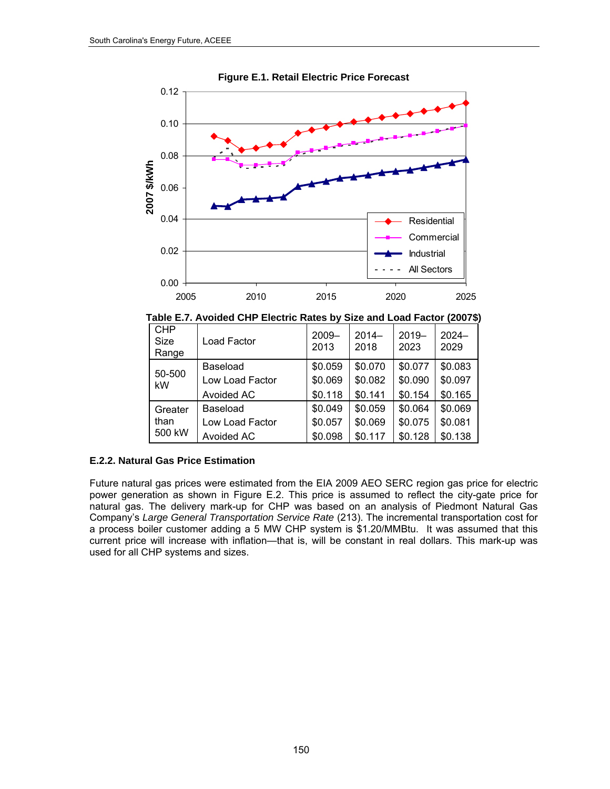



|                           | Table E.7. Avoided CHP Electric Rates by Size and Load Factor (2007\$) |  |                                                                 |
|---------------------------|------------------------------------------------------------------------|--|-----------------------------------------------------------------|
| I CHP<br>C <sub>170</sub> | $1$ Lood Easter                                                        |  | $\vert$ 2009- $\vert$ 2014- $\vert$ 2019- $\vert$ 2024- $\vert$ |

| <b>CHP</b><br><b>Size</b><br>Range | Load Factor     | $2009 -$<br>2013 | $2014-$<br>2018 | $2019 -$<br>2023 | $2024 -$<br>2029 |
|------------------------------------|-----------------|------------------|-----------------|------------------|------------------|
| 50-500                             | Baseload        | \$0.059          | \$0.070         | \$0.077          | \$0.083          |
| kW                                 | Low Load Factor | \$0.069          | \$0.082         | \$0.090          | \$0.097          |
|                                    | Avoided AC      | \$0.118          | \$0.141         | \$0.154          | \$0.165          |
| Greater                            | Baseload        | \$0.049          | \$0.059         | \$0.064          | \$0.069          |
| than                               | Low Load Factor | \$0.057          | \$0.069         | \$0.075          | \$0.081          |
| 500 kW                             | Avoided AC      | \$0.098          | \$0.117         | \$0.128          | \$0.138          |

### **E.2.2. Natural Gas Price Estimation**

Future natural gas prices were estimated from the EIA 2009 AEO SERC region gas price for electric power generation as shown in Figure E.2. This price is assumed to reflect the city-gate price for natural gas. The delivery mark-up for CHP was based on an analysis of Piedmont Natural Gas Company's *Large General Transportation Service Rate* (213). The incremental transportation cost for a process boiler customer adding a 5 MW CHP system is \$1.20/MMBtu. It was assumed that this current price will increase with inflation—that is, will be constant in real dollars. This mark-up was used for all CHP systems and sizes.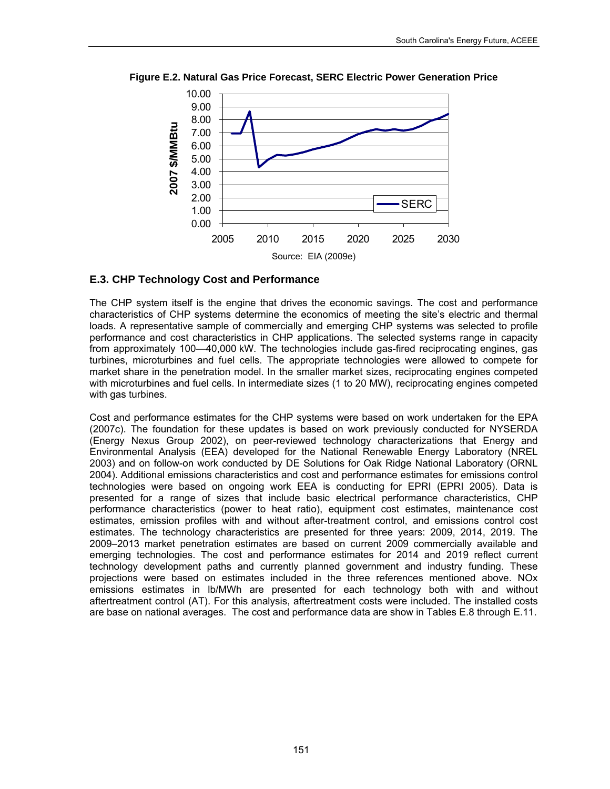

**Figure E.2. Natural Gas Price Forecast, SERC Electric Power Generation Price** 

### **E.3. CHP Technology Cost and Performance**

The CHP system itself is the engine that drives the economic savings. The cost and performance characteristics of CHP systems determine the economics of meeting the site's electric and thermal loads. A representative sample of commercially and emerging CHP systems was selected to profile performance and cost characteristics in CHP applications. The selected systems range in capacity from approximately 100—40,000 kW. The technologies include gas-fired reciprocating engines, gas turbines, microturbines and fuel cells. The appropriate technologies were allowed to compete for market share in the penetration model. In the smaller market sizes, reciprocating engines competed with microturbines and fuel cells. In intermediate sizes (1 to 20 MW), reciprocating engines competed with gas turbines.

Cost and performance estimates for the CHP systems were based on work undertaken for the EPA (2007c). The foundation for these updates is based on work previously conducted for NYSERDA (Energy Nexus Group 2002), on peer-reviewed technology characterizations that Energy and Environmental Analysis (EEA) developed for the National Renewable Energy Laboratory (NREL 2003) and on follow-on work conducted by DE Solutions for Oak Ridge National Laboratory (ORNL 2004). Additional emissions characteristics and cost and performance estimates for emissions control technologies were based on ongoing work EEA is conducting for EPRI (EPRI 2005). Data is presented for a range of sizes that include basic electrical performance characteristics, CHP performance characteristics (power to heat ratio), equipment cost estimates, maintenance cost estimates, emission profiles with and without after-treatment control, and emissions control cost estimates. The technology characteristics are presented for three years: 2009, 2014, 2019. The 2009–2013 market penetration estimates are based on current 2009 commercially available and emerging technologies. The cost and performance estimates for 2014 and 2019 reflect current technology development paths and currently planned government and industry funding. These projections were based on estimates included in the three references mentioned above. NOx emissions estimates in lb/MWh are presented for each technology both with and without aftertreatment control (AT). For this analysis, aftertreatment costs were included. The installed costs are base on national averages. The cost and performance data are show in Tables E.8 through E.11.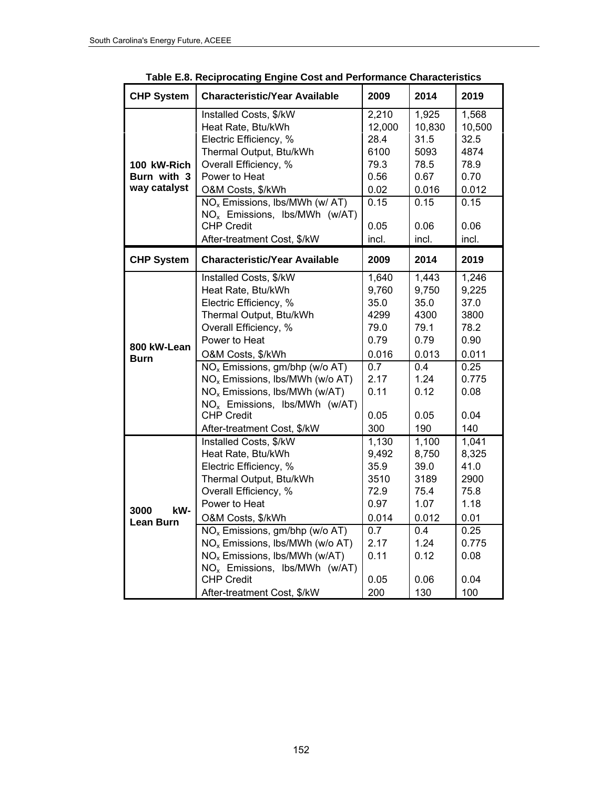| <b>CHP System</b>          | <b>Characteristic/Year Available</b>                           | 2009   | 2014   | 2019   |
|----------------------------|----------------------------------------------------------------|--------|--------|--------|
|                            | Installed Costs, \$/kW                                         | 2,210  | 1,925  | 1,568  |
|                            | Heat Rate, Btu/kWh                                             | 12,000 | 10,830 | 10,500 |
|                            | Electric Efficiency, %                                         | 28.4   | 31.5   | 32.5   |
|                            | Thermal Output, Btu/kWh                                        | 6100   | 5093   | 4874   |
| 100 kW-Rich                | Overall Efficiency, %                                          | 79.3   | 78.5   | 78.9   |
| Burn with 3                | Power to Heat                                                  | 0.56   | 0.67   | 0.70   |
| way catalyst               | O&M Costs, \$/kWh                                              | 0.02   | 0.016  | 0.012  |
|                            | NO <sub>x</sub> Emissions, Ibs/MWh (w/ AT)                     | 0.15   | 0.15   | 0.15   |
|                            | NO <sub>x</sub> Emissions, Ibs/MWh (w/AT)                      |        |        |        |
|                            | <b>CHP Credit</b>                                              | 0.05   | 0.06   | 0.06   |
|                            | After-treatment Cost, \$/kW                                    | incl.  | incl.  | incl.  |
| <b>CHP System</b>          | <b>Characteristic/Year Available</b>                           | 2009   | 2014   | 2019   |
|                            | Installed Costs, \$/kW                                         | 1,640  | 1,443  | 1,246  |
| 800 kW-Lean<br><b>Burn</b> | Heat Rate, Btu/kWh                                             | 9,760  | 9,750  | 9,225  |
|                            | Electric Efficiency, %                                         | 35.0   | 35.0   | 37.0   |
|                            | Thermal Output, Btu/kWh                                        | 4299   | 4300   | 3800   |
|                            | Overall Efficiency, %                                          | 79.0   | 79.1   | 78.2   |
|                            | Power to Heat                                                  | 0.79   | 0.79   | 0.90   |
|                            | O&M Costs, \$/kWh                                              | 0.016  | 0.013  | 0.011  |
|                            | NO <sub>x</sub> Emissions, gm/bhp (w/o AT)                     | 0.7    | 0.4    | 0.25   |
|                            | NO <sub>x</sub> Emissions, Ibs/MWh (w/o AT)                    | 2.17   | 1.24   | 0.775  |
|                            | NO <sub>x</sub> Emissions, Ibs/MWh (w/AT)                      | 0.11   | 0.12   | 0.08   |
|                            | NO <sub>x</sub> Emissions, Ibs/MWh (w/AT)                      |        |        |        |
|                            | <b>CHP Credit</b>                                              | 0.05   | 0.05   | 0.04   |
|                            | After-treatment Cost, \$/kW                                    | 300    | 190    | 140    |
|                            | Installed Costs, \$/kW                                         | 1,130  | 1,100  | 1,041  |
| kW-<br>3000                | Heat Rate, Btu/kWh                                             | 9,492  | 8,750  | 8,325  |
|                            | Electric Efficiency, %                                         | 35.9   | 39.0   | 41.0   |
|                            | Thermal Output, Btu/kWh                                        | 3510   | 3189   | 2900   |
|                            | Overall Efficiency, %                                          | 72.9   | 75.4   | 75.8   |
|                            | Power to Heat                                                  | 0.97   | 1.07   | 1.18   |
| <b>Lean Burn</b>           | O&M Costs, \$/kWh                                              | 0.014  | 0.012  | 0.01   |
|                            | NO <sub>x</sub> Emissions, gm/bhp (w/o AT)                     | 0.7    | 0.4    | 0.25   |
|                            | NO <sub>x</sub> Emissions, Ibs/MWh (w/o AT)                    | 2.17   | 1.24   | 0.775  |
|                            | NO <sub>x</sub> Emissions, Ibs/MWh (w/AT)                      | 0.11   | 0.12   | 0.08   |
|                            | NO <sub>x</sub> Emissions, Ibs/MWh (w/AT)<br><b>CHP Credit</b> | 0.05   | 0.06   | 0.04   |
|                            | After-treatment Cost, \$/kW                                    | 200    | 130    | 100    |
|                            |                                                                |        |        |        |

**Table E.8. Reciprocating Engine Cost and Performance Characteristics**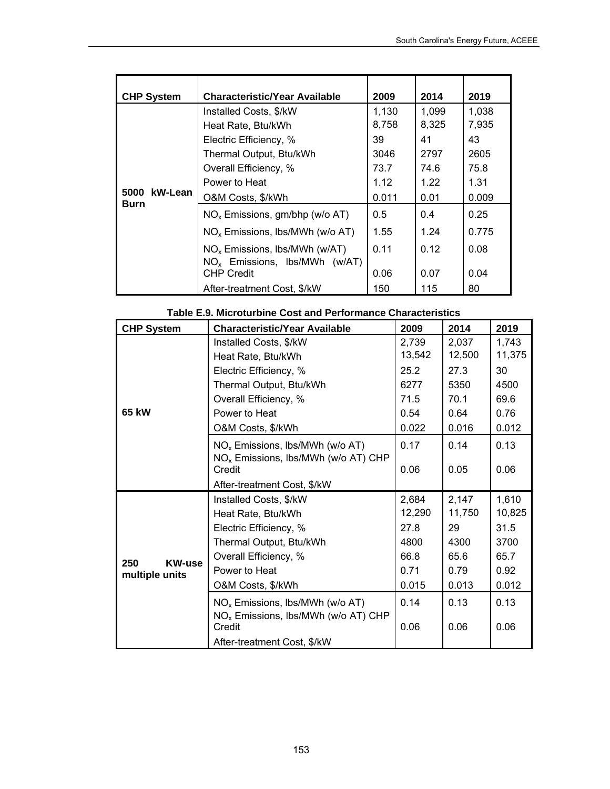| <b>CHP System</b> | <b>Characteristic/Year Available</b>                                                                                                                                                             | 2009                                                  | 2014                                                 | 2019                                                  |
|-------------------|--------------------------------------------------------------------------------------------------------------------------------------------------------------------------------------------------|-------------------------------------------------------|------------------------------------------------------|-------------------------------------------------------|
| 5000 kW-Lean      | Installed Costs, \$/kW<br>Heat Rate, Btu/kWh<br>Electric Efficiency, %<br>Thermal Output, Btu/kWh<br>Overall Efficiency, %<br>Power to Heat<br>O&M Costs, \$/kWh                                 | 1,130<br>8,758<br>39<br>3046<br>73.7<br>1.12<br>0.011 | 1,099<br>8,325<br>41<br>2797<br>74.6<br>1.22<br>0.01 | 1,038<br>7,935<br>43<br>2605<br>75.8<br>1.31<br>0.009 |
| Burn              | $NOx$ Emissions, gm/bhp (w/o AT)<br>$NOx$ Emissions, lbs/MWh (w/o AT)<br>$NOx$ Emissions, Ibs/MWh (w/AT)<br>$NO_x$ Emissions, Ibs/MWh (w/AT)<br><b>CHP Credit</b><br>After-treatment Cost, \$/kW | 0.5<br>1.55<br>0.11<br>0.06<br>150                    | 0.4<br>1.24<br>0.12<br>0.07<br>115                   | 0.25<br>0.775<br>0.08<br>0.04<br>80                   |

|  | Table E.9. Microturbine Cost and Performance Characteristics |  |  |
|--|--------------------------------------------------------------|--|--|
|--|--------------------------------------------------------------|--|--|

| <b>CHP System</b>                      | <b>Characteristic/Year Available</b>                      | 2009   | 2014   | 2019   |
|----------------------------------------|-----------------------------------------------------------|--------|--------|--------|
|                                        | Installed Costs, \$/kW                                    | 2,739  | 2,037  | 1,743  |
|                                        | Heat Rate, Btu/kWh                                        | 13,542 | 12,500 | 11,375 |
|                                        | Electric Efficiency, %                                    | 25.2   | 27.3   | 30     |
|                                        | Thermal Output, Btu/kWh                                   | 6277   | 5350   | 4500   |
|                                        | Overall Efficiency, %                                     | 71.5   | 70.1   | 69.6   |
| 65 kW                                  | Power to Heat                                             | 0.54   | 0.64   | 0.76   |
|                                        | O&M Costs, \$/kWh                                         | 0.022  | 0.016  | 0.012  |
|                                        | NO <sub>x</sub> Emissions, Ibs/MWh (w/o AT)               | 0.17   | 0.14   | 0.13   |
|                                        | NO <sub>x</sub> Emissions, Ibs/MWh (w/o AT) CHP<br>Credit | 0.06   | 0.05   | 0.06   |
|                                        | After-treatment Cost, \$/kW                               |        |        |        |
|                                        | Installed Costs, \$/kW                                    | 2,684  | 2,147  | 1,610  |
|                                        | Heat Rate, Btu/kWh                                        | 12,290 | 11,750 | 10,825 |
|                                        | Electric Efficiency, %                                    | 27.8   | 29     | 31.5   |
|                                        | Thermal Output, Btu/kWh                                   | 4800   | 4300   | 3700   |
| 250<br><b>KW-use</b><br>multiple units | Overall Efficiency, %                                     | 66.8   | 65.6   | 65.7   |
|                                        | Power to Heat                                             | 0.71   | 0.79   | 0.92   |
|                                        | O&M Costs, \$/kWh                                         | 0.015  | 0.013  | 0.012  |
|                                        | $NOx$ Emissions, Ibs/MWh (w/o AT)                         | 0.14   | 0.13   | 0.13   |
|                                        | NO <sub>x</sub> Emissions, Ibs/MWh (w/o AT) CHP<br>Credit | 0.06   | 0.06   | 0.06   |
|                                        | After-treatment Cost, \$/kW                               |        |        |        |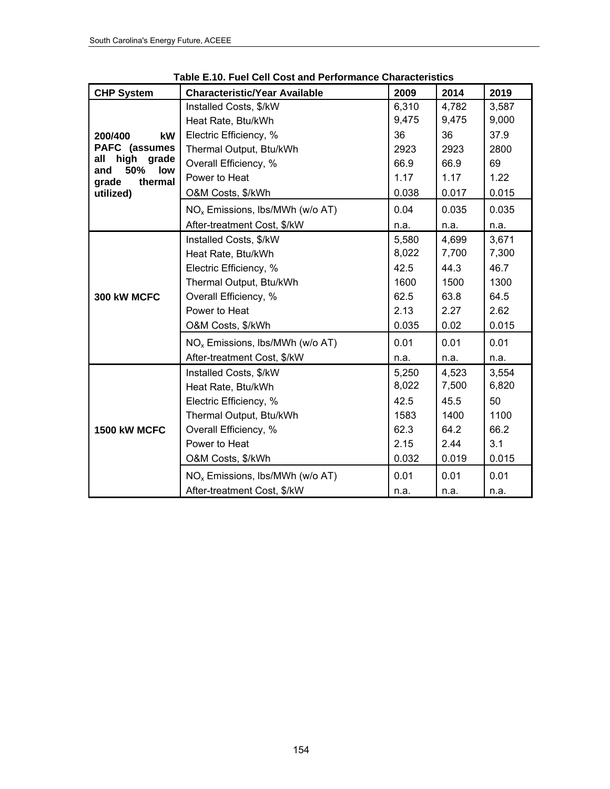| <b>CHP System</b>                     | <b>Characteristic/Year Available</b>        | 2009  | 2014  | 2019  |
|---------------------------------------|---------------------------------------------|-------|-------|-------|
|                                       | Installed Costs, \$/kW                      | 6,310 | 4,782 | 3,587 |
|                                       |                                             | 9,475 | 9,475 | 9,000 |
|                                       | Heat Rate, Btu/kWh                          |       |       |       |
| 200/400<br>kW                         | Electric Efficiency, %                      | 36    | 36    | 37.9  |
| PAFC (assumes<br>high<br>grade<br>all | Thermal Output, Btu/kWh                     | 2923  | 2923  | 2800  |
| 50%<br>low<br>and                     | Overall Efficiency, %                       | 66.9  | 66.9  | 69    |
| thermal<br>grade                      | Power to Heat                               | 1.17  | 1.17  | 1.22  |
| utilized)                             | O&M Costs, \$/kWh                           | 0.038 | 0.017 | 0.015 |
|                                       | NO <sub>x</sub> Emissions, Ibs/MWh (w/o AT) | 0.04  | 0.035 | 0.035 |
|                                       | After-treatment Cost, \$/kW                 | n.a.  | n.a.  | n.a.  |
|                                       | Installed Costs, \$/kW                      | 5,580 | 4,699 | 3,671 |
| 300 kW MCFC                           | Heat Rate, Btu/kWh                          | 8,022 | 7,700 | 7,300 |
|                                       | Electric Efficiency, %                      | 42.5  | 44.3  | 46.7  |
|                                       | Thermal Output, Btu/kWh                     | 1600  | 1500  | 1300  |
|                                       | Overall Efficiency, %                       | 62.5  | 63.8  | 64.5  |
|                                       | Power to Heat                               | 2.13  | 2.27  | 2.62  |
|                                       | O&M Costs, \$/kWh                           | 0.035 | 0.02  | 0.015 |
|                                       | NO <sub>x</sub> Emissions, Ibs/MWh (w/o AT) | 0.01  | 0.01  | 0.01  |
|                                       | After-treatment Cost, \$/kW                 | n.a.  | n.a.  | n.a.  |
|                                       | Installed Costs, \$/kW                      | 5,250 | 4,523 | 3,554 |
|                                       | Heat Rate, Btu/kWh                          | 8,022 | 7,500 | 6,820 |
|                                       | Electric Efficiency, %                      | 42.5  | 45.5  | 50    |
|                                       | Thermal Output, Btu/kWh                     | 1583  | 1400  | 1100  |
| 1500 kW MCFC                          | Overall Efficiency, %                       | 62.3  | 64.2  | 66.2  |
|                                       | Power to Heat                               | 2.15  | 2.44  | 3.1   |
|                                       | O&M Costs, \$/kWh                           | 0.032 | 0.019 | 0.015 |
|                                       | NO <sub>x</sub> Emissions, Ibs/MWh (w/o AT) | 0.01  | 0.01  | 0.01  |
|                                       | After-treatment Cost, \$/kW                 | n.a.  | n.a.  | n.a.  |

**Table E.10. Fuel Cell Cost and Performance Characteristics**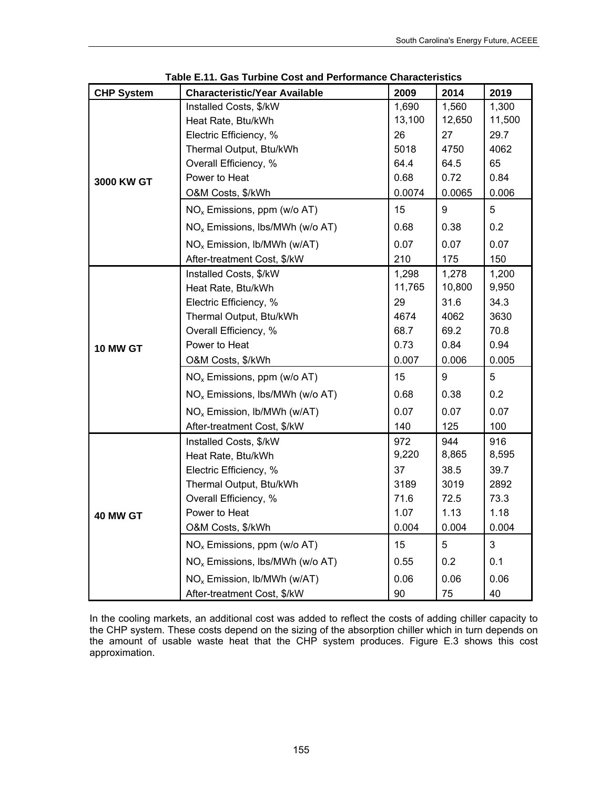| <b>CHP System</b> | <b>Characteristic/Year Available</b>        | 2009   | 2014   | 2019   |
|-------------------|---------------------------------------------|--------|--------|--------|
|                   | Installed Costs, \$/kW                      | 1,690  | 1,560  | 1,300  |
|                   | Heat Rate, Btu/kWh                          | 13,100 | 12,650 | 11,500 |
| 3000 KW GT        | Electric Efficiency, %                      | 26     | 27     | 29.7   |
|                   | Thermal Output, Btu/kWh                     | 5018   | 4750   | 4062   |
|                   | Overall Efficiency, %                       | 64.4   | 64.5   | 65     |
|                   | Power to Heat                               | 0.68   | 0.72   | 0.84   |
|                   | O&M Costs, \$/kWh                           | 0.0074 | 0.0065 | 0.006  |
|                   | $NOx$ Emissions, ppm (w/o AT)               | 15     | 9      | 5      |
|                   | NO <sub>x</sub> Emissions, Ibs/MWh (w/o AT) | 0.68   | 0.38   | 0.2    |
|                   | NO <sub>x</sub> Emission, Ib/MWh (w/AT)     | 0.07   | 0.07   | 0.07   |
|                   | After-treatment Cost, \$/kW                 | 210    | 175    | 150    |
|                   | Installed Costs, \$/kW                      | 1,298  | 1,278  | 1,200  |
| 10 MW GT          | Heat Rate, Btu/kWh                          | 11,765 | 10,800 | 9,950  |
|                   | Electric Efficiency, %                      | 29     | 31.6   | 34.3   |
|                   | Thermal Output, Btu/kWh                     | 4674   | 4062   | 3630   |
|                   | Overall Efficiency, %                       | 68.7   | 69.2   | 70.8   |
|                   | Power to Heat                               | 0.73   | 0.84   | 0.94   |
|                   | O&M Costs, \$/kWh                           | 0.007  | 0.006  | 0.005  |
|                   | $NOx$ Emissions, ppm (w/o AT)               | 15     | 9      | 5      |
|                   | NO <sub>x</sub> Emissions, Ibs/MWh (w/o AT) | 0.68   | 0.38   | 0.2    |
|                   | NO <sub>x</sub> Emission, Ib/MWh (w/AT)     | 0.07   | 0.07   | 0.07   |
|                   | After-treatment Cost, \$/kW                 | 140    | 125    | 100    |
|                   | Installed Costs, \$/kW                      | 972    | 944    | 916    |
|                   | Heat Rate, Btu/kWh                          | 9,220  | 8,865  | 8,595  |
|                   | Electric Efficiency, %                      | 37     | 38.5   | 39.7   |
|                   | Thermal Output, Btu/kWh                     | 3189   | 3019   | 2892   |
|                   | Overall Efficiency, %                       | 71.6   | 72.5   | 73.3   |
| 40 MW GT          | Power to Heat                               | 1.07   | 1.13   | 1.18   |
|                   | O&M Costs, \$/kWh                           | 0.004  | 0.004  | 0.004  |
|                   | $NOx$ Emissions, ppm (w/o AT)               | 15     | 5      | 3      |
|                   | NO <sub>x</sub> Emissions, Ibs/MWh (w/o AT) | 0.55   | 0.2    | 0.1    |
|                   | NO <sub>x</sub> Emission, Ib/MWh (w/AT)     | 0.06   | 0.06   | 0.06   |
|                   | After-treatment Cost, \$/kW                 | 90     | 75     | 40     |

**Table E.11. Gas Turbine Cost and Performance Characteristics** 

In the cooling markets, an additional cost was added to reflect the costs of adding chiller capacity to the CHP system. These costs depend on the sizing of the absorption chiller which in turn depends on the amount of usable waste heat that the CHP system produces. Figure E.3 shows this cost approximation.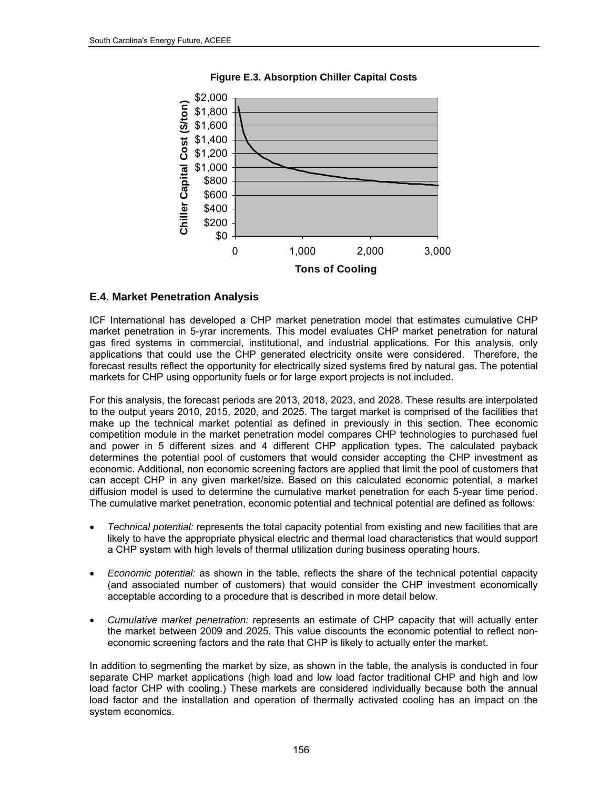

**Figure E.3. Absorption Chiller Capital Costs** 

### **E.4. Market Penetration Analysis**

ICF International has developed a CHP market penetration model that estimates cumulative CHP market penetration in 5-yrar increments. This model evaluates CHP market penetration for natural gas fired systems in commercial, institutional, and industrial applications. For this analysis, only applications that could use the CHP generated electricity onsite were considered. Therefore, the forecast results reflect the opportunity for electrically sized systems fired by natural gas. The potential markets for CHP using opportunity fuels or for large export projects is not included.

For this analysis, the forecast periods are 2013, 2018, 2023, and 2028. These results are interpolated to the output years 2010, 2015, 2020, and 2025. The target market is comprised of the facilities that make up the technical market potential as defined in previously in this section. Thee economic competition module in the market penetration model compares CHP technologies to purchased fuel and power in 5 different sizes and 4 different CHP application types. The calculated payback determines the potential pool of customers that would consider accepting the CHP investment as economic. Additional, non economic screening factors are applied that limit the pool of customers that can accept CHP in any given market/size. Based on this calculated economic potential, a market diffusion model is used to determine the cumulative market penetration for each 5-year time period. The cumulative market penetration, economic potential and technical potential are defined as follows:

- *Technical potential:* represents the total capacity potential from existing and new facilities that are likely to have the appropriate physical electric and thermal load characteristics that would support a CHP system with high levels of thermal utilization during business operating hours.
- *Economic potential:* as shown in the table, reflects the share of the technical potential capacity (and associated number of customers) that would consider the CHP investment economically acceptable according to a procedure that is described in more detail below.
- *Cumulative market penetration:* represents an estimate of CHP capacity that will actually enter the market between 2009 and 2025. This value discounts the economic potential to reflect noneconomic screening factors and the rate that CHP is likely to actually enter the market.

In addition to segmenting the market by size, as shown in the table, the analysis is conducted in four separate CHP market applications (high load and low load factor traditional CHP and high and low load factor CHP with cooling.) These markets are considered individually because both the annual load factor and the installation and operation of thermally activated cooling has an impact on the system economics.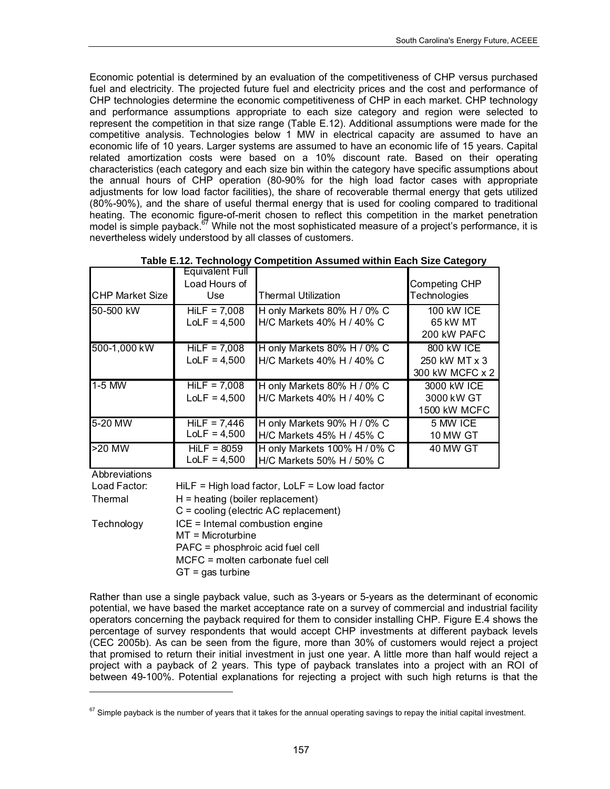Economic potential is determined by an evaluation of the competitiveness of CHP versus purchased fuel and electricity. The projected future fuel and electricity prices and the cost and performance of CHP technologies determine the economic competitiveness of CHP in each market. CHP technology and performance assumptions appropriate to each size category and region were selected to represent the competition in that size range (Table E.12). Additional assumptions were made for the competitive analysis. Technologies below 1 MW in electrical capacity are assumed to have an economic life of 10 years. Larger systems are assumed to have an economic life of 15 years. Capital related amortization costs were based on a 10% discount rate. Based on their operating characteristics (each category and each size bin within the category have specific assumptions about the annual hours of CHP operation (80-90% for the high load factor cases with appropriate adjustments for low load factor facilities), the share of recoverable thermal energy that gets utilized (80%-90%), and the share of useful thermal energy that is used for cooling compared to traditional heating. The economic figure-of-merit chosen to reflect this competition in the market penetration model is simple payback.<sup>67</sup> While not the most sophisticated measure of a project's performance, it is nevertheless widely understood by all classes of customers.

|                        | <b>Equivalent Full</b><br>Load Hours of |                                                           | <b>Competing CHP</b>                             |
|------------------------|-----------------------------------------|-----------------------------------------------------------|--------------------------------------------------|
| <b>CHP Market Size</b> | Use.                                    | <b>Thermal Utilization</b>                                | <b>Technologies</b>                              |
| 50-500 kW              | $HilF = 7.008$<br>$LoLF = 4,500$        | H only Markets 80% H / 0% C<br>H/C Markets 40% H / 40% C  | 100 kW ICE<br>65 kW MT<br>200 kW PAFC            |
| 500-1,000 kW           | $HilF = 7.008$<br>$LoLF = 4,500$        | H only Markets 80% H / 0% C<br>H/C Markets 40% H / 40% C  | 800 KW ICE<br>250 kW MT x 3<br>300 kW MCFC x 2   |
| $1-5$ MW               | $HilF = 7,008$<br>$LoLF = 4,500$        | H only Markets 80% H / 0% C<br>H/C Markets 40% H / 40% C  | 3000 kW ICE<br>3000 kW GT<br><b>1500 kW MCFC</b> |
| 5-20 MW                | $HilF = 7,446$<br>$LoLF = 4,500$        | H only Markets 90% H / 0% C<br>H/C Markets 45% H / 45% C  | 5 MW ICE<br><b>10 MW GT</b>                      |
| >20 MW                 | $HilF = 8059$<br>$LoLF = 4,500$         | H only Markets 100% H / 0% C<br>H/C Markets 50% H / 50% C | 40 MW GT                                         |
| A bhrouiotiona         |                                         |                                                           |                                                  |

Abbreviations

-

Load Factor: Thermal **Technology**  $GT = gas$  turbine ICE = Internal combustion engine MT = Microturbine PAFC = phosphroic acid fuel cell MCFC = molten carbonate fuel cell HiLF = High load factor, LoLF = Low load factor H = heating (boiler replacement) C = cooling (electric AC replacement)

Rather than use a single payback value, such as 3-years or 5-years as the determinant of economic potential, we have based the market acceptance rate on a survey of commercial and industrial facility operators concerning the payback required for them to consider installing CHP. Figure E.4 shows the percentage of survey respondents that would accept CHP investments at different payback levels (CEC 2005b). As can be seen from the figure, more than 30% of customers would reject a project that promised to return their initial investment in just one year. A little more than half would reject a project with a payback of 2 years. This type of payback translates into a project with an ROI of between 49-100%. Potential explanations for rejecting a project with such high returns is that the

<span id="page-170-0"></span> $67$  Simple payback is the number of years that it takes for the annual operating savings to repay the initial capital investment.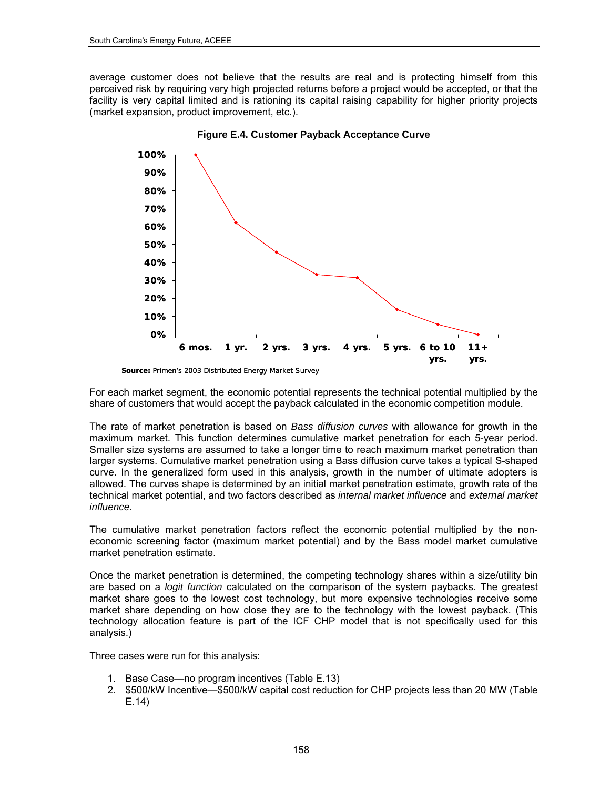average customer does not believe that the results are real and is protecting himself from this perceived risk by requiring very high projected returns before a project would be accepted, or that the facility is very capital limited and is rationing its capital raising capability for higher priority projects (market expansion, product improvement, etc.).



**Figure E.4. Customer Payback Acceptance Curve** 

For each market segment, the economic potential represents the technical potential multiplied by the share of customers that would accept the payback calculated in the economic competition module.

The rate of market penetration is based on *Bass diffusion curves* with allowance for growth in the maximum market. This function determines cumulative market penetration for each 5-year period. Smaller size systems are assumed to take a longer time to reach maximum market penetration than larger systems. Cumulative market penetration using a Bass diffusion curve takes a typical S-shaped curve. In the generalized form used in this analysis, growth in the number of ultimate adopters is allowed. The curves shape is determined by an initial market penetration estimate, growth rate of the technical market potential, and two factors described as *internal market influence* and *external market influence*.

The cumulative market penetration factors reflect the economic potential multiplied by the noneconomic screening factor (maximum market potential) and by the Bass model market cumulative market penetration estimate.

Once the market penetration is determined, the competing technology shares within a size/utility bin are based on a *logit function* calculated on the comparison of the system paybacks. The greatest market share goes to the lowest cost technology, but more expensive technologies receive some market share depending on how close they are to the technology with the lowest payback. (This technology allocation feature is part of the ICF CHP model that is not specifically used for this analysis.)

Three cases were run for this analysis:

- 1. Base Case—no program incentives (Table E.13)
- 2. \$500/kW Incentive—\$500/kW capital cost reduction for CHP projects less than 20 MW (Table E.14)

*Source: Primen's 2003 Distributed Energy Market Survey*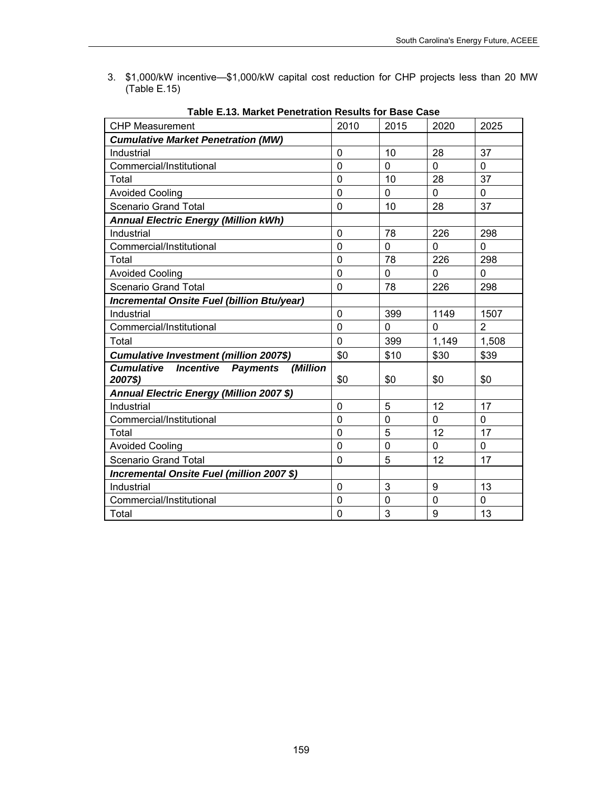3. \$1,000/kW incentive—\$1,000/kW capital cost reduction for CHP projects less than 20 MW (Table E.15)

| <b>CHP Measurement</b>                           | 2010           | 2015        | 2020     | 2025           |
|--------------------------------------------------|----------------|-------------|----------|----------------|
| <b>Cumulative Market Penetration (MW)</b>        |                |             |          |                |
| Industrial                                       | 0              | 10          | 28       | 37             |
| Commercial/Institutional                         | $\overline{0}$ | $\Omega$    | $\Omega$ | 0              |
| Total                                            | 0              | 10          | 28       | 37             |
| <b>Avoided Cooling</b>                           | $\overline{0}$ | 0           | 0        | 0              |
| <b>Scenario Grand Total</b>                      | 0              | 10          | 28       | 37             |
| <b>Annual Electric Energy (Million kWh)</b>      |                |             |          |                |
| Industrial                                       | 0              | 78          | 226      | 298            |
| Commercial/Institutional                         | $\overline{0}$ | 0           | $\Omega$ | 0              |
| Total                                            | 0              | 78          | 226      | 298            |
| <b>Avoided Cooling</b>                           | 0              | $\mathbf 0$ | 0        | $\Omega$       |
| Scenario Grand Total                             | 0              | 78          | 226      | 298            |
| Incremental Onsite Fuel (billion Btu/year)       |                |             |          |                |
| Industrial                                       | 0              | 399         | 1149     | 1507           |
| Commercial/Institutional                         | $\overline{0}$ | $\Omega$    | $\Omega$ | $\overline{2}$ |
| Total                                            | 0              | 399         | 1,149    | 1,508          |
| Cumulative Investment (million 2007\$)           | \$0            | \$10        | \$30     | \$39           |
| <b>Cumulative Incentive Payments</b><br>(Million |                |             |          |                |
| 2007\$)                                          | \$0            | \$0         | \$0      | \$0            |
| Annual Electric Energy (Million 2007 \$)         |                |             |          |                |
| Industrial                                       | 0              | 5           | 12       | 17             |
| Commercial/Institutional                         | 0              | $\mathbf 0$ | 0        | 0              |
| Total                                            | $\overline{0}$ | 5           | 12       | 17             |
| <b>Avoided Cooling</b>                           | $\overline{0}$ | $\mathbf 0$ | 0        | $\Omega$       |
| <b>Scenario Grand Total</b>                      | 0              | 5           | 12       | 17             |
| Incremental Onsite Fuel (million 2007 \$)        |                |             |          |                |
| Industrial                                       | 0              | 3           | 9        | 13             |
| Commercial/Institutional                         | 0              | 0           | 0        | 0              |
| Total                                            | 0              | 3           | 9        | 13             |

**Table E.13. Market Penetration Results for Base Case**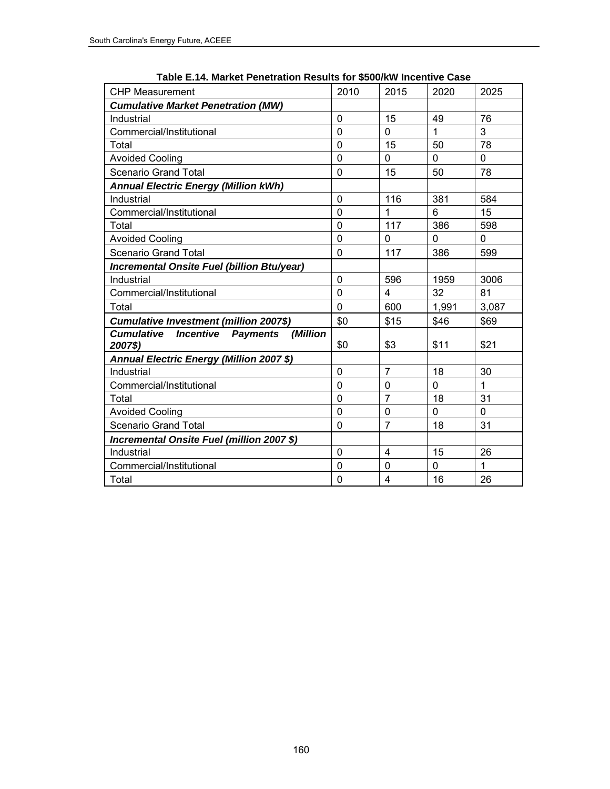| <b>CHP Measurement</b>                                                          | 2010           | 2015           | 2020         | 2025         |
|---------------------------------------------------------------------------------|----------------|----------------|--------------|--------------|
| <b>Cumulative Market Penetration (MW)</b>                                       |                |                |              |              |
| Industrial                                                                      | $\mathbf 0$    | 15             | 49           | 76           |
| Commercial/Institutional                                                        | $\overline{0}$ | 0              | $\mathbf{1}$ | 3            |
| Total                                                                           | $\overline{0}$ | 15             | 50           | 78           |
| <b>Avoided Cooling</b>                                                          | $\overline{0}$ | 0              | 0            | 0            |
| Scenario Grand Total                                                            | $\mathbf 0$    | 15             | 50           | 78           |
| <b>Annual Electric Energy (Million kWh)</b>                                     |                |                |              |              |
| Industrial                                                                      | $\mathbf 0$    | 116            | 381          | 584          |
| Commercial/Institutional                                                        | $\overline{0}$ | $\mathbf 1$    | 6            | 15           |
| Total                                                                           | $\overline{0}$ | 117            | 386          | 598          |
| <b>Avoided Cooling</b>                                                          | $\mathbf 0$    | 0              | 0            | 0            |
| <b>Scenario Grand Total</b>                                                     | $\overline{0}$ | 117            | 386          | 599          |
| Incremental Onsite Fuel (billion Btu/year)                                      |                |                |              |              |
| Industrial                                                                      | 0              | 596            | 1959         | 3006         |
| Commercial/Institutional                                                        | 0              | 4              | 32           | 81           |
| Total                                                                           | $\mathbf 0$    | 600            | 1,991        | 3,087        |
| <b>Cumulative Investment (million 2007\$)</b>                                   | \$0            | \$15           | \$46         | \$69         |
| (Million<br><b>Cumulative</b><br><b>Incentive</b><br><b>Payments</b><br>2007\$) | \$0            | \$3            | \$11         | \$21         |
| Annual Electric Energy (Million 2007 \$)                                        |                |                |              |              |
| Industrial                                                                      | 0              | $\overline{7}$ | 18           | 30           |
| Commercial/Institutional                                                        | $\mathbf 0$    | $\mathbf 0$    | $\mathbf{0}$ | $\mathbf{1}$ |
| Total                                                                           | $\overline{0}$ | $\overline{7}$ | 18           | 31           |
| <b>Avoided Cooling</b>                                                          | $\overline{0}$ | 0              | 0            | $\Omega$     |
| <b>Scenario Grand Total</b>                                                     | $\mathbf 0$    | $\overline{7}$ | 18           | 31           |
| Incremental Onsite Fuel (million 2007 \$)                                       |                |                |              |              |
| Industrial                                                                      | 0              | 4              | 15           | 26           |
| Commercial/Institutional                                                        | $\mathbf 0$    | 0              | 0            | $\mathbf{1}$ |
| Total                                                                           | 0              | 4              | 16           | 26           |

**Table E.14. Market Penetration Results for \$500/kW Incentive Case**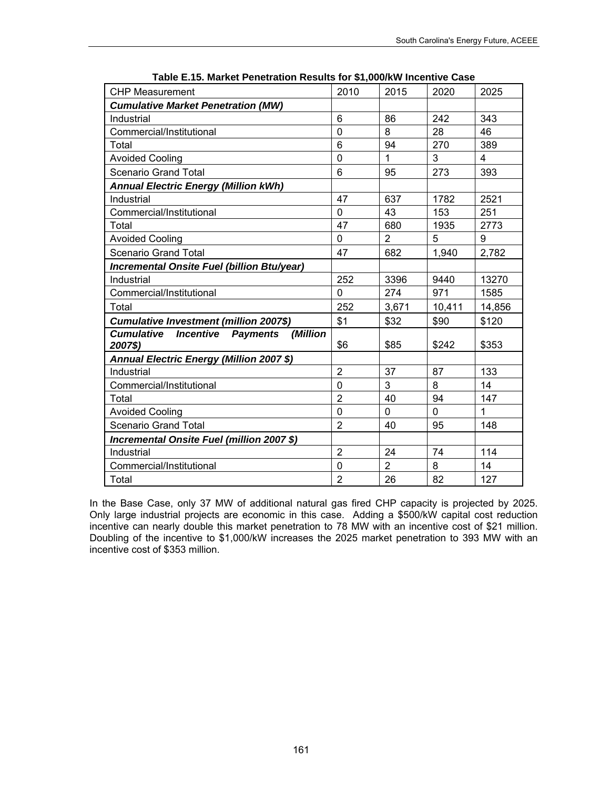| <b>CHP Measurement</b>                                     | 2010           | 2015           | 2020   | 2025         |
|------------------------------------------------------------|----------------|----------------|--------|--------------|
| <b>Cumulative Market Penetration (MW)</b>                  |                |                |        |              |
| Industrial                                                 | 6              | 86             | 242    | 343          |
| Commercial/Institutional                                   | $\overline{0}$ | 8              | 28     | 46           |
| Total                                                      | 6              | 94             | 270    | 389          |
| <b>Avoided Cooling</b>                                     | $\overline{0}$ | $\mathbf{1}$   | 3      | 4            |
| <b>Scenario Grand Total</b>                                | 6              | 95             | 273    | 393          |
| <b>Annual Electric Energy (Million kWh)</b>                |                |                |        |              |
| Industrial                                                 | 47             | 637            | 1782   | 2521         |
| Commercial/Institutional                                   | 0              | 43             | 153    | 251          |
| Total                                                      | 47             | 680            | 1935   | 2773         |
| <b>Avoided Cooling</b>                                     | 0              | $\overline{2}$ | 5      | 9            |
| Scenario Grand Total                                       | 47             | 682            | 1,940  | 2,782        |
| Incremental Onsite Fuel (billion Btu/year)                 |                |                |        |              |
| Industrial                                                 | 252            | 3396           | 9440   | 13270        |
| Commercial/Institutional                                   | $\mathbf 0$    | 274            | 971    | 1585         |
| Total                                                      | 252            | 3,671          | 10,411 | 14,856       |
| <b>Cumulative Investment (million 2007\$)</b>              | \$1            | \$32           | \$90   | \$120        |
| <b>Cumulative</b><br>(Million<br><b>Incentive Payments</b> |                |                |        |              |
| 2007\$)                                                    | \$6            | \$85           | \$242  | \$353        |
| Annual Electric Energy (Million 2007 \$)                   |                |                |        |              |
| Industrial                                                 | $\overline{2}$ | 37             | 87     | 133          |
| Commercial/Institutional                                   | 0              | 3              | 8      | 14           |
| Total                                                      | $\overline{2}$ | 40             | 94     | 147          |
| <b>Avoided Cooling</b>                                     | $\overline{0}$ | 0              | 0      | $\mathbf{1}$ |
| Scenario Grand Total                                       | $\overline{2}$ | 40             | 95     | 148          |
| Incremental Onsite Fuel (million 2007 \$)                  |                |                |        |              |
| Industrial                                                 | $\overline{2}$ | 24             | 74     | 114          |
| Commercial/Institutional                                   | $\overline{0}$ | $\overline{2}$ | 8      | 14           |
| Total                                                      | $\overline{2}$ | 26             | 82     | 127          |

**Table E.15. Market Penetration Results for \$1,000/kW Incentive Case** 

In the Base Case, only 37 MW of additional natural gas fired CHP capacity is projected by 2025. Only large industrial projects are economic in this case. Adding a \$500/kW capital cost reduction incentive can nearly double this market penetration to 78 MW with an incentive cost of \$21 million. Doubling of the incentive to \$1,000/kW increases the 2025 market penetration to 393 MW with an incentive cost of \$353 million.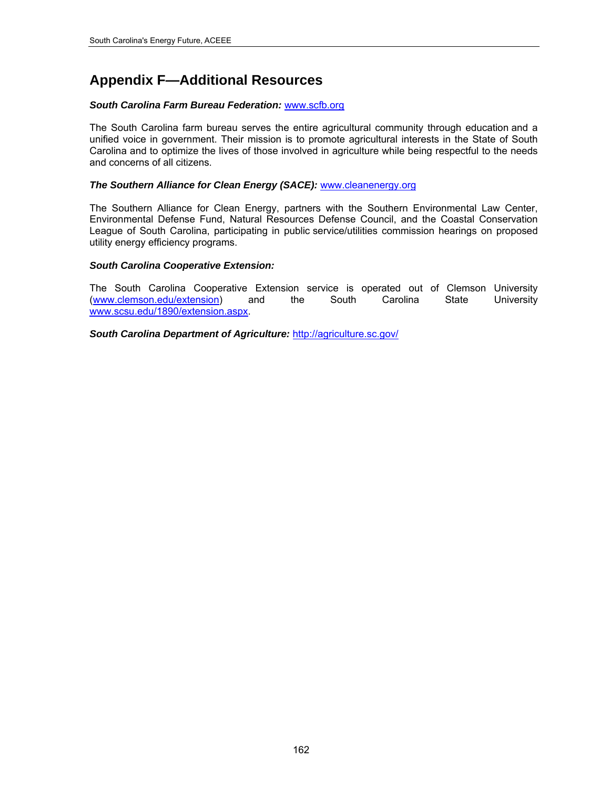# **Appendix F—Additional Resources**

#### *South Carolina Farm Bureau Federation:* [www.scfb.org](http://www.scfb.org/)

The South Carolina farm bureau serves the entire agricultural community through education and a unified voice in government. Their mission is to promote agricultural interests in the State of South Carolina and to optimize the lives of those involved in agriculture while being respectful to the needs and concerns of all citizens.

#### *The Southern Alliance for Clean Energy (SACE):* [www.cleanenergy.org](http://www.cleanenergy.org/)

The Southern Alliance for Clean Energy, partners with the Southern Environmental Law Center, Environmental Defense Fund, Natural Resources Defense Council, and the Coastal Conservation League of South Carolina, participating in public service/utilities commission hearings on proposed utility energy efficiency programs.

#### *South Carolina Cooperative Extension:*

The South Carolina Cooperative Extension service is operated out of Clemson University [\(www.clemson.edu/extension](http://www.clemson.edu/extension)) and the South Carolina State University [www.scsu.edu/1890/extension.aspx](http://www.scsu.edu/1890/extension.aspx).

*South Carolina Department of Agriculture:* <http://agriculture.sc.gov/>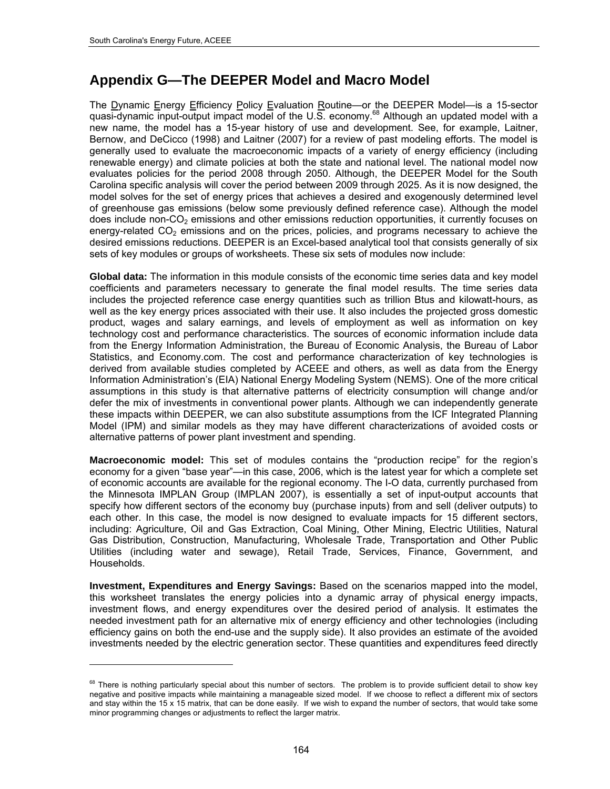l

# **Appendix G—The DEEPER Model and Macro Model**

The Dynamic Energy Efficiency Policy Evaluation Routine—or the DEEPER Model—is a 15-sector quasi-dynamic input-output impact model of the U.S. economy.<sup>[68](#page-177-0)</sup> Although an updated model with a new name, the model has a 15-year history of use and development. See, for example, Laitner, Bernow, and DeCicco (1998) and Laitner (2007) for a review of past modeling efforts. The model is generally used to evaluate the macroeconomic impacts of a variety of energy efficiency (including renewable energy) and climate policies at both the state and national level. The national model now evaluates policies for the period 2008 through 2050. Although, the DEEPER Model for the South Carolina specific analysis will cover the period between 2009 through 2025. As it is now designed, the model solves for the set of energy prices that achieves a desired and exogenously determined level of greenhouse gas emissions (below some previously defined reference case). Although the model does include non- $CO<sub>2</sub>$  emissions and other emissions reduction opportunities, it currently focuses on energy-related  $CO<sub>2</sub>$  emissions and on the prices, policies, and programs necessary to achieve the desired emissions reductions. DEEPER is an Excel-based analytical tool that consists generally of six sets of key modules or groups of worksheets. These six sets of modules now include:

**Global data:** The information in this module consists of the economic time series data and key model coefficients and parameters necessary to generate the final model results. The time series data includes the projected reference case energy quantities such as trillion Btus and kilowatt-hours, as well as the key energy prices associated with their use. It also includes the projected gross domestic product, wages and salary earnings, and levels of employment as well as information on key technology cost and performance characteristics. The sources of economic information include data from the Energy Information Administration, the Bureau of Economic Analysis, the Bureau of Labor Statistics, and Economy.com. The cost and performance characterization of key technologies is derived from available studies completed by ACEEE and others, as well as data from the Energy Information Administration's (EIA) National Energy Modeling System (NEMS). One of the more critical assumptions in this study is that alternative patterns of electricity consumption will change and/or defer the mix of investments in conventional power plants. Although we can independently generate these impacts within DEEPER, we can also substitute assumptions from the ICF Integrated Planning Model (IPM) and similar models as they may have different characterizations of avoided costs or alternative patterns of power plant investment and spending.

**Macroeconomic model:** This set of modules contains the "production recipe" for the region's economy for a given "base year"—in this case, 2006, which is the latest year for which a complete set of economic accounts are available for the regional economy. The I-O data, currently purchased from the Minnesota IMPLAN Group (IMPLAN 2007), is essentially a set of input-output accounts that specify how different sectors of the economy buy (purchase inputs) from and sell (deliver outputs) to each other. In this case, the model is now designed to evaluate impacts for 15 different sectors, including: Agriculture, Oil and Gas Extraction, Coal Mining, Other Mining, Electric Utilities, Natural Gas Distribution, Construction, Manufacturing, Wholesale Trade, Transportation and Other Public Utilities (including water and sewage), Retail Trade, Services, Finance, Government, and Households.

**Investment, Expenditures and Energy Savings:** Based on the scenarios mapped into the model, this worksheet translates the energy policies into a dynamic array of physical energy impacts, investment flows, and energy expenditures over the desired period of analysis. It estimates the needed investment path for an alternative mix of energy efficiency and other technologies (including efficiency gains on both the end-use and the supply side). It also provides an estimate of the avoided investments needed by the electric generation sector. These quantities and expenditures feed directly

<span id="page-177-0"></span><sup>&</sup>lt;sup>68</sup> There is nothing particularly special about this number of sectors. The problem is to provide sufficient detail to show key negative and positive impacts while maintaining a manageable sized model. If we choose to reflect a different mix of sectors and stay within the 15 x 15 matrix, that can be done easily. If we wish to expand the number of sectors, that would take some minor programming changes or adjustments to reflect the larger matrix.